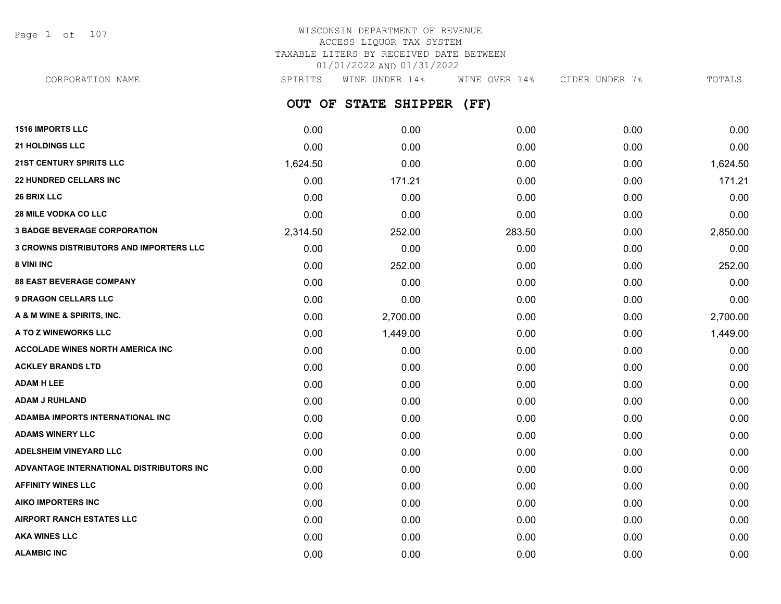Page 1 of 107

# WISCONSIN DEPARTMENT OF REVENUE ACCESS LIQUOR TAX SYSTEM TAXABLE LITERS BY RECEIVED DATE BETWEEN 01/01/2022 AND 01/31/2022

| CORPORATION NAME                               | SPIRITS  | WINE UNDER 14%       | WINE OVER 14% | CIDER UNDER 7% | TOTALS   |
|------------------------------------------------|----------|----------------------|---------------|----------------|----------|
|                                                | OUT OF   | <b>STATE SHIPPER</b> | (FF)          |                |          |
| <b>1516 IMPORTS LLC</b>                        | 0.00     | 0.00                 | 0.00          | 0.00           | 0.00     |
| <b>21 HOLDINGS LLC</b>                         | 0.00     | 0.00                 | 0.00          | 0.00           | 0.00     |
| <b>21ST CENTURY SPIRITS LLC</b>                | 1,624.50 | 0.00                 | 0.00          | 0.00           | 1,624.50 |
| <b>22 HUNDRED CELLARS INC</b>                  | 0.00     | 171.21               | 0.00          | 0.00           | 171.21   |
| <b>26 BRIX LLC</b>                             | 0.00     | 0.00                 | 0.00          | 0.00           | 0.00     |
| <b>28 MILE VODKA CO LLC</b>                    | 0.00     | 0.00                 | 0.00          | 0.00           | 0.00     |
| <b>3 BADGE BEVERAGE CORPORATION</b>            | 2,314.50 | 252.00               | 283.50        | 0.00           | 2,850.00 |
| <b>3 CROWNS DISTRIBUTORS AND IMPORTERS LLC</b> | 0.00     | 0.00                 | 0.00          | 0.00           | 0.00     |
| <b>8 VINI INC</b>                              | 0.00     | 252.00               | 0.00          | 0.00           | 252.00   |
| <b>88 EAST BEVERAGE COMPANY</b>                | 0.00     | 0.00                 | 0.00          | 0.00           | 0.00     |
| <b>9 DRAGON CELLARS LLC</b>                    | 0.00     | 0.00                 | 0.00          | 0.00           | 0.00     |
| A & M WINE & SPIRITS, INC.                     | 0.00     | 2,700.00             | 0.00          | 0.00           | 2,700.00 |
| A TO Z WINEWORKS LLC                           | 0.00     | 1,449.00             | 0.00          | 0.00           | 1,449.00 |
| ACCOLADE WINES NORTH AMERICA INC               | 0.00     | 0.00                 | 0.00          | 0.00           | 0.00     |
| ACKLEY BRANDS LTD                              | 0.00     | 0.00                 | 0.00          | 0.00           | 0.00     |
| ADAM H LEE                                     | 0.00     | 0.00                 | 0.00          | 0.00           | 0.00     |
| ADAM J RUHLAND                                 | 0.00     | 0.00                 | 0.00          | 0.00           | 0.00     |
| ADAMBA IMPORTS INTERNATIONAL INC               | 0.00     | 0.00                 | 0.00          | 0.00           | 0.00     |
| ADAMS WINERY LLC                               | 0.00     | 0.00                 | 0.00          | 0.00           | 0.00     |
| <b>ADELSHEIM VINEYARD LLC</b>                  | 0.00     | 0.00                 | 0.00          | 0.00           | 0.00     |
| ADVANTAGE INTERNATIONAL DISTRIBUTORS INC       | 0.00     | 0.00                 | 0.00          | 0.00           | 0.00     |
| <b>AFFINITY WINES LLC</b>                      | 0.00     | 0.00                 | 0.00          | 0.00           | 0.00     |
| AIKO IMPORTERS INC                             | 0.00     | 0.00                 | 0.00          | 0.00           | 0.00     |
| AIRPORT RANCH ESTATES LLC                      | 0.00     | 0.00                 | 0.00          | 0.00           | 0.00     |
|                                                |          |                      |               |                |          |

**AKA WINES LLC** 0.00 0.00 0.00 0.00 0.00 **ALAMBIC INC** 0.00 0.00 0.00 0.00 0.00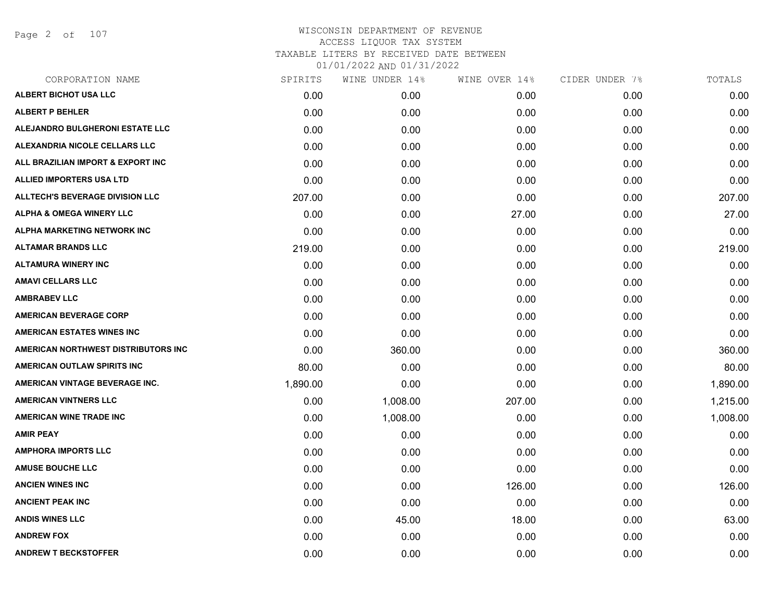Page 2 of 107

| CORPORATION NAME                       | SPIRITS  | WINE UNDER 14% | WINE OVER 14% | CIDER UNDER 7% | TOTALS   |
|----------------------------------------|----------|----------------|---------------|----------------|----------|
| ALBERT BICHOT USA LLC                  | 0.00     | 0.00           | 0.00          | 0.00           | 0.00     |
| <b>ALBERT P BEHLER</b>                 | 0.00     | 0.00           | 0.00          | 0.00           | 0.00     |
| ALEJANDRO BULGHERONI ESTATE LLC        | 0.00     | 0.00           | 0.00          | 0.00           | 0.00     |
| ALEXANDRIA NICOLE CELLARS LLC          | 0.00     | 0.00           | 0.00          | 0.00           | 0.00     |
| ALL BRAZILIAN IMPORT & EXPORT INC      | 0.00     | 0.00           | 0.00          | 0.00           | 0.00     |
| <b>ALLIED IMPORTERS USA LTD</b>        | 0.00     | 0.00           | 0.00          | 0.00           | 0.00     |
| <b>ALLTECH'S BEVERAGE DIVISION LLC</b> | 207.00   | 0.00           | 0.00          | 0.00           | 207.00   |
| <b>ALPHA &amp; OMEGA WINERY LLC</b>    | 0.00     | 0.00           | 27.00         | 0.00           | 27.00    |
| <b>ALPHA MARKETING NETWORK INC</b>     | 0.00     | 0.00           | 0.00          | 0.00           | 0.00     |
| <b>ALTAMAR BRANDS LLC</b>              | 219.00   | 0.00           | 0.00          | 0.00           | 219.00   |
| <b>ALTAMURA WINERY INC</b>             | 0.00     | 0.00           | 0.00          | 0.00           | 0.00     |
| <b>AMAVI CELLARS LLC</b>               | 0.00     | 0.00           | 0.00          | 0.00           | 0.00     |
| <b>AMBRABEV LLC</b>                    | 0.00     | 0.00           | 0.00          | 0.00           | 0.00     |
| <b>AMERICAN BEVERAGE CORP</b>          | 0.00     | 0.00           | 0.00          | 0.00           | 0.00     |
| <b>AMERICAN ESTATES WINES INC</b>      | 0.00     | 0.00           | 0.00          | 0.00           | 0.00     |
| AMERICAN NORTHWEST DISTRIBUTORS INC    | 0.00     | 360.00         | 0.00          | 0.00           | 360.00   |
| AMERICAN OUTLAW SPIRITS INC            | 80.00    | 0.00           | 0.00          | 0.00           | 80.00    |
| AMERICAN VINTAGE BEVERAGE INC.         | 1,890.00 | 0.00           | 0.00          | 0.00           | 1,890.00 |
| <b>AMERICAN VINTNERS LLC</b>           | 0.00     | 1,008.00       | 207.00        | 0.00           | 1,215.00 |
| <b>AMERICAN WINE TRADE INC</b>         | 0.00     | 1,008.00       | 0.00          | 0.00           | 1,008.00 |
| <b>AMIR PEAY</b>                       | 0.00     | 0.00           | 0.00          | 0.00           | 0.00     |
| <b>AMPHORA IMPORTS LLC</b>             | 0.00     | 0.00           | 0.00          | 0.00           | 0.00     |
| <b>AMUSE BOUCHE LLC</b>                | 0.00     | 0.00           | 0.00          | 0.00           | 0.00     |
| <b>ANCIEN WINES INC</b>                | 0.00     | 0.00           | 126.00        | 0.00           | 126.00   |
| <b>ANCIENT PEAK INC</b>                | 0.00     | 0.00           | 0.00          | 0.00           | 0.00     |
| <b>ANDIS WINES LLC</b>                 | 0.00     | 45.00          | 18.00         | 0.00           | 63.00    |
| <b>ANDREW FOX</b>                      | 0.00     | 0.00           | 0.00          | 0.00           | 0.00     |
| <b>ANDREW T BECKSTOFFER</b>            | 0.00     | 0.00           | 0.00          | 0.00           | 0.00     |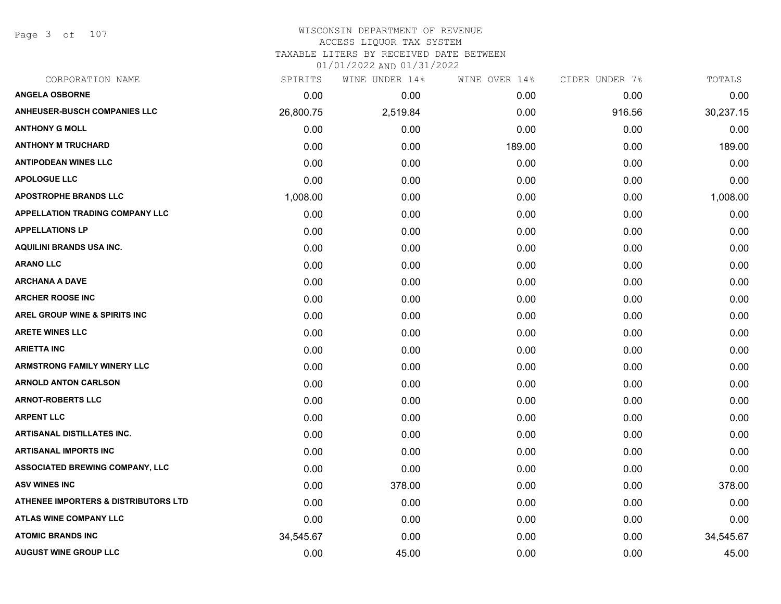Page 3 of 107

## WISCONSIN DEPARTMENT OF REVENUE ACCESS LIQUOR TAX SYSTEM

TAXABLE LITERS BY RECEIVED DATE BETWEEN

| CORPORATION NAME                                | SPIRITS   | WINE UNDER 14% | WINE OVER 14% | CIDER UNDER 7% | TOTALS    |
|-------------------------------------------------|-----------|----------------|---------------|----------------|-----------|
| <b>ANGELA OSBORNE</b>                           | 0.00      | 0.00           | 0.00          | 0.00           | 0.00      |
| <b>ANHEUSER-BUSCH COMPANIES LLC</b>             | 26,800.75 | 2,519.84       | 0.00          | 916.56         | 30,237.15 |
| <b>ANTHONY G MOLL</b>                           | 0.00      | 0.00           | 0.00          | 0.00           | 0.00      |
| <b>ANTHONY M TRUCHARD</b>                       | 0.00      | 0.00           | 189.00        | 0.00           | 189.00    |
| <b>ANTIPODEAN WINES LLC</b>                     | 0.00      | 0.00           | 0.00          | 0.00           | 0.00      |
| <b>APOLOGUE LLC</b>                             | 0.00      | 0.00           | 0.00          | 0.00           | 0.00      |
| <b>APOSTROPHE BRANDS LLC</b>                    | 1,008.00  | 0.00           | 0.00          | 0.00           | 1,008.00  |
| <b>APPELLATION TRADING COMPANY LLC</b>          | 0.00      | 0.00           | 0.00          | 0.00           | 0.00      |
| <b>APPELLATIONS LP</b>                          | 0.00      | 0.00           | 0.00          | 0.00           | 0.00      |
| AQUILINI BRANDS USA INC.                        | 0.00      | 0.00           | 0.00          | 0.00           | 0.00      |
| <b>ARANO LLC</b>                                | 0.00      | 0.00           | 0.00          | 0.00           | 0.00      |
| <b>ARCHANA A DAVE</b>                           | 0.00      | 0.00           | 0.00          | 0.00           | 0.00      |
| <b>ARCHER ROOSE INC</b>                         | 0.00      | 0.00           | 0.00          | 0.00           | 0.00      |
| <b>AREL GROUP WINE &amp; SPIRITS INC</b>        | 0.00      | 0.00           | 0.00          | 0.00           | 0.00      |
| <b>ARETE WINES LLC</b>                          | 0.00      | 0.00           | 0.00          | 0.00           | 0.00      |
| <b>ARIETTA INC</b>                              | 0.00      | 0.00           | 0.00          | 0.00           | 0.00      |
| <b>ARMSTRONG FAMILY WINERY LLC</b>              | 0.00      | 0.00           | 0.00          | 0.00           | 0.00      |
| <b>ARNOLD ANTON CARLSON</b>                     | 0.00      | 0.00           | 0.00          | 0.00           | 0.00      |
| <b>ARNOT-ROBERTS LLC</b>                        | 0.00      | 0.00           | 0.00          | 0.00           | 0.00      |
| <b>ARPENT LLC</b>                               | 0.00      | 0.00           | 0.00          | 0.00           | 0.00      |
| <b>ARTISANAL DISTILLATES INC.</b>               | 0.00      | 0.00           | 0.00          | 0.00           | 0.00      |
| <b>ARTISANAL IMPORTS INC</b>                    | 0.00      | 0.00           | 0.00          | 0.00           | 0.00      |
| ASSOCIATED BREWING COMPANY, LLC                 | 0.00      | 0.00           | 0.00          | 0.00           | 0.00      |
| <b>ASV WINES INC</b>                            | 0.00      | 378.00         | 0.00          | 0.00           | 378.00    |
| <b>ATHENEE IMPORTERS &amp; DISTRIBUTORS LTD</b> | 0.00      | 0.00           | 0.00          | 0.00           | 0.00      |
| <b>ATLAS WINE COMPANY LLC</b>                   | 0.00      | 0.00           | 0.00          | 0.00           | 0.00      |
| <b>ATOMIC BRANDS INC</b>                        | 34,545.67 | 0.00           | 0.00          | 0.00           | 34,545.67 |
| <b>AUGUST WINE GROUP LLC</b>                    | 0.00      | 45.00          | 0.00          | 0.00           | 45.00     |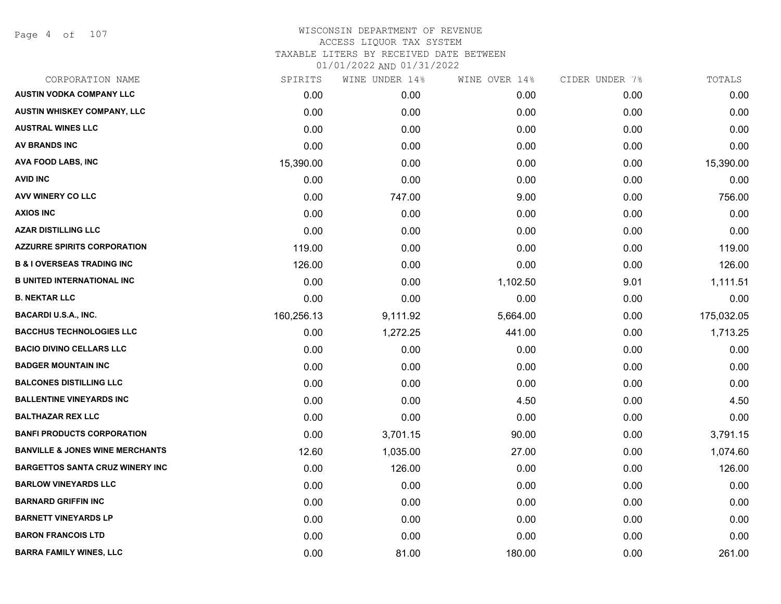Page 4 of 107

# WISCONSIN DEPARTMENT OF REVENUE ACCESS LIQUOR TAX SYSTEM TAXABLE LITERS BY RECEIVED DATE BETWEEN

| CORPORATION NAME                           | SPIRITS    | WINE UNDER 14% | WINE OVER 14% | CIDER UNDER 7% | TOTALS     |
|--------------------------------------------|------------|----------------|---------------|----------------|------------|
| <b>AUSTIN VODKA COMPANY LLC</b>            | 0.00       | 0.00           | 0.00          | 0.00           | 0.00       |
| AUSTIN WHISKEY COMPANY, LLC                | 0.00       | 0.00           | 0.00          | 0.00           | 0.00       |
| <b>AUSTRAL WINES LLC</b>                   | 0.00       | 0.00           | 0.00          | 0.00           | 0.00       |
| AV BRANDS INC                              | 0.00       | 0.00           | 0.00          | 0.00           | 0.00       |
| <b>AVA FOOD LABS, INC</b>                  | 15,390.00  | 0.00           | 0.00          | 0.00           | 15,390.00  |
| <b>AVID INC</b>                            | 0.00       | 0.00           | 0.00          | 0.00           | 0.00       |
| AVV WINERY CO LLC                          | 0.00       | 747.00         | 9.00          | 0.00           | 756.00     |
| <b>AXIOS INC</b>                           | 0.00       | 0.00           | 0.00          | 0.00           | 0.00       |
| <b>AZAR DISTILLING LLC</b>                 | 0.00       | 0.00           | 0.00          | 0.00           | 0.00       |
| <b>AZZURRE SPIRITS CORPORATION</b>         | 119.00     | 0.00           | 0.00          | 0.00           | 119.00     |
| <b>B &amp; I OVERSEAS TRADING INC</b>      | 126.00     | 0.00           | 0.00          | 0.00           | 126.00     |
| <b>B UNITED INTERNATIONAL INC</b>          | 0.00       | 0.00           | 1,102.50      | 9.01           | 1,111.51   |
| <b>B. NEKTAR LLC</b>                       | 0.00       | 0.00           | 0.00          | 0.00           | 0.00       |
| <b>BACARDI U.S.A., INC.</b>                | 160,256.13 | 9,111.92       | 5,664.00      | 0.00           | 175,032.05 |
| <b>BACCHUS TECHNOLOGIES LLC</b>            | 0.00       | 1,272.25       | 441.00        | 0.00           | 1,713.25   |
| <b>BACIO DIVINO CELLARS LLC</b>            | 0.00       | 0.00           | 0.00          | 0.00           | 0.00       |
| <b>BADGER MOUNTAIN INC</b>                 | 0.00       | 0.00           | 0.00          | 0.00           | 0.00       |
| <b>BALCONES DISTILLING LLC</b>             | 0.00       | 0.00           | 0.00          | 0.00           | 0.00       |
| <b>BALLENTINE VINEYARDS INC</b>            | 0.00       | 0.00           | 4.50          | 0.00           | 4.50       |
| <b>BALTHAZAR REX LLC</b>                   | 0.00       | 0.00           | 0.00          | 0.00           | 0.00       |
| <b>BANFI PRODUCTS CORPORATION</b>          | 0.00       | 3,701.15       | 90.00         | 0.00           | 3,791.15   |
| <b>BANVILLE &amp; JONES WINE MERCHANTS</b> | 12.60      | 1,035.00       | 27.00         | 0.00           | 1,074.60   |
| <b>BARGETTOS SANTA CRUZ WINERY INC</b>     | 0.00       | 126.00         | 0.00          | 0.00           | 126.00     |
| <b>BARLOW VINEYARDS LLC</b>                | 0.00       | 0.00           | 0.00          | 0.00           | 0.00       |
| <b>BARNARD GRIFFIN INC</b>                 | 0.00       | 0.00           | 0.00          | 0.00           | 0.00       |
| <b>BARNETT VINEYARDS LP</b>                | 0.00       | 0.00           | 0.00          | 0.00           | 0.00       |
| <b>BARON FRANCOIS LTD</b>                  | 0.00       | 0.00           | 0.00          | 0.00           | 0.00       |
| <b>BARRA FAMILY WINES, LLC</b>             | 0.00       | 81.00          | 180.00        | 0.00           | 261.00     |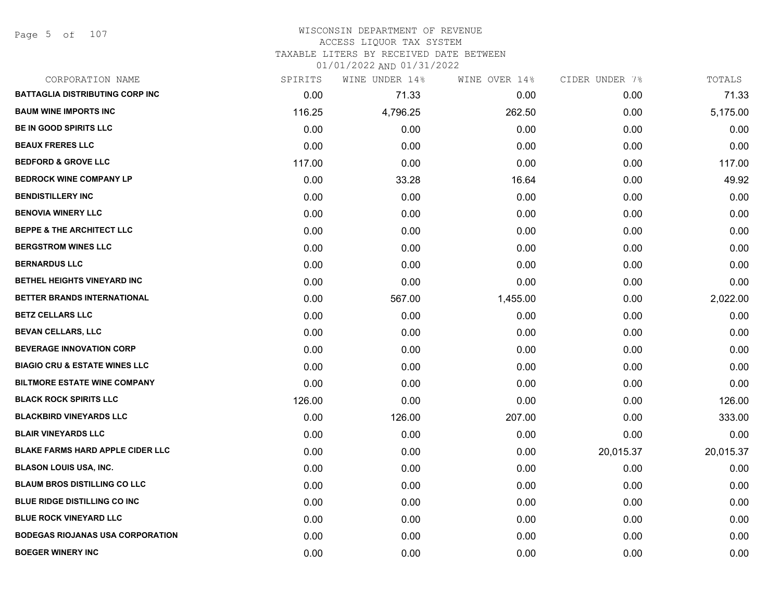Page 5 of 107

### WISCONSIN DEPARTMENT OF REVENUE ACCESS LIQUOR TAX SYSTEM TAXABLE LITERS BY RECEIVED DATE BETWEEN

| CORPORATION NAME                         | SPIRITS | WINE UNDER 14% | WINE OVER 14% | CIDER UNDER 7% | TOTALS    |
|------------------------------------------|---------|----------------|---------------|----------------|-----------|
| <b>BATTAGLIA DISTRIBUTING CORP INC</b>   | 0.00    | 71.33          | 0.00          | 0.00           | 71.33     |
| <b>BAUM WINE IMPORTS INC</b>             | 116.25  | 4,796.25       | 262.50        | 0.00           | 5,175.00  |
| BE IN GOOD SPIRITS LLC                   | 0.00    | 0.00           | 0.00          | 0.00           | 0.00      |
| <b>BEAUX FRERES LLC</b>                  | 0.00    | 0.00           | 0.00          | 0.00           | 0.00      |
| <b>BEDFORD &amp; GROVE LLC</b>           | 117.00  | 0.00           | 0.00          | 0.00           | 117.00    |
| <b>BEDROCK WINE COMPANY LP</b>           | 0.00    | 33.28          | 16.64         | 0.00           | 49.92     |
| <b>BENDISTILLERY INC</b>                 | 0.00    | 0.00           | 0.00          | 0.00           | 0.00      |
| <b>BENOVIA WINERY LLC</b>                | 0.00    | 0.00           | 0.00          | 0.00           | 0.00      |
| <b>BEPPE &amp; THE ARCHITECT LLC</b>     | 0.00    | 0.00           | 0.00          | 0.00           | 0.00      |
| <b>BERGSTROM WINES LLC</b>               | 0.00    | 0.00           | 0.00          | 0.00           | 0.00      |
| <b>BERNARDUS LLC</b>                     | 0.00    | 0.00           | 0.00          | 0.00           | 0.00      |
| BETHEL HEIGHTS VINEYARD INC              | 0.00    | 0.00           | 0.00          | 0.00           | 0.00      |
| BETTER BRANDS INTERNATIONAL              | 0.00    | 567.00         | 1,455.00      | 0.00           | 2,022.00  |
| <b>BETZ CELLARS LLC</b>                  | 0.00    | 0.00           | 0.00          | 0.00           | 0.00      |
| <b>BEVAN CELLARS, LLC</b>                | 0.00    | 0.00           | 0.00          | 0.00           | 0.00      |
| <b>BEVERAGE INNOVATION CORP</b>          | 0.00    | 0.00           | 0.00          | 0.00           | 0.00      |
| <b>BIAGIO CRU &amp; ESTATE WINES LLC</b> | 0.00    | 0.00           | 0.00          | 0.00           | 0.00      |
| <b>BILTMORE ESTATE WINE COMPANY</b>      | 0.00    | 0.00           | 0.00          | 0.00           | 0.00      |
| <b>BLACK ROCK SPIRITS LLC</b>            | 126.00  | 0.00           | 0.00          | 0.00           | 126.00    |
| <b>BLACKBIRD VINEYARDS LLC</b>           | 0.00    | 126.00         | 207.00        | 0.00           | 333.00    |
| <b>BLAIR VINEYARDS LLC</b>               | 0.00    | 0.00           | 0.00          | 0.00           | 0.00      |
| BLAKE FARMS HARD APPLE CIDER LLC         | 0.00    | 0.00           | 0.00          | 20,015.37      | 20,015.37 |
| <b>BLASON LOUIS USA, INC.</b>            | 0.00    | 0.00           | 0.00          | 0.00           | 0.00      |
| <b>BLAUM BROS DISTILLING CO LLC</b>      | 0.00    | 0.00           | 0.00          | 0.00           | 0.00      |
| BLUE RIDGE DISTILLING CO INC             | 0.00    | 0.00           | 0.00          | 0.00           | 0.00      |
| <b>BLUE ROCK VINEYARD LLC</b>            | 0.00    | 0.00           | 0.00          | 0.00           | 0.00      |
| <b>BODEGAS RIOJANAS USA CORPORATION</b>  | 0.00    | 0.00           | 0.00          | 0.00           | 0.00      |
| <b>BOEGER WINERY INC</b>                 | 0.00    | 0.00           | 0.00          | 0.00           | 0.00      |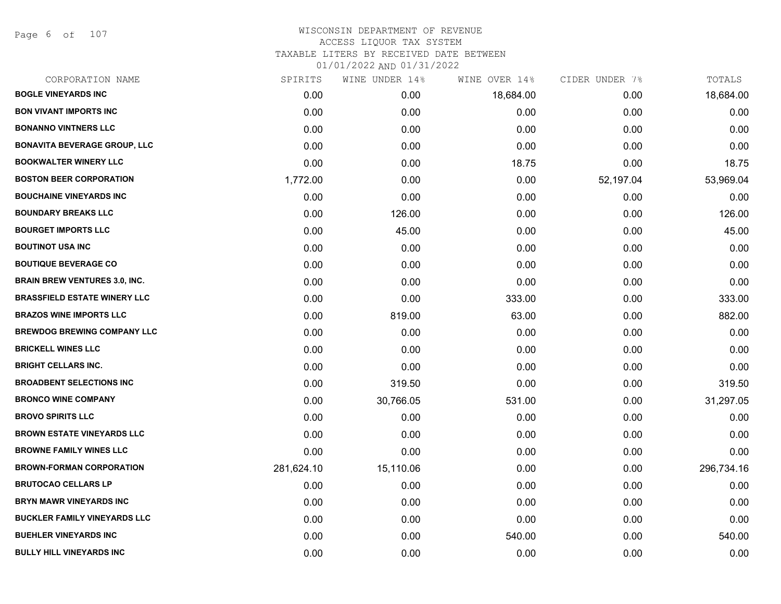Page 6 of 107

| CORPORATION NAME                     | SPIRITS    | WINE UNDER 14% | WINE OVER 14% | CIDER UNDER 7% | TOTALS     |
|--------------------------------------|------------|----------------|---------------|----------------|------------|
| <b>BOGLE VINEYARDS INC</b>           | 0.00       | 0.00           | 18,684.00     | 0.00           | 18,684.00  |
| <b>BON VIVANT IMPORTS INC</b>        | 0.00       | 0.00           | 0.00          | 0.00           | 0.00       |
| <b>BONANNO VINTNERS LLC</b>          | 0.00       | 0.00           | 0.00          | 0.00           | 0.00       |
| <b>BONAVITA BEVERAGE GROUP, LLC</b>  | 0.00       | 0.00           | 0.00          | 0.00           | 0.00       |
| <b>BOOKWALTER WINERY LLC</b>         | 0.00       | 0.00           | 18.75         | 0.00           | 18.75      |
| <b>BOSTON BEER CORPORATION</b>       | 1,772.00   | 0.00           | 0.00          | 52,197.04      | 53,969.04  |
| <b>BOUCHAINE VINEYARDS INC</b>       | 0.00       | 0.00           | 0.00          | 0.00           | 0.00       |
| <b>BOUNDARY BREAKS LLC</b>           | 0.00       | 126.00         | 0.00          | 0.00           | 126.00     |
| <b>BOURGET IMPORTS LLC</b>           | 0.00       | 45.00          | 0.00          | 0.00           | 45.00      |
| <b>BOUTINOT USA INC</b>              | 0.00       | 0.00           | 0.00          | 0.00           | 0.00       |
| <b>BOUTIQUE BEVERAGE CO</b>          | 0.00       | 0.00           | 0.00          | 0.00           | 0.00       |
| <b>BRAIN BREW VENTURES 3.0, INC.</b> | 0.00       | 0.00           | 0.00          | 0.00           | 0.00       |
| <b>BRASSFIELD ESTATE WINERY LLC</b>  | 0.00       | 0.00           | 333.00        | 0.00           | 333.00     |
| <b>BRAZOS WINE IMPORTS LLC</b>       | 0.00       | 819.00         | 63.00         | 0.00           | 882.00     |
| <b>BREWDOG BREWING COMPANY LLC</b>   | 0.00       | 0.00           | 0.00          | 0.00           | 0.00       |
| <b>BRICKELL WINES LLC</b>            | 0.00       | 0.00           | 0.00          | 0.00           | 0.00       |
| <b>BRIGHT CELLARS INC.</b>           | 0.00       | 0.00           | 0.00          | 0.00           | 0.00       |
| <b>BROADBENT SELECTIONS INC</b>      | 0.00       | 319.50         | 0.00          | 0.00           | 319.50     |
| <b>BRONCO WINE COMPANY</b>           | 0.00       | 30,766.05      | 531.00        | 0.00           | 31,297.05  |
| <b>BROVO SPIRITS LLC</b>             | 0.00       | 0.00           | 0.00          | 0.00           | 0.00       |
| <b>BROWN ESTATE VINEYARDS LLC</b>    | 0.00       | 0.00           | 0.00          | 0.00           | 0.00       |
| <b>BROWNE FAMILY WINES LLC</b>       | 0.00       | 0.00           | 0.00          | 0.00           | 0.00       |
| <b>BROWN-FORMAN CORPORATION</b>      | 281,624.10 | 15,110.06      | 0.00          | 0.00           | 296,734.16 |
| <b>BRUTOCAO CELLARS LP</b>           | 0.00       | 0.00           | 0.00          | 0.00           | 0.00       |
| <b>BRYN MAWR VINEYARDS INC</b>       | 0.00       | 0.00           | 0.00          | 0.00           | 0.00       |
| <b>BUCKLER FAMILY VINEYARDS LLC</b>  | 0.00       | 0.00           | 0.00          | 0.00           | 0.00       |
| <b>BUEHLER VINEYARDS INC</b>         | 0.00       | 0.00           | 540.00        | 0.00           | 540.00     |
| <b>BULLY HILL VINEYARDS INC</b>      | 0.00       | 0.00           | 0.00          | 0.00           | 0.00       |
|                                      |            |                |               |                |            |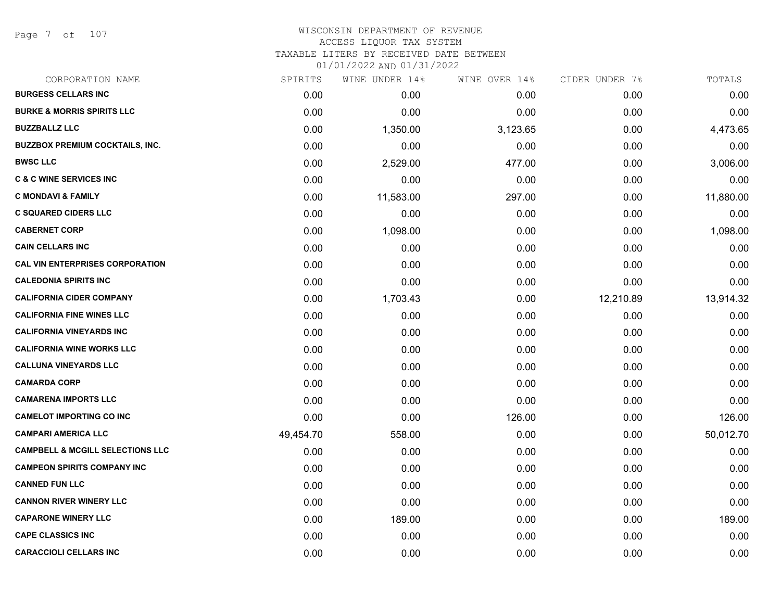### WISCONSIN DEPARTMENT OF REVENUE ACCESS LIQUOR TAX SYSTEM TAXABLE LITERS BY RECEIVED DATE BETWEEN

| CORPORATION NAME                            | SPIRITS   | WINE UNDER 14% | WINE OVER 14% | CIDER UNDER 7% | TOTALS    |
|---------------------------------------------|-----------|----------------|---------------|----------------|-----------|
| <b>BURGESS CELLARS INC</b>                  | 0.00      | 0.00           | 0.00          | 0.00           | 0.00      |
| <b>BURKE &amp; MORRIS SPIRITS LLC</b>       | 0.00      | 0.00           | 0.00          | 0.00           | 0.00      |
| <b>BUZZBALLZ LLC</b>                        | 0.00      | 1,350.00       | 3,123.65      | 0.00           | 4,473.65  |
| <b>BUZZBOX PREMIUM COCKTAILS, INC.</b>      | 0.00      | 0.00           | 0.00          | 0.00           | 0.00      |
| <b>BWSC LLC</b>                             | 0.00      | 2,529.00       | 477.00        | 0.00           | 3,006.00  |
| <b>C &amp; C WINE SERVICES INC</b>          | 0.00      | 0.00           | 0.00          | 0.00           | 0.00      |
| <b>C MONDAVI &amp; FAMILY</b>               | 0.00      | 11,583.00      | 297.00        | 0.00           | 11,880.00 |
| <b>C SQUARED CIDERS LLC</b>                 | 0.00      | 0.00           | 0.00          | 0.00           | 0.00      |
| <b>CABERNET CORP</b>                        | 0.00      | 1,098.00       | 0.00          | 0.00           | 1,098.00  |
| <b>CAIN CELLARS INC</b>                     | 0.00      | 0.00           | 0.00          | 0.00           | 0.00      |
| <b>CAL VIN ENTERPRISES CORPORATION</b>      | 0.00      | 0.00           | 0.00          | 0.00           | 0.00      |
| <b>CALEDONIA SPIRITS INC</b>                | 0.00      | 0.00           | 0.00          | 0.00           | 0.00      |
| <b>CALIFORNIA CIDER COMPANY</b>             | 0.00      | 1,703.43       | 0.00          | 12,210.89      | 13,914.32 |
| <b>CALIFORNIA FINE WINES LLC</b>            | 0.00      | 0.00           | 0.00          | 0.00           | 0.00      |
| <b>CALIFORNIA VINEYARDS INC</b>             | 0.00      | 0.00           | 0.00          | 0.00           | 0.00      |
| <b>CALIFORNIA WINE WORKS LLC</b>            | 0.00      | 0.00           | 0.00          | 0.00           | 0.00      |
| <b>CALLUNA VINEYARDS LLC</b>                | 0.00      | 0.00           | 0.00          | 0.00           | 0.00      |
| <b>CAMARDA CORP</b>                         | 0.00      | 0.00           | 0.00          | 0.00           | 0.00      |
| <b>CAMARENA IMPORTS LLC</b>                 | 0.00      | 0.00           | 0.00          | 0.00           | 0.00      |
| <b>CAMELOT IMPORTING CO INC</b>             | 0.00      | 0.00           | 126.00        | 0.00           | 126.00    |
| <b>CAMPARI AMERICA LLC</b>                  | 49,454.70 | 558.00         | 0.00          | 0.00           | 50,012.70 |
| <b>CAMPBELL &amp; MCGILL SELECTIONS LLC</b> | 0.00      | 0.00           | 0.00          | 0.00           | 0.00      |
| <b>CAMPEON SPIRITS COMPANY INC</b>          | 0.00      | 0.00           | 0.00          | 0.00           | 0.00      |
| <b>CANNED FUN LLC</b>                       | 0.00      | 0.00           | 0.00          | 0.00           | 0.00      |
| <b>CANNON RIVER WINERY LLC</b>              | 0.00      | 0.00           | 0.00          | 0.00           | 0.00      |
| <b>CAPARONE WINERY LLC</b>                  | 0.00      | 189.00         | 0.00          | 0.00           | 189.00    |
| <b>CAPE CLASSICS INC</b>                    | 0.00      | 0.00           | 0.00          | 0.00           | 0.00      |
| <b>CARACCIOLI CELLARS INC</b>               | 0.00      | 0.00           | 0.00          | 0.00           | 0.00      |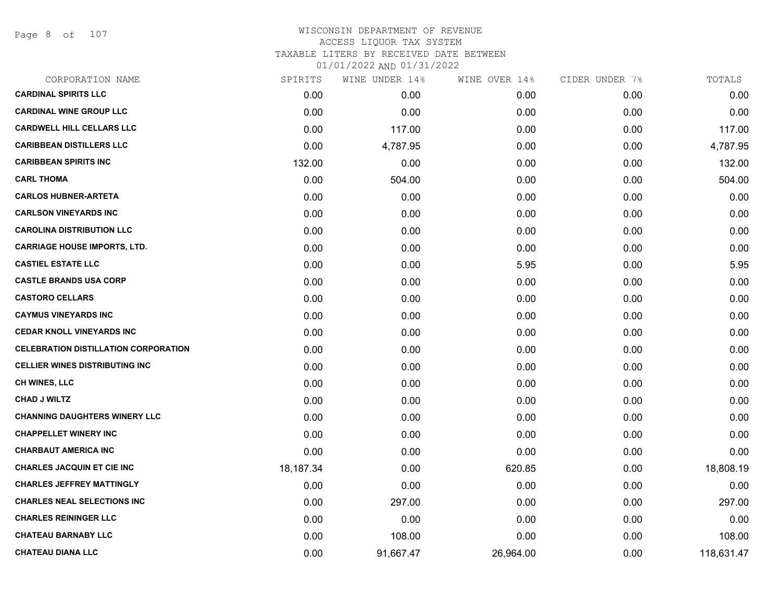Page 8 of 107

# WISCONSIN DEPARTMENT OF REVENUE ACCESS LIQUOR TAX SYSTEM TAXABLE LITERS BY RECEIVED DATE BETWEEN

| CORPORATION NAME                            | SPIRITS   | WINE UNDER 14% | WINE OVER 14% | CIDER UNDER 7% | TOTALS     |
|---------------------------------------------|-----------|----------------|---------------|----------------|------------|
| <b>CARDINAL SPIRITS LLC</b>                 | 0.00      | 0.00           | 0.00          | 0.00           | 0.00       |
| <b>CARDINAL WINE GROUP LLC</b>              | 0.00      | 0.00           | 0.00          | 0.00           | 0.00       |
| <b>CARDWELL HILL CELLARS LLC</b>            | 0.00      | 117.00         | 0.00          | 0.00           | 117.00     |
| <b>CARIBBEAN DISTILLERS LLC</b>             | 0.00      | 4,787.95       | 0.00          | 0.00           | 4,787.95   |
| <b>CARIBBEAN SPIRITS INC</b>                | 132.00    | 0.00           | 0.00          | 0.00           | 132.00     |
| <b>CARL THOMA</b>                           | 0.00      | 504.00         | 0.00          | 0.00           | 504.00     |
| <b>CARLOS HUBNER-ARTETA</b>                 | 0.00      | 0.00           | 0.00          | 0.00           | 0.00       |
| <b>CARLSON VINEYARDS INC</b>                | 0.00      | 0.00           | 0.00          | 0.00           | 0.00       |
| <b>CAROLINA DISTRIBUTION LLC</b>            | 0.00      | 0.00           | 0.00          | 0.00           | 0.00       |
| <b>CARRIAGE HOUSE IMPORTS, LTD.</b>         | 0.00      | 0.00           | 0.00          | 0.00           | 0.00       |
| <b>CASTIEL ESTATE LLC</b>                   | 0.00      | 0.00           | 5.95          | 0.00           | 5.95       |
| <b>CASTLE BRANDS USA CORP</b>               | 0.00      | 0.00           | 0.00          | 0.00           | 0.00       |
| <b>CASTORO CELLARS</b>                      | 0.00      | 0.00           | 0.00          | 0.00           | 0.00       |
| <b>CAYMUS VINEYARDS INC</b>                 | 0.00      | 0.00           | 0.00          | 0.00           | 0.00       |
| <b>CEDAR KNOLL VINEYARDS INC</b>            | 0.00      | 0.00           | 0.00          | 0.00           | 0.00       |
| <b>CELEBRATION DISTILLATION CORPORATION</b> | 0.00      | 0.00           | 0.00          | 0.00           | 0.00       |
| <b>CELLIER WINES DISTRIBUTING INC</b>       | 0.00      | 0.00           | 0.00          | 0.00           | 0.00       |
| <b>CH WINES, LLC</b>                        | 0.00      | 0.00           | 0.00          | 0.00           | 0.00       |
| <b>CHAD J WILTZ</b>                         | 0.00      | 0.00           | 0.00          | 0.00           | 0.00       |
| <b>CHANNING DAUGHTERS WINERY LLC</b>        | 0.00      | 0.00           | 0.00          | 0.00           | 0.00       |
| <b>CHAPPELLET WINERY INC</b>                | 0.00      | 0.00           | 0.00          | 0.00           | 0.00       |
| <b>CHARBAUT AMERICA INC</b>                 | 0.00      | 0.00           | 0.00          | 0.00           | 0.00       |
| <b>CHARLES JACQUIN ET CIE INC</b>           | 18,187.34 | 0.00           | 620.85        | 0.00           | 18,808.19  |
| <b>CHARLES JEFFREY MATTINGLY</b>            | 0.00      | 0.00           | 0.00          | 0.00           | 0.00       |
| <b>CHARLES NEAL SELECTIONS INC</b>          | 0.00      | 297.00         | 0.00          | 0.00           | 297.00     |
| <b>CHARLES REININGER LLC</b>                | 0.00      | 0.00           | 0.00          | 0.00           | 0.00       |
| <b>CHATEAU BARNABY LLC</b>                  | 0.00      | 108.00         | 0.00          | 0.00           | 108.00     |
| <b>CHATEAU DIANA LLC</b>                    | 0.00      | 91,667.47      | 26,964.00     | 0.00           | 118,631.47 |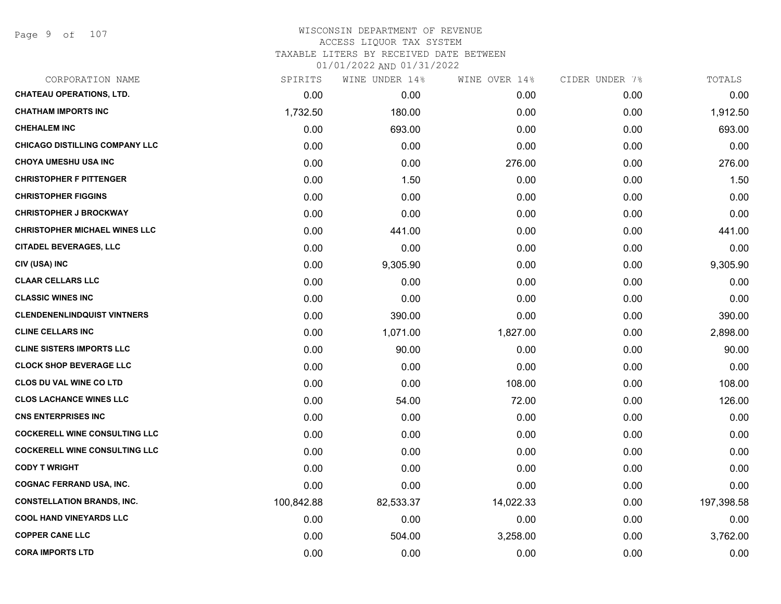### WISCONSIN DEPARTMENT OF REVENUE ACCESS LIQUOR TAX SYSTEM TAXABLE LITERS BY RECEIVED DATE BETWEEN

| CORPORATION NAME                      | SPIRITS    | WINE UNDER 14% | WINE OVER 14% | CIDER UNDER 7% | TOTALS     |
|---------------------------------------|------------|----------------|---------------|----------------|------------|
| <b>CHATEAU OPERATIONS, LTD.</b>       | 0.00       | 0.00           | 0.00          | 0.00           | 0.00       |
| <b>CHATHAM IMPORTS INC</b>            | 1,732.50   | 180.00         | 0.00          | 0.00           | 1,912.50   |
| <b>CHEHALEM INC</b>                   | 0.00       | 693.00         | 0.00          | 0.00           | 693.00     |
| <b>CHICAGO DISTILLING COMPANY LLC</b> | 0.00       | 0.00           | 0.00          | 0.00           | 0.00       |
| <b>CHOYA UMESHU USA INC</b>           | 0.00       | 0.00           | 276.00        | 0.00           | 276.00     |
| <b>CHRISTOPHER F PITTENGER</b>        | 0.00       | 1.50           | 0.00          | 0.00           | 1.50       |
| <b>CHRISTOPHER FIGGINS</b>            | 0.00       | 0.00           | 0.00          | 0.00           | 0.00       |
| <b>CHRISTOPHER J BROCKWAY</b>         | 0.00       | 0.00           | 0.00          | 0.00           | 0.00       |
| <b>CHRISTOPHER MICHAEL WINES LLC</b>  | 0.00       | 441.00         | 0.00          | 0.00           | 441.00     |
| <b>CITADEL BEVERAGES, LLC</b>         | 0.00       | 0.00           | 0.00          | 0.00           | 0.00       |
| CIV (USA) INC                         | 0.00       | 9,305.90       | 0.00          | 0.00           | 9,305.90   |
| <b>CLAAR CELLARS LLC</b>              | 0.00       | 0.00           | 0.00          | 0.00           | 0.00       |
| <b>CLASSIC WINES INC</b>              | 0.00       | 0.00           | 0.00          | 0.00           | 0.00       |
| <b>CLENDENENLINDQUIST VINTNERS</b>    | 0.00       | 390.00         | 0.00          | 0.00           | 390.00     |
| <b>CLINE CELLARS INC</b>              | 0.00       | 1,071.00       | 1,827.00      | 0.00           | 2,898.00   |
| <b>CLINE SISTERS IMPORTS LLC</b>      | 0.00       | 90.00          | 0.00          | 0.00           | 90.00      |
| <b>CLOCK SHOP BEVERAGE LLC</b>        | 0.00       | 0.00           | 0.00          | 0.00           | 0.00       |
| <b>CLOS DU VAL WINE CO LTD</b>        | 0.00       | 0.00           | 108.00        | 0.00           | 108.00     |
| <b>CLOS LACHANCE WINES LLC</b>        | 0.00       | 54.00          | 72.00         | 0.00           | 126.00     |
| <b>CNS ENTERPRISES INC</b>            | 0.00       | 0.00           | 0.00          | 0.00           | 0.00       |
| <b>COCKERELL WINE CONSULTING LLC</b>  | 0.00       | 0.00           | 0.00          | 0.00           | 0.00       |
| <b>COCKERELL WINE CONSULTING LLC</b>  | 0.00       | 0.00           | 0.00          | 0.00           | 0.00       |
| <b>CODY T WRIGHT</b>                  | 0.00       | 0.00           | 0.00          | 0.00           | 0.00       |
| <b>COGNAC FERRAND USA, INC.</b>       | 0.00       | 0.00           | 0.00          | 0.00           | 0.00       |
| <b>CONSTELLATION BRANDS, INC.</b>     | 100,842.88 | 82,533.37      | 14,022.33     | 0.00           | 197,398.58 |
| <b>COOL HAND VINEYARDS LLC</b>        | 0.00       | 0.00           | 0.00          | 0.00           | 0.00       |
| <b>COPPER CANE LLC</b>                | 0.00       | 504.00         | 3,258.00      | 0.00           | 3,762.00   |
| <b>CORA IMPORTS LTD</b>               | 0.00       | 0.00           | 0.00          | 0.00           | 0.00       |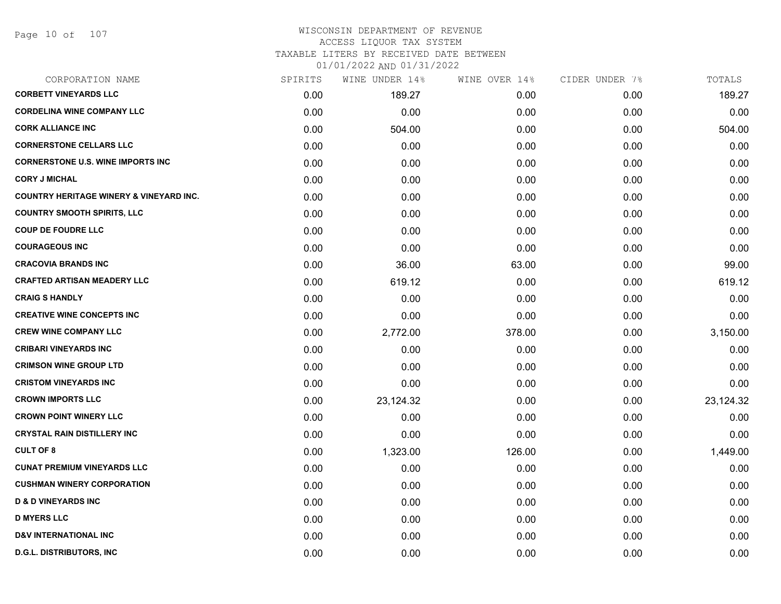### WISCONSIN DEPARTMENT OF REVENUE ACCESS LIQUOR TAX SYSTEM TAXABLE LITERS BY RECEIVED DATE BETWEEN

| CORPORATION NAME                                   | SPIRITS | WINE UNDER 14% | WINE OVER 14% | CIDER UNDER 7% | TOTALS    |
|----------------------------------------------------|---------|----------------|---------------|----------------|-----------|
| <b>CORBETT VINEYARDS LLC</b>                       | 0.00    | 189.27         | 0.00          | 0.00           | 189.27    |
| <b>CORDELINA WINE COMPANY LLC</b>                  | 0.00    | 0.00           | 0.00          | 0.00           | 0.00      |
| <b>CORK ALLIANCE INC</b>                           | 0.00    | 504.00         | 0.00          | 0.00           | 504.00    |
| <b>CORNERSTONE CELLARS LLC</b>                     | 0.00    | 0.00           | 0.00          | 0.00           | 0.00      |
| <b>CORNERSTONE U.S. WINE IMPORTS INC</b>           | 0.00    | 0.00           | 0.00          | 0.00           | 0.00      |
| <b>CORY J MICHAL</b>                               | 0.00    | 0.00           | 0.00          | 0.00           | 0.00      |
| <b>COUNTRY HERITAGE WINERY &amp; VINEYARD INC.</b> | 0.00    | 0.00           | 0.00          | 0.00           | 0.00      |
| <b>COUNTRY SMOOTH SPIRITS, LLC</b>                 | 0.00    | 0.00           | 0.00          | 0.00           | 0.00      |
| <b>COUP DE FOUDRE LLC</b>                          | 0.00    | 0.00           | 0.00          | 0.00           | 0.00      |
| <b>COURAGEOUS INC</b>                              | 0.00    | 0.00           | 0.00          | 0.00           | 0.00      |
| <b>CRACOVIA BRANDS INC</b>                         | 0.00    | 36.00          | 63.00         | 0.00           | 99.00     |
| <b>CRAFTED ARTISAN MEADERY LLC</b>                 | 0.00    | 619.12         | 0.00          | 0.00           | 619.12    |
| <b>CRAIG S HANDLY</b>                              | 0.00    | 0.00           | 0.00          | 0.00           | 0.00      |
| <b>CREATIVE WINE CONCEPTS INC</b>                  | 0.00    | 0.00           | 0.00          | 0.00           | 0.00      |
| <b>CREW WINE COMPANY LLC</b>                       | 0.00    | 2,772.00       | 378.00        | 0.00           | 3,150.00  |
| <b>CRIBARI VINEYARDS INC</b>                       | 0.00    | 0.00           | 0.00          | 0.00           | 0.00      |
| <b>CRIMSON WINE GROUP LTD</b>                      | 0.00    | 0.00           | 0.00          | 0.00           | 0.00      |
| <b>CRISTOM VINEYARDS INC</b>                       | 0.00    | 0.00           | 0.00          | 0.00           | 0.00      |
| <b>CROWN IMPORTS LLC</b>                           | 0.00    | 23,124.32      | 0.00          | 0.00           | 23,124.32 |
| <b>CROWN POINT WINERY LLC</b>                      | 0.00    | 0.00           | 0.00          | 0.00           | 0.00      |
| <b>CRYSTAL RAIN DISTILLERY INC</b>                 | 0.00    | 0.00           | 0.00          | 0.00           | 0.00      |
| <b>CULT OF 8</b>                                   | 0.00    | 1,323.00       | 126.00        | 0.00           | 1,449.00  |
| <b>CUNAT PREMIUM VINEYARDS LLC</b>                 | 0.00    | 0.00           | 0.00          | 0.00           | 0.00      |
| <b>CUSHMAN WINERY CORPORATION</b>                  | 0.00    | 0.00           | 0.00          | 0.00           | 0.00      |
| <b>D &amp; D VINEYARDS INC</b>                     | 0.00    | 0.00           | 0.00          | 0.00           | 0.00      |
| <b>D MYERS LLC</b>                                 | 0.00    | 0.00           | 0.00          | 0.00           | 0.00      |
| <b>D&amp;V INTERNATIONAL INC</b>                   | 0.00    | 0.00           | 0.00          | 0.00           | 0.00      |
| <b>D.G.L. DISTRIBUTORS, INC</b>                    | 0.00    | 0.00           | 0.00          | 0.00           | 0.00      |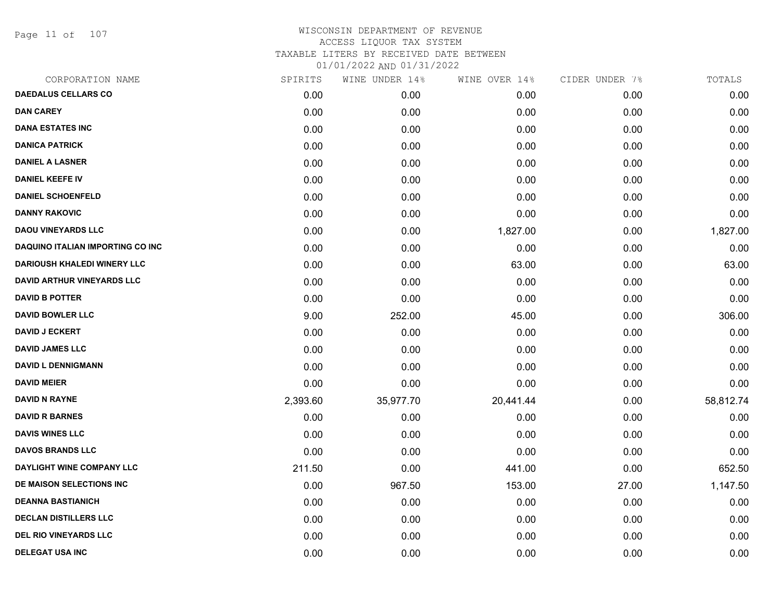Page 11 of 107

| CORPORATION NAME                        | SPIRITS  | WINE UNDER 14% | WINE OVER 14% | CIDER UNDER 7% | TOTALS    |
|-----------------------------------------|----------|----------------|---------------|----------------|-----------|
| <b>DAEDALUS CELLARS CO</b>              | 0.00     | 0.00           | 0.00          | 0.00           | 0.00      |
| <b>DAN CAREY</b>                        | 0.00     | 0.00           | 0.00          | 0.00           | 0.00      |
| <b>DANA ESTATES INC</b>                 | 0.00     | 0.00           | 0.00          | 0.00           | 0.00      |
| <b>DANICA PATRICK</b>                   | 0.00     | 0.00           | 0.00          | 0.00           | 0.00      |
| <b>DANIEL A LASNER</b>                  | 0.00     | 0.00           | 0.00          | 0.00           | 0.00      |
| <b>DANIEL KEEFE IV</b>                  | 0.00     | 0.00           | 0.00          | 0.00           | 0.00      |
| <b>DANIEL SCHOENFELD</b>                | 0.00     | 0.00           | 0.00          | 0.00           | 0.00      |
| <b>DANNY RAKOVIC</b>                    | 0.00     | 0.00           | 0.00          | 0.00           | 0.00      |
| <b>DAOU VINEYARDS LLC</b>               | 0.00     | 0.00           | 1,827.00      | 0.00           | 1,827.00  |
| <b>DAQUINO ITALIAN IMPORTING CO INC</b> | 0.00     | 0.00           | 0.00          | 0.00           | 0.00      |
| <b>DARIOUSH KHALEDI WINERY LLC</b>      | 0.00     | 0.00           | 63.00         | 0.00           | 63.00     |
| <b>DAVID ARTHUR VINEYARDS LLC</b>       | 0.00     | 0.00           | 0.00          | 0.00           | 0.00      |
| <b>DAVID B POTTER</b>                   | 0.00     | 0.00           | 0.00          | 0.00           | 0.00      |
| <b>DAVID BOWLER LLC</b>                 | 9.00     | 252.00         | 45.00         | 0.00           | 306.00    |
| <b>DAVID J ECKERT</b>                   | 0.00     | 0.00           | 0.00          | 0.00           | 0.00      |
| <b>DAVID JAMES LLC</b>                  | 0.00     | 0.00           | 0.00          | 0.00           | 0.00      |
| <b>DAVID L DENNIGMANN</b>               | 0.00     | 0.00           | 0.00          | 0.00           | 0.00      |
| <b>DAVID MEIER</b>                      | 0.00     | 0.00           | 0.00          | 0.00           | 0.00      |
| <b>DAVID N RAYNE</b>                    | 2,393.60 | 35,977.70      | 20,441.44     | 0.00           | 58,812.74 |
| <b>DAVID R BARNES</b>                   | 0.00     | 0.00           | 0.00          | 0.00           | 0.00      |
| <b>DAVIS WINES LLC</b>                  | 0.00     | 0.00           | 0.00          | 0.00           | 0.00      |
| <b>DAVOS BRANDS LLC</b>                 | 0.00     | 0.00           | 0.00          | 0.00           | 0.00      |
| DAYLIGHT WINE COMPANY LLC               | 211.50   | 0.00           | 441.00        | 0.00           | 652.50    |
| DE MAISON SELECTIONS INC                | 0.00     | 967.50         | 153.00        | 27.00          | 1,147.50  |
| <b>DEANNA BASTIANICH</b>                | 0.00     | 0.00           | 0.00          | 0.00           | 0.00      |
| <b>DECLAN DISTILLERS LLC</b>            | 0.00     | 0.00           | 0.00          | 0.00           | 0.00      |
| <b>DEL RIO VINEYARDS LLC</b>            | 0.00     | 0.00           | 0.00          | 0.00           | 0.00      |
| <b>DELEGAT USA INC</b>                  | 0.00     | 0.00           | 0.00          | 0.00           | 0.00      |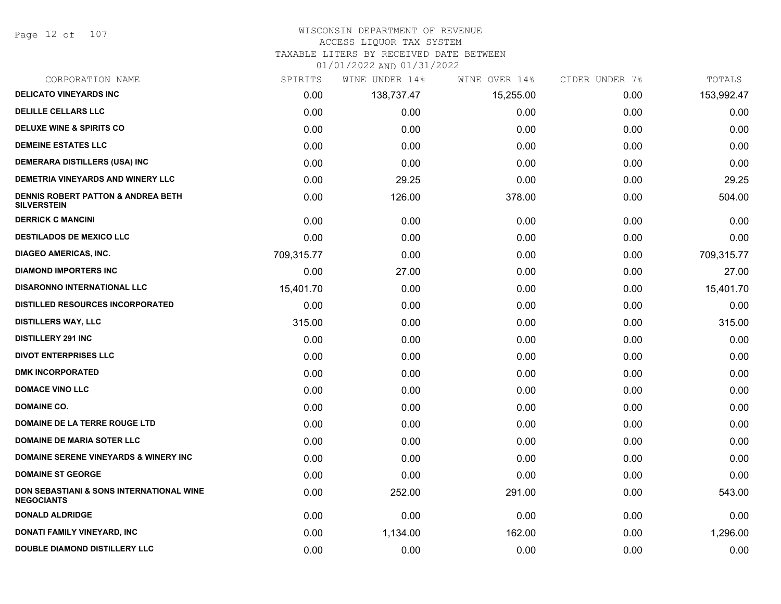Page 12 of 107

# WISCONSIN DEPARTMENT OF REVENUE

# ACCESS LIQUOR TAX SYSTEM

TAXABLE LITERS BY RECEIVED DATE BETWEEN

| CORPORATION NAME                                                    | SPIRITS    | WINE UNDER 14% | WINE OVER 14% | CIDER UNDER 7% | TOTALS     |
|---------------------------------------------------------------------|------------|----------------|---------------|----------------|------------|
| <b>DELICATO VINEYARDS INC</b>                                       | 0.00       | 138,737.47     | 15,255.00     | 0.00           | 153,992.47 |
| <b>DELILLE CELLARS LLC</b>                                          | 0.00       | 0.00           | 0.00          | 0.00           | 0.00       |
| <b>DELUXE WINE &amp; SPIRITS CO</b>                                 | 0.00       | 0.00           | 0.00          | 0.00           | 0.00       |
| <b>DEMEINE ESTATES LLC</b>                                          | 0.00       | 0.00           | 0.00          | 0.00           | 0.00       |
| <b>DEMERARA DISTILLERS (USA) INC</b>                                | 0.00       | 0.00           | 0.00          | 0.00           | 0.00       |
| DEMETRIA VINEYARDS AND WINERY LLC                                   | 0.00       | 29.25          | 0.00          | 0.00           | 29.25      |
| <b>DENNIS ROBERT PATTON &amp; ANDREA BETH</b><br><b>SILVERSTEIN</b> | 0.00       | 126.00         | 378.00        | 0.00           | 504.00     |
| <b>DERRICK C MANCINI</b>                                            | 0.00       | 0.00           | 0.00          | 0.00           | 0.00       |
| <b>DESTILADOS DE MEXICO LLC</b>                                     | 0.00       | 0.00           | 0.00          | 0.00           | 0.00       |
| <b>DIAGEO AMERICAS, INC.</b>                                        | 709,315.77 | 0.00           | 0.00          | 0.00           | 709,315.77 |
| <b>DIAMOND IMPORTERS INC</b>                                        | 0.00       | 27.00          | 0.00          | 0.00           | 27.00      |
| <b>DISARONNO INTERNATIONAL LLC</b>                                  | 15,401.70  | 0.00           | 0.00          | 0.00           | 15,401.70  |
| <b>DISTILLED RESOURCES INCORPORATED</b>                             | 0.00       | 0.00           | 0.00          | 0.00           | 0.00       |
| <b>DISTILLERS WAY, LLC</b>                                          | 315.00     | 0.00           | 0.00          | 0.00           | 315.00     |
| <b>DISTILLERY 291 INC</b>                                           | 0.00       | 0.00           | 0.00          | 0.00           | 0.00       |
| <b>DIVOT ENTERPRISES LLC</b>                                        | 0.00       | 0.00           | 0.00          | 0.00           | 0.00       |
| <b>DMK INCORPORATED</b>                                             | 0.00       | 0.00           | 0.00          | 0.00           | 0.00       |
| <b>DOMACE VINO LLC</b>                                              | 0.00       | 0.00           | 0.00          | 0.00           | 0.00       |
| <b>DOMAINE CO.</b>                                                  | 0.00       | 0.00           | 0.00          | 0.00           | 0.00       |
| DOMAINE DE LA TERRE ROUGE LTD                                       | 0.00       | 0.00           | 0.00          | 0.00           | 0.00       |
| <b>DOMAINE DE MARIA SOTER LLC</b>                                   | 0.00       | 0.00           | 0.00          | 0.00           | 0.00       |
| <b>DOMAINE SERENE VINEYARDS &amp; WINERY INC</b>                    | 0.00       | 0.00           | 0.00          | 0.00           | 0.00       |
| <b>DOMAINE ST GEORGE</b>                                            | 0.00       | 0.00           | 0.00          | 0.00           | 0.00       |
| DON SEBASTIANI & SONS INTERNATIONAL WINE<br><b>NEGOCIANTS</b>       | 0.00       | 252.00         | 291.00        | 0.00           | 543.00     |
| <b>DONALD ALDRIDGE</b>                                              | 0.00       | 0.00           | 0.00          | 0.00           | 0.00       |
| DONATI FAMILY VINEYARD, INC                                         | 0.00       | 1,134.00       | 162.00        | 0.00           | 1,296.00   |
| DOUBLE DIAMOND DISTILLERY LLC                                       | 0.00       | 0.00           | 0.00          | 0.00           | 0.00       |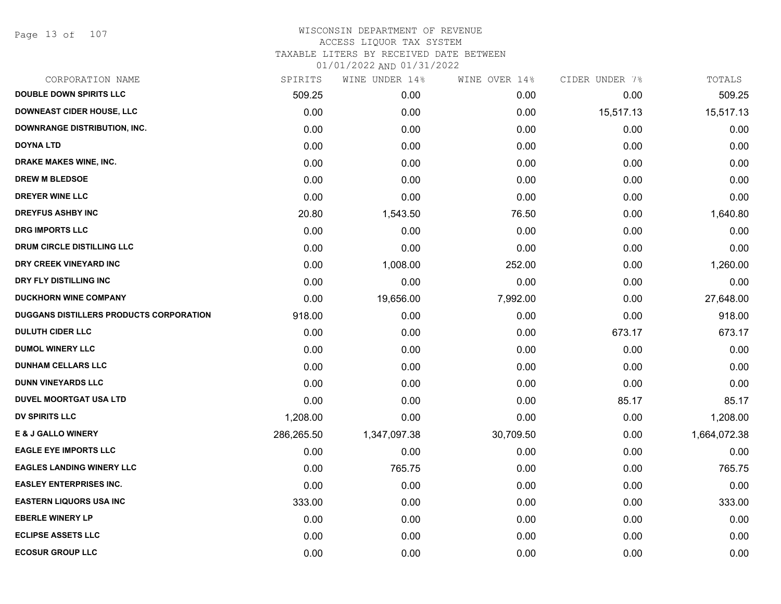Page 13 of 107

| CORPORATION NAME                        | SPIRITS    | WINE UNDER 14% | WINE OVER 14% | CIDER UNDER 7% | TOTALS       |
|-----------------------------------------|------------|----------------|---------------|----------------|--------------|
| <b>DOUBLE DOWN SPIRITS LLC</b>          | 509.25     | 0.00           | 0.00          | 0.00           | 509.25       |
| <b>DOWNEAST CIDER HOUSE, LLC</b>        | 0.00       | 0.00           | 0.00          | 15,517.13      | 15,517.13    |
| DOWNRANGE DISTRIBUTION, INC.            | 0.00       | 0.00           | 0.00          | 0.00           | 0.00         |
| <b>DOYNA LTD</b>                        | 0.00       | 0.00           | 0.00          | 0.00           | 0.00         |
| <b>DRAKE MAKES WINE, INC.</b>           | 0.00       | 0.00           | 0.00          | 0.00           | 0.00         |
| <b>DREW M BLEDSOE</b>                   | 0.00       | 0.00           | 0.00          | 0.00           | 0.00         |
| DREYER WINE LLC                         | 0.00       | 0.00           | 0.00          | 0.00           | 0.00         |
| <b>DREYFUS ASHBY INC</b>                | 20.80      | 1,543.50       | 76.50         | 0.00           | 1,640.80     |
| <b>DRG IMPORTS LLC</b>                  | 0.00       | 0.00           | 0.00          | 0.00           | 0.00         |
| <b>DRUM CIRCLE DISTILLING LLC</b>       | 0.00       | 0.00           | 0.00          | 0.00           | 0.00         |
| DRY CREEK VINEYARD INC                  | 0.00       | 1,008.00       | 252.00        | 0.00           | 1,260.00     |
| DRY FLY DISTILLING INC                  | 0.00       | 0.00           | 0.00          | 0.00           | 0.00         |
| <b>DUCKHORN WINE COMPANY</b>            | 0.00       | 19,656.00      | 7,992.00      | 0.00           | 27,648.00    |
| DUGGANS DISTILLERS PRODUCTS CORPORATION | 918.00     | 0.00           | 0.00          | 0.00           | 918.00       |
| <b>DULUTH CIDER LLC</b>                 | 0.00       | 0.00           | 0.00          | 673.17         | 673.17       |
| <b>DUMOL WINERY LLC</b>                 | 0.00       | 0.00           | 0.00          | 0.00           | 0.00         |
| <b>DUNHAM CELLARS LLC</b>               | 0.00       | 0.00           | 0.00          | 0.00           | 0.00         |
| <b>DUNN VINEYARDS LLC</b>               | 0.00       | 0.00           | 0.00          | 0.00           | 0.00         |
| <b>DUVEL MOORTGAT USA LTD</b>           | 0.00       | 0.00           | 0.00          | 85.17          | 85.17        |
| <b>DV SPIRITS LLC</b>                   | 1,208.00   | 0.00           | 0.00          | 0.00           | 1,208.00     |
| <b>E &amp; J GALLO WINERY</b>           | 286,265.50 | 1,347,097.38   | 30,709.50     | 0.00           | 1,664,072.38 |
| <b>EAGLE EYE IMPORTS LLC</b>            | 0.00       | 0.00           | 0.00          | 0.00           | 0.00         |
| <b>EAGLES LANDING WINERY LLC</b>        | 0.00       | 765.75         | 0.00          | 0.00           | 765.75       |
| <b>EASLEY ENTERPRISES INC.</b>          | 0.00       | 0.00           | 0.00          | 0.00           | 0.00         |
| <b>EASTERN LIQUORS USA INC</b>          | 333.00     | 0.00           | 0.00          | 0.00           | 333.00       |
| <b>EBERLE WINERY LP</b>                 | 0.00       | 0.00           | 0.00          | 0.00           | 0.00         |
| <b>ECLIPSE ASSETS LLC</b>               | 0.00       | 0.00           | 0.00          | 0.00           | 0.00         |
| <b>ECOSUR GROUP LLC</b>                 | 0.00       | 0.00           | 0.00          | 0.00           | 0.00         |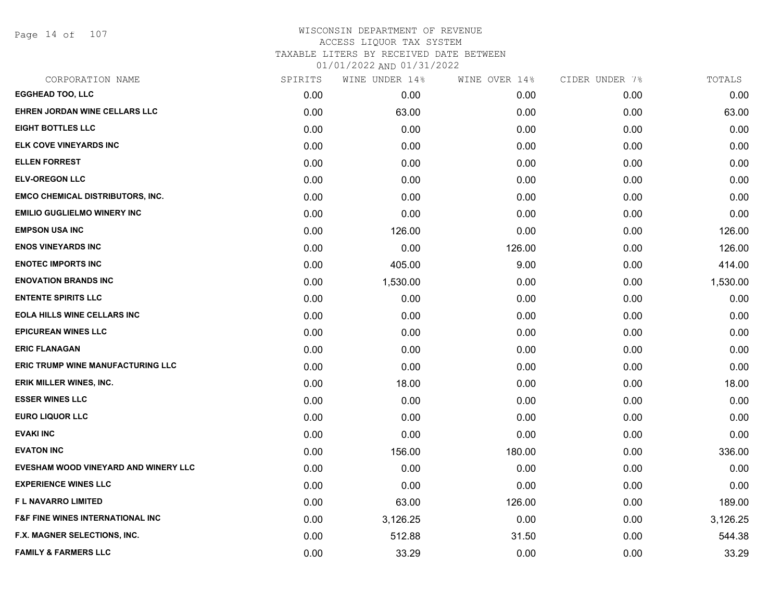Page 14 of 107

# WISCONSIN DEPARTMENT OF REVENUE ACCESS LIQUOR TAX SYSTEM TAXABLE LITERS BY RECEIVED DATE BETWEEN

| CORPORATION NAME                            | SPIRITS | WINE UNDER 14% | WINE OVER 14% | CIDER UNDER 7% | TOTALS   |
|---------------------------------------------|---------|----------------|---------------|----------------|----------|
| <b>EGGHEAD TOO, LLC</b>                     | 0.00    | 0.00           | 0.00          | 0.00           | 0.00     |
| <b>EHREN JORDAN WINE CELLARS LLC</b>        | 0.00    | 63.00          | 0.00          | 0.00           | 63.00    |
| <b>EIGHT BOTTLES LLC</b>                    | 0.00    | 0.00           | 0.00          | 0.00           | 0.00     |
| ELK COVE VINEYARDS INC                      | 0.00    | 0.00           | 0.00          | 0.00           | 0.00     |
| <b>ELLEN FORREST</b>                        | 0.00    | 0.00           | 0.00          | 0.00           | 0.00     |
| <b>ELV-OREGON LLC</b>                       | 0.00    | 0.00           | 0.00          | 0.00           | 0.00     |
| <b>EMCO CHEMICAL DISTRIBUTORS, INC.</b>     | 0.00    | 0.00           | 0.00          | 0.00           | 0.00     |
| <b>EMILIO GUGLIELMO WINERY INC</b>          | 0.00    | 0.00           | 0.00          | 0.00           | 0.00     |
| <b>EMPSON USA INC</b>                       | 0.00    | 126.00         | 0.00          | 0.00           | 126.00   |
| <b>ENOS VINEYARDS INC</b>                   | 0.00    | 0.00           | 126.00        | 0.00           | 126.00   |
| <b>ENOTEC IMPORTS INC</b>                   | 0.00    | 405.00         | 9.00          | 0.00           | 414.00   |
| <b>ENOVATION BRANDS INC</b>                 | 0.00    | 1,530.00       | 0.00          | 0.00           | 1,530.00 |
| <b>ENTENTE SPIRITS LLC</b>                  | 0.00    | 0.00           | 0.00          | 0.00           | 0.00     |
| <b>EOLA HILLS WINE CELLARS INC</b>          | 0.00    | 0.00           | 0.00          | 0.00           | 0.00     |
| <b>EPICUREAN WINES LLC</b>                  | 0.00    | 0.00           | 0.00          | 0.00           | 0.00     |
| <b>ERIC FLANAGAN</b>                        | 0.00    | 0.00           | 0.00          | 0.00           | 0.00     |
| <b>ERIC TRUMP WINE MANUFACTURING LLC</b>    | 0.00    | 0.00           | 0.00          | 0.00           | 0.00     |
| ERIK MILLER WINES, INC.                     | 0.00    | 18.00          | 0.00          | 0.00           | 18.00    |
| <b>ESSER WINES LLC</b>                      | 0.00    | 0.00           | 0.00          | 0.00           | 0.00     |
| <b>EURO LIQUOR LLC</b>                      | 0.00    | 0.00           | 0.00          | 0.00           | 0.00     |
| <b>EVAKI INC</b>                            | 0.00    | 0.00           | 0.00          | 0.00           | 0.00     |
| <b>EVATON INC</b>                           | 0.00    | 156.00         | 180.00        | 0.00           | 336.00   |
| EVESHAM WOOD VINEYARD AND WINERY LLC        | 0.00    | 0.00           | 0.00          | 0.00           | 0.00     |
| <b>EXPERIENCE WINES LLC</b>                 | 0.00    | 0.00           | 0.00          | 0.00           | 0.00     |
| <b>FL NAVARRO LIMITED</b>                   | 0.00    | 63.00          | 126.00        | 0.00           | 189.00   |
| <b>F&amp;F FINE WINES INTERNATIONAL INC</b> | 0.00    | 3,126.25       | 0.00          | 0.00           | 3,126.25 |
| F.X. MAGNER SELECTIONS, INC.                | 0.00    | 512.88         | 31.50         | 0.00           | 544.38   |
| <b>FAMILY &amp; FARMERS LLC</b>             | 0.00    | 33.29          | 0.00          | 0.00           | 33.29    |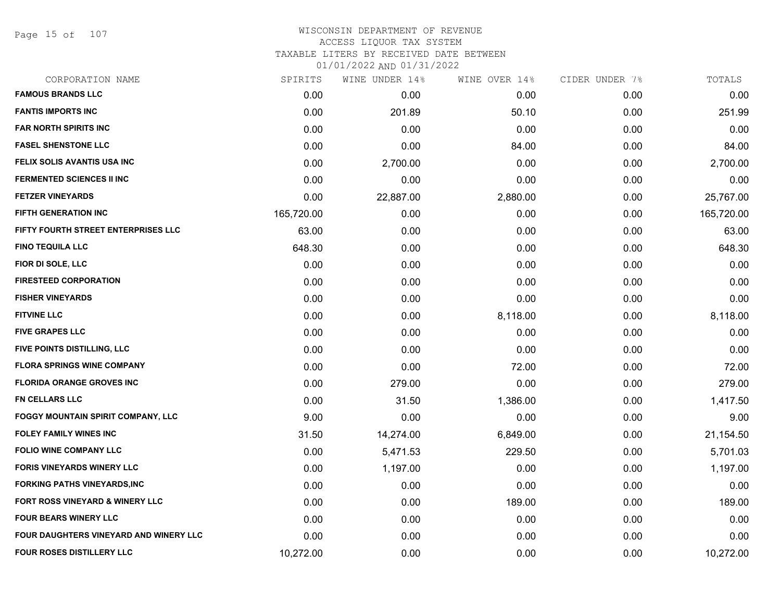Page 15 of 107

## WISCONSIN DEPARTMENT OF REVENUE ACCESS LIQUOR TAX SYSTEM

TAXABLE LITERS BY RECEIVED DATE BETWEEN

| CORPORATION NAME                           | SPIRITS    | WINE UNDER 14% | WINE OVER 14% | CIDER UNDER 7% | TOTALS     |
|--------------------------------------------|------------|----------------|---------------|----------------|------------|
| <b>FAMOUS BRANDS LLC</b>                   | 0.00       | 0.00           | 0.00          | 0.00           | 0.00       |
| <b>FANTIS IMPORTS INC</b>                  | 0.00       | 201.89         | 50.10         | 0.00           | 251.99     |
| <b>FAR NORTH SPIRITS INC</b>               | 0.00       | 0.00           | 0.00          | 0.00           | 0.00       |
| <b>FASEL SHENSTONE LLC</b>                 | 0.00       | 0.00           | 84.00         | 0.00           | 84.00      |
| <b>FELIX SOLIS AVANTIS USA INC</b>         | 0.00       | 2,700.00       | 0.00          | 0.00           | 2,700.00   |
| <b>FERMENTED SCIENCES II INC</b>           | 0.00       | 0.00           | 0.00          | 0.00           | 0.00       |
| <b>FETZER VINEYARDS</b>                    | 0.00       | 22,887.00      | 2,880.00      | 0.00           | 25,767.00  |
| FIFTH GENERATION INC                       | 165,720.00 | 0.00           | 0.00          | 0.00           | 165,720.00 |
| FIFTY FOURTH STREET ENTERPRISES LLC        | 63.00      | 0.00           | 0.00          | 0.00           | 63.00      |
| <b>FINO TEQUILA LLC</b>                    | 648.30     | 0.00           | 0.00          | 0.00           | 648.30     |
| FIOR DI SOLE, LLC                          | 0.00       | 0.00           | 0.00          | 0.00           | 0.00       |
| <b>FIRESTEED CORPORATION</b>               | 0.00       | 0.00           | 0.00          | 0.00           | 0.00       |
| <b>FISHER VINEYARDS</b>                    | 0.00       | 0.00           | 0.00          | 0.00           | 0.00       |
| <b>FITVINE LLC</b>                         | 0.00       | 0.00           | 8,118.00      | 0.00           | 8,118.00   |
| <b>FIVE GRAPES LLC</b>                     | 0.00       | 0.00           | 0.00          | 0.00           | 0.00       |
| FIVE POINTS DISTILLING, LLC                | 0.00       | 0.00           | 0.00          | 0.00           | 0.00       |
| <b>FLORA SPRINGS WINE COMPANY</b>          | 0.00       | 0.00           | 72.00         | 0.00           | 72.00      |
| <b>FLORIDA ORANGE GROVES INC</b>           | 0.00       | 279.00         | 0.00          | 0.00           | 279.00     |
| <b>FN CELLARS LLC</b>                      | 0.00       | 31.50          | 1,386.00      | 0.00           | 1,417.50   |
| FOGGY MOUNTAIN SPIRIT COMPANY, LLC         | 9.00       | 0.00           | 0.00          | 0.00           | 9.00       |
| <b>FOLEY FAMILY WINES INC</b>              | 31.50      | 14,274.00      | 6,849.00      | 0.00           | 21,154.50  |
| <b>FOLIO WINE COMPANY LLC</b>              | 0.00       | 5,471.53       | 229.50        | 0.00           | 5,701.03   |
| <b>FORIS VINEYARDS WINERY LLC</b>          | 0.00       | 1,197.00       | 0.00          | 0.00           | 1,197.00   |
| <b>FORKING PATHS VINEYARDS, INC</b>        | 0.00       | 0.00           | 0.00          | 0.00           | 0.00       |
| <b>FORT ROSS VINEYARD &amp; WINERY LLC</b> | 0.00       | 0.00           | 189.00        | 0.00           | 189.00     |
| <b>FOUR BEARS WINERY LLC</b>               | 0.00       | 0.00           | 0.00          | 0.00           | 0.00       |
| FOUR DAUGHTERS VINEYARD AND WINERY LLC     | 0.00       | 0.00           | 0.00          | 0.00           | 0.00       |
| <b>FOUR ROSES DISTILLERY LLC</b>           | 10,272.00  | 0.00           | 0.00          | 0.00           | 10,272.00  |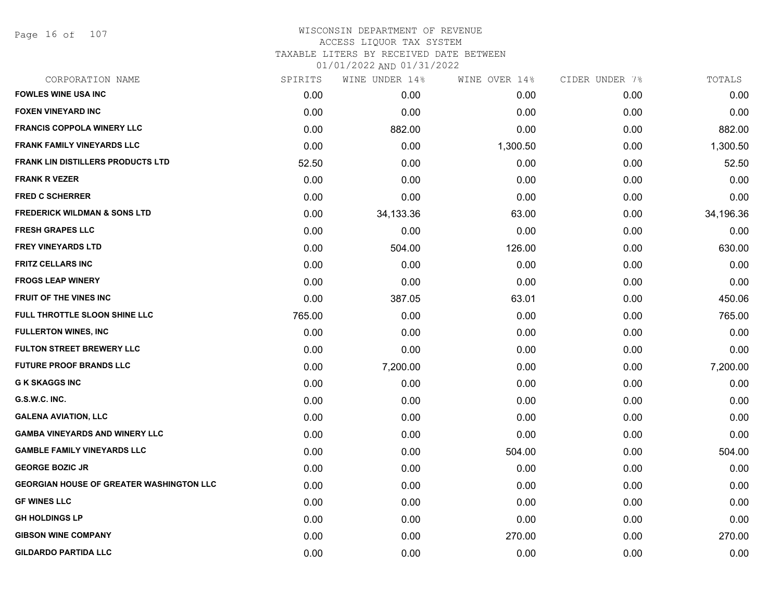Page 16 of 107

## WISCONSIN DEPARTMENT OF REVENUE ACCESS LIQUOR TAX SYSTEM

TAXABLE LITERS BY RECEIVED DATE BETWEEN

| CORPORATION NAME                                | SPIRITS | WINE UNDER 14% | WINE OVER 14% | CIDER UNDER 7% | TOTALS    |
|-------------------------------------------------|---------|----------------|---------------|----------------|-----------|
| <b>FOWLES WINE USA INC</b>                      | 0.00    | 0.00           | 0.00          | 0.00           | 0.00      |
| <b>FOXEN VINEYARD INC</b>                       | 0.00    | 0.00           | 0.00          | 0.00           | 0.00      |
| <b>FRANCIS COPPOLA WINERY LLC</b>               | 0.00    | 882.00         | 0.00          | 0.00           | 882.00    |
| <b>FRANK FAMILY VINEYARDS LLC</b>               | 0.00    | 0.00           | 1,300.50      | 0.00           | 1,300.50  |
| FRANK LIN DISTILLERS PRODUCTS LTD               | 52.50   | 0.00           | 0.00          | 0.00           | 52.50     |
| <b>FRANK R VEZER</b>                            | 0.00    | 0.00           | 0.00          | 0.00           | 0.00      |
| <b>FRED C SCHERRER</b>                          | 0.00    | 0.00           | 0.00          | 0.00           | 0.00      |
| <b>FREDERICK WILDMAN &amp; SONS LTD</b>         | 0.00    | 34,133.36      | 63.00         | 0.00           | 34,196.36 |
| <b>FRESH GRAPES LLC</b>                         | 0.00    | 0.00           | 0.00          | 0.00           | 0.00      |
| <b>FREY VINEYARDS LTD</b>                       | 0.00    | 504.00         | 126.00        | 0.00           | 630.00    |
| <b>FRITZ CELLARS INC</b>                        | 0.00    | 0.00           | 0.00          | 0.00           | 0.00      |
| <b>FROGS LEAP WINERY</b>                        | 0.00    | 0.00           | 0.00          | 0.00           | 0.00      |
| <b>FRUIT OF THE VINES INC</b>                   | 0.00    | 387.05         | 63.01         | 0.00           | 450.06    |
| FULL THROTTLE SLOON SHINE LLC                   | 765.00  | 0.00           | 0.00          | 0.00           | 765.00    |
| <b>FULLERTON WINES, INC</b>                     | 0.00    | 0.00           | 0.00          | 0.00           | 0.00      |
| <b>FULTON STREET BREWERY LLC</b>                | 0.00    | 0.00           | 0.00          | 0.00           | 0.00      |
| <b>FUTURE PROOF BRANDS LLC</b>                  | 0.00    | 7,200.00       | 0.00          | 0.00           | 7,200.00  |
| <b>G K SKAGGS INC</b>                           | 0.00    | 0.00           | 0.00          | 0.00           | 0.00      |
| G.S.W.C. INC.                                   | 0.00    | 0.00           | 0.00          | 0.00           | 0.00      |
| <b>GALENA AVIATION, LLC</b>                     | 0.00    | 0.00           | 0.00          | 0.00           | 0.00      |
| <b>GAMBA VINEYARDS AND WINERY LLC</b>           | 0.00    | 0.00           | 0.00          | 0.00           | 0.00      |
| <b>GAMBLE FAMILY VINEYARDS LLC</b>              | 0.00    | 0.00           | 504.00        | 0.00           | 504.00    |
| <b>GEORGE BOZIC JR</b>                          | 0.00    | 0.00           | 0.00          | 0.00           | 0.00      |
| <b>GEORGIAN HOUSE OF GREATER WASHINGTON LLC</b> | 0.00    | 0.00           | 0.00          | 0.00           | 0.00      |
| <b>GF WINES LLC</b>                             | 0.00    | 0.00           | 0.00          | 0.00           | 0.00      |
| <b>GH HOLDINGS LP</b>                           | 0.00    | 0.00           | 0.00          | 0.00           | 0.00      |
| <b>GIBSON WINE COMPANY</b>                      | 0.00    | 0.00           | 270.00        | 0.00           | 270.00    |
| <b>GILDARDO PARTIDA LLC</b>                     | 0.00    | 0.00           | 0.00          | 0.00           | 0.00      |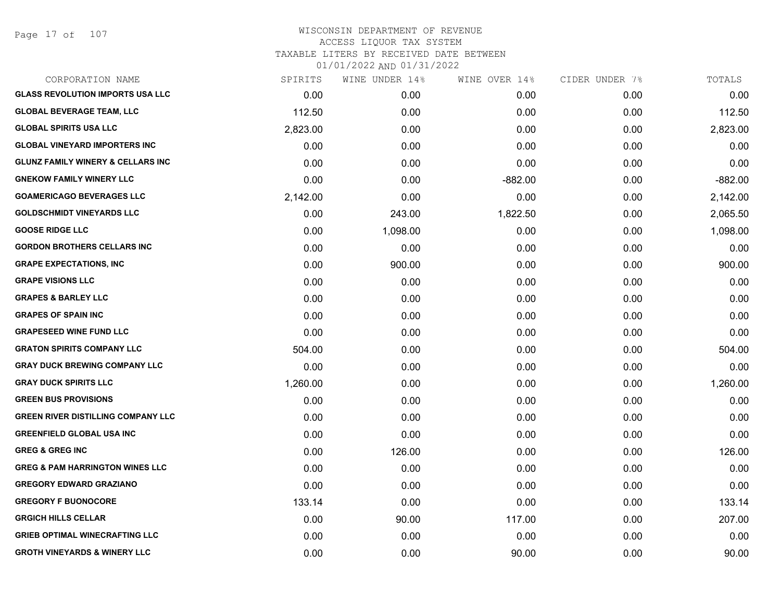Page 17 of 107

| CORPORATION NAME                             | SPIRITS  | WINE UNDER 14% | WINE OVER 14% | CIDER UNDER 7% | TOTALS    |
|----------------------------------------------|----------|----------------|---------------|----------------|-----------|
| <b>GLASS REVOLUTION IMPORTS USA LLC</b>      | 0.00     | 0.00           | 0.00          | 0.00           | 0.00      |
| <b>GLOBAL BEVERAGE TEAM, LLC</b>             | 112.50   | 0.00           | 0.00          | 0.00           | 112.50    |
| <b>GLOBAL SPIRITS USA LLC</b>                | 2,823.00 | 0.00           | 0.00          | 0.00           | 2,823.00  |
| <b>GLOBAL VINEYARD IMPORTERS INC</b>         | 0.00     | 0.00           | 0.00          | 0.00           | 0.00      |
| <b>GLUNZ FAMILY WINERY &amp; CELLARS INC</b> | 0.00     | 0.00           | 0.00          | 0.00           | 0.00      |
| <b>GNEKOW FAMILY WINERY LLC</b>              | 0.00     | 0.00           | $-882.00$     | 0.00           | $-882.00$ |
| <b>GOAMERICAGO BEVERAGES LLC</b>             | 2,142.00 | 0.00           | 0.00          | 0.00           | 2,142.00  |
| <b>GOLDSCHMIDT VINEYARDS LLC</b>             | 0.00     | 243.00         | 1,822.50      | 0.00           | 2,065.50  |
| <b>GOOSE RIDGE LLC</b>                       | 0.00     | 1,098.00       | 0.00          | 0.00           | 1,098.00  |
| <b>GORDON BROTHERS CELLARS INC</b>           | 0.00     | 0.00           | 0.00          | 0.00           | 0.00      |
| <b>GRAPE EXPECTATIONS, INC</b>               | 0.00     | 900.00         | 0.00          | 0.00           | 900.00    |
| <b>GRAPE VISIONS LLC</b>                     | 0.00     | 0.00           | 0.00          | 0.00           | 0.00      |
| <b>GRAPES &amp; BARLEY LLC</b>               | 0.00     | 0.00           | 0.00          | 0.00           | 0.00      |
| <b>GRAPES OF SPAIN INC</b>                   | 0.00     | 0.00           | 0.00          | 0.00           | 0.00      |
| <b>GRAPESEED WINE FUND LLC</b>               | 0.00     | 0.00           | 0.00          | 0.00           | 0.00      |
| <b>GRATON SPIRITS COMPANY LLC</b>            | 504.00   | 0.00           | 0.00          | 0.00           | 504.00    |
| <b>GRAY DUCK BREWING COMPANY LLC</b>         | 0.00     | 0.00           | 0.00          | 0.00           | 0.00      |
| <b>GRAY DUCK SPIRITS LLC</b>                 | 1,260.00 | 0.00           | 0.00          | 0.00           | 1,260.00  |
| <b>GREEN BUS PROVISIONS</b>                  | 0.00     | 0.00           | 0.00          | 0.00           | 0.00      |
| <b>GREEN RIVER DISTILLING COMPANY LLC</b>    | 0.00     | 0.00           | 0.00          | 0.00           | 0.00      |
| <b>GREENFIELD GLOBAL USA INC</b>             | 0.00     | 0.00           | 0.00          | 0.00           | 0.00      |
| <b>GREG &amp; GREG INC</b>                   | 0.00     | 126.00         | 0.00          | 0.00           | 126.00    |
| <b>GREG &amp; PAM HARRINGTON WINES LLC</b>   | 0.00     | 0.00           | 0.00          | 0.00           | 0.00      |
| <b>GREGORY EDWARD GRAZIANO</b>               | 0.00     | 0.00           | 0.00          | 0.00           | 0.00      |
| <b>GREGORY F BUONOCORE</b>                   | 133.14   | 0.00           | 0.00          | 0.00           | 133.14    |
| <b>GRGICH HILLS CELLAR</b>                   | 0.00     | 90.00          | 117.00        | 0.00           | 207.00    |
| <b>GRIEB OPTIMAL WINECRAFTING LLC</b>        | 0.00     | 0.00           | 0.00          | 0.00           | 0.00      |
| <b>GROTH VINEYARDS &amp; WINERY LLC</b>      | 0.00     | 0.00           | 90.00         | 0.00           | 90.00     |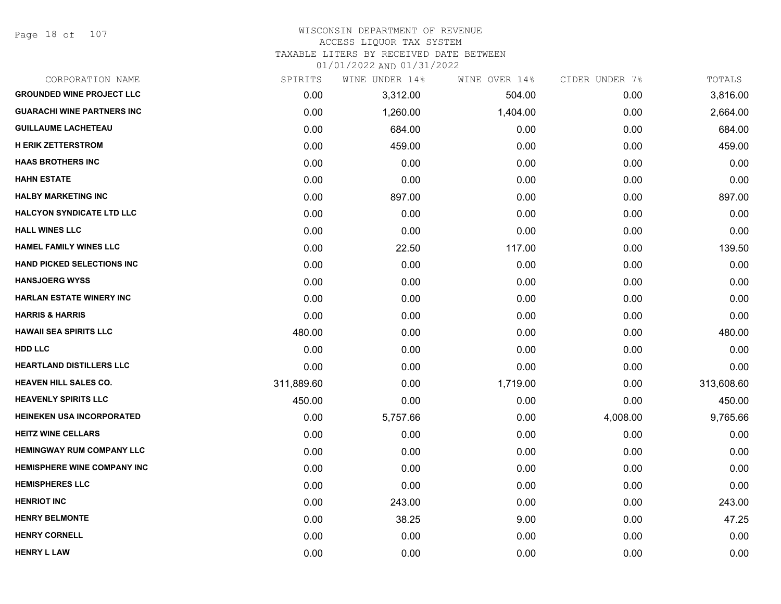## WISCONSIN DEPARTMENT OF REVENUE ACCESS LIQUOR TAX SYSTEM

TAXABLE LITERS BY RECEIVED DATE BETWEEN

| CORPORATION NAME                   | SPIRITS    | WINE UNDER 14% | WINE OVER 14% | CIDER UNDER 7% | TOTALS     |
|------------------------------------|------------|----------------|---------------|----------------|------------|
| <b>GROUNDED WINE PROJECT LLC</b>   | 0.00       | 3,312.00       | 504.00        | 0.00           | 3,816.00   |
| <b>GUARACHI WINE PARTNERS INC</b>  | 0.00       | 1,260.00       | 1,404.00      | 0.00           | 2,664.00   |
| <b>GUILLAUME LACHETEAU</b>         | 0.00       | 684.00         | 0.00          | 0.00           | 684.00     |
| <b>H ERIK ZETTERSTROM</b>          | 0.00       | 459.00         | 0.00          | 0.00           | 459.00     |
| <b>HAAS BROTHERS INC</b>           | 0.00       | 0.00           | 0.00          | 0.00           | 0.00       |
| <b>HAHN ESTATE</b>                 | 0.00       | 0.00           | 0.00          | 0.00           | 0.00       |
| <b>HALBY MARKETING INC</b>         | 0.00       | 897.00         | 0.00          | 0.00           | 897.00     |
| <b>HALCYON SYNDICATE LTD LLC</b>   | 0.00       | 0.00           | 0.00          | 0.00           | 0.00       |
| <b>HALL WINES LLC</b>              | 0.00       | 0.00           | 0.00          | 0.00           | 0.00       |
| <b>HAMEL FAMILY WINES LLC</b>      | 0.00       | 22.50          | 117.00        | 0.00           | 139.50     |
| <b>HAND PICKED SELECTIONS INC</b>  | 0.00       | 0.00           | 0.00          | 0.00           | 0.00       |
| <b>HANSJOERG WYSS</b>              | 0.00       | 0.00           | 0.00          | 0.00           | 0.00       |
| HARLAN ESTATE WINERY INC           | 0.00       | 0.00           | 0.00          | 0.00           | 0.00       |
| <b>HARRIS &amp; HARRIS</b>         | 0.00       | 0.00           | 0.00          | 0.00           | 0.00       |
| <b>HAWAII SEA SPIRITS LLC</b>      | 480.00     | 0.00           | 0.00          | 0.00           | 480.00     |
| <b>HDD LLC</b>                     | 0.00       | 0.00           | 0.00          | 0.00           | 0.00       |
| <b>HEARTLAND DISTILLERS LLC</b>    | 0.00       | 0.00           | 0.00          | 0.00           | 0.00       |
| <b>HEAVEN HILL SALES CO.</b>       | 311,889.60 | 0.00           | 1,719.00      | 0.00           | 313,608.60 |
| <b>HEAVENLY SPIRITS LLC</b>        | 450.00     | 0.00           | 0.00          | 0.00           | 450.00     |
| <b>HEINEKEN USA INCORPORATED</b>   | 0.00       | 5,757.66       | 0.00          | 4,008.00       | 9,765.66   |
| <b>HEITZ WINE CELLARS</b>          | 0.00       | 0.00           | 0.00          | 0.00           | 0.00       |
| <b>HEMINGWAY RUM COMPANY LLC</b>   | 0.00       | 0.00           | 0.00          | 0.00           | 0.00       |
| <b>HEMISPHERE WINE COMPANY INC</b> | 0.00       | 0.00           | 0.00          | 0.00           | 0.00       |
| <b>HEMISPHERES LLC</b>             | 0.00       | 0.00           | 0.00          | 0.00           | 0.00       |
| <b>HENRIOT INC</b>                 | 0.00       | 243.00         | 0.00          | 0.00           | 243.00     |
| <b>HENRY BELMONTE</b>              | 0.00       | 38.25          | 9.00          | 0.00           | 47.25      |
| <b>HENRY CORNELL</b>               | 0.00       | 0.00           | 0.00          | 0.00           | 0.00       |
| <b>HENRY L LAW</b>                 | 0.00       | 0.00           | 0.00          | 0.00           | 0.00       |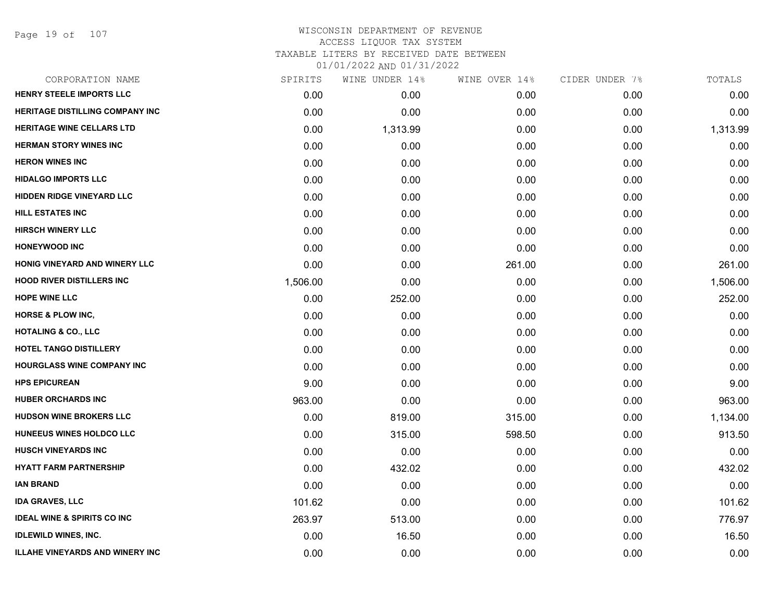Page 19 of 107

## WISCONSIN DEPARTMENT OF REVENUE ACCESS LIQUOR TAX SYSTEM TAXABLE LITERS BY RECEIVED DATE BETWEEN

| CORPORATION NAME                       | SPIRITS  | WINE UNDER 14% | WINE OVER 14% | CIDER UNDER 7% | TOTALS   |
|----------------------------------------|----------|----------------|---------------|----------------|----------|
| HENRY STEELE IMPORTS LLC               | 0.00     | 0.00           | 0.00          | 0.00           | 0.00     |
| <b>HERITAGE DISTILLING COMPANY INC</b> | 0.00     | 0.00           | 0.00          | 0.00           | 0.00     |
| <b>HERITAGE WINE CELLARS LTD</b>       | 0.00     | 1,313.99       | 0.00          | 0.00           | 1,313.99 |
| <b>HERMAN STORY WINES INC</b>          | 0.00     | 0.00           | 0.00          | 0.00           | 0.00     |
| <b>HERON WINES INC</b>                 | 0.00     | 0.00           | 0.00          | 0.00           | 0.00     |
| <b>HIDALGO IMPORTS LLC</b>             | 0.00     | 0.00           | 0.00          | 0.00           | 0.00     |
| <b>HIDDEN RIDGE VINEYARD LLC</b>       | 0.00     | 0.00           | 0.00          | 0.00           | 0.00     |
| HILL ESTATES INC                       | 0.00     | 0.00           | 0.00          | 0.00           | 0.00     |
| <b>HIRSCH WINERY LLC</b>               | 0.00     | 0.00           | 0.00          | 0.00           | 0.00     |
| <b>HONEYWOOD INC</b>                   | 0.00     | 0.00           | 0.00          | 0.00           | 0.00     |
| HONIG VINEYARD AND WINERY LLC          | 0.00     | 0.00           | 261.00        | 0.00           | 261.00   |
| <b>HOOD RIVER DISTILLERS INC</b>       | 1,506.00 | 0.00           | 0.00          | 0.00           | 1,506.00 |
| <b>HOPE WINE LLC</b>                   | 0.00     | 252.00         | 0.00          | 0.00           | 252.00   |
| <b>HORSE &amp; PLOW INC.</b>           | 0.00     | 0.00           | 0.00          | 0.00           | 0.00     |
| <b>HOTALING &amp; CO., LLC</b>         | 0.00     | 0.00           | 0.00          | 0.00           | 0.00     |
| <b>HOTEL TANGO DISTILLERY</b>          | 0.00     | 0.00           | 0.00          | 0.00           | 0.00     |
| <b>HOURGLASS WINE COMPANY INC</b>      | 0.00     | 0.00           | 0.00          | 0.00           | 0.00     |
| <b>HPS EPICUREAN</b>                   | 9.00     | 0.00           | 0.00          | 0.00           | 9.00     |
| <b>HUBER ORCHARDS INC</b>              | 963.00   | 0.00           | 0.00          | 0.00           | 963.00   |
| <b>HUDSON WINE BROKERS LLC</b>         | 0.00     | 819.00         | 315.00        | 0.00           | 1,134.00 |
| HUNEEUS WINES HOLDCO LLC               | 0.00     | 315.00         | 598.50        | 0.00           | 913.50   |
| <b>HUSCH VINEYARDS INC</b>             | 0.00     | 0.00           | 0.00          | 0.00           | 0.00     |
| <b>HYATT FARM PARTNERSHIP</b>          | 0.00     | 432.02         | 0.00          | 0.00           | 432.02   |
| <b>IAN BRAND</b>                       | 0.00     | 0.00           | 0.00          | 0.00           | 0.00     |
| <b>IDA GRAVES, LLC</b>                 | 101.62   | 0.00           | 0.00          | 0.00           | 101.62   |
| <b>IDEAL WINE &amp; SPIRITS CO INC</b> | 263.97   | 513.00         | 0.00          | 0.00           | 776.97   |
| <b>IDLEWILD WINES, INC.</b>            | 0.00     | 16.50          | 0.00          | 0.00           | 16.50    |
| <b>ILLAHE VINEYARDS AND WINERY INC</b> | 0.00     | 0.00           | 0.00          | 0.00           | 0.00     |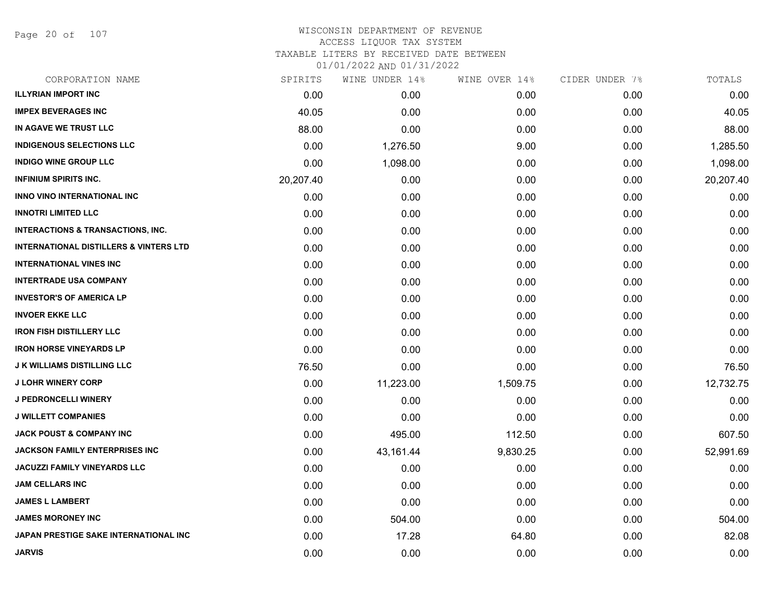Page 20 of 107

| CORPORATION NAME                                  | SPIRITS   | WINE UNDER 14% | WINE OVER 14% | CIDER UNDER 7% | TOTALS    |
|---------------------------------------------------|-----------|----------------|---------------|----------------|-----------|
| <b>ILLYRIAN IMPORT INC</b>                        | 0.00      | 0.00           | 0.00          | 0.00           | 0.00      |
| <b>IMPEX BEVERAGES INC</b>                        | 40.05     | 0.00           | 0.00          | 0.00           | 40.05     |
| IN AGAVE WE TRUST LLC                             | 88.00     | 0.00           | 0.00          | 0.00           | 88.00     |
| <b>INDIGENOUS SELECTIONS LLC</b>                  | 0.00      | 1,276.50       | 9.00          | 0.00           | 1,285.50  |
| <b>INDIGO WINE GROUP LLC</b>                      | 0.00      | 1,098.00       | 0.00          | 0.00           | 1,098.00  |
| <b>INFINIUM SPIRITS INC.</b>                      | 20,207.40 | 0.00           | 0.00          | 0.00           | 20,207.40 |
| <b>INNO VINO INTERNATIONAL INC</b>                | 0.00      | 0.00           | 0.00          | 0.00           | 0.00      |
| <b>INNOTRI LIMITED LLC</b>                        | 0.00      | 0.00           | 0.00          | 0.00           | 0.00      |
| <b>INTERACTIONS &amp; TRANSACTIONS, INC.</b>      | 0.00      | 0.00           | 0.00          | 0.00           | 0.00      |
| <b>INTERNATIONAL DISTILLERS &amp; VINTERS LTD</b> | 0.00      | 0.00           | 0.00          | 0.00           | 0.00      |
| <b>INTERNATIONAL VINES INC</b>                    | 0.00      | 0.00           | 0.00          | 0.00           | 0.00      |
| <b>INTERTRADE USA COMPANY</b>                     | 0.00      | 0.00           | 0.00          | 0.00           | 0.00      |
| <b>INVESTOR'S OF AMERICA LP</b>                   | 0.00      | 0.00           | 0.00          | 0.00           | 0.00      |
| <b>INVOER EKKE LLC</b>                            | 0.00      | 0.00           | 0.00          | 0.00           | 0.00      |
| <b>IRON FISH DISTILLERY LLC</b>                   | 0.00      | 0.00           | 0.00          | 0.00           | 0.00      |
| <b>IRON HORSE VINEYARDS LP</b>                    | 0.00      | 0.00           | 0.00          | 0.00           | 0.00      |
| <b>J K WILLIAMS DISTILLING LLC</b>                | 76.50     | 0.00           | 0.00          | 0.00           | 76.50     |
| <b>J LOHR WINERY CORP</b>                         | 0.00      | 11,223.00      | 1,509.75      | 0.00           | 12,732.75 |
| J PEDRONCELLI WINERY                              | 0.00      | 0.00           | 0.00          | 0.00           | 0.00      |
| <b>J WILLETT COMPANIES</b>                        | 0.00      | 0.00           | 0.00          | 0.00           | 0.00      |
| <b>JACK POUST &amp; COMPANY INC</b>               | 0.00      | 495.00         | 112.50        | 0.00           | 607.50    |
| <b>JACKSON FAMILY ENTERPRISES INC</b>             | 0.00      | 43,161.44      | 9,830.25      | 0.00           | 52,991.69 |
| <b>JACUZZI FAMILY VINEYARDS LLC</b>               | 0.00      | 0.00           | 0.00          | 0.00           | 0.00      |
| <b>JAM CELLARS INC</b>                            | 0.00      | 0.00           | 0.00          | 0.00           | 0.00      |
| <b>JAMES L LAMBERT</b>                            | 0.00      | 0.00           | 0.00          | 0.00           | 0.00      |
| <b>JAMES MORONEY INC</b>                          | 0.00      | 504.00         | 0.00          | 0.00           | 504.00    |
| JAPAN PRESTIGE SAKE INTERNATIONAL INC             | 0.00      | 17.28          | 64.80         | 0.00           | 82.08     |
| <b>JARVIS</b>                                     | 0.00      | 0.00           | 0.00          | 0.00           | 0.00      |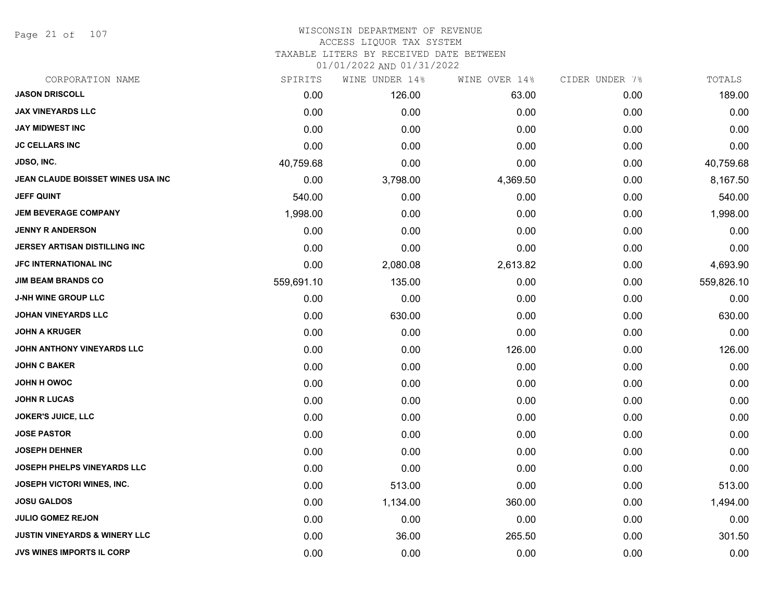Page 21 of 107

#### WISCONSIN DEPARTMENT OF REVENUE ACCESS LIQUOR TAX SYSTEM

TAXABLE LITERS BY RECEIVED DATE BETWEEN

| CORPORATION NAME                         | SPIRITS    | WINE UNDER 14% | WINE OVER 14% | CIDER UNDER 7% | TOTALS     |
|------------------------------------------|------------|----------------|---------------|----------------|------------|
| <b>JASON DRISCOLL</b>                    | 0.00       | 126.00         | 63.00         | 0.00           | 189.00     |
| <b>JAX VINEYARDS LLC</b>                 | 0.00       | 0.00           | 0.00          | 0.00           | 0.00       |
| <b>JAY MIDWEST INC</b>                   | 0.00       | 0.00           | 0.00          | 0.00           | 0.00       |
| <b>JC CELLARS INC</b>                    | 0.00       | 0.00           | 0.00          | 0.00           | 0.00       |
| JDSO, INC.                               | 40,759.68  | 0.00           | 0.00          | 0.00           | 40,759.68  |
| JEAN CLAUDE BOISSET WINES USA INC        | 0.00       | 3,798.00       | 4,369.50      | 0.00           | 8,167.50   |
| <b>JEFF QUINT</b>                        | 540.00     | 0.00           | 0.00          | 0.00           | 540.00     |
| <b>JEM BEVERAGE COMPANY</b>              | 1,998.00   | 0.00           | 0.00          | 0.00           | 1,998.00   |
| <b>JENNY R ANDERSON</b>                  | 0.00       | 0.00           | 0.00          | 0.00           | 0.00       |
| JERSEY ARTISAN DISTILLING INC            | 0.00       | 0.00           | 0.00          | 0.00           | 0.00       |
| <b>JFC INTERNATIONAL INC</b>             | 0.00       | 2,080.08       | 2,613.82      | 0.00           | 4,693.90   |
| <b>JIM BEAM BRANDS CO</b>                | 559,691.10 | 135.00         | 0.00          | 0.00           | 559,826.10 |
| <b>J-NH WINE GROUP LLC</b>               | 0.00       | 0.00           | 0.00          | 0.00           | 0.00       |
| <b>JOHAN VINEYARDS LLC</b>               | 0.00       | 630.00         | 0.00          | 0.00           | 630.00     |
| <b>JOHN A KRUGER</b>                     | 0.00       | 0.00           | 0.00          | 0.00           | 0.00       |
| JOHN ANTHONY VINEYARDS LLC               | 0.00       | 0.00           | 126.00        | 0.00           | 126.00     |
| <b>JOHN C BAKER</b>                      | 0.00       | 0.00           | 0.00          | 0.00           | 0.00       |
| JOHN H OWOC                              | 0.00       | 0.00           | 0.00          | 0.00           | 0.00       |
| <b>JOHN R LUCAS</b>                      | 0.00       | 0.00           | 0.00          | 0.00           | 0.00       |
| <b>JOKER'S JUICE, LLC</b>                | 0.00       | 0.00           | 0.00          | 0.00           | 0.00       |
| <b>JOSE PASTOR</b>                       | 0.00       | 0.00           | 0.00          | 0.00           | 0.00       |
| <b>JOSEPH DEHNER</b>                     | 0.00       | 0.00           | 0.00          | 0.00           | 0.00       |
| JOSEPH PHELPS VINEYARDS LLC              | 0.00       | 0.00           | 0.00          | 0.00           | 0.00       |
| JOSEPH VICTORI WINES, INC.               | 0.00       | 513.00         | 0.00          | 0.00           | 513.00     |
| <b>JOSU GALDOS</b>                       | 0.00       | 1,134.00       | 360.00        | 0.00           | 1,494.00   |
| <b>JULIO GOMEZ REJON</b>                 | 0.00       | 0.00           | 0.00          | 0.00           | 0.00       |
| <b>JUSTIN VINEYARDS &amp; WINERY LLC</b> | 0.00       | 36.00          | 265.50        | 0.00           | 301.50     |
| <b>JVS WINES IMPORTS IL CORP</b>         | 0.00       | 0.00           | 0.00          | 0.00           | 0.00       |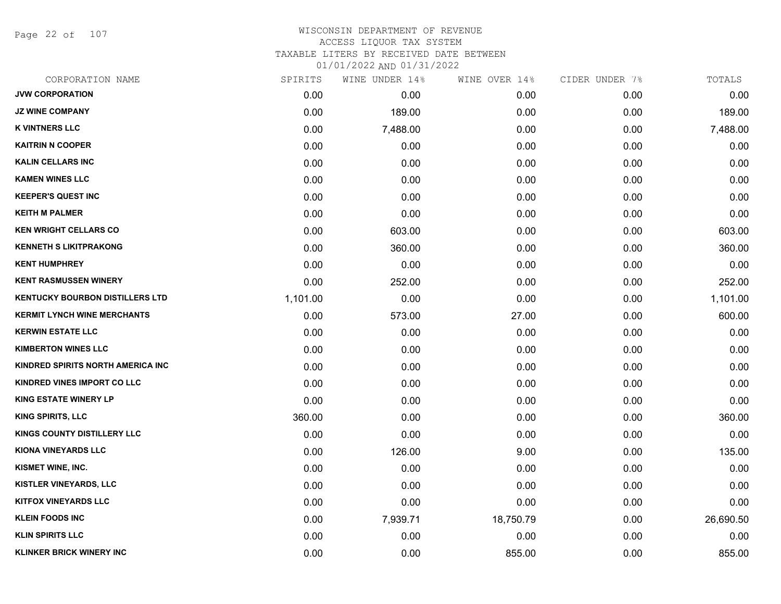Page 22 of 107

# WISCONSIN DEPARTMENT OF REVENUE ACCESS LIQUOR TAX SYSTEM

TAXABLE LITERS BY RECEIVED DATE BETWEEN

| CORPORATION NAME                       | SPIRITS  | WINE UNDER 14% | WINE OVER 14% | CIDER UNDER 7% | TOTALS    |
|----------------------------------------|----------|----------------|---------------|----------------|-----------|
| <b>JVW CORPORATION</b>                 | 0.00     | 0.00           | 0.00          | 0.00           | 0.00      |
| <b>JZ WINE COMPANY</b>                 | 0.00     | 189.00         | 0.00          | 0.00           | 189.00    |
| <b>K VINTNERS LLC</b>                  | 0.00     | 7,488.00       | 0.00          | 0.00           | 7,488.00  |
| <b>KAITRIN N COOPER</b>                | 0.00     | 0.00           | 0.00          | 0.00           | 0.00      |
| <b>KALIN CELLARS INC</b>               | 0.00     | 0.00           | 0.00          | 0.00           | 0.00      |
| <b>KAMEN WINES LLC</b>                 | 0.00     | 0.00           | 0.00          | 0.00           | 0.00      |
| <b>KEEPER'S QUEST INC</b>              | 0.00     | 0.00           | 0.00          | 0.00           | 0.00      |
| <b>KEITH M PALMER</b>                  | 0.00     | 0.00           | 0.00          | 0.00           | 0.00      |
| <b>KEN WRIGHT CELLARS CO</b>           | 0.00     | 603.00         | 0.00          | 0.00           | 603.00    |
| <b>KENNETH S LIKITPRAKONG</b>          | 0.00     | 360.00         | 0.00          | 0.00           | 360.00    |
| <b>KENT HUMPHREY</b>                   | 0.00     | 0.00           | 0.00          | 0.00           | 0.00      |
| <b>KENT RASMUSSEN WINERY</b>           | 0.00     | 252.00         | 0.00          | 0.00           | 252.00    |
| <b>KENTUCKY BOURBON DISTILLERS LTD</b> | 1,101.00 | 0.00           | 0.00          | 0.00           | 1,101.00  |
| <b>KERMIT LYNCH WINE MERCHANTS</b>     | 0.00     | 573.00         | 27.00         | 0.00           | 600.00    |
| <b>KERWIN ESTATE LLC</b>               | 0.00     | 0.00           | 0.00          | 0.00           | 0.00      |
| <b>KIMBERTON WINES LLC</b>             | 0.00     | 0.00           | 0.00          | 0.00           | 0.00      |
| KINDRED SPIRITS NORTH AMERICA INC      | 0.00     | 0.00           | 0.00          | 0.00           | 0.00      |
| KINDRED VINES IMPORT CO LLC            | 0.00     | 0.00           | 0.00          | 0.00           | 0.00      |
| <b>KING ESTATE WINERY LP</b>           | 0.00     | 0.00           | 0.00          | 0.00           | 0.00      |
| <b>KING SPIRITS, LLC</b>               | 360.00   | 0.00           | 0.00          | 0.00           | 360.00    |
| <b>KINGS COUNTY DISTILLERY LLC</b>     | 0.00     | 0.00           | 0.00          | 0.00           | 0.00      |
| <b>KIONA VINEYARDS LLC</b>             | 0.00     | 126.00         | 9.00          | 0.00           | 135.00    |
| KISMET WINE, INC.                      | 0.00     | 0.00           | 0.00          | 0.00           | 0.00      |
| <b>KISTLER VINEYARDS, LLC</b>          | 0.00     | 0.00           | 0.00          | 0.00           | 0.00      |
| <b>KITFOX VINEYARDS LLC</b>            | 0.00     | 0.00           | 0.00          | 0.00           | 0.00      |
| <b>KLEIN FOODS INC</b>                 | 0.00     | 7,939.71       | 18,750.79     | 0.00           | 26,690.50 |
| <b>KLIN SPIRITS LLC</b>                | 0.00     | 0.00           | 0.00          | 0.00           | 0.00      |
| <b>KLINKER BRICK WINERY INC</b>        | 0.00     | 0.00           | 855.00        | 0.00           | 855.00    |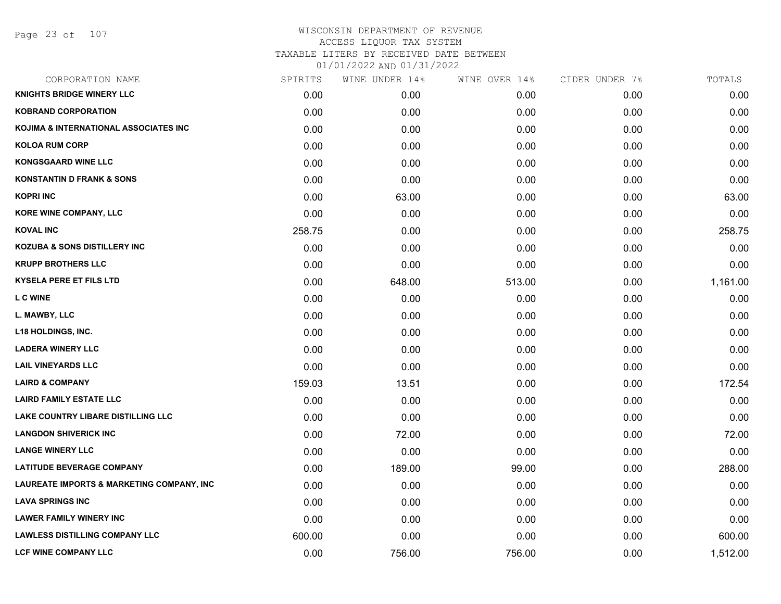| CORPORATION NAME                          | SPIRITS | WINE UNDER 14% | WINE OVER 14% | CIDER UNDER 7% | TOTALS   |
|-------------------------------------------|---------|----------------|---------------|----------------|----------|
| <b>KNIGHTS BRIDGE WINERY LLC</b>          | 0.00    | 0.00           | 0.00          | 0.00           | 0.00     |
| <b>KOBRAND CORPORATION</b>                | 0.00    | 0.00           | 0.00          | 0.00           | 0.00     |
| KOJIMA & INTERNATIONAL ASSOCIATES INC     | 0.00    | 0.00           | 0.00          | 0.00           | 0.00     |
| <b>KOLOA RUM CORP</b>                     | 0.00    | 0.00           | 0.00          | 0.00           | 0.00     |
| <b>KONGSGAARD WINE LLC</b>                | 0.00    | 0.00           | 0.00          | 0.00           | 0.00     |
| <b>KONSTANTIN D FRANK &amp; SONS</b>      | 0.00    | 0.00           | 0.00          | 0.00           | 0.00     |
| <b>KOPRI INC</b>                          | 0.00    | 63.00          | 0.00          | 0.00           | 63.00    |
| KORE WINE COMPANY, LLC                    | 0.00    | 0.00           | 0.00          | 0.00           | 0.00     |
| <b>KOVAL INC</b>                          | 258.75  | 0.00           | 0.00          | 0.00           | 258.75   |
| <b>KOZUBA &amp; SONS DISTILLERY INC</b>   | 0.00    | 0.00           | 0.00          | 0.00           | 0.00     |
| <b>KRUPP BROTHERS LLC</b>                 | 0.00    | 0.00           | 0.00          | 0.00           | 0.00     |
| <b>KYSELA PERE ET FILS LTD</b>            | 0.00    | 648.00         | 513.00        | 0.00           | 1,161.00 |
| <b>LC WINE</b>                            | 0.00    | 0.00           | 0.00          | 0.00           | 0.00     |
| L. MAWBY, LLC                             | 0.00    | 0.00           | 0.00          | 0.00           | 0.00     |
| <b>L18 HOLDINGS, INC.</b>                 | 0.00    | 0.00           | 0.00          | 0.00           | 0.00     |
| <b>LADERA WINERY LLC</b>                  | 0.00    | 0.00           | 0.00          | 0.00           | 0.00     |
| <b>LAIL VINEYARDS LLC</b>                 | 0.00    | 0.00           | 0.00          | 0.00           | 0.00     |
| <b>LAIRD &amp; COMPANY</b>                | 159.03  | 13.51          | 0.00          | 0.00           | 172.54   |
| <b>LAIRD FAMILY ESTATE LLC</b>            | 0.00    | 0.00           | 0.00          | 0.00           | 0.00     |
| LAKE COUNTRY LIBARE DISTILLING LLC        | 0.00    | 0.00           | 0.00          | 0.00           | 0.00     |
| <b>LANGDON SHIVERICK INC</b>              | 0.00    | 72.00          | 0.00          | 0.00           | 72.00    |
| <b>LANGE WINERY LLC</b>                   | 0.00    | 0.00           | 0.00          | 0.00           | 0.00     |
| <b>LATITUDE BEVERAGE COMPANY</b>          | 0.00    | 189.00         | 99.00         | 0.00           | 288.00   |
| LAUREATE IMPORTS & MARKETING COMPANY, INC | 0.00    | 0.00           | 0.00          | 0.00           | 0.00     |
| <b>LAVA SPRINGS INC</b>                   | 0.00    | 0.00           | 0.00          | 0.00           | 0.00     |
| <b>LAWER FAMILY WINERY INC</b>            | 0.00    | 0.00           | 0.00          | 0.00           | 0.00     |
| <b>LAWLESS DISTILLING COMPANY LLC</b>     | 600.00  | 0.00           | 0.00          | 0.00           | 600.00   |
| <b>LCF WINE COMPANY LLC</b>               | 0.00    | 756.00         | 756.00        | 0.00           | 1,512.00 |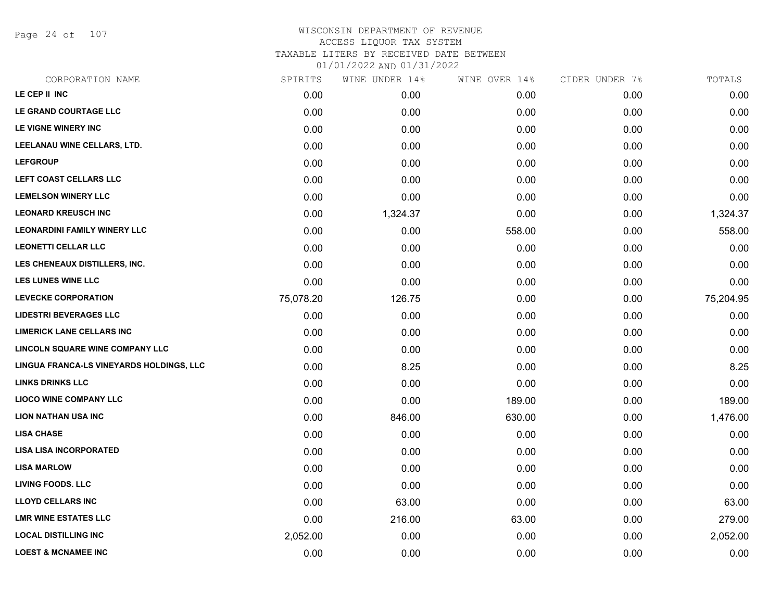Page 24 of 107

| CORPORATION NAME                         | SPIRITS   | WINE UNDER 14% | WINE OVER 14% | CIDER UNDER 7% | TOTALS    |
|------------------------------------------|-----------|----------------|---------------|----------------|-----------|
| LE CEP II INC                            | 0.00      | 0.00           | 0.00          | 0.00           | 0.00      |
| LE GRAND COURTAGE LLC                    | 0.00      | 0.00           | 0.00          | 0.00           | 0.00      |
| LE VIGNE WINERY INC                      | 0.00      | 0.00           | 0.00          | 0.00           | 0.00      |
| LEELANAU WINE CELLARS, LTD.              | 0.00      | 0.00           | 0.00          | 0.00           | 0.00      |
| <b>LEFGROUP</b>                          | 0.00      | 0.00           | 0.00          | 0.00           | 0.00      |
| LEFT COAST CELLARS LLC                   | 0.00      | 0.00           | 0.00          | 0.00           | 0.00      |
| <b>LEMELSON WINERY LLC</b>               | 0.00      | 0.00           | 0.00          | 0.00           | 0.00      |
| <b>LEONARD KREUSCH INC</b>               | 0.00      | 1,324.37       | 0.00          | 0.00           | 1,324.37  |
| <b>LEONARDINI FAMILY WINERY LLC</b>      | 0.00      | 0.00           | 558.00        | 0.00           | 558.00    |
| <b>LEONETTI CELLAR LLC</b>               | 0.00      | 0.00           | 0.00          | 0.00           | 0.00      |
| LES CHENEAUX DISTILLERS, INC.            | 0.00      | 0.00           | 0.00          | 0.00           | 0.00      |
| <b>LES LUNES WINE LLC</b>                | 0.00      | 0.00           | 0.00          | 0.00           | 0.00      |
| <b>LEVECKE CORPORATION</b>               | 75,078.20 | 126.75         | 0.00          | 0.00           | 75,204.95 |
| <b>LIDESTRI BEVERAGES LLC</b>            | 0.00      | 0.00           | 0.00          | 0.00           | 0.00      |
| <b>LIMERICK LANE CELLARS INC</b>         | 0.00      | 0.00           | 0.00          | 0.00           | 0.00      |
| <b>LINCOLN SQUARE WINE COMPANY LLC</b>   | 0.00      | 0.00           | 0.00          | 0.00           | 0.00      |
| LINGUA FRANCA-LS VINEYARDS HOLDINGS, LLC | 0.00      | 8.25           | 0.00          | 0.00           | 8.25      |
| <b>LINKS DRINKS LLC</b>                  | 0.00      | 0.00           | 0.00          | 0.00           | 0.00      |
| <b>LIOCO WINE COMPANY LLC</b>            | 0.00      | 0.00           | 189.00        | 0.00           | 189.00    |
| <b>LION NATHAN USA INC</b>               | 0.00      | 846.00         | 630.00        | 0.00           | 1,476.00  |
| <b>LISA CHASE</b>                        | 0.00      | 0.00           | 0.00          | 0.00           | 0.00      |
| <b>LISA LISA INCORPORATED</b>            | 0.00      | 0.00           | 0.00          | 0.00           | 0.00      |
| <b>LISA MARLOW</b>                       | 0.00      | 0.00           | 0.00          | 0.00           | 0.00      |
| <b>LIVING FOODS. LLC</b>                 | 0.00      | 0.00           | 0.00          | 0.00           | 0.00      |
| <b>LLOYD CELLARS INC</b>                 | 0.00      | 63.00          | 0.00          | 0.00           | 63.00     |
| <b>LMR WINE ESTATES LLC</b>              | 0.00      | 216.00         | 63.00         | 0.00           | 279.00    |
| <b>LOCAL DISTILLING INC</b>              | 2,052.00  | 0.00           | 0.00          | 0.00           | 2,052.00  |
| <b>LOEST &amp; MCNAMEE INC</b>           | 0.00      | 0.00           | 0.00          | 0.00           | 0.00      |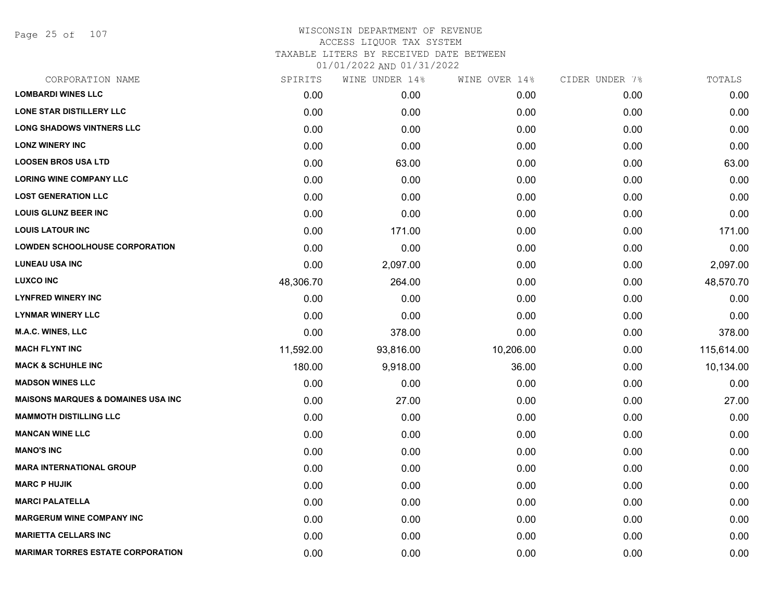Page 25 of 107

| CORPORATION NAME                               | SPIRITS   | WINE UNDER 14% | WINE OVER 14% | CIDER UNDER 7% | TOTALS     |
|------------------------------------------------|-----------|----------------|---------------|----------------|------------|
| <b>LOMBARDI WINES LLC</b>                      | 0.00      | 0.00           | 0.00          | 0.00           | 0.00       |
| LONE STAR DISTILLERY LLC                       | 0.00      | 0.00           | 0.00          | 0.00           | 0.00       |
| <b>LONG SHADOWS VINTNERS LLC</b>               | 0.00      | 0.00           | 0.00          | 0.00           | 0.00       |
| <b>LONZ WINERY INC</b>                         | 0.00      | 0.00           | 0.00          | 0.00           | 0.00       |
| <b>LOOSEN BROS USA LTD</b>                     | 0.00      | 63.00          | 0.00          | 0.00           | 63.00      |
| <b>LORING WINE COMPANY LLC</b>                 | 0.00      | 0.00           | 0.00          | 0.00           | 0.00       |
| <b>LOST GENERATION LLC</b>                     | 0.00      | 0.00           | 0.00          | 0.00           | 0.00       |
| <b>LOUIS GLUNZ BEER INC</b>                    | 0.00      | 0.00           | 0.00          | 0.00           | 0.00       |
| <b>LOUIS LATOUR INC</b>                        | 0.00      | 171.00         | 0.00          | 0.00           | 171.00     |
| <b>LOWDEN SCHOOLHOUSE CORPORATION</b>          | 0.00      | 0.00           | 0.00          | 0.00           | 0.00       |
| <b>LUNEAU USA INC</b>                          | 0.00      | 2,097.00       | 0.00          | 0.00           | 2,097.00   |
| <b>LUXCO INC</b>                               | 48,306.70 | 264.00         | 0.00          | 0.00           | 48,570.70  |
| <b>LYNFRED WINERY INC</b>                      | 0.00      | 0.00           | 0.00          | 0.00           | 0.00       |
| <b>LYNMAR WINERY LLC</b>                       | 0.00      | 0.00           | 0.00          | 0.00           | 0.00       |
| <b>M.A.C. WINES, LLC</b>                       | 0.00      | 378.00         | 0.00          | 0.00           | 378.00     |
| <b>MACH FLYNT INC</b>                          | 11,592.00 | 93,816.00      | 10,206.00     | 0.00           | 115,614.00 |
| <b>MACK &amp; SCHUHLE INC</b>                  | 180.00    | 9,918.00       | 36.00         | 0.00           | 10,134.00  |
| <b>MADSON WINES LLC</b>                        | 0.00      | 0.00           | 0.00          | 0.00           | 0.00       |
| <b>MAISONS MARQUES &amp; DOMAINES USA INC.</b> | 0.00      | 27.00          | 0.00          | 0.00           | 27.00      |
| <b>MAMMOTH DISTILLING LLC</b>                  | 0.00      | 0.00           | 0.00          | 0.00           | 0.00       |
| <b>MANCAN WINE LLC</b>                         | 0.00      | 0.00           | 0.00          | 0.00           | 0.00       |
| <b>MANO'S INC</b>                              | 0.00      | 0.00           | 0.00          | 0.00           | 0.00       |
| <b>MARA INTERNATIONAL GROUP</b>                | 0.00      | 0.00           | 0.00          | 0.00           | 0.00       |
| <b>MARC P HUJIK</b>                            | 0.00      | 0.00           | 0.00          | 0.00           | 0.00       |
| <b>MARCI PALATELLA</b>                         | 0.00      | 0.00           | 0.00          | 0.00           | 0.00       |
| <b>MARGERUM WINE COMPANY INC</b>               | 0.00      | 0.00           | 0.00          | 0.00           | 0.00       |
| <b>MARIETTA CELLARS INC</b>                    | 0.00      | 0.00           | 0.00          | 0.00           | 0.00       |
| <b>MARIMAR TORRES ESTATE CORPORATION</b>       | 0.00      | 0.00           | 0.00          | 0.00           | 0.00       |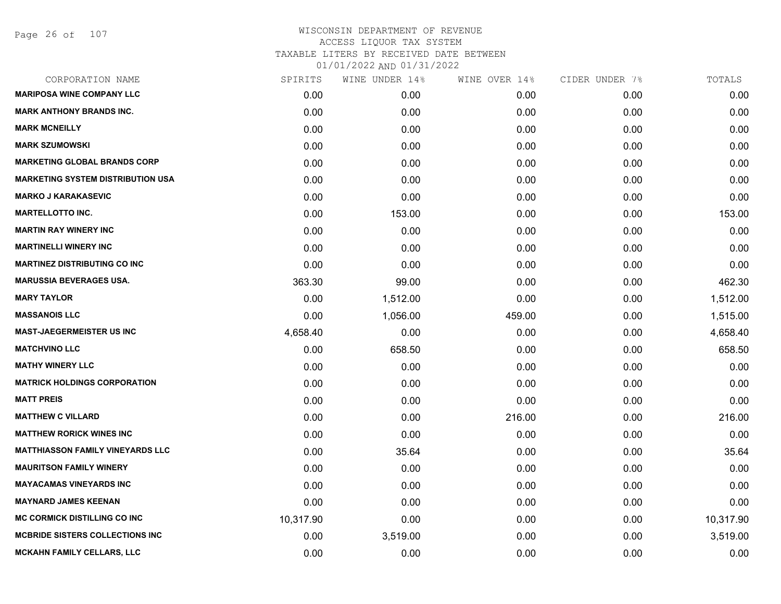Page 26 of 107

| CORPORATION NAME                         | SPIRITS   | WINE UNDER 14% | WINE OVER 14% | CIDER UNDER 7% | TOTALS    |
|------------------------------------------|-----------|----------------|---------------|----------------|-----------|
| <b>MARIPOSA WINE COMPANY LLC</b>         | 0.00      | 0.00           | 0.00          | 0.00           | 0.00      |
| <b>MARK ANTHONY BRANDS INC.</b>          | 0.00      | 0.00           | 0.00          | 0.00           | 0.00      |
| <b>MARK MCNEILLY</b>                     | 0.00      | 0.00           | 0.00          | 0.00           | 0.00      |
| <b>MARK SZUMOWSKI</b>                    | 0.00      | 0.00           | 0.00          | 0.00           | 0.00      |
| <b>MARKETING GLOBAL BRANDS CORP</b>      | 0.00      | 0.00           | 0.00          | 0.00           | 0.00      |
| <b>MARKETING SYSTEM DISTRIBUTION USA</b> | 0.00      | 0.00           | 0.00          | 0.00           | 0.00      |
| <b>MARKO J KARAKASEVIC</b>               | 0.00      | 0.00           | 0.00          | 0.00           | 0.00      |
| <b>MARTELLOTTO INC.</b>                  | 0.00      | 153.00         | 0.00          | 0.00           | 153.00    |
| <b>MARTIN RAY WINERY INC</b>             | 0.00      | 0.00           | 0.00          | 0.00           | 0.00      |
| <b>MARTINELLI WINERY INC</b>             | 0.00      | 0.00           | 0.00          | 0.00           | 0.00      |
| <b>MARTINEZ DISTRIBUTING CO INC</b>      | 0.00      | 0.00           | 0.00          | 0.00           | 0.00      |
| <b>MARUSSIA BEVERAGES USA.</b>           | 363.30    | 99.00          | 0.00          | 0.00           | 462.30    |
| <b>MARY TAYLOR</b>                       | 0.00      | 1,512.00       | 0.00          | 0.00           | 1,512.00  |
| <b>MASSANOIS LLC</b>                     | 0.00      | 1,056.00       | 459.00        | 0.00           | 1,515.00  |
| <b>MAST-JAEGERMEISTER US INC</b>         | 4,658.40  | 0.00           | 0.00          | 0.00           | 4,658.40  |
| <b>MATCHVINO LLC</b>                     | 0.00      | 658.50         | 0.00          | 0.00           | 658.50    |
| <b>MATHY WINERY LLC</b>                  | 0.00      | 0.00           | 0.00          | 0.00           | 0.00      |
| <b>MATRICK HOLDINGS CORPORATION</b>      | 0.00      | 0.00           | 0.00          | 0.00           | 0.00      |
| <b>MATT PREIS</b>                        | 0.00      | 0.00           | 0.00          | 0.00           | 0.00      |
| <b>MATTHEW C VILLARD</b>                 | 0.00      | 0.00           | 216.00        | 0.00           | 216.00    |
| <b>MATTHEW RORICK WINES INC</b>          | 0.00      | 0.00           | 0.00          | 0.00           | 0.00      |
| <b>MATTHIASSON FAMILY VINEYARDS LLC</b>  | 0.00      | 35.64          | 0.00          | 0.00           | 35.64     |
| <b>MAURITSON FAMILY WINERY</b>           | 0.00      | 0.00           | 0.00          | 0.00           | 0.00      |
| <b>MAYACAMAS VINEYARDS INC</b>           | 0.00      | 0.00           | 0.00          | 0.00           | 0.00      |
| <b>MAYNARD JAMES KEENAN</b>              | 0.00      | 0.00           | 0.00          | 0.00           | 0.00      |
| <b>MC CORMICK DISTILLING CO INC</b>      | 10,317.90 | 0.00           | 0.00          | 0.00           | 10,317.90 |
| <b>MCBRIDE SISTERS COLLECTIONS INC.</b>  | 0.00      | 3,519.00       | 0.00          | 0.00           | 3,519.00  |
| <b>MCKAHN FAMILY CELLARS, LLC</b>        | 0.00      | 0.00           | 0.00          | 0.00           | 0.00      |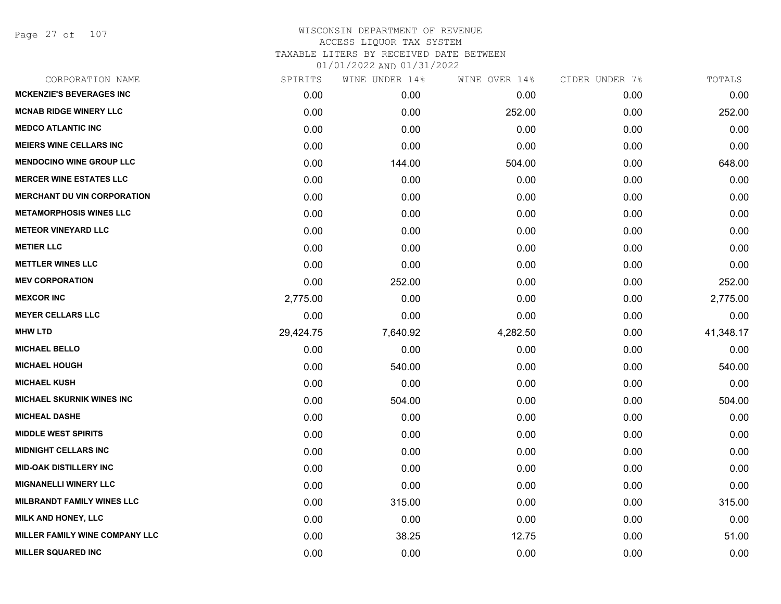Page 27 of 107

|           | WINE UNDER 14% | WINE OVER 14% | CIDER UNDER 7% | TOTALS    |
|-----------|----------------|---------------|----------------|-----------|
| 0.00      | 0.00           | 0.00          | 0.00           | 0.00      |
| 0.00      | 0.00           | 252.00        | 0.00           | 252.00    |
| 0.00      | 0.00           | 0.00          | 0.00           | 0.00      |
| 0.00      | 0.00           | 0.00          | 0.00           | 0.00      |
| 0.00      | 144.00         | 504.00        | 0.00           | 648.00    |
| 0.00      | 0.00           | 0.00          | 0.00           | 0.00      |
| 0.00      | 0.00           | 0.00          | 0.00           | 0.00      |
| 0.00      | 0.00           | 0.00          | 0.00           | 0.00      |
| 0.00      | 0.00           | 0.00          | 0.00           | 0.00      |
| 0.00      | 0.00           | 0.00          | 0.00           | 0.00      |
| 0.00      | 0.00           | 0.00          | 0.00           | 0.00      |
| 0.00      | 252.00         | 0.00          | 0.00           | 252.00    |
| 2,775.00  | 0.00           | 0.00          | 0.00           | 2,775.00  |
| 0.00      | 0.00           | 0.00          | 0.00           | 0.00      |
| 29,424.75 | 7,640.92       | 4,282.50      | 0.00           | 41,348.17 |
| 0.00      | 0.00           | 0.00          | 0.00           | 0.00      |
| 0.00      | 540.00         | 0.00          | 0.00           | 540.00    |
| 0.00      | 0.00           | 0.00          | 0.00           | 0.00      |
| 0.00      | 504.00         | 0.00          | 0.00           | 504.00    |
| 0.00      | 0.00           | 0.00          | 0.00           | 0.00      |
| 0.00      | 0.00           | 0.00          | 0.00           | 0.00      |
| 0.00      | 0.00           | 0.00          | 0.00           | 0.00      |
| 0.00      | 0.00           | 0.00          | 0.00           | 0.00      |
| 0.00      | 0.00           | 0.00          | 0.00           | 0.00      |
| 0.00      | 315.00         | 0.00          | 0.00           | 315.00    |
| 0.00      | 0.00           | 0.00          | 0.00           | 0.00      |
| 0.00      | 38.25          | 12.75         | 0.00           | 51.00     |
| 0.00      | 0.00           | 0.00          | 0.00           | 0.00      |
|           | SPIRITS        |               |                |           |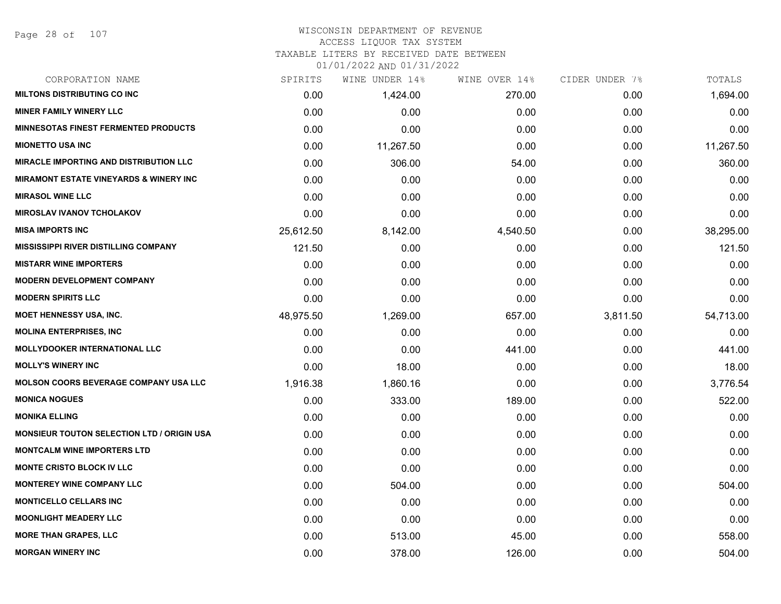#### WISCONSIN DEPARTMENT OF REVENUE ACCESS LIQUOR TAX SYSTEM

# TAXABLE LITERS BY RECEIVED DATE BETWEEN

| CORPORATION NAME                                  | SPIRITS   | WINE UNDER 14% | WINE OVER 14% | CIDER UNDER 7% | TOTALS    |
|---------------------------------------------------|-----------|----------------|---------------|----------------|-----------|
| <b>MILTONS DISTRIBUTING CO INC</b>                | 0.00      | 1,424.00       | 270.00        | 0.00           | 1,694.00  |
| <b>MINER FAMILY WINERY LLC</b>                    | 0.00      | 0.00           | 0.00          | 0.00           | 0.00      |
| <b>MINNESOTAS FINEST FERMENTED PRODUCTS</b>       | 0.00      | 0.00           | 0.00          | 0.00           | 0.00      |
| <b>MIONETTO USA INC</b>                           | 0.00      | 11,267.50      | 0.00          | 0.00           | 11,267.50 |
| <b>MIRACLE IMPORTING AND DISTRIBUTION LLC</b>     | 0.00      | 306.00         | 54.00         | 0.00           | 360.00    |
| <b>MIRAMONT ESTATE VINEYARDS &amp; WINERY INC</b> | 0.00      | 0.00           | 0.00          | 0.00           | 0.00      |
| <b>MIRASOL WINE LLC</b>                           | 0.00      | 0.00           | 0.00          | 0.00           | 0.00      |
| <b>MIROSLAV IVANOV TCHOLAKOV</b>                  | 0.00      | 0.00           | 0.00          | 0.00           | 0.00      |
| <b>MISA IMPORTS INC</b>                           | 25,612.50 | 8,142.00       | 4,540.50      | 0.00           | 38,295.00 |
| <b>MISSISSIPPI RIVER DISTILLING COMPANY</b>       | 121.50    | 0.00           | 0.00          | 0.00           | 121.50    |
| <b>MISTARR WINE IMPORTERS</b>                     | 0.00      | 0.00           | 0.00          | 0.00           | 0.00      |
| <b>MODERN DEVELOPMENT COMPANY</b>                 | 0.00      | 0.00           | 0.00          | 0.00           | 0.00      |
| <b>MODERN SPIRITS LLC</b>                         | 0.00      | 0.00           | 0.00          | 0.00           | 0.00      |
| <b>MOET HENNESSY USA, INC.</b>                    | 48,975.50 | 1,269.00       | 657.00        | 3,811.50       | 54,713.00 |
| <b>MOLINA ENTERPRISES, INC.</b>                   | 0.00      | 0.00           | 0.00          | 0.00           | 0.00      |
| MOLLYDOOKER INTERNATIONAL LLC                     | 0.00      | 0.00           | 441.00        | 0.00           | 441.00    |
| <b>MOLLY'S WINERY INC</b>                         | 0.00      | 18.00          | 0.00          | 0.00           | 18.00     |
| <b>MOLSON COORS BEVERAGE COMPANY USA LLC</b>      | 1,916.38  | 1,860.16       | 0.00          | 0.00           | 3,776.54  |
| <b>MONICA NOGUES</b>                              | 0.00      | 333.00         | 189.00        | 0.00           | 522.00    |
| <b>MONIKA ELLING</b>                              | 0.00      | 0.00           | 0.00          | 0.00           | 0.00      |
| <b>MONSIEUR TOUTON SELECTION LTD / ORIGIN USA</b> | 0.00      | 0.00           | 0.00          | 0.00           | 0.00      |
| <b>MONTCALM WINE IMPORTERS LTD</b>                | 0.00      | 0.00           | 0.00          | 0.00           | 0.00      |
| <b>MONTE CRISTO BLOCK IV LLC</b>                  | 0.00      | 0.00           | 0.00          | 0.00           | 0.00      |
| <b>MONTEREY WINE COMPANY LLC</b>                  | 0.00      | 504.00         | 0.00          | 0.00           | 504.00    |
| <b>MONTICELLO CELLARS INC</b>                     | 0.00      | 0.00           | 0.00          | 0.00           | 0.00      |
| <b>MOONLIGHT MEADERY LLC</b>                      | 0.00      | 0.00           | 0.00          | 0.00           | 0.00      |
| <b>MORE THAN GRAPES, LLC</b>                      | 0.00      | 513.00         | 45.00         | 0.00           | 558.00    |
| <b>MORGAN WINERY INC</b>                          | 0.00      | 378.00         | 126.00        | 0.00           | 504.00    |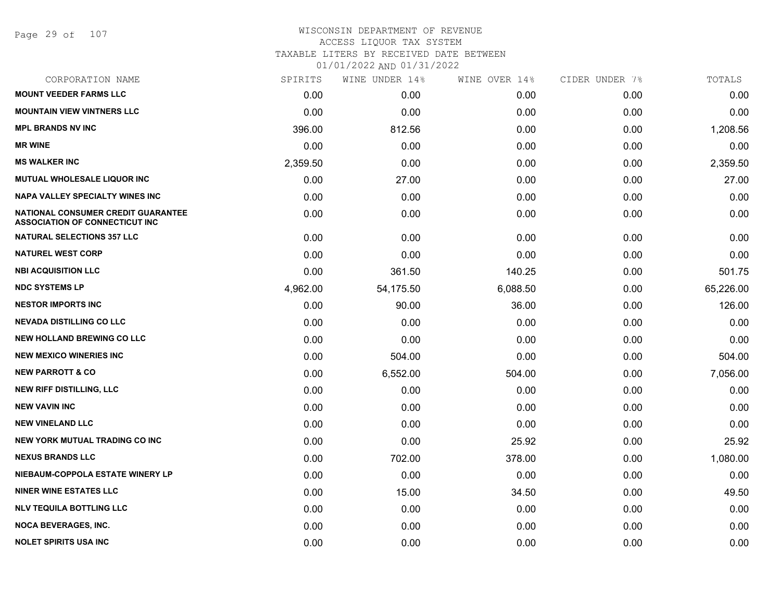Page 29 of 107

| CORPORATION NAME                                                            | SPIRITS  | WINE UNDER 14% | WINE OVER 14% | CIDER UNDER 7% | TOTALS    |
|-----------------------------------------------------------------------------|----------|----------------|---------------|----------------|-----------|
| <b>MOUNT VEEDER FARMS LLC</b>                                               | 0.00     | 0.00           | 0.00          | 0.00           | 0.00      |
| <b>MOUNTAIN VIEW VINTNERS LLC</b>                                           | 0.00     | 0.00           | 0.00          | 0.00           | 0.00      |
| <b>MPL BRANDS NV INC</b>                                                    | 396.00   | 812.56         | 0.00          | 0.00           | 1,208.56  |
| <b>MR WINE</b>                                                              | 0.00     | 0.00           | 0.00          | 0.00           | 0.00      |
| <b>MS WALKER INC</b>                                                        | 2,359.50 | 0.00           | 0.00          | 0.00           | 2,359.50  |
| MUTUAL WHOLESALE LIQUOR INC                                                 | 0.00     | 27.00          | 0.00          | 0.00           | 27.00     |
| <b>NAPA VALLEY SPECIALTY WINES INC</b>                                      | 0.00     | 0.00           | 0.00          | 0.00           | 0.00      |
| NATIONAL CONSUMER CREDIT GUARANTEE<br><b>ASSOCIATION OF CONNECTICUT INC</b> | 0.00     | 0.00           | 0.00          | 0.00           | 0.00      |
| <b>NATURAL SELECTIONS 357 LLC</b>                                           | 0.00     | 0.00           | 0.00          | 0.00           | 0.00      |
| <b>NATUREL WEST CORP</b>                                                    | 0.00     | 0.00           | 0.00          | 0.00           | 0.00      |
| <b>NBI ACQUISITION LLC</b>                                                  | 0.00     | 361.50         | 140.25        | 0.00           | 501.75    |
| <b>NDC SYSTEMS LP</b>                                                       | 4,962.00 | 54,175.50      | 6,088.50      | 0.00           | 65,226.00 |
| <b>NESTOR IMPORTS INC</b>                                                   | 0.00     | 90.00          | 36.00         | 0.00           | 126.00    |
| <b>NEVADA DISTILLING CO LLC</b>                                             | 0.00     | 0.00           | 0.00          | 0.00           | 0.00      |
| <b>NEW HOLLAND BREWING CO LLC</b>                                           | 0.00     | 0.00           | 0.00          | 0.00           | 0.00      |
| <b>NEW MEXICO WINERIES INC</b>                                              | 0.00     | 504.00         | 0.00          | 0.00           | 504.00    |
| <b>NEW PARROTT &amp; CO</b>                                                 | 0.00     | 6,552.00       | 504.00        | 0.00           | 7,056.00  |
| <b>NEW RIFF DISTILLING, LLC</b>                                             | 0.00     | 0.00           | 0.00          | 0.00           | 0.00      |
| <b>NEW VAVIN INC</b>                                                        | 0.00     | 0.00           | 0.00          | 0.00           | 0.00      |
| <b>NEW VINELAND LLC</b>                                                     | 0.00     | 0.00           | 0.00          | 0.00           | 0.00      |
| NEW YORK MUTUAL TRADING CO INC                                              | 0.00     | 0.00           | 25.92         | 0.00           | 25.92     |
| <b>NEXUS BRANDS LLC</b>                                                     | 0.00     | 702.00         | 378.00        | 0.00           | 1,080.00  |
| NIEBAUM-COPPOLA ESTATE WINERY LP                                            | 0.00     | 0.00           | 0.00          | 0.00           | 0.00      |
| <b>NINER WINE ESTATES LLC</b>                                               | 0.00     | 15.00          | 34.50         | 0.00           | 49.50     |
| <b>NLV TEQUILA BOTTLING LLC</b>                                             | 0.00     | 0.00           | 0.00          | 0.00           | 0.00      |
| <b>NOCA BEVERAGES, INC.</b>                                                 | 0.00     | 0.00           | 0.00          | 0.00           | 0.00      |
| <b>NOLET SPIRITS USA INC</b>                                                | 0.00     | 0.00           | 0.00          | 0.00           | 0.00      |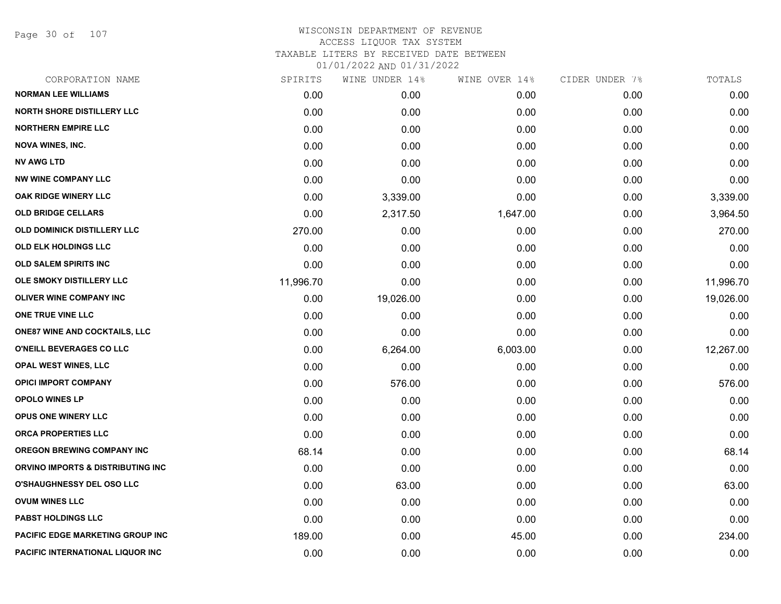Page 30 of 107

| CORPORATION NAME                     | SPIRITS   | WINE UNDER 14% | WINE OVER 14% | CIDER UNDER 7% | TOTALS    |
|--------------------------------------|-----------|----------------|---------------|----------------|-----------|
| <b>NORMAN LEE WILLIAMS</b>           | 0.00      | 0.00           | 0.00          | 0.00           | 0.00      |
| <b>NORTH SHORE DISTILLERY LLC</b>    | 0.00      | 0.00           | 0.00          | 0.00           | 0.00      |
| <b>NORTHERN EMPIRE LLC</b>           | 0.00      | 0.00           | 0.00          | 0.00           | 0.00      |
| <b>NOVA WINES, INC.</b>              | 0.00      | 0.00           | 0.00          | 0.00           | 0.00      |
| <b>NV AWG LTD</b>                    | 0.00      | 0.00           | 0.00          | 0.00           | 0.00      |
| <b>NW WINE COMPANY LLC</b>           | 0.00      | 0.00           | 0.00          | 0.00           | 0.00      |
| <b>OAK RIDGE WINERY LLC</b>          | 0.00      | 3,339.00       | 0.00          | 0.00           | 3,339.00  |
| <b>OLD BRIDGE CELLARS</b>            | 0.00      | 2,317.50       | 1,647.00      | 0.00           | 3,964.50  |
| OLD DOMINICK DISTILLERY LLC          | 270.00    | 0.00           | 0.00          | 0.00           | 270.00    |
| OLD ELK HOLDINGS LLC                 | 0.00      | 0.00           | 0.00          | 0.00           | 0.00      |
| OLD SALEM SPIRITS INC                | 0.00      | 0.00           | 0.00          | 0.00           | 0.00      |
| OLE SMOKY DISTILLERY LLC             | 11,996.70 | 0.00           | 0.00          | 0.00           | 11,996.70 |
| <b>OLIVER WINE COMPANY INC</b>       | 0.00      | 19,026.00      | 0.00          | 0.00           | 19,026.00 |
| ONE TRUE VINE LLC                    | 0.00      | 0.00           | 0.00          | 0.00           | 0.00      |
| <b>ONE87 WINE AND COCKTAILS, LLC</b> | 0.00      | 0.00           | 0.00          | 0.00           | 0.00      |
| O'NEILL BEVERAGES CO LLC             | 0.00      | 6,264.00       | 6,003.00      | 0.00           | 12,267.00 |
| <b>OPAL WEST WINES, LLC</b>          | 0.00      | 0.00           | 0.00          | 0.00           | 0.00      |
| <b>OPICI IMPORT COMPANY</b>          | 0.00      | 576.00         | 0.00          | 0.00           | 576.00    |
| <b>OPOLO WINES LP</b>                | 0.00      | 0.00           | 0.00          | 0.00           | 0.00      |
| OPUS ONE WINERY LLC                  | 0.00      | 0.00           | 0.00          | 0.00           | 0.00      |
| <b>ORCA PROPERTIES LLC</b>           | 0.00      | 0.00           | 0.00          | 0.00           | 0.00      |
| <b>OREGON BREWING COMPANY INC</b>    | 68.14     | 0.00           | 0.00          | 0.00           | 68.14     |
| ORVINO IMPORTS & DISTRIBUTING INC    | 0.00      | 0.00           | 0.00          | 0.00           | 0.00      |
| O'SHAUGHNESSY DEL OSO LLC            | 0.00      | 63.00          | 0.00          | 0.00           | 63.00     |
| <b>OVUM WINES LLC</b>                | 0.00      | 0.00           | 0.00          | 0.00           | 0.00      |
| <b>PABST HOLDINGS LLC</b>            | 0.00      | 0.00           | 0.00          | 0.00           | 0.00      |
| PACIFIC EDGE MARKETING GROUP INC     | 189.00    | 0.00           | 45.00         | 0.00           | 234.00    |
| PACIFIC INTERNATIONAL LIQUOR INC     | 0.00      | 0.00           | 0.00          | 0.00           | 0.00      |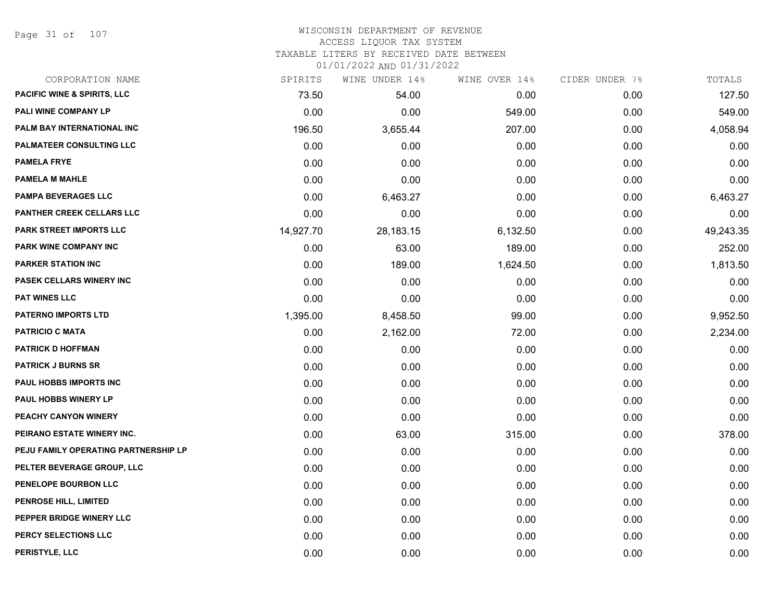Page 31 of 107

## WISCONSIN DEPARTMENT OF REVENUE ACCESS LIQUOR TAX SYSTEM TAXABLE LITERS BY RECEIVED DATE BETWEEN

| CORPORATION NAME                       | SPIRITS   | WINE UNDER 14% | WINE OVER 14% | CIDER UNDER 7% | TOTALS    |
|----------------------------------------|-----------|----------------|---------------|----------------|-----------|
| <b>PACIFIC WINE &amp; SPIRITS, LLC</b> | 73.50     | 54.00          | 0.00          | 0.00           | 127.50    |
| PALI WINE COMPANY LP                   | 0.00      | 0.00           | 549.00        | 0.00           | 549.00    |
| PALM BAY INTERNATIONAL INC             | 196.50    | 3,655.44       | 207.00        | 0.00           | 4,058.94  |
| <b>PALMATEER CONSULTING LLC</b>        | 0.00      | 0.00           | 0.00          | 0.00           | 0.00      |
| <b>PAMELA FRYE</b>                     | 0.00      | 0.00           | 0.00          | 0.00           | 0.00      |
| <b>PAMELA M MAHLE</b>                  | 0.00      | 0.00           | 0.00          | 0.00           | 0.00      |
| <b>PAMPA BEVERAGES LLC</b>             | 0.00      | 6,463.27       | 0.00          | 0.00           | 6,463.27  |
| PANTHER CREEK CELLARS LLC              | 0.00      | 0.00           | 0.00          | 0.00           | 0.00      |
| <b>PARK STREET IMPORTS LLC</b>         | 14,927.70 | 28,183.15      | 6,132.50      | 0.00           | 49,243.35 |
| PARK WINE COMPANY INC                  | 0.00      | 63.00          | 189.00        | 0.00           | 252.00    |
| <b>PARKER STATION INC</b>              | 0.00      | 189.00         | 1,624.50      | 0.00           | 1,813.50  |
| PASEK CELLARS WINERY INC               | 0.00      | 0.00           | 0.00          | 0.00           | 0.00      |
| <b>PAT WINES LLC</b>                   | 0.00      | 0.00           | 0.00          | 0.00           | 0.00      |
| <b>PATERNO IMPORTS LTD</b>             | 1,395.00  | 8,458.50       | 99.00         | 0.00           | 9,952.50  |
| <b>PATRICIO C MATA</b>                 | 0.00      | 2,162.00       | 72.00         | 0.00           | 2,234.00  |
| <b>PATRICK D HOFFMAN</b>               | 0.00      | 0.00           | 0.00          | 0.00           | 0.00      |
| <b>PATRICK J BURNS SR</b>              | 0.00      | 0.00           | 0.00          | 0.00           | 0.00      |
| PAUL HOBBS IMPORTS INC                 | 0.00      | 0.00           | 0.00          | 0.00           | 0.00      |
| <b>PAUL HOBBS WINERY LP</b>            | 0.00      | 0.00           | 0.00          | 0.00           | 0.00      |
| PEACHY CANYON WINERY                   | 0.00      | 0.00           | 0.00          | 0.00           | 0.00      |
| PEIRANO ESTATE WINERY INC.             | 0.00      | 63.00          | 315.00        | 0.00           | 378.00    |
| PEJU FAMILY OPERATING PARTNERSHIP LP   | 0.00      | 0.00           | 0.00          | 0.00           | 0.00      |
| PELTER BEVERAGE GROUP, LLC             | 0.00      | 0.00           | 0.00          | 0.00           | 0.00      |
| PENELOPE BOURBON LLC                   | 0.00      | 0.00           | 0.00          | 0.00           | 0.00      |
| <b>PENROSE HILL, LIMITED</b>           | 0.00      | 0.00           | 0.00          | 0.00           | 0.00      |
| PEPPER BRIDGE WINERY LLC               | 0.00      | 0.00           | 0.00          | 0.00           | 0.00      |
| PERCY SELECTIONS LLC                   | 0.00      | 0.00           | 0.00          | 0.00           | 0.00      |
| PERISTYLE, LLC                         | 0.00      | 0.00           | 0.00          | 0.00           | 0.00      |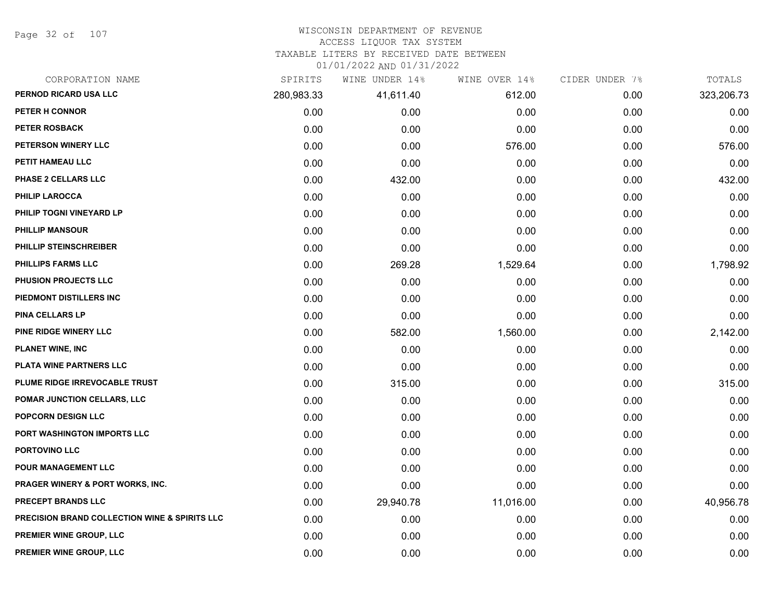Page 32 of 107

## WISCONSIN DEPARTMENT OF REVENUE

#### ACCESS LIQUOR TAX SYSTEM

TAXABLE LITERS BY RECEIVED DATE BETWEEN

| CORPORATION NAME                                         | SPIRITS    | WINE UNDER 14% | WINE OVER 14% | CIDER UNDER 7% | TOTALS     |
|----------------------------------------------------------|------------|----------------|---------------|----------------|------------|
| PERNOD RICARD USA LLC                                    | 280,983.33 | 41,611.40      | 612.00        | 0.00           | 323,206.73 |
| PETER H CONNOR                                           | 0.00       | 0.00           | 0.00          | 0.00           | 0.00       |
| PETER ROSBACK                                            | 0.00       | 0.00           | 0.00          | 0.00           | 0.00       |
| PETERSON WINERY LLC                                      | 0.00       | 0.00           | 576.00        | 0.00           | 576.00     |
| PETIT HAMEAU LLC                                         | 0.00       | 0.00           | 0.00          | 0.00           | 0.00       |
| PHASE 2 CELLARS LLC                                      | 0.00       | 432.00         | 0.00          | 0.00           | 432.00     |
| PHILIP LAROCCA                                           | 0.00       | 0.00           | 0.00          | 0.00           | 0.00       |
| PHILIP TOGNI VINEYARD LP                                 | 0.00       | 0.00           | 0.00          | 0.00           | 0.00       |
| <b>PHILLIP MANSOUR</b>                                   | 0.00       | 0.00           | 0.00          | 0.00           | 0.00       |
| PHILLIP STEINSCHREIBER                                   | 0.00       | 0.00           | 0.00          | 0.00           | 0.00       |
| <b>PHILLIPS FARMS LLC</b>                                | 0.00       | 269.28         | 1,529.64      | 0.00           | 1,798.92   |
| PHUSION PROJECTS LLC                                     | 0.00       | 0.00           | 0.00          | 0.00           | 0.00       |
| PIEDMONT DISTILLERS INC                                  | 0.00       | 0.00           | 0.00          | 0.00           | 0.00       |
| <b>PINA CELLARS LP</b>                                   | 0.00       | 0.00           | 0.00          | 0.00           | 0.00       |
| PINE RIDGE WINERY LLC                                    | 0.00       | 582.00         | 1,560.00      | 0.00           | 2,142.00   |
| <b>PLANET WINE, INC</b>                                  | 0.00       | 0.00           | 0.00          | 0.00           | 0.00       |
| PLATA WINE PARTNERS LLC                                  | 0.00       | 0.00           | 0.00          | 0.00           | 0.00       |
| PLUME RIDGE IRREVOCABLE TRUST                            | 0.00       | 315.00         | 0.00          | 0.00           | 315.00     |
| POMAR JUNCTION CELLARS, LLC                              | 0.00       | 0.00           | 0.00          | 0.00           | 0.00       |
| <b>POPCORN DESIGN LLC</b>                                | 0.00       | 0.00           | 0.00          | 0.00           | 0.00       |
| <b>PORT WASHINGTON IMPORTS LLC</b>                       | 0.00       | 0.00           | 0.00          | 0.00           | 0.00       |
| PORTOVINO LLC                                            | 0.00       | 0.00           | 0.00          | 0.00           | 0.00       |
| POUR MANAGEMENT LLC                                      | 0.00       | 0.00           | 0.00          | 0.00           | 0.00       |
| PRAGER WINERY & PORT WORKS, INC.                         | 0.00       | 0.00           | 0.00          | 0.00           | 0.00       |
| <b>PRECEPT BRANDS LLC</b>                                | 0.00       | 29,940.78      | 11,016.00     | 0.00           | 40,956.78  |
| <b>PRECISION BRAND COLLECTION WINE &amp; SPIRITS LLC</b> | 0.00       | 0.00           | 0.00          | 0.00           | 0.00       |
| PREMIER WINE GROUP, LLC                                  | 0.00       | 0.00           | 0.00          | 0.00           | 0.00       |
| PREMIER WINE GROUP, LLC                                  | 0.00       | 0.00           | 0.00          | 0.00           | 0.00       |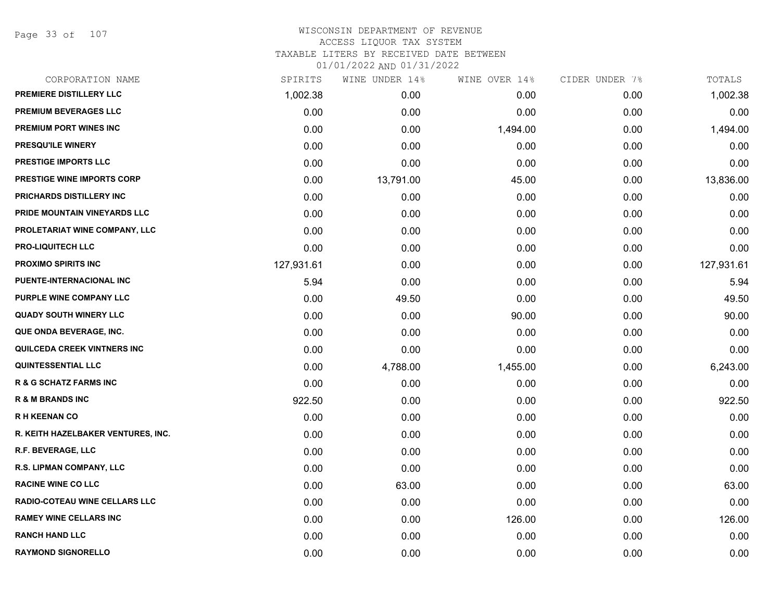Page 33 of 107

| CORPORATION NAME                     | SPIRITS    | WINE UNDER 14% | WINE OVER 14% | CIDER UNDER 7% | TOTALS     |
|--------------------------------------|------------|----------------|---------------|----------------|------------|
| PREMIERE DISTILLERY LLC              | 1,002.38   | 0.00           | 0.00          | 0.00           | 1,002.38   |
| PREMIUM BEVERAGES LLC                | 0.00       | 0.00           | 0.00          | 0.00           | 0.00       |
| <b>PREMIUM PORT WINES INC</b>        | 0.00       | 0.00           | 1,494.00      | 0.00           | 1,494.00   |
| PRESQU'ILE WINERY                    | 0.00       | 0.00           | 0.00          | 0.00           | 0.00       |
| <b>PRESTIGE IMPORTS LLC</b>          | 0.00       | 0.00           | 0.00          | 0.00           | 0.00       |
| <b>PRESTIGE WINE IMPORTS CORP</b>    | 0.00       | 13,791.00      | 45.00         | 0.00           | 13,836.00  |
| PRICHARDS DISTILLERY INC             | 0.00       | 0.00           | 0.00          | 0.00           | 0.00       |
| PRIDE MOUNTAIN VINEYARDS LLC         | 0.00       | 0.00           | 0.00          | 0.00           | 0.00       |
| PROLETARIAT WINE COMPANY, LLC        | 0.00       | 0.00           | 0.00          | 0.00           | 0.00       |
| <b>PRO-LIQUITECH LLC</b>             | 0.00       | 0.00           | 0.00          | 0.00           | 0.00       |
| <b>PROXIMO SPIRITS INC</b>           | 127,931.61 | 0.00           | 0.00          | 0.00           | 127,931.61 |
| PUENTE-INTERNACIONAL INC             | 5.94       | 0.00           | 0.00          | 0.00           | 5.94       |
| PURPLE WINE COMPANY LLC              | 0.00       | 49.50          | 0.00          | 0.00           | 49.50      |
| <b>QUADY SOUTH WINERY LLC</b>        | 0.00       | 0.00           | 90.00         | 0.00           | 90.00      |
| QUE ONDA BEVERAGE, INC.              | 0.00       | 0.00           | 0.00          | 0.00           | 0.00       |
| QUILCEDA CREEK VINTNERS INC          | 0.00       | 0.00           | 0.00          | 0.00           | 0.00       |
| <b>QUINTESSENTIAL LLC</b>            | 0.00       | 4,788.00       | 1,455.00      | 0.00           | 6,243.00   |
| <b>R &amp; G SCHATZ FARMS INC</b>    | 0.00       | 0.00           | 0.00          | 0.00           | 0.00       |
| <b>R &amp; M BRANDS INC</b>          | 922.50     | 0.00           | 0.00          | 0.00           | 922.50     |
| <b>RH KEENAN CO</b>                  | 0.00       | 0.00           | 0.00          | 0.00           | 0.00       |
| R. KEITH HAZELBAKER VENTURES, INC.   | 0.00       | 0.00           | 0.00          | 0.00           | 0.00       |
| <b>R.F. BEVERAGE, LLC</b>            | 0.00       | 0.00           | 0.00          | 0.00           | 0.00       |
| R.S. LIPMAN COMPANY, LLC             | 0.00       | 0.00           | 0.00          | 0.00           | 0.00       |
| <b>RACINE WINE CO LLC</b>            | 0.00       | 63.00          | 0.00          | 0.00           | 63.00      |
| <b>RADIO-COTEAU WINE CELLARS LLC</b> | 0.00       | 0.00           | 0.00          | 0.00           | 0.00       |
| <b>RAMEY WINE CELLARS INC</b>        | 0.00       | 0.00           | 126.00        | 0.00           | 126.00     |
| <b>RANCH HAND LLC</b>                | 0.00       | 0.00           | 0.00          | 0.00           | 0.00       |
| <b>RAYMOND SIGNORELLO</b>            | 0.00       | 0.00           | 0.00          | 0.00           | 0.00       |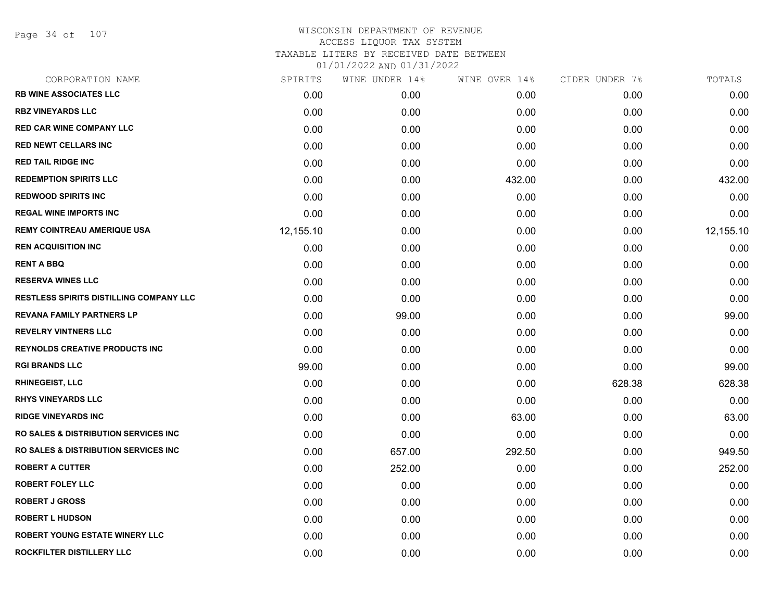Page 34 of 107

| CORPORATION NAME                                 | SPIRITS   | WINE UNDER 14% | WINE OVER 14% | CIDER UNDER 7% | TOTALS    |
|--------------------------------------------------|-----------|----------------|---------------|----------------|-----------|
| <b>RB WINE ASSOCIATES LLC</b>                    | 0.00      | 0.00           | 0.00          | 0.00           | 0.00      |
| <b>RBZ VINEYARDS LLC</b>                         | 0.00      | 0.00           | 0.00          | 0.00           | 0.00      |
| <b>RED CAR WINE COMPANY LLC</b>                  | 0.00      | 0.00           | 0.00          | 0.00           | 0.00      |
| <b>RED NEWT CELLARS INC</b>                      | 0.00      | 0.00           | 0.00          | 0.00           | 0.00      |
| <b>RED TAIL RIDGE INC</b>                        | 0.00      | 0.00           | 0.00          | 0.00           | 0.00      |
| <b>REDEMPTION SPIRITS LLC</b>                    | 0.00      | 0.00           | 432.00        | 0.00           | 432.00    |
| <b>REDWOOD SPIRITS INC</b>                       | 0.00      | 0.00           | 0.00          | 0.00           | 0.00      |
| <b>REGAL WINE IMPORTS INC</b>                    | 0.00      | 0.00           | 0.00          | 0.00           | 0.00      |
| <b>REMY COINTREAU AMERIQUE USA</b>               | 12,155.10 | 0.00           | 0.00          | 0.00           | 12,155.10 |
| <b>REN ACQUISITION INC</b>                       | 0.00      | 0.00           | 0.00          | 0.00           | 0.00      |
| <b>RENT A BBQ</b>                                | 0.00      | 0.00           | 0.00          | 0.00           | 0.00      |
| <b>RESERVA WINES LLC</b>                         | 0.00      | 0.00           | 0.00          | 0.00           | 0.00      |
| RESTLESS SPIRITS DISTILLING COMPANY LLC          | 0.00      | 0.00           | 0.00          | 0.00           | 0.00      |
| <b>REVANA FAMILY PARTNERS LP</b>                 | 0.00      | 99.00          | 0.00          | 0.00           | 99.00     |
| <b>REVELRY VINTNERS LLC</b>                      | 0.00      | 0.00           | 0.00          | 0.00           | 0.00      |
| <b>REYNOLDS CREATIVE PRODUCTS INC</b>            | 0.00      | 0.00           | 0.00          | 0.00           | 0.00      |
| <b>RGI BRANDS LLC</b>                            | 99.00     | 0.00           | 0.00          | 0.00           | 99.00     |
| <b>RHINEGEIST, LLC</b>                           | 0.00      | 0.00           | 0.00          | 628.38         | 628.38    |
| <b>RHYS VINEYARDS LLC</b>                        | 0.00      | 0.00           | 0.00          | 0.00           | 0.00      |
| <b>RIDGE VINEYARDS INC</b>                       | 0.00      | 0.00           | 63.00         | 0.00           | 63.00     |
| <b>RO SALES &amp; DISTRIBUTION SERVICES INC.</b> | 0.00      | 0.00           | 0.00          | 0.00           | 0.00      |
| <b>RO SALES &amp; DISTRIBUTION SERVICES INC.</b> | 0.00      | 657.00         | 292.50        | 0.00           | 949.50    |
| <b>ROBERT A CUTTER</b>                           | 0.00      | 252.00         | 0.00          | 0.00           | 252.00    |
| <b>ROBERT FOLEY LLC</b>                          | 0.00      | 0.00           | 0.00          | 0.00           | 0.00      |
| <b>ROBERT J GROSS</b>                            | 0.00      | 0.00           | 0.00          | 0.00           | 0.00      |
| <b>ROBERT L HUDSON</b>                           | 0.00      | 0.00           | 0.00          | 0.00           | 0.00      |
| ROBERT YOUNG ESTATE WINERY LLC                   | 0.00      | 0.00           | 0.00          | 0.00           | 0.00      |
| ROCKFILTER DISTILLERY LLC                        | 0.00      | 0.00           | 0.00          | 0.00           | 0.00      |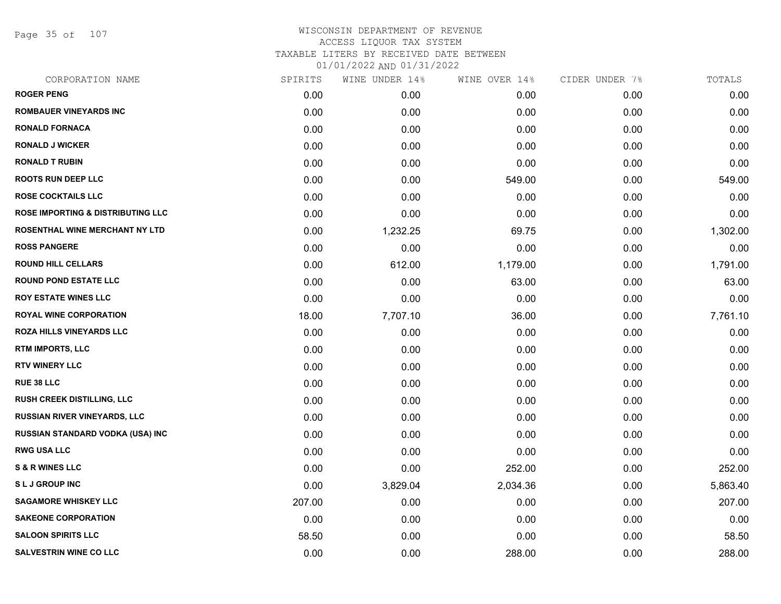Page 35 of 107

| CORPORATION NAME                             | SPIRITS | WINE UNDER 14% | WINE OVER 14% | CIDER UNDER 7% | TOTALS   |
|----------------------------------------------|---------|----------------|---------------|----------------|----------|
| <b>ROGER PENG</b>                            | 0.00    | 0.00           | 0.00          | 0.00           | 0.00     |
| ROMBAUER VINEYARDS INC                       | 0.00    | 0.00           | 0.00          | 0.00           | 0.00     |
| <b>RONALD FORNACA</b>                        | 0.00    | 0.00           | 0.00          | 0.00           | 0.00     |
| <b>RONALD J WICKER</b>                       | 0.00    | 0.00           | 0.00          | 0.00           | 0.00     |
| <b>RONALD T RUBIN</b>                        | 0.00    | 0.00           | 0.00          | 0.00           | 0.00     |
| <b>ROOTS RUN DEEP LLC</b>                    | 0.00    | 0.00           | 549.00        | 0.00           | 549.00   |
| <b>ROSE COCKTAILS LLC</b>                    | 0.00    | 0.00           | 0.00          | 0.00           | 0.00     |
| <b>ROSE IMPORTING &amp; DISTRIBUTING LLC</b> | 0.00    | 0.00           | 0.00          | 0.00           | 0.00     |
| ROSENTHAL WINE MERCHANT NY LTD               | 0.00    | 1,232.25       | 69.75         | 0.00           | 1,302.00 |
| <b>ROSS PANGERE</b>                          | 0.00    | 0.00           | 0.00          | 0.00           | 0.00     |
| <b>ROUND HILL CELLARS</b>                    | 0.00    | 612.00         | 1,179.00      | 0.00           | 1,791.00 |
| <b>ROUND POND ESTATE LLC</b>                 | 0.00    | 0.00           | 63.00         | 0.00           | 63.00    |
| <b>ROY ESTATE WINES LLC</b>                  | 0.00    | 0.00           | 0.00          | 0.00           | 0.00     |
| <b>ROYAL WINE CORPORATION</b>                | 18.00   | 7,707.10       | 36.00         | 0.00           | 7,761.10 |
| <b>ROZA HILLS VINEYARDS LLC</b>              | 0.00    | 0.00           | 0.00          | 0.00           | 0.00     |
| RTM IMPORTS, LLC                             | 0.00    | 0.00           | 0.00          | 0.00           | 0.00     |
| <b>RTV WINERY LLC</b>                        | 0.00    | 0.00           | 0.00          | 0.00           | 0.00     |
| RUE 38 LLC                                   | 0.00    | 0.00           | 0.00          | 0.00           | 0.00     |
| <b>RUSH CREEK DISTILLING, LLC</b>            | 0.00    | 0.00           | 0.00          | 0.00           | 0.00     |
| <b>RUSSIAN RIVER VINEYARDS, LLC</b>          | 0.00    | 0.00           | 0.00          | 0.00           | 0.00     |
| RUSSIAN STANDARD VODKA (USA) INC             | 0.00    | 0.00           | 0.00          | 0.00           | 0.00     |
| <b>RWG USA LLC</b>                           | 0.00    | 0.00           | 0.00          | 0.00           | 0.00     |
| <b>S &amp; R WINES LLC</b>                   | 0.00    | 0.00           | 252.00        | 0.00           | 252.00   |
| <b>SLJ GROUP INC</b>                         | 0.00    | 3,829.04       | 2,034.36      | 0.00           | 5,863.40 |
| <b>SAGAMORE WHISKEY LLC</b>                  | 207.00  | 0.00           | 0.00          | 0.00           | 207.00   |
| <b>SAKEONE CORPORATION</b>                   | 0.00    | 0.00           | 0.00          | 0.00           | 0.00     |
| <b>SALOON SPIRITS LLC</b>                    | 58.50   | 0.00           | 0.00          | 0.00           | 58.50    |
| <b>SALVESTRIN WINE CO LLC</b>                | 0.00    | 0.00           | 288.00        | 0.00           | 288.00   |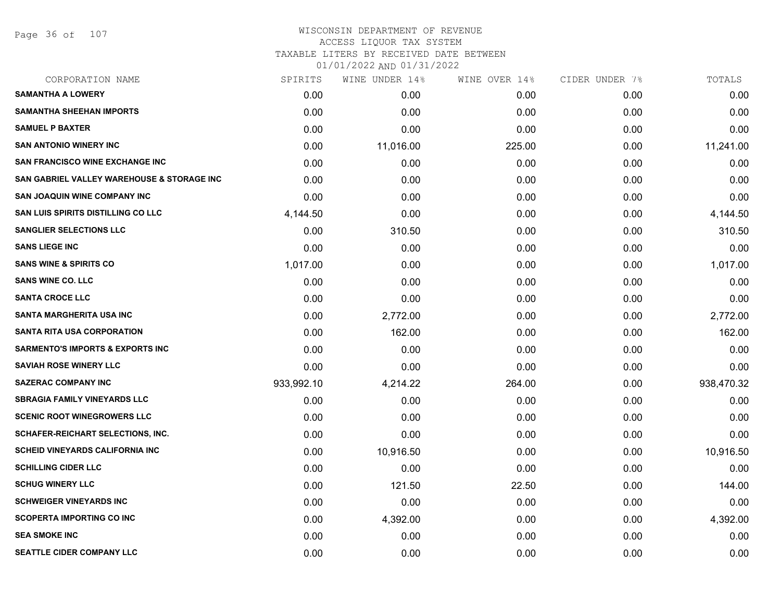Page 36 of 107

## WISCONSIN DEPARTMENT OF REVENUE ACCESS LIQUOR TAX SYSTEM

TAXABLE LITERS BY RECEIVED DATE BETWEEN

| CORPORATION NAME                            | SPIRITS    | WINE UNDER 14% | WINE OVER 14% | CIDER UNDER 7% | TOTALS     |
|---------------------------------------------|------------|----------------|---------------|----------------|------------|
| <b>SAMANTHA A LOWERY</b>                    | 0.00       | 0.00           | 0.00          | 0.00           | 0.00       |
| <b>SAMANTHA SHEEHAN IMPORTS</b>             | 0.00       | 0.00           | 0.00          | 0.00           | 0.00       |
| <b>SAMUEL P BAXTER</b>                      | 0.00       | 0.00           | 0.00          | 0.00           | 0.00       |
| <b>SAN ANTONIO WINERY INC</b>               | 0.00       | 11,016.00      | 225.00        | 0.00           | 11,241.00  |
| <b>SAN FRANCISCO WINE EXCHANGE INC</b>      | 0.00       | 0.00           | 0.00          | 0.00           | 0.00       |
| SAN GABRIEL VALLEY WAREHOUSE & STORAGE INC  | 0.00       | 0.00           | 0.00          | 0.00           | 0.00       |
| <b>SAN JOAQUIN WINE COMPANY INC</b>         | 0.00       | 0.00           | 0.00          | 0.00           | 0.00       |
| <b>SAN LUIS SPIRITS DISTILLING CO LLC</b>   | 4,144.50   | 0.00           | 0.00          | 0.00           | 4,144.50   |
| <b>SANGLIER SELECTIONS LLC</b>              | 0.00       | 310.50         | 0.00          | 0.00           | 310.50     |
| <b>SANS LIEGE INC</b>                       | 0.00       | 0.00           | 0.00          | 0.00           | 0.00       |
| <b>SANS WINE &amp; SPIRITS CO</b>           | 1,017.00   | 0.00           | 0.00          | 0.00           | 1,017.00   |
| <b>SANS WINE CO. LLC</b>                    | 0.00       | 0.00           | 0.00          | 0.00           | 0.00       |
| <b>SANTA CROCE LLC</b>                      | 0.00       | 0.00           | 0.00          | 0.00           | 0.00       |
| SANTA MARGHERITA USA INC                    | 0.00       | 2,772.00       | 0.00          | 0.00           | 2,772.00   |
| <b>SANTA RITA USA CORPORATION</b>           | 0.00       | 162.00         | 0.00          | 0.00           | 162.00     |
| <b>SARMENTO'S IMPORTS &amp; EXPORTS INC</b> | 0.00       | 0.00           | 0.00          | 0.00           | 0.00       |
| <b>SAVIAH ROSE WINERY LLC</b>               | 0.00       | 0.00           | 0.00          | 0.00           | 0.00       |
| <b>SAZERAC COMPANY INC</b>                  | 933,992.10 | 4,214.22       | 264.00        | 0.00           | 938,470.32 |
| <b>SBRAGIA FAMILY VINEYARDS LLC</b>         | 0.00       | 0.00           | 0.00          | 0.00           | 0.00       |
| <b>SCENIC ROOT WINEGROWERS LLC</b>          | 0.00       | 0.00           | 0.00          | 0.00           | 0.00       |
| SCHAFER-REICHART SELECTIONS, INC.           | 0.00       | 0.00           | 0.00          | 0.00           | 0.00       |
| <b>SCHEID VINEYARDS CALIFORNIA INC</b>      | 0.00       | 10,916.50      | 0.00          | 0.00           | 10,916.50  |
| <b>SCHILLING CIDER LLC</b>                  | 0.00       | 0.00           | 0.00          | 0.00           | 0.00       |
| <b>SCHUG WINERY LLC</b>                     | 0.00       | 121.50         | 22.50         | 0.00           | 144.00     |
| <b>SCHWEIGER VINEYARDS INC</b>              | 0.00       | 0.00           | 0.00          | 0.00           | 0.00       |
| <b>SCOPERTA IMPORTING CO INC</b>            | 0.00       | 4,392.00       | 0.00          | 0.00           | 4,392.00   |
| <b>SEA SMOKE INC</b>                        | 0.00       | 0.00           | 0.00          | 0.00           | 0.00       |
| <b>SEATTLE CIDER COMPANY LLC</b>            | 0.00       | 0.00           | 0.00          | 0.00           | 0.00       |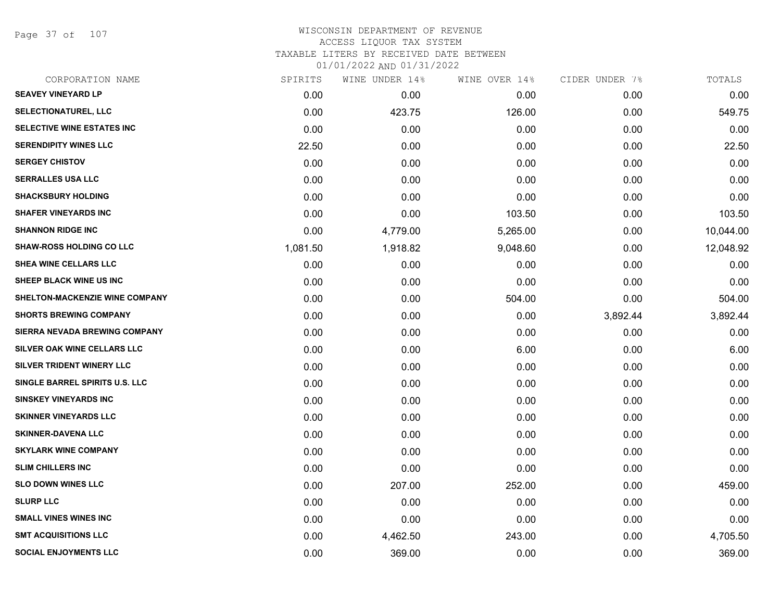Page 37 of 107

### WISCONSIN DEPARTMENT OF REVENUE ACCESS LIQUOR TAX SYSTEM TAXABLE LITERS BY RECEIVED DATE BETWEEN

| CORPORATION NAME                | SPIRITS  | WINE UNDER 14% | WINE OVER 14% | CIDER UNDER 7% | TOTALS    |
|---------------------------------|----------|----------------|---------------|----------------|-----------|
| <b>SEAVEY VINEYARD LP</b>       | 0.00     | 0.00           | 0.00          | 0.00           | 0.00      |
| SELECTIONATUREL, LLC            | 0.00     | 423.75         | 126.00        | 0.00           | 549.75    |
| SELECTIVE WINE ESTATES INC      | 0.00     | 0.00           | 0.00          | 0.00           | 0.00      |
| <b>SERENDIPITY WINES LLC</b>    | 22.50    | 0.00           | 0.00          | 0.00           | 22.50     |
| <b>SERGEY CHISTOV</b>           | 0.00     | 0.00           | 0.00          | 0.00           | 0.00      |
| <b>SERRALLES USA LLC</b>        | 0.00     | 0.00           | 0.00          | 0.00           | 0.00      |
| <b>SHACKSBURY HOLDING</b>       | 0.00     | 0.00           | 0.00          | 0.00           | 0.00      |
| <b>SHAFER VINEYARDS INC</b>     | 0.00     | 0.00           | 103.50        | 0.00           | 103.50    |
| <b>SHANNON RIDGE INC</b>        | 0.00     | 4,779.00       | 5,265.00      | 0.00           | 10,044.00 |
| <b>SHAW-ROSS HOLDING CO LLC</b> | 1,081.50 | 1,918.82       | 9,048.60      | 0.00           | 12,048.92 |
| SHEA WINE CELLARS LLC           | 0.00     | 0.00           | 0.00          | 0.00           | 0.00      |
| SHEEP BLACK WINE US INC         | 0.00     | 0.00           | 0.00          | 0.00           | 0.00      |
| SHELTON-MACKENZIE WINE COMPANY  | 0.00     | 0.00           | 504.00        | 0.00           | 504.00    |
| <b>SHORTS BREWING COMPANY</b>   | 0.00     | 0.00           | 0.00          | 3,892.44       | 3,892.44  |
| SIERRA NEVADA BREWING COMPANY   | 0.00     | 0.00           | 0.00          | 0.00           | 0.00      |
| SILVER OAK WINE CELLARS LLC     | 0.00     | 0.00           | 6.00          | 0.00           | 6.00      |
| SILVER TRIDENT WINERY LLC       | 0.00     | 0.00           | 0.00          | 0.00           | 0.00      |
| SINGLE BARREL SPIRITS U.S. LLC  | 0.00     | 0.00           | 0.00          | 0.00           | 0.00      |
| <b>SINSKEY VINEYARDS INC</b>    | 0.00     | 0.00           | 0.00          | 0.00           | 0.00      |
| <b>SKINNER VINEYARDS LLC</b>    | 0.00     | 0.00           | 0.00          | 0.00           | 0.00      |
| <b>SKINNER-DAVENA LLC</b>       | 0.00     | 0.00           | 0.00          | 0.00           | 0.00      |
| <b>SKYLARK WINE COMPANY</b>     | 0.00     | 0.00           | 0.00          | 0.00           | 0.00      |
| <b>SLIM CHILLERS INC</b>        | 0.00     | 0.00           | 0.00          | 0.00           | 0.00      |
| <b>SLO DOWN WINES LLC</b>       | 0.00     | 207.00         | 252.00        | 0.00           | 459.00    |
| <b>SLURP LLC</b>                | 0.00     | 0.00           | 0.00          | 0.00           | 0.00      |
| <b>SMALL VINES WINES INC</b>    | 0.00     | 0.00           | 0.00          | 0.00           | 0.00      |
| <b>SMT ACQUISITIONS LLC</b>     | 0.00     | 4,462.50       | 243.00        | 0.00           | 4,705.50  |
| <b>SOCIAL ENJOYMENTS LLC</b>    | 0.00     | 369.00         | 0.00          | 0.00           | 369.00    |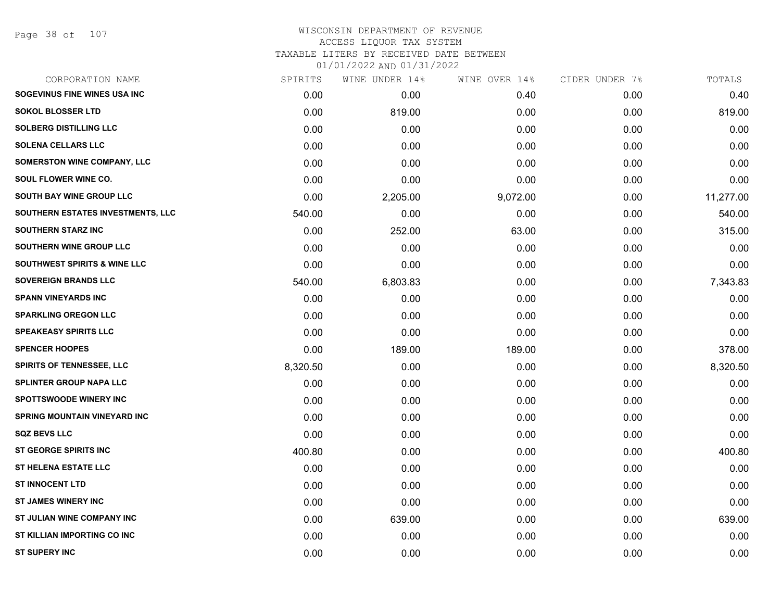#### WISCONSIN DEPARTMENT OF REVENUE ACCESS LIQUOR TAX SYSTEM TAXABLE LITERS BY RECEIVED DATE BETWEEN

| CORPORATION NAME                        | SPIRITS  | WINE UNDER 14% | WINE OVER 14% | CIDER UNDER 7% | TOTALS    |
|-----------------------------------------|----------|----------------|---------------|----------------|-----------|
| SOGEVINUS FINE WINES USA INC            | 0.00     | 0.00           | 0.40          | 0.00           | 0.40      |
| <b>SOKOL BLOSSER LTD</b>                | 0.00     | 819.00         | 0.00          | 0.00           | 819.00    |
| <b>SOLBERG DISTILLING LLC</b>           | 0.00     | 0.00           | 0.00          | 0.00           | 0.00      |
| <b>SOLENA CELLARS LLC</b>               | 0.00     | 0.00           | 0.00          | 0.00           | 0.00      |
| SOMERSTON WINE COMPANY, LLC             | 0.00     | 0.00           | 0.00          | 0.00           | 0.00      |
| SOUL FLOWER WINE CO.                    | 0.00     | 0.00           | 0.00          | 0.00           | 0.00      |
| SOUTH BAY WINE GROUP LLC                | 0.00     | 2,205.00       | 9,072.00      | 0.00           | 11,277.00 |
| SOUTHERN ESTATES INVESTMENTS, LLC       | 540.00   | 0.00           | 0.00          | 0.00           | 540.00    |
| <b>SOUTHERN STARZ INC</b>               | 0.00     | 252.00         | 63.00         | 0.00           | 315.00    |
| SOUTHERN WINE GROUP LLC                 | 0.00     | 0.00           | 0.00          | 0.00           | 0.00      |
| <b>SOUTHWEST SPIRITS &amp; WINE LLC</b> | 0.00     | 0.00           | 0.00          | 0.00           | 0.00      |
| <b>SOVEREIGN BRANDS LLC</b>             | 540.00   | 6,803.83       | 0.00          | 0.00           | 7,343.83  |
| <b>SPANN VINEYARDS INC</b>              | 0.00     | 0.00           | 0.00          | 0.00           | 0.00      |
| <b>SPARKLING OREGON LLC</b>             | 0.00     | 0.00           | 0.00          | 0.00           | 0.00      |
| <b>SPEAKEASY SPIRITS LLC</b>            | 0.00     | 0.00           | 0.00          | 0.00           | 0.00      |
| <b>SPENCER HOOPES</b>                   | 0.00     | 189.00         | 189.00        | 0.00           | 378.00    |
| <b>SPIRITS OF TENNESSEE, LLC</b>        | 8,320.50 | 0.00           | 0.00          | 0.00           | 8,320.50  |
| <b>SPLINTER GROUP NAPA LLC</b>          | 0.00     | 0.00           | 0.00          | 0.00           | 0.00      |
| <b>SPOTTSWOODE WINERY INC</b>           | 0.00     | 0.00           | 0.00          | 0.00           | 0.00      |
| <b>SPRING MOUNTAIN VINEYARD INC</b>     | 0.00     | 0.00           | 0.00          | 0.00           | 0.00      |
| <b>SQZ BEVS LLC</b>                     | 0.00     | 0.00           | 0.00          | 0.00           | 0.00      |
| <b>ST GEORGE SPIRITS INC</b>            | 400.80   | 0.00           | 0.00          | 0.00           | 400.80    |
| <b>ST HELENA ESTATE LLC</b>             | 0.00     | 0.00           | 0.00          | 0.00           | 0.00      |
| <b>ST INNOCENT LTD</b>                  | 0.00     | 0.00           | 0.00          | 0.00           | 0.00      |
| <b>ST JAMES WINERY INC</b>              | 0.00     | 0.00           | 0.00          | 0.00           | 0.00      |
| ST JULIAN WINE COMPANY INC              | 0.00     | 639.00         | 0.00          | 0.00           | 639.00    |
| ST KILLIAN IMPORTING CO INC             | 0.00     | 0.00           | 0.00          | 0.00           | 0.00      |
| <b>ST SUPERY INC</b>                    | 0.00     | 0.00           | 0.00          | 0.00           | 0.00      |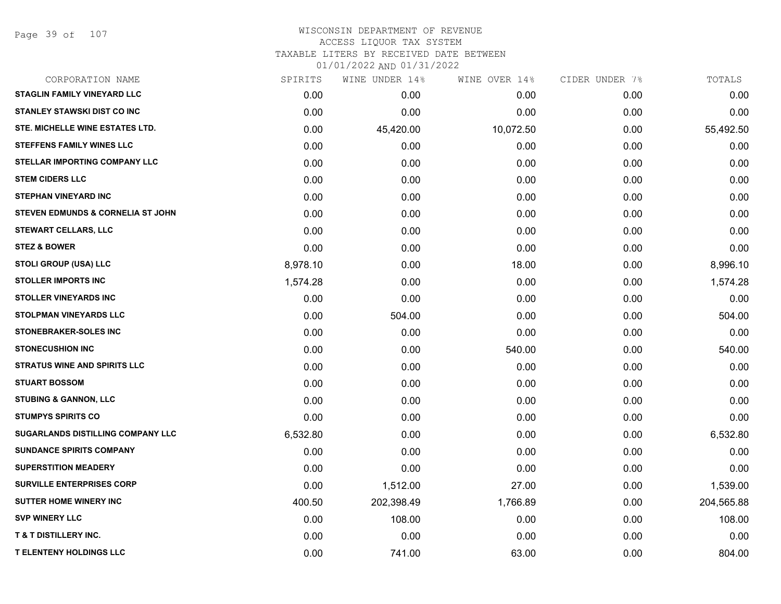Page 39 of 107

# WISCONSIN DEPARTMENT OF REVENUE ACCESS LIQUOR TAX SYSTEM

TAXABLE LITERS BY RECEIVED DATE BETWEEN

| CORPORATION NAME                             | SPIRITS  | WINE UNDER 14% | WINE OVER 14% | CIDER UNDER 7% | TOTALS     |
|----------------------------------------------|----------|----------------|---------------|----------------|------------|
| <b>STAGLIN FAMILY VINEYARD LLC</b>           | 0.00     | 0.00           | 0.00          | 0.00           | 0.00       |
| <b>STANLEY STAWSKI DIST CO INC</b>           | 0.00     | 0.00           | 0.00          | 0.00           | 0.00       |
| STE. MICHELLE WINE ESTATES LTD.              | 0.00     | 45,420.00      | 10,072.50     | 0.00           | 55,492.50  |
| <b>STEFFENS FAMILY WINES LLC</b>             | 0.00     | 0.00           | 0.00          | 0.00           | 0.00       |
| <b>STELLAR IMPORTING COMPANY LLC</b>         | 0.00     | 0.00           | 0.00          | 0.00           | 0.00       |
| <b>STEM CIDERS LLC</b>                       | 0.00     | 0.00           | 0.00          | 0.00           | 0.00       |
| <b>STEPHAN VINEYARD INC</b>                  | 0.00     | 0.00           | 0.00          | 0.00           | 0.00       |
| <b>STEVEN EDMUNDS &amp; CORNELIA ST JOHN</b> | 0.00     | 0.00           | 0.00          | 0.00           | 0.00       |
| <b>STEWART CELLARS, LLC</b>                  | 0.00     | 0.00           | 0.00          | 0.00           | 0.00       |
| <b>STEZ &amp; BOWER</b>                      | 0.00     | 0.00           | 0.00          | 0.00           | 0.00       |
| STOLI GROUP (USA) LLC                        | 8,978.10 | 0.00           | 18.00         | 0.00           | 8,996.10   |
| <b>STOLLER IMPORTS INC</b>                   | 1,574.28 | 0.00           | 0.00          | 0.00           | 1,574.28   |
| <b>STOLLER VINEYARDS INC</b>                 | 0.00     | 0.00           | 0.00          | 0.00           | 0.00       |
| <b>STOLPMAN VINEYARDS LLC</b>                | 0.00     | 504.00         | 0.00          | 0.00           | 504.00     |
| <b>STONEBRAKER-SOLES INC</b>                 | 0.00     | 0.00           | 0.00          | 0.00           | 0.00       |
| <b>STONECUSHION INC</b>                      | 0.00     | 0.00           | 540.00        | 0.00           | 540.00     |
| <b>STRATUS WINE AND SPIRITS LLC</b>          | 0.00     | 0.00           | 0.00          | 0.00           | 0.00       |
| <b>STUART BOSSOM</b>                         | 0.00     | 0.00           | 0.00          | 0.00           | 0.00       |
| <b>STUBING &amp; GANNON, LLC</b>             | 0.00     | 0.00           | 0.00          | 0.00           | 0.00       |
| <b>STUMPYS SPIRITS CO</b>                    | 0.00     | 0.00           | 0.00          | 0.00           | 0.00       |
| <b>SUGARLANDS DISTILLING COMPANY LLC</b>     | 6,532.80 | 0.00           | 0.00          | 0.00           | 6,532.80   |
| <b>SUNDANCE SPIRITS COMPANY</b>              | 0.00     | 0.00           | 0.00          | 0.00           | 0.00       |
| <b>SUPERSTITION MEADERY</b>                  | 0.00     | 0.00           | 0.00          | 0.00           | 0.00       |
| <b>SURVILLE ENTERPRISES CORP</b>             | 0.00     | 1,512.00       | 27.00         | 0.00           | 1,539.00   |
| <b>SUTTER HOME WINERY INC</b>                | 400.50   | 202,398.49     | 1,766.89      | 0.00           | 204,565.88 |
| <b>SVP WINERY LLC</b>                        | 0.00     | 108.00         | 0.00          | 0.00           | 108.00     |
| <b>T &amp; T DISTILLERY INC.</b>             | 0.00     | 0.00           | 0.00          | 0.00           | 0.00       |
| <b>T ELENTENY HOLDINGS LLC</b>               | 0.00     | 741.00         | 63.00         | 0.00           | 804.00     |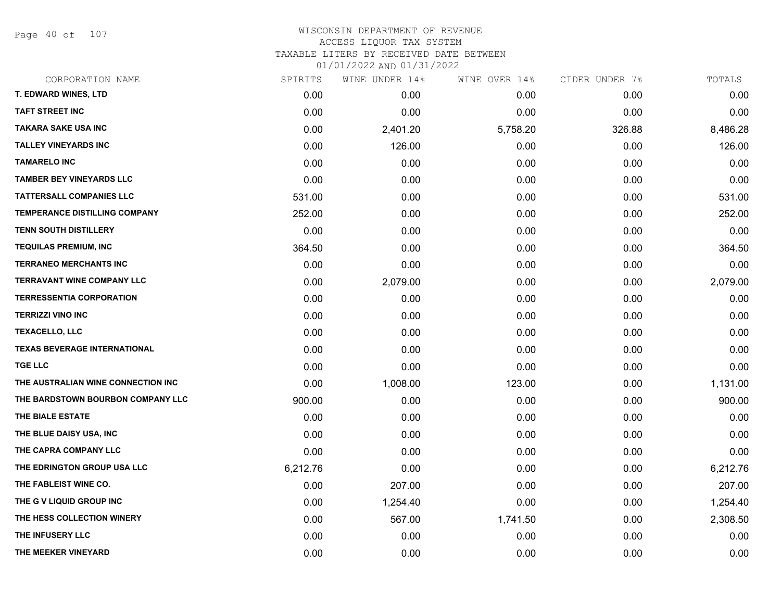Page 40 of 107

| CORPORATION NAME                    | SPIRITS  | WINE UNDER 14% | WINE OVER 14% | CIDER UNDER 7% | TOTALS   |
|-------------------------------------|----------|----------------|---------------|----------------|----------|
| <b>T. EDWARD WINES, LTD</b>         | 0.00     | 0.00           | 0.00          | 0.00           | 0.00     |
| <b>TAFT STREET INC</b>              | 0.00     | 0.00           | 0.00          | 0.00           | 0.00     |
| <b>TAKARA SAKE USA INC</b>          | 0.00     | 2,401.20       | 5,758.20      | 326.88         | 8,486.28 |
| <b>TALLEY VINEYARDS INC</b>         | 0.00     | 126.00         | 0.00          | 0.00           | 126.00   |
| <b>TAMARELO INC</b>                 | 0.00     | 0.00           | 0.00          | 0.00           | 0.00     |
| <b>TAMBER BEY VINEYARDS LLC</b>     | 0.00     | 0.00           | 0.00          | 0.00           | 0.00     |
| <b>TATTERSALL COMPANIES LLC</b>     | 531.00   | 0.00           | 0.00          | 0.00           | 531.00   |
| TEMPERANCE DISTILLING COMPANY       | 252.00   | 0.00           | 0.00          | 0.00           | 252.00   |
| <b>TENN SOUTH DISTILLERY</b>        | 0.00     | 0.00           | 0.00          | 0.00           | 0.00     |
| <b>TEQUILAS PREMIUM, INC</b>        | 364.50   | 0.00           | 0.00          | 0.00           | 364.50   |
| <b>TERRANEO MERCHANTS INC</b>       | 0.00     | 0.00           | 0.00          | 0.00           | 0.00     |
| <b>TERRAVANT WINE COMPANY LLC</b>   | 0.00     | 2,079.00       | 0.00          | 0.00           | 2,079.00 |
| <b>TERRESSENTIA CORPORATION</b>     | 0.00     | 0.00           | 0.00          | 0.00           | 0.00     |
| <b>TERRIZZI VINO INC</b>            | 0.00     | 0.00           | 0.00          | 0.00           | 0.00     |
| <b>TEXACELLO, LLC</b>               | 0.00     | 0.00           | 0.00          | 0.00           | 0.00     |
| <b>TEXAS BEVERAGE INTERNATIONAL</b> | 0.00     | 0.00           | 0.00          | 0.00           | 0.00     |
| <b>TGE LLC</b>                      | 0.00     | 0.00           | 0.00          | 0.00           | 0.00     |
| THE AUSTRALIAN WINE CONNECTION INC  | 0.00     | 1,008.00       | 123.00        | 0.00           | 1,131.00 |
| THE BARDSTOWN BOURBON COMPANY LLC   | 900.00   | 0.00           | 0.00          | 0.00           | 900.00   |
| THE BIALE ESTATE                    | 0.00     | 0.00           | 0.00          | 0.00           | 0.00     |
| THE BLUE DAISY USA, INC             | 0.00     | 0.00           | 0.00          | 0.00           | 0.00     |
| THE CAPRA COMPANY LLC               | 0.00     | 0.00           | 0.00          | 0.00           | 0.00     |
| THE EDRINGTON GROUP USA LLC         | 6,212.76 | 0.00           | 0.00          | 0.00           | 6,212.76 |
| THE FABLEIST WINE CO.               | 0.00     | 207.00         | 0.00          | 0.00           | 207.00   |
| THE G V LIQUID GROUP INC            | 0.00     | 1,254.40       | 0.00          | 0.00           | 1,254.40 |
| THE HESS COLLECTION WINERY          | 0.00     | 567.00         | 1,741.50      | 0.00           | 2,308.50 |
| THE INFUSERY LLC                    | 0.00     | 0.00           | 0.00          | 0.00           | 0.00     |
| THE MEEKER VINEYARD                 | 0.00     | 0.00           | 0.00          | 0.00           | 0.00     |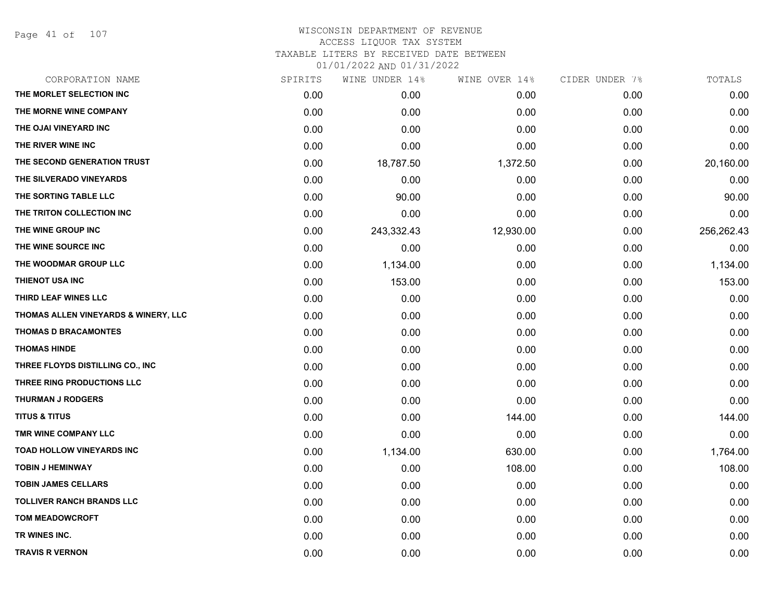Page 41 of 107

### WISCONSIN DEPARTMENT OF REVENUE ACCESS LIQUOR TAX SYSTEM TAXABLE LITERS BY RECEIVED DATE BETWEEN

| CORPORATION NAME                                | SPIRITS | WINE UNDER 14% | WINE OVER 14% | CIDER UNDER 7% | TOTALS     |
|-------------------------------------------------|---------|----------------|---------------|----------------|------------|
| THE MORLET SELECTION INC                        | 0.00    | 0.00           | 0.00          | 0.00           | 0.00       |
| THE MORNE WINE COMPANY                          | 0.00    | 0.00           | 0.00          | 0.00           | 0.00       |
| THE OJAI VINEYARD INC                           | 0.00    | 0.00           | 0.00          | 0.00           | 0.00       |
| THE RIVER WINE INC                              | 0.00    | 0.00           | 0.00          | 0.00           | 0.00       |
| THE SECOND GENERATION TRUST                     | 0.00    | 18,787.50      | 1,372.50      | 0.00           | 20,160.00  |
| THE SILVERADO VINEYARDS                         | 0.00    | 0.00           | 0.00          | 0.00           | 0.00       |
| THE SORTING TABLE LLC                           | 0.00    | 90.00          | 0.00          | 0.00           | 90.00      |
| THE TRITON COLLECTION INC                       | 0.00    | 0.00           | 0.00          | 0.00           | 0.00       |
| THE WINE GROUP INC                              | 0.00    | 243,332.43     | 12,930.00     | 0.00           | 256,262.43 |
| THE WINE SOURCE INC                             | 0.00    | 0.00           | 0.00          | 0.00           | 0.00       |
| THE WOODMAR GROUP LLC                           | 0.00    | 1,134.00       | 0.00          | 0.00           | 1,134.00   |
| THIENOT USA INC                                 | 0.00    | 153.00         | 0.00          | 0.00           | 153.00     |
| THIRD LEAF WINES LLC                            | 0.00    | 0.00           | 0.00          | 0.00           | 0.00       |
| <b>THOMAS ALLEN VINEYARDS &amp; WINERY, LLC</b> | 0.00    | 0.00           | 0.00          | 0.00           | 0.00       |
| <b>THOMAS D BRACAMONTES</b>                     | 0.00    | 0.00           | 0.00          | 0.00           | 0.00       |
| <b>THOMAS HINDE</b>                             | 0.00    | 0.00           | 0.00          | 0.00           | 0.00       |
| THREE FLOYDS DISTILLING CO., INC                | 0.00    | 0.00           | 0.00          | 0.00           | 0.00       |
| THREE RING PRODUCTIONS LLC                      | 0.00    | 0.00           | 0.00          | 0.00           | 0.00       |
| <b>THURMAN J RODGERS</b>                        | 0.00    | 0.00           | 0.00          | 0.00           | 0.00       |
| <b>TITUS &amp; TITUS</b>                        | 0.00    | 0.00           | 144.00        | 0.00           | 144.00     |
| TMR WINE COMPANY LLC                            | 0.00    | 0.00           | 0.00          | 0.00           | 0.00       |
| <b>TOAD HOLLOW VINEYARDS INC</b>                | 0.00    | 1,134.00       | 630.00        | 0.00           | 1,764.00   |
| <b>TOBIN J HEMINWAY</b>                         | 0.00    | 0.00           | 108.00        | 0.00           | 108.00     |
| <b>TOBIN JAMES CELLARS</b>                      | 0.00    | 0.00           | 0.00          | 0.00           | 0.00       |
| <b>TOLLIVER RANCH BRANDS LLC</b>                | 0.00    | 0.00           | 0.00          | 0.00           | 0.00       |
| <b>TOM MEADOWCROFT</b>                          | 0.00    | 0.00           | 0.00          | 0.00           | 0.00       |
| TR WINES INC.                                   | 0.00    | 0.00           | 0.00          | 0.00           | 0.00       |
| <b>TRAVIS R VERNON</b>                          | 0.00    | 0.00           | 0.00          | 0.00           | 0.00       |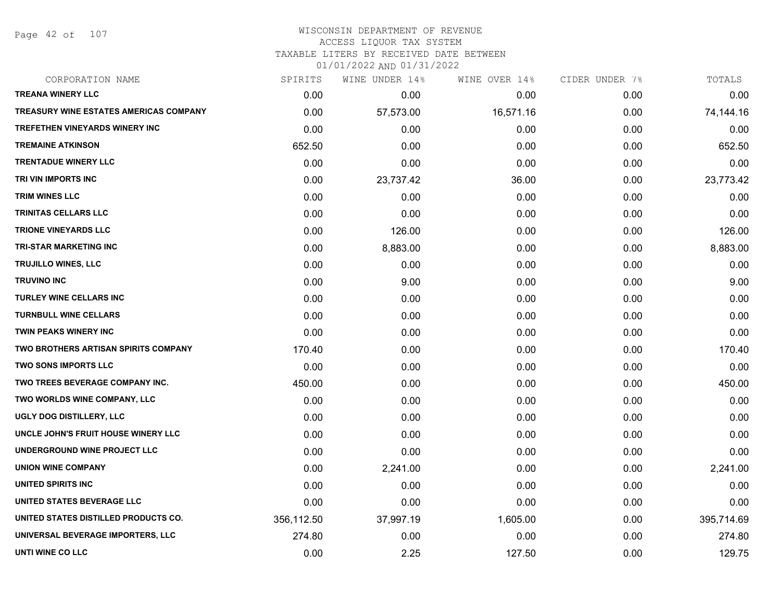Page 42 of 107

#### WISCONSIN DEPARTMENT OF REVENUE ACCESS LIQUOR TAX SYSTEM

TAXABLE LITERS BY RECEIVED DATE BETWEEN

| CORPORATION NAME                            | SPIRITS    | WINE UNDER 14% | WINE OVER 14% | CIDER UNDER 7% | TOTALS     |
|---------------------------------------------|------------|----------------|---------------|----------------|------------|
| <b>TREANA WINERY LLC</b>                    | 0.00       | 0.00           | 0.00          | 0.00           | 0.00       |
| TREASURY WINE ESTATES AMERICAS COMPANY      | 0.00       | 57,573.00      | 16,571.16     | 0.00           | 74,144.16  |
| <b>TREFETHEN VINEYARDS WINERY INC</b>       | 0.00       | 0.00           | 0.00          | 0.00           | 0.00       |
| <b>TREMAINE ATKINSON</b>                    | 652.50     | 0.00           | 0.00          | 0.00           | 652.50     |
| <b>TRENTADUE WINERY LLC</b>                 | 0.00       | 0.00           | 0.00          | 0.00           | 0.00       |
| TRI VIN IMPORTS INC                         | 0.00       | 23,737.42      | 36.00         | 0.00           | 23,773.42  |
| <b>TRIM WINES LLC</b>                       | 0.00       | 0.00           | 0.00          | 0.00           | 0.00       |
| <b>TRINITAS CELLARS LLC</b>                 | 0.00       | 0.00           | 0.00          | 0.00           | 0.00       |
| <b>TRIONE VINEYARDS LLC</b>                 | 0.00       | 126.00         | 0.00          | 0.00           | 126.00     |
| <b>TRI-STAR MARKETING INC</b>               | 0.00       | 8,883.00       | 0.00          | 0.00           | 8,883.00   |
| <b>TRUJILLO WINES, LLC</b>                  | 0.00       | 0.00           | 0.00          | 0.00           | 0.00       |
| <b>TRUVINO INC</b>                          | 0.00       | 9.00           | 0.00          | 0.00           | 9.00       |
| <b>TURLEY WINE CELLARS INC</b>              | 0.00       | 0.00           | 0.00          | 0.00           | 0.00       |
| <b>TURNBULL WINE CELLARS</b>                | 0.00       | 0.00           | 0.00          | 0.00           | 0.00       |
| <b>TWIN PEAKS WINERY INC</b>                | 0.00       | 0.00           | 0.00          | 0.00           | 0.00       |
| <b>TWO BROTHERS ARTISAN SPIRITS COMPANY</b> | 170.40     | 0.00           | 0.00          | 0.00           | 170.40     |
| <b>TWO SONS IMPORTS LLC</b>                 | 0.00       | 0.00           | 0.00          | 0.00           | 0.00       |
| TWO TREES BEVERAGE COMPANY INC.             | 450.00     | 0.00           | 0.00          | 0.00           | 450.00     |
| TWO WORLDS WINE COMPANY, LLC                | 0.00       | 0.00           | 0.00          | 0.00           | 0.00       |
| UGLY DOG DISTILLERY, LLC                    | 0.00       | 0.00           | 0.00          | 0.00           | 0.00       |
| UNCLE JOHN'S FRUIT HOUSE WINERY LLC         | 0.00       | 0.00           | 0.00          | 0.00           | 0.00       |
| UNDERGROUND WINE PROJECT LLC                | 0.00       | 0.00           | 0.00          | 0.00           | 0.00       |
| <b>UNION WINE COMPANY</b>                   | 0.00       | 2,241.00       | 0.00          | 0.00           | 2,241.00   |
| UNITED SPIRITS INC                          | 0.00       | 0.00           | 0.00          | 0.00           | 0.00       |
| UNITED STATES BEVERAGE LLC                  | 0.00       | 0.00           | 0.00          | 0.00           | 0.00       |
| UNITED STATES DISTILLED PRODUCTS CO.        | 356,112.50 | 37,997.19      | 1,605.00      | 0.00           | 395,714.69 |
| UNIVERSAL BEVERAGE IMPORTERS, LLC           | 274.80     | 0.00           | 0.00          | 0.00           | 274.80     |
| UNTI WINE CO LLC                            | 0.00       | 2.25           | 127.50        | 0.00           | 129.75     |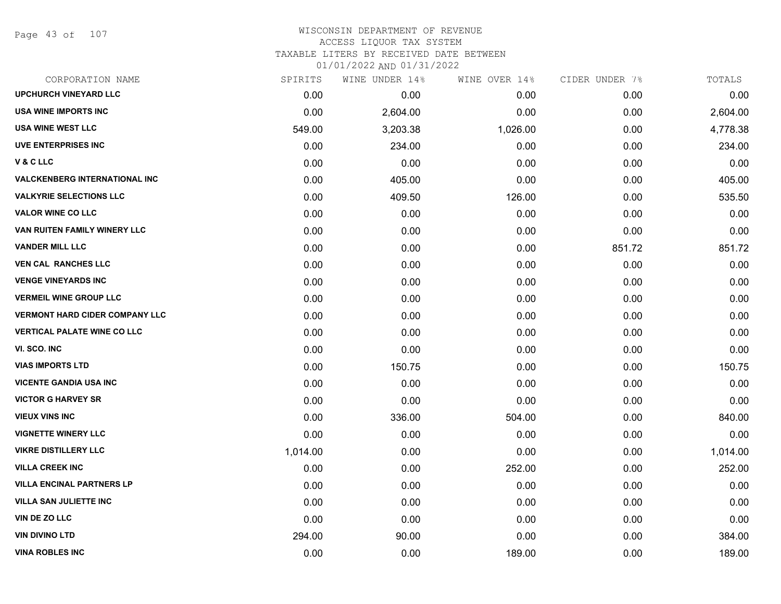Page 43 of 107

### WISCONSIN DEPARTMENT OF REVENUE ACCESS LIQUOR TAX SYSTEM TAXABLE LITERS BY RECEIVED DATE BETWEEN

| CORPORATION NAME                      | SPIRITS  | WINE UNDER 14% | WINE OVER 14% | CIDER UNDER 7% | TOTALS   |
|---------------------------------------|----------|----------------|---------------|----------------|----------|
| <b>UPCHURCH VINEYARD LLC</b>          | 0.00     | 0.00           | 0.00          | 0.00           | 0.00     |
| <b>USA WINE IMPORTS INC</b>           | 0.00     | 2,604.00       | 0.00          | 0.00           | 2,604.00 |
| <b>USA WINE WEST LLC</b>              | 549.00   | 3,203.38       | 1,026.00      | 0.00           | 4,778.38 |
| <b>UVE ENTERPRISES INC</b>            | 0.00     | 234.00         | 0.00          | 0.00           | 234.00   |
| V&CLLC                                | 0.00     | 0.00           | 0.00          | 0.00           | 0.00     |
| <b>VALCKENBERG INTERNATIONAL INC</b>  | 0.00     | 405.00         | 0.00          | 0.00           | 405.00   |
| <b>VALKYRIE SELECTIONS LLC</b>        | 0.00     | 409.50         | 126.00        | 0.00           | 535.50   |
| <b>VALOR WINE CO LLC</b>              | 0.00     | 0.00           | 0.00          | 0.00           | 0.00     |
| VAN RUITEN FAMILY WINERY LLC          | 0.00     | 0.00           | 0.00          | 0.00           | 0.00     |
| <b>VANDER MILL LLC</b>                | 0.00     | 0.00           | 0.00          | 851.72         | 851.72   |
| <b>VEN CAL RANCHES LLC</b>            | 0.00     | 0.00           | 0.00          | 0.00           | 0.00     |
| <b>VENGE VINEYARDS INC</b>            | 0.00     | 0.00           | 0.00          | 0.00           | 0.00     |
| <b>VERMEIL WINE GROUP LLC</b>         | 0.00     | 0.00           | 0.00          | 0.00           | 0.00     |
| <b>VERMONT HARD CIDER COMPANY LLC</b> | 0.00     | 0.00           | 0.00          | 0.00           | 0.00     |
| <b>VERTICAL PALATE WINE CO LLC</b>    | 0.00     | 0.00           | 0.00          | 0.00           | 0.00     |
| VI. SCO. INC                          | 0.00     | 0.00           | 0.00          | 0.00           | 0.00     |
| <b>VIAS IMPORTS LTD</b>               | 0.00     | 150.75         | 0.00          | 0.00           | 150.75   |
| <b>VICENTE GANDIA USA INC</b>         | 0.00     | 0.00           | 0.00          | 0.00           | 0.00     |
| <b>VICTOR G HARVEY SR</b>             | 0.00     | 0.00           | 0.00          | 0.00           | 0.00     |
| <b>VIEUX VINS INC</b>                 | 0.00     | 336.00         | 504.00        | 0.00           | 840.00   |
| <b>VIGNETTE WINERY LLC</b>            | 0.00     | 0.00           | 0.00          | 0.00           | 0.00     |
| <b>VIKRE DISTILLERY LLC</b>           | 1,014.00 | 0.00           | 0.00          | 0.00           | 1,014.00 |
| <b>VILLA CREEK INC</b>                | 0.00     | 0.00           | 252.00        | 0.00           | 252.00   |
| <b>VILLA ENCINAL PARTNERS LP</b>      | 0.00     | 0.00           | 0.00          | 0.00           | 0.00     |
| <b>VILLA SAN JULIETTE INC</b>         | 0.00     | 0.00           | 0.00          | 0.00           | 0.00     |
| VIN DE ZO LLC                         | 0.00     | 0.00           | 0.00          | 0.00           | 0.00     |
| <b>VIN DIVINO LTD</b>                 | 294.00   | 90.00          | 0.00          | 0.00           | 384.00   |
| <b>VINA ROBLES INC</b>                | 0.00     | 0.00           | 189.00        | 0.00           | 189.00   |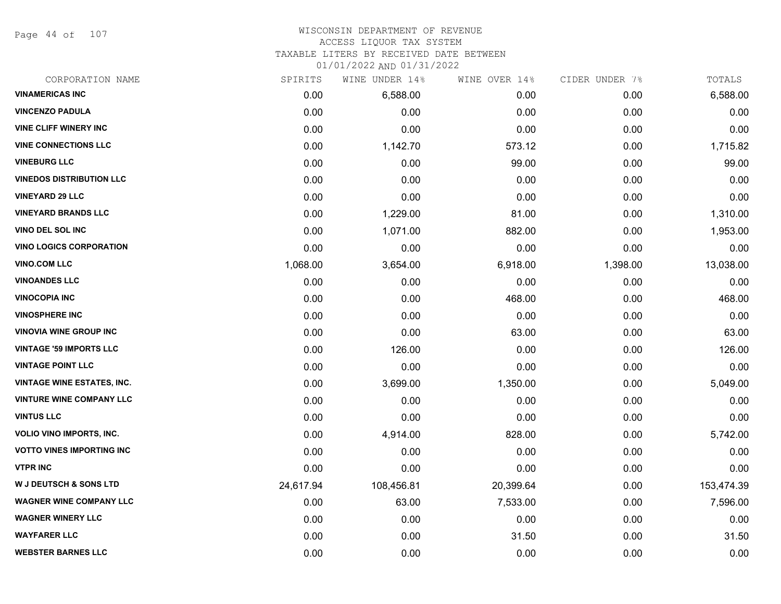Page 44 of 107

#### WISCONSIN DEPARTMENT OF REVENUE ACCESS LIQUOR TAX SYSTEM

TAXABLE LITERS BY RECEIVED DATE BETWEEN

| CORPORATION NAME                  | SPIRITS   | WINE UNDER 14% | WINE OVER 14% | CIDER UNDER 7% | TOTALS     |
|-----------------------------------|-----------|----------------|---------------|----------------|------------|
| <b>VINAMERICAS INC</b>            | 0.00      | 6,588.00       | 0.00          | 0.00           | 6,588.00   |
| <b>VINCENZO PADULA</b>            | 0.00      | 0.00           | 0.00          | 0.00           | 0.00       |
| <b>VINE CLIFF WINERY INC</b>      | 0.00      | 0.00           | 0.00          | 0.00           | 0.00       |
| <b>VINE CONNECTIONS LLC</b>       | 0.00      | 1,142.70       | 573.12        | 0.00           | 1,715.82   |
| <b>VINEBURG LLC</b>               | 0.00      | 0.00           | 99.00         | 0.00           | 99.00      |
| <b>VINEDOS DISTRIBUTION LLC</b>   | 0.00      | 0.00           | 0.00          | 0.00           | 0.00       |
| <b>VINEYARD 29 LLC</b>            | 0.00      | 0.00           | 0.00          | 0.00           | 0.00       |
| <b>VINEYARD BRANDS LLC</b>        | 0.00      | 1,229.00       | 81.00         | 0.00           | 1,310.00   |
| VINO DEL SOL INC                  | 0.00      | 1,071.00       | 882.00        | 0.00           | 1,953.00   |
| <b>VINO LOGICS CORPORATION</b>    | 0.00      | 0.00           | 0.00          | 0.00           | 0.00       |
| <b>VINO.COM LLC</b>               | 1,068.00  | 3,654.00       | 6,918.00      | 1,398.00       | 13,038.00  |
| <b>VINOANDES LLC</b>              | 0.00      | 0.00           | 0.00          | 0.00           | 0.00       |
| <b>VINOCOPIA INC</b>              | 0.00      | 0.00           | 468.00        | 0.00           | 468.00     |
| <b>VINOSPHERE INC</b>             | 0.00      | 0.00           | 0.00          | 0.00           | 0.00       |
| <b>VINOVIA WINE GROUP INC</b>     | 0.00      | 0.00           | 63.00         | 0.00           | 63.00      |
| <b>VINTAGE '59 IMPORTS LLC</b>    | 0.00      | 126.00         | 0.00          | 0.00           | 126.00     |
| <b>VINTAGE POINT LLC</b>          | 0.00      | 0.00           | 0.00          | 0.00           | 0.00       |
| <b>VINTAGE WINE ESTATES, INC.</b> | 0.00      | 3,699.00       | 1,350.00      | 0.00           | 5,049.00   |
| <b>VINTURE WINE COMPANY LLC</b>   | 0.00      | 0.00           | 0.00          | 0.00           | 0.00       |
| <b>VINTUS LLC</b>                 | 0.00      | 0.00           | 0.00          | 0.00           | 0.00       |
| VOLIO VINO IMPORTS, INC.          | 0.00      | 4,914.00       | 828.00        | 0.00           | 5,742.00   |
| <b>VOTTO VINES IMPORTING INC</b>  | 0.00      | 0.00           | 0.00          | 0.00           | 0.00       |
| <b>VTPR INC</b>                   | 0.00      | 0.00           | 0.00          | 0.00           | 0.00       |
| <b>W J DEUTSCH &amp; SONS LTD</b> | 24,617.94 | 108,456.81     | 20,399.64     | 0.00           | 153,474.39 |
| <b>WAGNER WINE COMPANY LLC</b>    | 0.00      | 63.00          | 7,533.00      | 0.00           | 7,596.00   |
| <b>WAGNER WINERY LLC</b>          | 0.00      | 0.00           | 0.00          | 0.00           | 0.00       |
| <b>WAYFARER LLC</b>               | 0.00      | 0.00           | 31.50         | 0.00           | 31.50      |
| <b>WEBSTER BARNES LLC</b>         | 0.00      | 0.00           | 0.00          | 0.00           | 0.00       |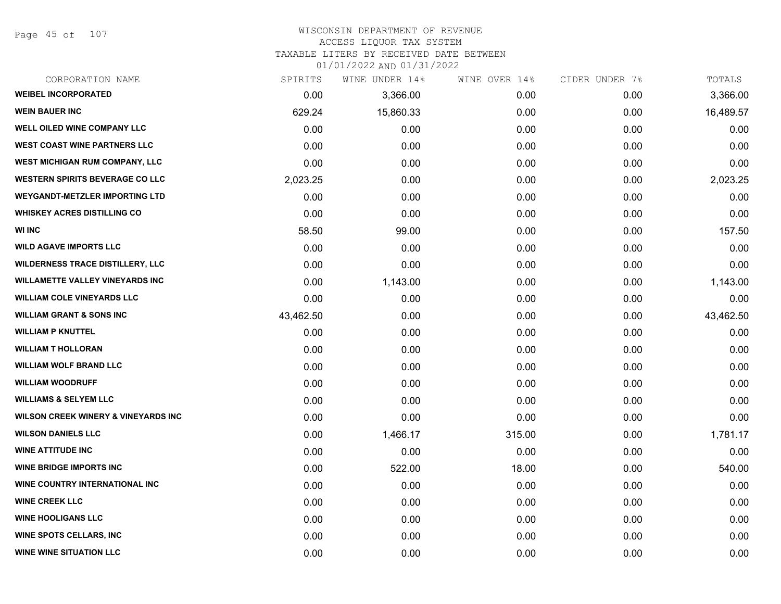Page 45 of 107

#### WISCONSIN DEPARTMENT OF REVENUE ACCESS LIQUOR TAX SYSTEM TAXABLE LITERS BY RECEIVED DATE BETWEEN

| CORPORATION NAME                               | SPIRITS   | WINE UNDER 14% | WINE OVER 14% | CIDER UNDER 7% | TOTALS    |
|------------------------------------------------|-----------|----------------|---------------|----------------|-----------|
| <b>WEIBEL INCORPORATED</b>                     | 0.00      | 3,366.00       | 0.00          | 0.00           | 3,366.00  |
| <b>WEIN BAUER INC</b>                          | 629.24    | 15,860.33      | 0.00          | 0.00           | 16,489.57 |
| <b>WELL OILED WINE COMPANY LLC</b>             | 0.00      | 0.00           | 0.00          | 0.00           | 0.00      |
| <b>WEST COAST WINE PARTNERS LLC</b>            | 0.00      | 0.00           | 0.00          | 0.00           | 0.00      |
| <b>WEST MICHIGAN RUM COMPANY, LLC</b>          | 0.00      | 0.00           | 0.00          | 0.00           | 0.00      |
| <b>WESTERN SPIRITS BEVERAGE CO LLC</b>         | 2,023.25  | 0.00           | 0.00          | 0.00           | 2,023.25  |
| <b>WEYGANDT-METZLER IMPORTING LTD</b>          | 0.00      | 0.00           | 0.00          | 0.00           | 0.00      |
| <b>WHISKEY ACRES DISTILLING CO</b>             | 0.00      | 0.00           | 0.00          | 0.00           | 0.00      |
| <b>WI INC</b>                                  | 58.50     | 99.00          | 0.00          | 0.00           | 157.50    |
| <b>WILD AGAVE IMPORTS LLC</b>                  | 0.00      | 0.00           | 0.00          | 0.00           | 0.00      |
| <b>WILDERNESS TRACE DISTILLERY, LLC</b>        | 0.00      | 0.00           | 0.00          | 0.00           | 0.00      |
| <b>WILLAMETTE VALLEY VINEYARDS INC</b>         | 0.00      | 1,143.00       | 0.00          | 0.00           | 1,143.00  |
| <b>WILLIAM COLE VINEYARDS LLC</b>              | 0.00      | 0.00           | 0.00          | 0.00           | 0.00      |
| <b>WILLIAM GRANT &amp; SONS INC</b>            | 43,462.50 | 0.00           | 0.00          | 0.00           | 43,462.50 |
| <b>WILLIAM P KNUTTEL</b>                       | 0.00      | 0.00           | 0.00          | 0.00           | 0.00      |
| <b>WILLIAM T HOLLORAN</b>                      | 0.00      | 0.00           | 0.00          | 0.00           | 0.00      |
| <b>WILLIAM WOLF BRAND LLC</b>                  | 0.00      | 0.00           | 0.00          | 0.00           | 0.00      |
| <b>WILLIAM WOODRUFF</b>                        | 0.00      | 0.00           | 0.00          | 0.00           | 0.00      |
| <b>WILLIAMS &amp; SELYEM LLC</b>               | 0.00      | 0.00           | 0.00          | 0.00           | 0.00      |
| <b>WILSON CREEK WINERY &amp; VINEYARDS INC</b> | 0.00      | 0.00           | 0.00          | 0.00           | 0.00      |
| <b>WILSON DANIELS LLC</b>                      | 0.00      | 1,466.17       | 315.00        | 0.00           | 1,781.17  |
| <b>WINE ATTITUDE INC</b>                       | 0.00      | 0.00           | 0.00          | 0.00           | 0.00      |
| <b>WINE BRIDGE IMPORTS INC</b>                 | 0.00      | 522.00         | 18.00         | 0.00           | 540.00    |
| WINE COUNTRY INTERNATIONAL INC                 | 0.00      | 0.00           | 0.00          | 0.00           | 0.00      |
| <b>WINE CREEK LLC</b>                          | 0.00      | 0.00           | 0.00          | 0.00           | 0.00      |
| <b>WINE HOOLIGANS LLC</b>                      | 0.00      | 0.00           | 0.00          | 0.00           | 0.00      |
| <b>WINE SPOTS CELLARS, INC</b>                 | 0.00      | 0.00           | 0.00          | 0.00           | 0.00      |
| <b>WINE WINE SITUATION LLC</b>                 | 0.00      | 0.00           | 0.00          | 0.00           | 0.00      |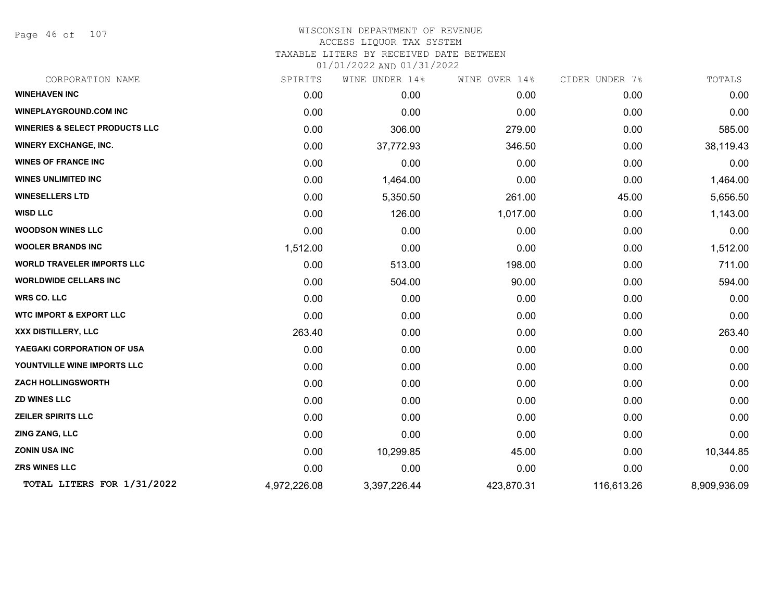Page 46 of 107

| CORPORATION NAME                          | SPIRITS      | WINE UNDER 14% | WINE OVER 14% | CIDER UNDER 7% | TOTALS       |
|-------------------------------------------|--------------|----------------|---------------|----------------|--------------|
| <b>WINEHAVEN INC</b>                      | 0.00         | 0.00           | 0.00          | 0.00           | 0.00         |
| <b>WINEPLAYGROUND.COM INC</b>             | 0.00         | 0.00           | 0.00          | 0.00           | 0.00         |
| <b>WINERIES &amp; SELECT PRODUCTS LLC</b> | 0.00         | 306.00         | 279.00        | 0.00           | 585.00       |
| <b>WINERY EXCHANGE, INC.</b>              | 0.00         | 37,772.93      | 346.50        | 0.00           | 38,119.43    |
| <b>WINES OF FRANCE INC</b>                | 0.00         | 0.00           | 0.00          | 0.00           | 0.00         |
| <b>WINES UNLIMITED INC</b>                | 0.00         | 1,464.00       | 0.00          | 0.00           | 1,464.00     |
| <b>WINESELLERS LTD</b>                    | 0.00         | 5,350.50       | 261.00        | 45.00          | 5,656.50     |
| <b>WISD LLC</b>                           | 0.00         | 126.00         | 1,017.00      | 0.00           | 1,143.00     |
| <b>WOODSON WINES LLC</b>                  | 0.00         | 0.00           | 0.00          | 0.00           | 0.00         |
| <b>WOOLER BRANDS INC</b>                  | 1,512.00     | 0.00           | 0.00          | 0.00           | 1,512.00     |
| <b>WORLD TRAVELER IMPORTS LLC</b>         | 0.00         | 513.00         | 198.00        | 0.00           | 711.00       |
| <b>WORLDWIDE CELLARS INC</b>              | 0.00         | 504.00         | 90.00         | 0.00           | 594.00       |
| <b>WRS CO. LLC</b>                        | 0.00         | 0.00           | 0.00          | 0.00           | 0.00         |
| <b>WTC IMPORT &amp; EXPORT LLC</b>        | 0.00         | 0.00           | 0.00          | 0.00           | 0.00         |
| XXX DISTILLERY, LLC                       | 263.40       | 0.00           | 0.00          | 0.00           | 263.40       |
| YAEGAKI CORPORATION OF USA                | 0.00         | 0.00           | 0.00          | 0.00           | 0.00         |
| YOUNTVILLE WINE IMPORTS LLC               | 0.00         | 0.00           | 0.00          | 0.00           | 0.00         |
| <b>ZACH HOLLINGSWORTH</b>                 | 0.00         | 0.00           | 0.00          | 0.00           | 0.00         |
| <b>ZD WINES LLC</b>                       | 0.00         | 0.00           | 0.00          | 0.00           | 0.00         |
| <b>ZEILER SPIRITS LLC</b>                 | 0.00         | 0.00           | 0.00          | 0.00           | 0.00         |
| ZING ZANG, LLC                            | 0.00         | 0.00           | 0.00          | 0.00           | 0.00         |
| <b>ZONIN USA INC</b>                      | 0.00         | 10,299.85      | 45.00         | 0.00           | 10,344.85    |
| <b>ZRS WINES LLC</b>                      | 0.00         | 0.00           | 0.00          | 0.00           | 0.00         |
| TOTAL LITERS FOR 1/31/2022                | 4,972,226.08 | 3,397,226.44   | 423,870.31    | 116,613.26     | 8,909,936.09 |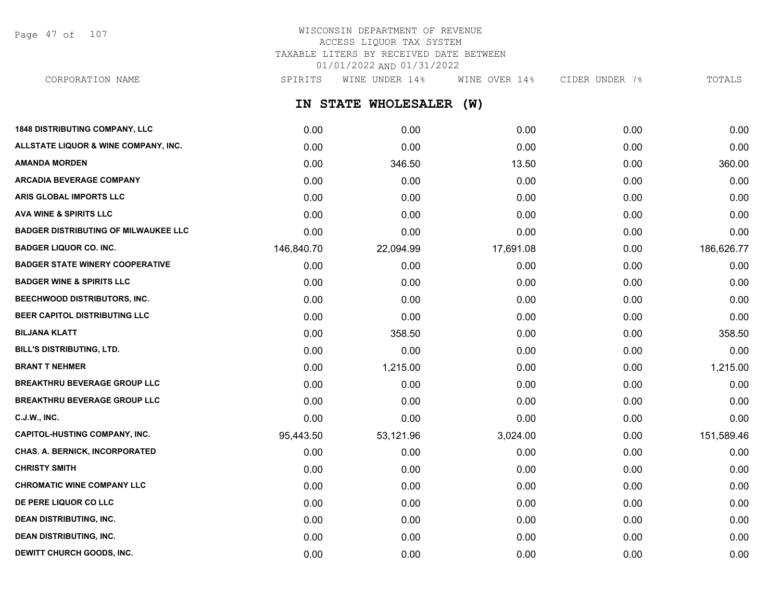Page 47 of 107

### WISCONSIN DEPARTMENT OF REVENUE ACCESS LIQUOR TAX SYSTEM TAXABLE LITERS BY RECEIVED DATE BETWEEN 01/01/2022 AND 01/31/2022

**IN STATE WHOLESALER (W) 1848 DISTRIBUTING COMPANY, LLC** 0.00 0.00 0.00 0.00 0.00 **ALLSTATE LIQUOR & WINE COMPANY, INC.** 0.00 0.00 0.00 0.00 0.00 **AMANDA MORDEN** 2000 360.00 360.00 346.50 360.00 346.50 360.00 360.00 360.00 **ARCADIA BEVERAGE COMPANY**  $0.00$   $0.00$   $0.00$   $0.00$   $0.00$   $0.00$   $0.00$   $0.00$   $0.00$   $0.00$   $0.00$   $0.00$   $0.00$   $0.00$   $0.00$   $0.00$   $0.00$   $0.00$   $0.00$   $0.00$   $0.00$   $0.00$   $0.00$   $0.00$   $0.00$   $0.00$   $0.00$   $0.00$ **ARIS GLOBAL IMPORTS LLC** 0.00 0.00 0.00 0.00 0.00 **AVA WINE & SPIRITS LLC** 0.00 0.00 0.00 0.00 0.00 **BADGER DISTRIBUTING OF MILWAUKEE LLC** 0.00 0.00 0.00 0.00 0.00 **BADGER LIQUOR CO. INC.** 146,620.77 146,840.70 22,094.99 17,691.08 180.00 186,626.77 **BADGER STATE WINERY COOPERATIVE** 0.00 0.00 0.00 0.00 0.00 **BADGER WINE & SPIRITS LLC** 0.00 0.00 0.00 0.00 0.00 **BEECHWOOD DISTRIBUTORS, INC.** 0.00 0.00 0.00 0.00 0.00 **BEER CAPITOL DISTRIBUTING LLC** 0.00 0.00 0.00 0.00 0.00 **BILJANA KLATT** 0.00 358.50 0.00 0.00 358.50 **BILL'S DISTRIBUTING, LTD.** 0.00 0.00 0.00 0.00 0.00 **BRANT T NEHMER** 0.00 1,215.00 0.00 0.00 1,215.00 **BREAKTHRU BEVERAGE GROUP LLC** 0.00 0.00 0.00 0.00 0.00 **BREAKTHRU BEVERAGE GROUP LLC** 0.00 0.00 0.00 0.00 0.00 **C.J.W., INC.** 6.00 **0.00 0.00 0.00 0.00 0.00 0.00 0.00 0.00 0.00 0.00 0.00 0.00 0.00 CAPITOL-HUSTING COMPANY, INC.** 95,443.50 53,121.96 3,024.00 0.00 151,589.46 **CHAS. A. BERNICK, INCORPORATED** 0.00 0.00 0.00 0.00 0.00 CORPORATION NAME SPIRITS WINE UNDER 14% WINE OVER 14% CIDER UNDER 7% TOTALS

**CHRISTY SMITH** 0.00 0.00 0.00 0.00 0.00 **CHROMATIC WINE COMPANY LLC** 0.00 0.00 0.00 0.00 0.00 **DE PERE LIQUOR CO LLC** 0.00 0.00 0.00 0.00 0.00 **DEAN DISTRIBUTING, INC.** 0.00 0.00 0.00 0.00 0.00 **DEAN DISTRIBUTING, INC.** 0.00 0.00 0.00 0.00 0.00 **DEWITT CHURCH GOODS, INC.** 0.00 0.00 0.00 0.00 0.00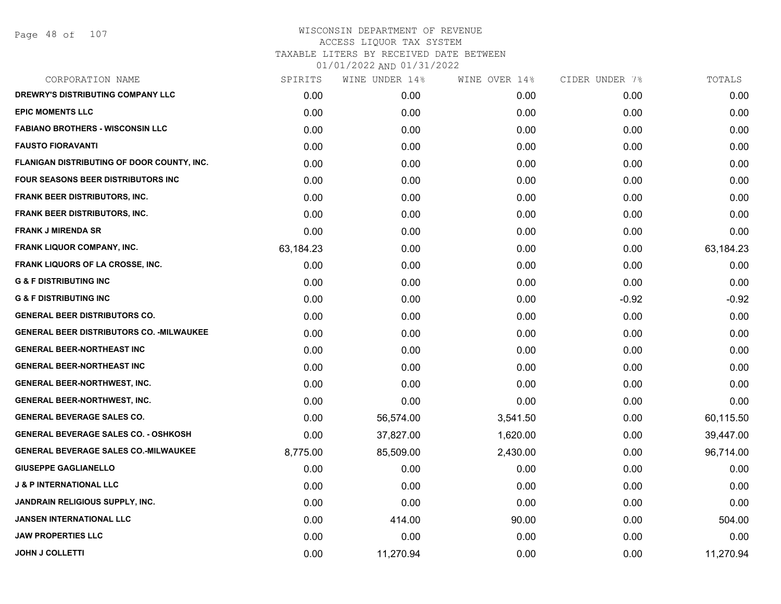Page 48 of 107

| SPIRITS   | WINE UNDER 14% | WINE OVER 14% | CIDER UNDER 7% | TOTALS    |
|-----------|----------------|---------------|----------------|-----------|
| 0.00      | 0.00           | 0.00          | 0.00           | 0.00      |
| 0.00      | 0.00           | 0.00          | 0.00           | 0.00      |
| 0.00      | 0.00           | 0.00          | 0.00           | 0.00      |
| 0.00      | 0.00           | 0.00          | 0.00           | 0.00      |
| 0.00      | 0.00           | 0.00          | 0.00           | 0.00      |
| 0.00      | 0.00           | 0.00          | 0.00           | 0.00      |
| 0.00      | 0.00           | 0.00          | 0.00           | 0.00      |
| 0.00      | 0.00           | 0.00          | 0.00           | 0.00      |
| 0.00      | 0.00           | 0.00          | 0.00           | 0.00      |
| 63,184.23 | 0.00           | 0.00          | 0.00           | 63,184.23 |
| 0.00      | 0.00           | 0.00          | 0.00           | 0.00      |
| 0.00      | 0.00           | 0.00          | 0.00           | 0.00      |
| 0.00      | 0.00           | 0.00          | $-0.92$        | $-0.92$   |
| 0.00      | 0.00           | 0.00          | 0.00           | 0.00      |
| 0.00      | 0.00           | 0.00          | 0.00           | 0.00      |
| 0.00      | 0.00           | 0.00          | 0.00           | 0.00      |
| 0.00      | 0.00           | 0.00          | 0.00           | 0.00      |
| 0.00      | 0.00           | 0.00          | 0.00           | 0.00      |
| 0.00      | 0.00           | 0.00          | 0.00           | 0.00      |
| 0.00      | 56,574.00      | 3,541.50      | 0.00           | 60,115.50 |
| 0.00      | 37,827.00      | 1,620.00      | 0.00           | 39,447.00 |
| 8,775.00  | 85,509.00      | 2,430.00      | 0.00           | 96,714.00 |
| 0.00      | 0.00           | 0.00          | 0.00           | 0.00      |
| 0.00      | 0.00           | 0.00          | 0.00           | 0.00      |
| 0.00      | 0.00           | 0.00          | 0.00           | 0.00      |
| 0.00      | 414.00         | 90.00         | 0.00           | 504.00    |
| 0.00      | 0.00           | 0.00          | 0.00           | 0.00      |
| 0.00      | 11,270.94      | 0.00          | 0.00           | 11,270.94 |
|           |                |               |                |           |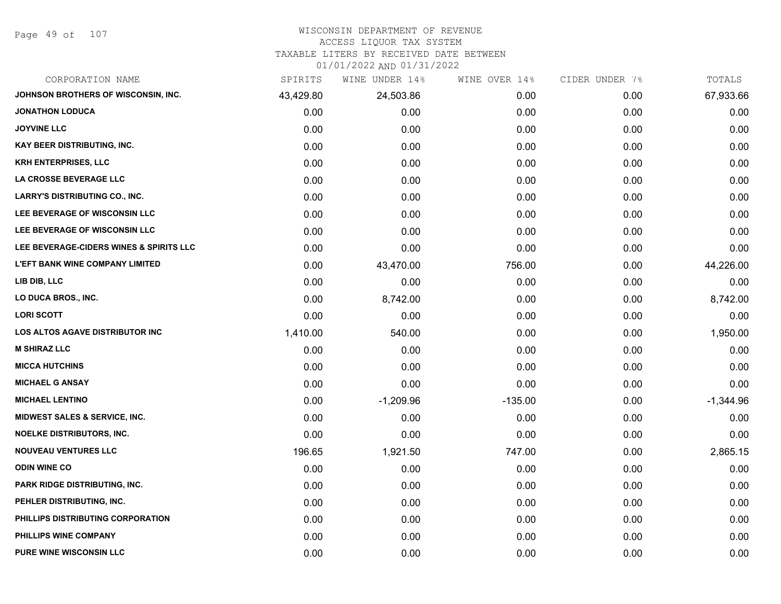Page 49 of 107

# WISCONSIN DEPARTMENT OF REVENUE

### ACCESS LIQUOR TAX SYSTEM

TAXABLE LITERS BY RECEIVED DATE BETWEEN

| CORPORATION NAME                         | SPIRITS   | WINE UNDER 14% | WINE OVER 14% | CIDER UNDER 7% | TOTALS      |
|------------------------------------------|-----------|----------------|---------------|----------------|-------------|
| JOHNSON BROTHERS OF WISCONSIN, INC.      | 43,429.80 | 24,503.86      | 0.00          | 0.00           | 67,933.66   |
| <b>JONATHON LODUCA</b>                   | 0.00      | 0.00           | 0.00          | 0.00           | 0.00        |
| <b>JOYVINE LLC</b>                       | 0.00      | 0.00           | 0.00          | 0.00           | 0.00        |
| KAY BEER DISTRIBUTING, INC.              | 0.00      | 0.00           | 0.00          | 0.00           | 0.00        |
| <b>KRH ENTERPRISES, LLC</b>              | 0.00      | 0.00           | 0.00          | 0.00           | 0.00        |
| LA CROSSE BEVERAGE LLC                   | 0.00      | 0.00           | 0.00          | 0.00           | 0.00        |
| <b>LARRY'S DISTRIBUTING CO., INC.</b>    | 0.00      | 0.00           | 0.00          | 0.00           | 0.00        |
| LEE BEVERAGE OF WISCONSIN LLC            | 0.00      | 0.00           | 0.00          | 0.00           | 0.00        |
| LEE BEVERAGE OF WISCONSIN LLC            | 0.00      | 0.00           | 0.00          | 0.00           | 0.00        |
| LEE BEVERAGE-CIDERS WINES & SPIRITS LLC  | 0.00      | 0.00           | 0.00          | 0.00           | 0.00        |
| <b>L'EFT BANK WINE COMPANY LIMITED</b>   | 0.00      | 43,470.00      | 756.00        | 0.00           | 44,226.00   |
| LIB DIB, LLC                             | 0.00      | 0.00           | 0.00          | 0.00           | 0.00        |
| LO DUCA BROS., INC.                      | 0.00      | 8,742.00       | 0.00          | 0.00           | 8,742.00    |
| <b>LORI SCOTT</b>                        | 0.00      | 0.00           | 0.00          | 0.00           | 0.00        |
| LOS ALTOS AGAVE DISTRIBUTOR INC          | 1,410.00  | 540.00         | 0.00          | 0.00           | 1,950.00    |
| <b>M SHIRAZ LLC</b>                      | 0.00      | 0.00           | 0.00          | 0.00           | 0.00        |
| <b>MICCA HUTCHINS</b>                    | 0.00      | 0.00           | 0.00          | 0.00           | 0.00        |
| <b>MICHAEL G ANSAY</b>                   | 0.00      | 0.00           | 0.00          | 0.00           | 0.00        |
| <b>MICHAEL LENTINO</b>                   | 0.00      | $-1,209.96$    | $-135.00$     | 0.00           | $-1,344.96$ |
| <b>MIDWEST SALES &amp; SERVICE, INC.</b> | 0.00      | 0.00           | 0.00          | 0.00           | 0.00        |
| <b>NOELKE DISTRIBUTORS, INC.</b>         | 0.00      | 0.00           | 0.00          | 0.00           | 0.00        |
| <b>NOUVEAU VENTURES LLC</b>              | 196.65    | 1,921.50       | 747.00        | 0.00           | 2,865.15    |
| <b>ODIN WINE CO</b>                      | 0.00      | 0.00           | 0.00          | 0.00           | 0.00        |
| PARK RIDGE DISTRIBUTING, INC.            | 0.00      | 0.00           | 0.00          | 0.00           | 0.00        |
| PEHLER DISTRIBUTING, INC.                | 0.00      | 0.00           | 0.00          | 0.00           | 0.00        |
| PHILLIPS DISTRIBUTING CORPORATION        | 0.00      | 0.00           | 0.00          | 0.00           | 0.00        |
| PHILLIPS WINE COMPANY                    | 0.00      | 0.00           | 0.00          | 0.00           | 0.00        |
| <b>PURE WINE WISCONSIN LLC</b>           | 0.00      | 0.00           | 0.00          | 0.00           | 0.00        |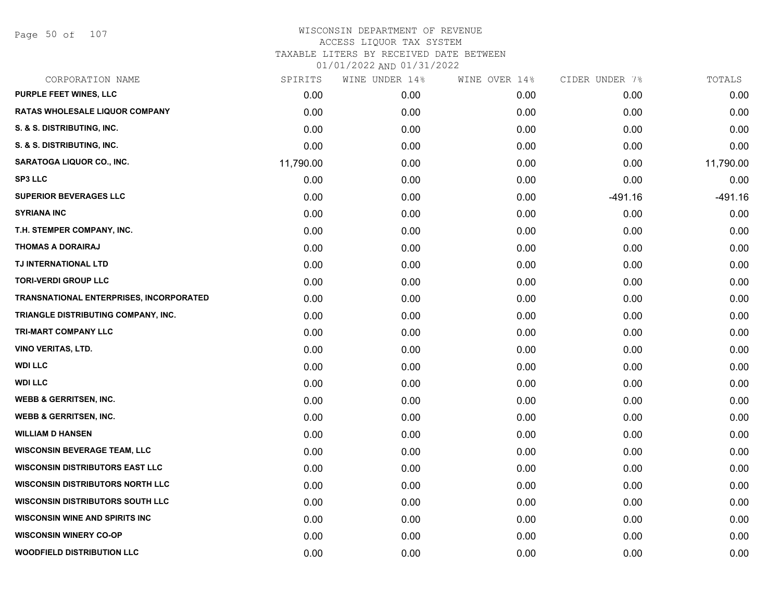Page 50 of 107

| CORPORATION NAME                        | SPIRITS   | WINE UNDER 14% | WINE OVER 14% | CIDER UNDER 7% | TOTALS    |
|-----------------------------------------|-----------|----------------|---------------|----------------|-----------|
| PURPLE FEET WINES, LLC                  | 0.00      | 0.00           | 0.00          | 0.00           | 0.00      |
| RATAS WHOLESALE LIQUOR COMPANY          | 0.00      | 0.00           | 0.00          | 0.00           | 0.00      |
| S. & S. DISTRIBUTING, INC.              | 0.00      | 0.00           | 0.00          | 0.00           | 0.00      |
| S. & S. DISTRIBUTING, INC.              | 0.00      | 0.00           | 0.00          | 0.00           | 0.00      |
| <b>SARATOGA LIQUOR CO., INC.</b>        | 11,790.00 | 0.00           | 0.00          | 0.00           | 11,790.00 |
| <b>SP3 LLC</b>                          | 0.00      | 0.00           | 0.00          | 0.00           | 0.00      |
| <b>SUPERIOR BEVERAGES LLC</b>           | 0.00      | 0.00           | 0.00          | $-491.16$      | $-491.16$ |
| <b>SYRIANA INC</b>                      | 0.00      | 0.00           | 0.00          | 0.00           | 0.00      |
| T.H. STEMPER COMPANY, INC.              | 0.00      | 0.00           | 0.00          | 0.00           | 0.00      |
| <b>THOMAS A DORAIRAJ</b>                | 0.00      | 0.00           | 0.00          | 0.00           | 0.00      |
| TJ INTERNATIONAL LTD                    | 0.00      | 0.00           | 0.00          | 0.00           | 0.00      |
| <b>TORI-VERDI GROUP LLC</b>             | 0.00      | 0.00           | 0.00          | 0.00           | 0.00      |
| TRANSNATIONAL ENTERPRISES, INCORPORATED | 0.00      | 0.00           | 0.00          | 0.00           | 0.00      |
| TRIANGLE DISTRIBUTING COMPANY, INC.     | 0.00      | 0.00           | 0.00          | 0.00           | 0.00      |
| TRI-MART COMPANY LLC                    | 0.00      | 0.00           | 0.00          | 0.00           | 0.00      |
| VINO VERITAS, LTD.                      | 0.00      | 0.00           | 0.00          | 0.00           | 0.00      |
| <b>WDI LLC</b>                          | 0.00      | 0.00           | 0.00          | 0.00           | 0.00      |
| <b>WDI LLC</b>                          | 0.00      | 0.00           | 0.00          | 0.00           | 0.00      |
| <b>WEBB &amp; GERRITSEN, INC.</b>       | 0.00      | 0.00           | 0.00          | 0.00           | 0.00      |
| <b>WEBB &amp; GERRITSEN, INC.</b>       | 0.00      | 0.00           | 0.00          | 0.00           | 0.00      |
| <b>WILLIAM D HANSEN</b>                 | 0.00      | 0.00           | 0.00          | 0.00           | 0.00      |
| <b>WISCONSIN BEVERAGE TEAM, LLC</b>     | 0.00      | 0.00           | 0.00          | 0.00           | 0.00      |
| <b>WISCONSIN DISTRIBUTORS EAST LLC</b>  | 0.00      | 0.00           | 0.00          | 0.00           | 0.00      |
| <b>WISCONSIN DISTRIBUTORS NORTH LLC</b> | 0.00      | 0.00           | 0.00          | 0.00           | 0.00      |
| <b>WISCONSIN DISTRIBUTORS SOUTH LLC</b> | 0.00      | 0.00           | 0.00          | 0.00           | 0.00      |
| <b>WISCONSIN WINE AND SPIRITS INC</b>   | 0.00      | 0.00           | 0.00          | 0.00           | 0.00      |
| <b>WISCONSIN WINERY CO-OP</b>           | 0.00      | 0.00           | 0.00          | 0.00           | 0.00      |
| <b>WOODFIELD DISTRIBUTION LLC</b>       | 0.00      | 0.00           | 0.00          | 0.00           | 0.00      |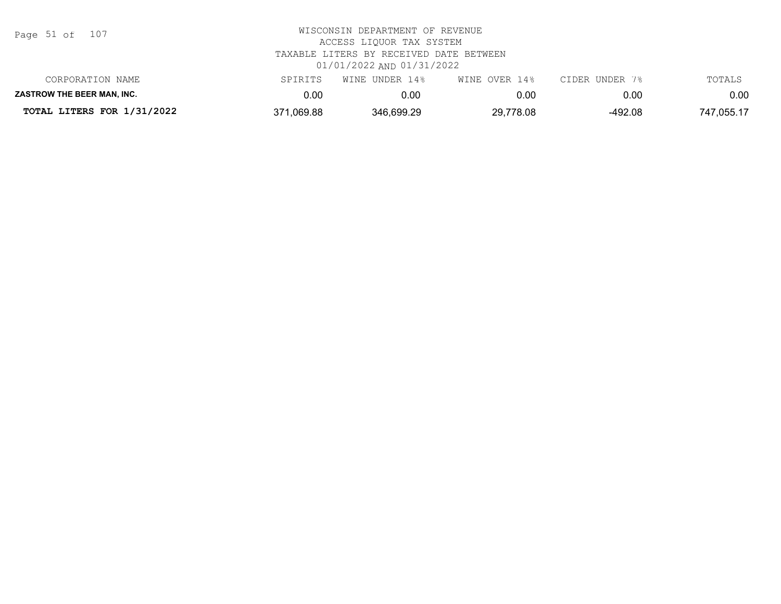| Page 51 of |  |  | 107 |
|------------|--|--|-----|
|------------|--|--|-----|

| TOTAL LITERS FOR 1/31/2022        | 371,069.88 | 346,699.29     | 29,778.08     | -492.08        | 747,055.17 |
|-----------------------------------|------------|----------------|---------------|----------------|------------|
| <b>ZASTROW THE BEER MAN. INC.</b> | $0.00\,$   | 0.00           | 0.00          | 0.00           | 0.00       |
| CORPORATION NAME                  | SPIRITS    | WINE UNDER 14% | WINE OVER 14% | CIDER UNDER 7% | TOTALS     |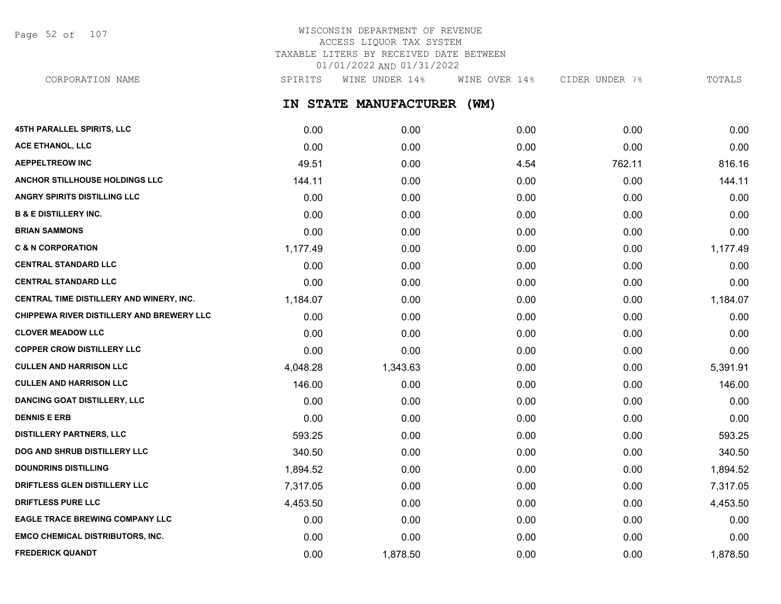Page 52 of 107

### WISCONSIN DEPARTMENT OF REVENUE ACCESS LIQUOR TAX SYSTEM TAXABLE LITERS BY RECEIVED DATE BETWEEN 01/01/2022 AND 01/31/2022

**IN STATE MANUFACTURER (WM) 45TH PARALLEL SPIRITS, LLC** 0.00 0.00 0.00 0.00 0.00 **ACE ETHANOL, LLC** 0.00 0.00 0.00 0.00 0.00 **AEPPELTREOW INC** 816.16 **ANCHOR STILLHOUSE HOLDINGS LLC** 144.11 0.00 0.00 0.00 144.11 **ANGRY SPIRITS DISTILLING LLC** 0.00 0.00 0.00 0.00 0.00 **B & E DISTILLERY INC.** 0.00 0.00 0.00 0.00 0.00 **BRIAN SAMMONS** 0.00 0.00 0.00 0.00 0.00 **C & N CORPORATION** 1,177.49 0.00 0.00 0.00 1,177.49 **CENTRAL STANDARD LLC** 0.00 0.00 0.00 0.00 0.00 **CENTRAL STANDARD LLC** 0.00 0.00 0.00 0.00 0.00 **CENTRAL TIME DISTILLERY AND WINERY, INC.**  $1.184.07$   $0.00$   $0.00$   $0.00$   $0.00$   $0.00$   $1.184.07$ **CHIPPEWA RIVER DISTILLERY AND BREWERY LLC** 0.00 0.00 0.00 0.00 0.00 **CLOVER MEADOW LLC** 0.00 0.00 0.00 0.00 0.00 **COPPER CROW DISTILLERY LLC** 0.00 0.00 0.00 0.00 0.00 **CULLEN AND HARRISON LLC** 6.391.91 4,048.28 4,048.28 1,343.63 0.00 0.00 0.00 0.00 5,391.91 **CULLEN AND HARRISON LLC** 146.00 0.00 0.00 0.00 146.00 **DANCING GOAT DISTILLERY, LLC** 0.00 0.00 0.00 0.00 0.00 **DENNIS E ERB** 0.00 0.00 0.00 0.00 0.00 **DISTILLERY PARTNERS, LLC** 593.25 0.00 0.00 0.00 593.25 **DOG AND SHRUB DISTILLERY LLC**  $340.50$   $340.50$   $0.00$   $0.00$   $0.00$   $0.00$   $340.50$ **DOUNDRINS DISTILLING** 1,894.52 0.00 0.00 0.00 1,894.52 **DRIFTLESS GLEN DISTILLERY LLC** 7,317.05 0.00 0.00 0.00 7,317.05 CORPORATION NAME SPIRITS WINE UNDER 14% WINE OVER 14% CIDER UNDER 7% TOTALS

**DRIFTLESS PURE LLC** 4,453.50 0.00 0.00 0.00 4,453.50 **EAGLE TRACE BREWING COMPANY LLC** 0.00 0.00 0.00 0.00 0.00 **EMCO CHEMICAL DISTRIBUTORS, INC.** 0.00 0.00 0.00 0.00 0.00 **FREDERICK QUANDT** 0.00 1,878.50 0.00 0.00 1,878.50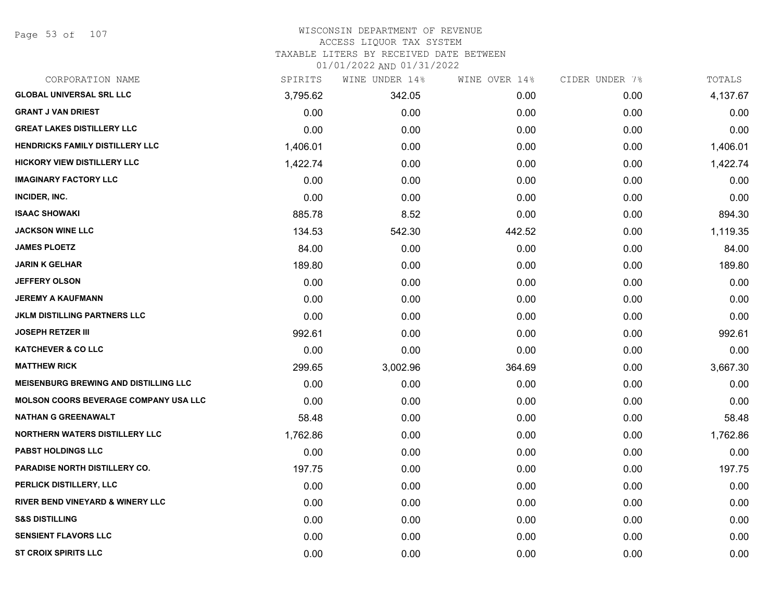Page 53 of 107

#### WISCONSIN DEPARTMENT OF REVENUE ACCESS LIQUOR TAX SYSTEM

TAXABLE LITERS BY RECEIVED DATE BETWEEN

| CORPORATION NAME                             | SPIRITS  | WINE UNDER 14% | WINE OVER 14% | CIDER UNDER 7% | TOTALS   |
|----------------------------------------------|----------|----------------|---------------|----------------|----------|
| <b>GLOBAL UNIVERSAL SRL LLC</b>              | 3,795.62 | 342.05         | 0.00          | 0.00           | 4,137.67 |
| <b>GRANT J VAN DRIEST</b>                    | 0.00     | 0.00           | 0.00          | 0.00           | 0.00     |
| <b>GREAT LAKES DISTILLERY LLC</b>            | 0.00     | 0.00           | 0.00          | 0.00           | 0.00     |
| <b>HENDRICKS FAMILY DISTILLERY LLC</b>       | 1,406.01 | 0.00           | 0.00          | 0.00           | 1,406.01 |
| <b>HICKORY VIEW DISTILLERY LLC</b>           | 1,422.74 | 0.00           | 0.00          | 0.00           | 1,422.74 |
| <b>IMAGINARY FACTORY LLC</b>                 | 0.00     | 0.00           | 0.00          | 0.00           | 0.00     |
| INCIDER, INC.                                | 0.00     | 0.00           | 0.00          | 0.00           | 0.00     |
| <b>ISAAC SHOWAKI</b>                         | 885.78   | 8.52           | 0.00          | 0.00           | 894.30   |
| <b>JACKSON WINE LLC</b>                      | 134.53   | 542.30         | 442.52        | 0.00           | 1,119.35 |
| <b>JAMES PLOETZ</b>                          | 84.00    | 0.00           | 0.00          | 0.00           | 84.00    |
| <b>JARIN K GELHAR</b>                        | 189.80   | 0.00           | 0.00          | 0.00           | 189.80   |
| <b>JEFFERY OLSON</b>                         | 0.00     | 0.00           | 0.00          | 0.00           | 0.00     |
| <b>JEREMY A KAUFMANN</b>                     | 0.00     | 0.00           | 0.00          | 0.00           | 0.00     |
| JKLM DISTILLING PARTNERS LLC                 | 0.00     | 0.00           | 0.00          | 0.00           | 0.00     |
| <b>JOSEPH RETZER III</b>                     | 992.61   | 0.00           | 0.00          | 0.00           | 992.61   |
| <b>KATCHEVER &amp; CO LLC</b>                | 0.00     | 0.00           | 0.00          | 0.00           | 0.00     |
| <b>MATTHEW RICK</b>                          | 299.65   | 3,002.96       | 364.69        | 0.00           | 3,667.30 |
| <b>MEISENBURG BREWING AND DISTILLING LLC</b> | 0.00     | 0.00           | 0.00          | 0.00           | 0.00     |
| <b>MOLSON COORS BEVERAGE COMPANY USA LLC</b> | 0.00     | 0.00           | 0.00          | 0.00           | 0.00     |
| <b>NATHAN G GREENAWALT</b>                   | 58.48    | 0.00           | 0.00          | 0.00           | 58.48    |
| <b>NORTHERN WATERS DISTILLERY LLC</b>        | 1,762.86 | 0.00           | 0.00          | 0.00           | 1,762.86 |
| <b>PABST HOLDINGS LLC</b>                    | 0.00     | 0.00           | 0.00          | 0.00           | 0.00     |
| <b>PARADISE NORTH DISTILLERY CO.</b>         | 197.75   | 0.00           | 0.00          | 0.00           | 197.75   |
| PERLICK DISTILLERY, LLC                      | 0.00     | 0.00           | 0.00          | 0.00           | 0.00     |
| <b>RIVER BEND VINEYARD &amp; WINERY LLC</b>  | 0.00     | 0.00           | 0.00          | 0.00           | 0.00     |
| <b>S&amp;S DISTILLING</b>                    | 0.00     | 0.00           | 0.00          | 0.00           | 0.00     |
| SENSIENT FLAVORS LLC                         | 0.00     | 0.00           | 0.00          | 0.00           | 0.00     |
| <b>ST CROIX SPIRITS LLC</b>                  | 0.00     | 0.00           | 0.00          | 0.00           | 0.00     |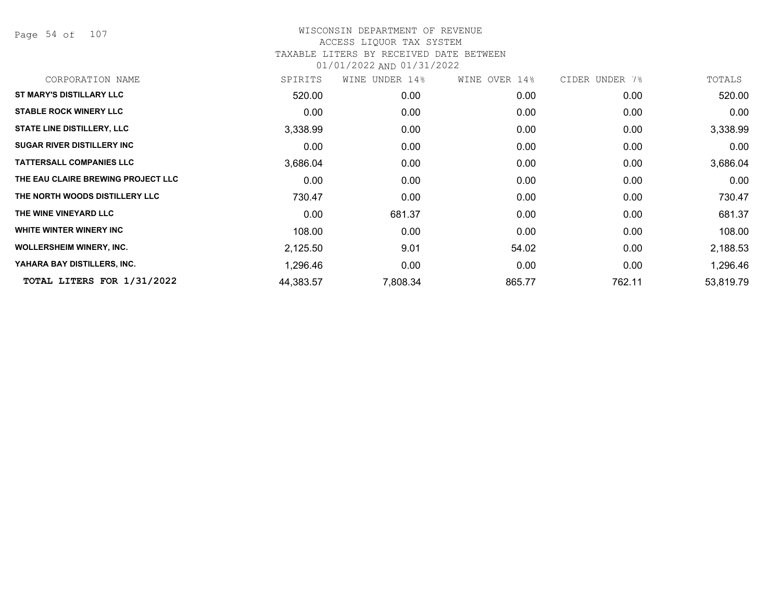Page 54 of 107

| CORPORATION NAME                   | SPIRITS   | WINE UNDER 14%    | WINE OVER 14%     | CIDER UNDER 7% | TOTALS    |
|------------------------------------|-----------|-------------------|-------------------|----------------|-----------|
| <b>ST MARY'S DISTILLARY LLC</b>    | 520.00    | 0.00              | 0.00              | 0.00           | 520.00    |
| <b>STABLE ROCK WINERY LLC</b>      | 0.00      | 0.00              | 0.00              | 0.00           | 0.00      |
| <b>STATE LINE DISTILLERY, LLC</b>  | 3,338.99  | 0.00              | 0.00              | 0.00           | 3,338.99  |
| <b>SUGAR RIVER DISTILLERY INC</b>  | 0.00      | 0.00              | 0.00              | 0.00           | 0.00      |
| <b>TATTERSALL COMPANIES LLC</b>    | 3,686.04  | 0.00              | 0.00 <sub>1</sub> | 0.00           | 3,686.04  |
| THE EAU CLAIRE BREWING PROJECT LLC | 0.00      | 0.00              | 0.00              | 0.00           | 0.00      |
| THE NORTH WOODS DISTILLERY LLC     | 730.47    | 0.00 <sub>1</sub> | 0.00 <sub>1</sub> | 0.00           | 730.47    |
| THE WINE VINEYARD LLC              | 0.00      | 681.37            | 0.00              | 0.00           | 681.37    |
| WHITE WINTER WINERY INC            | 108.00    | 0.00              | 0.00              | 0.00           | 108.00    |
| <b>WOLLERSHEIM WINERY, INC.</b>    | 2,125.50  | 9.01              | 54.02             | 0.00           | 2,188.53  |
| YAHARA BAY DISTILLERS, INC.        | 1,296.46  | 0.00              | 0.00              | 0.00           | 1,296.46  |
| TOTAL LITERS FOR 1/31/2022         | 44,383.57 | 7,808.34          | 865.77            | 762.11         | 53,819.79 |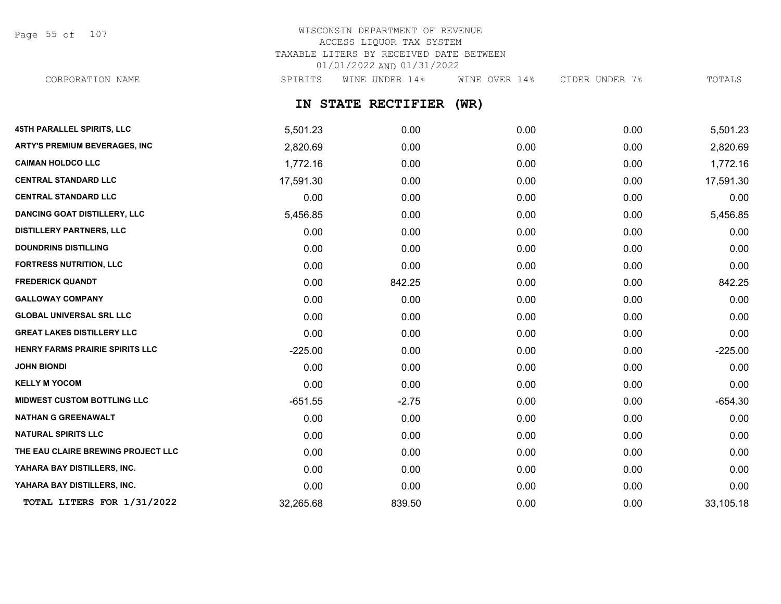Page 55 of 107

# WISCONSIN DEPARTMENT OF REVENUE ACCESS LIQUOR TAX SYSTEM TAXABLE LITERS BY RECEIVED DATE BETWEEN 01/01/2022 AND 01/31/2022

CORPORATION NAME SPIRITS WINE UNDER 14% WINE OVER 14% CIDER UNDER 7% TOTALS

### **IN STATE RECTIFIER (WR)**

| 45TH PARALLEL SPIRITS, LLC          | 5,501.23  | 0.00    | 0.00 | 0.00 | 5,501.23  |
|-------------------------------------|-----------|---------|------|------|-----------|
| ARTY'S PREMIUM BEVERAGES, INC       | 2,820.69  | 0.00    | 0.00 | 0.00 | 2,820.69  |
| <b>CAIMAN HOLDCO LLC</b>            | 1,772.16  | 0.00    | 0.00 | 0.00 | 1,772.16  |
| <b>CENTRAL STANDARD LLC</b>         | 17,591.30 | 0.00    | 0.00 | 0.00 | 17,591.30 |
| <b>CENTRAL STANDARD LLC</b>         | 0.00      | 0.00    | 0.00 | 0.00 | 0.00      |
| <b>DANCING GOAT DISTILLERY, LLC</b> | 5,456.85  | 0.00    | 0.00 | 0.00 | 5,456.85  |
| <b>DISTILLERY PARTNERS, LLC</b>     | 0.00      | 0.00    | 0.00 | 0.00 | 0.00      |
| <b>DOUNDRINS DISTILLING</b>         | 0.00      | 0.00    | 0.00 | 0.00 | 0.00      |
| <b>FORTRESS NUTRITION, LLC</b>      | 0.00      | 0.00    | 0.00 | 0.00 | 0.00      |
| <b>FREDERICK QUANDT</b>             | 0.00      | 842.25  | 0.00 | 0.00 | 842.25    |
| <b>GALLOWAY COMPANY</b>             | 0.00      | 0.00    | 0.00 | 0.00 | 0.00      |
| <b>GLOBAL UNIVERSAL SRL LLC</b>     | 0.00      | 0.00    | 0.00 | 0.00 | 0.00      |
| <b>GREAT LAKES DISTILLERY LLC</b>   | 0.00      | 0.00    | 0.00 | 0.00 | 0.00      |
| HENRY FARMS PRAIRIE SPIRITS LLC     | $-225.00$ | 0.00    | 0.00 | 0.00 | $-225.00$ |
| <b>JOHN BIONDI</b>                  | 0.00      | 0.00    | 0.00 | 0.00 | 0.00      |
| <b>KELLY M YOCOM</b>                | 0.00      | 0.00    | 0.00 | 0.00 | 0.00      |
| <b>MIDWEST CUSTOM BOTTLING LLC</b>  | $-651.55$ | $-2.75$ | 0.00 | 0.00 | $-654.30$ |
| <b>NATHAN G GREENAWALT</b>          | 0.00      | 0.00    | 0.00 | 0.00 | 0.00      |
| <b>NATURAL SPIRITS LLC</b>          | 0.00      | 0.00    | 0.00 | 0.00 | 0.00      |
| THE EAU CLAIRE BREWING PROJECT LLC  | 0.00      | 0.00    | 0.00 | 0.00 | 0.00      |
| YAHARA BAY DISTILLERS, INC.         | 0.00      | 0.00    | 0.00 | 0.00 | 0.00      |
| YAHARA BAY DISTILLERS, INC.         | 0.00      | 0.00    | 0.00 | 0.00 | 0.00      |
| TOTAL LITERS FOR 1/31/2022          | 32,265.68 | 839.50  | 0.00 | 0.00 | 33,105.18 |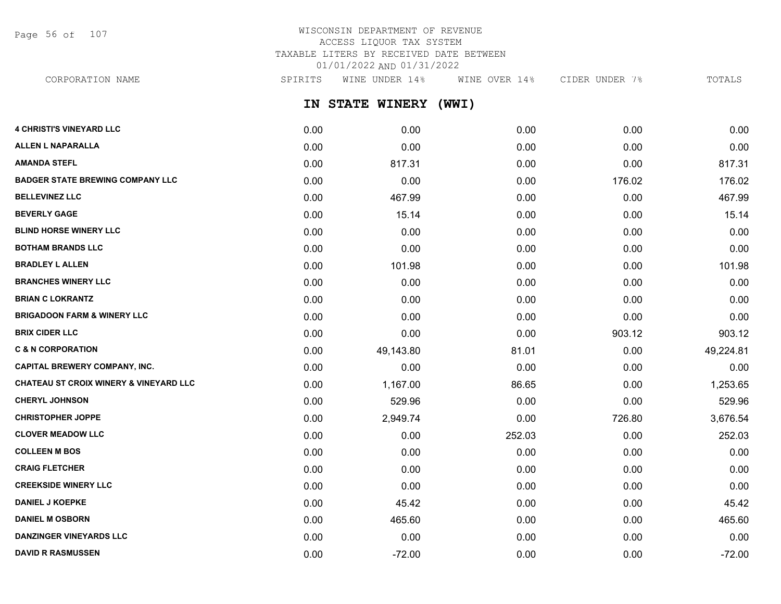Page 56 of 107

### WISCONSIN DEPARTMENT OF REVENUE ACCESS LIQUOR TAX SYSTEM TAXABLE LITERS BY RECEIVED DATE BETWEEN 01/01/2022 AND 01/31/2022

CORPORATION NAME SPIRITS WINE UNDER 14% WINE OVER 14% CIDER UNDER 7% TOTALS

**IN STATE WINERY (WWI)**

| <b>4 CHRISTI'S VINEYARD LLC</b>                   | 0.00 | 0.00      | 0.00   | 0.00   | 0.00      |
|---------------------------------------------------|------|-----------|--------|--------|-----------|
| <b>ALLEN L NAPARALLA</b>                          | 0.00 | 0.00      | 0.00   | 0.00   | 0.00      |
| <b>AMANDA STEFL</b>                               | 0.00 | 817.31    | 0.00   | 0.00   | 817.31    |
| <b>BADGER STATE BREWING COMPANY LLC</b>           | 0.00 | 0.00      | 0.00   | 176.02 | 176.02    |
| <b>BELLEVINEZ LLC</b>                             | 0.00 | 467.99    | 0.00   | 0.00   | 467.99    |
| <b>BEVERLY GAGE</b>                               | 0.00 | 15.14     | 0.00   | 0.00   | 15.14     |
| <b>BLIND HORSE WINERY LLC</b>                     | 0.00 | 0.00      | 0.00   | 0.00   | 0.00      |
| <b>BOTHAM BRANDS LLC</b>                          | 0.00 | 0.00      | 0.00   | 0.00   | 0.00      |
| <b>BRADLEY L ALLEN</b>                            | 0.00 | 101.98    | 0.00   | 0.00   | 101.98    |
| <b>BRANCHES WINERY LLC</b>                        | 0.00 | 0.00      | 0.00   | 0.00   | 0.00      |
| <b>BRIAN C LOKRANTZ</b>                           | 0.00 | 0.00      | 0.00   | 0.00   | 0.00      |
| <b>BRIGADOON FARM &amp; WINERY LLC</b>            | 0.00 | 0.00      | 0.00   | 0.00   | 0.00      |
| <b>BRIX CIDER LLC</b>                             | 0.00 | 0.00      | 0.00   | 903.12 | 903.12    |
| <b>C &amp; N CORPORATION</b>                      | 0.00 | 49,143.80 | 81.01  | 0.00   | 49,224.81 |
| <b>CAPITAL BREWERY COMPANY, INC.</b>              | 0.00 | 0.00      | 0.00   | 0.00   | 0.00      |
| <b>CHATEAU ST CROIX WINERY &amp; VINEYARD LLC</b> | 0.00 | 1,167.00  | 86.65  | 0.00   | 1,253.65  |
| <b>CHERYL JOHNSON</b>                             | 0.00 | 529.96    | 0.00   | 0.00   | 529.96    |
| <b>CHRISTOPHER JOPPE</b>                          | 0.00 | 2,949.74  | 0.00   | 726.80 | 3,676.54  |
| <b>CLOVER MEADOW LLC</b>                          | 0.00 | 0.00      | 252.03 | 0.00   | 252.03    |
| <b>COLLEEN M BOS</b>                              | 0.00 | 0.00      | 0.00   | 0.00   | 0.00      |
| <b>CRAIG FLETCHER</b>                             | 0.00 | 0.00      | 0.00   | 0.00   | 0.00      |
| <b>CREEKSIDE WINERY LLC</b>                       | 0.00 | 0.00      | 0.00   | 0.00   | 0.00      |
| <b>DANIEL J KOEPKE</b>                            | 0.00 | 45.42     | 0.00   | 0.00   | 45.42     |
| <b>DANIEL M OSBORN</b>                            | 0.00 | 465.60    | 0.00   | 0.00   | 465.60    |
| <b>DANZINGER VINEYARDS LLC</b>                    | 0.00 | 0.00      | 0.00   | 0.00   | 0.00      |
| <b>DAVID R RASMUSSEN</b>                          | 0.00 | $-72.00$  | 0.00   | 0.00   | $-72.00$  |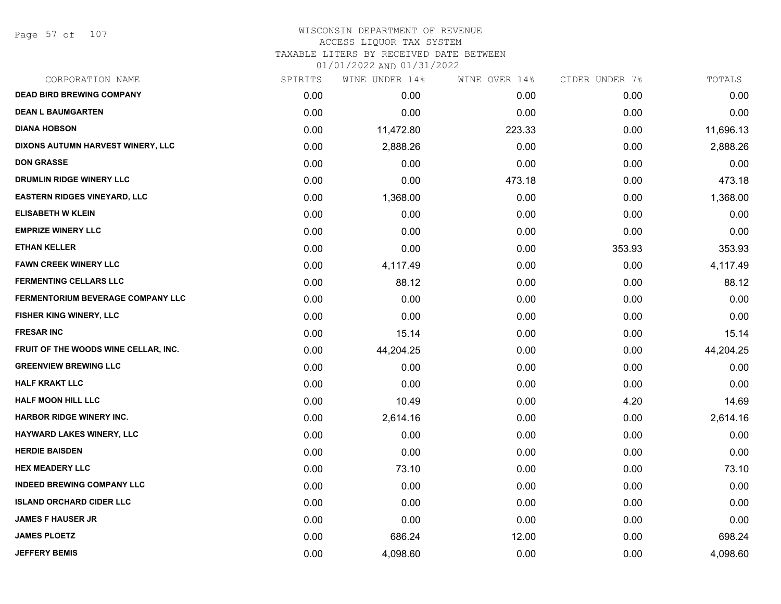#### WISCONSIN DEPARTMENT OF REVENUE ACCESS LIQUOR TAX SYSTEM TAXABLE LITERS BY RECEIVED DATE BETWEEN

| CORPORATION NAME                         | SPIRITS | WINE UNDER 14% | WINE OVER 14% | CIDER UNDER 7% | TOTALS    |
|------------------------------------------|---------|----------------|---------------|----------------|-----------|
| <b>DEAD BIRD BREWING COMPANY</b>         | 0.00    | 0.00           | 0.00          | 0.00           | 0.00      |
| <b>DEAN L BAUMGARTEN</b>                 | 0.00    | 0.00           | 0.00          | 0.00           | 0.00      |
| <b>DIANA HOBSON</b>                      | 0.00    | 11,472.80      | 223.33        | 0.00           | 11,696.13 |
| DIXONS AUTUMN HARVEST WINERY, LLC        | 0.00    | 2,888.26       | 0.00          | 0.00           | 2,888.26  |
| <b>DON GRASSE</b>                        | 0.00    | 0.00           | 0.00          | 0.00           | 0.00      |
| DRUMLIN RIDGE WINERY LLC                 | 0.00    | 0.00           | 473.18        | 0.00           | 473.18    |
| <b>EASTERN RIDGES VINEYARD, LLC</b>      | 0.00    | 1,368.00       | 0.00          | 0.00           | 1,368.00  |
| <b>ELISABETH W KLEIN</b>                 | 0.00    | 0.00           | 0.00          | 0.00           | 0.00      |
| <b>EMPRIZE WINERY LLC</b>                | 0.00    | 0.00           | 0.00          | 0.00           | 0.00      |
| <b>ETHAN KELLER</b>                      | 0.00    | 0.00           | 0.00          | 353.93         | 353.93    |
| <b>FAWN CREEK WINERY LLC</b>             | 0.00    | 4,117.49       | 0.00          | 0.00           | 4,117.49  |
| <b>FERMENTING CELLARS LLC</b>            | 0.00    | 88.12          | 0.00          | 0.00           | 88.12     |
| <b>FERMENTORIUM BEVERAGE COMPANY LLC</b> | 0.00    | 0.00           | 0.00          | 0.00           | 0.00      |
| <b>FISHER KING WINERY, LLC</b>           | 0.00    | 0.00           | 0.00          | 0.00           | 0.00      |
| <b>FRESAR INC</b>                        | 0.00    | 15.14          | 0.00          | 0.00           | 15.14     |
| FRUIT OF THE WOODS WINE CELLAR, INC.     | 0.00    | 44,204.25      | 0.00          | 0.00           | 44,204.25 |
| <b>GREENVIEW BREWING LLC</b>             | 0.00    | 0.00           | 0.00          | 0.00           | 0.00      |
| <b>HALF KRAKT LLC</b>                    | 0.00    | 0.00           | 0.00          | 0.00           | 0.00      |
| <b>HALF MOON HILL LLC</b>                | 0.00    | 10.49          | 0.00          | 4.20           | 14.69     |
| <b>HARBOR RIDGE WINERY INC.</b>          | 0.00    | 2,614.16       | 0.00          | 0.00           | 2,614.16  |
| HAYWARD LAKES WINERY, LLC                | 0.00    | 0.00           | 0.00          | 0.00           | 0.00      |
| <b>HERDIE BAISDEN</b>                    | 0.00    | 0.00           | 0.00          | 0.00           | 0.00      |
| <b>HEX MEADERY LLC</b>                   | 0.00    | 73.10          | 0.00          | 0.00           | 73.10     |
| <b>INDEED BREWING COMPANY LLC</b>        | 0.00    | 0.00           | 0.00          | 0.00           | 0.00      |
| <b>ISLAND ORCHARD CIDER LLC</b>          | 0.00    | 0.00           | 0.00          | 0.00           | 0.00      |
| <b>JAMES F HAUSER JR</b>                 | 0.00    | 0.00           | 0.00          | 0.00           | 0.00      |
| <b>JAMES PLOETZ</b>                      | 0.00    | 686.24         | 12.00         | 0.00           | 698.24    |
| <b>JEFFERY BEMIS</b>                     | 0.00    | 4,098.60       | 0.00          | 0.00           | 4,098.60  |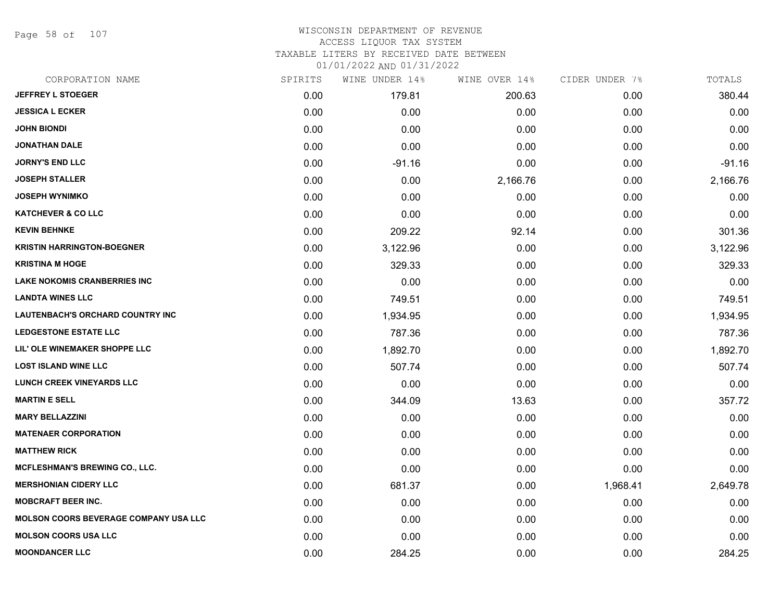Page 58 of 107

#### WISCONSIN DEPARTMENT OF REVENUE ACCESS LIQUOR TAX SYSTEM

TAXABLE LITERS BY RECEIVED DATE BETWEEN

| CORPORATION NAME                             | SPIRITS | WINE UNDER 14% | WINE OVER 14% | CIDER UNDER 7% | TOTALS   |
|----------------------------------------------|---------|----------------|---------------|----------------|----------|
| <b>JEFFREY L STOEGER</b>                     | 0.00    | 179.81         | 200.63        | 0.00           | 380.44   |
| <b>JESSICA L ECKER</b>                       | 0.00    | 0.00           | 0.00          | 0.00           | 0.00     |
| <b>JOHN BIONDI</b>                           | 0.00    | 0.00           | 0.00          | 0.00           | 0.00     |
| <b>JONATHAN DALE</b>                         | 0.00    | 0.00           | 0.00          | 0.00           | 0.00     |
| <b>JORNY'S END LLC</b>                       | 0.00    | $-91.16$       | 0.00          | 0.00           | $-91.16$ |
| <b>JOSEPH STALLER</b>                        | 0.00    | 0.00           | 2,166.76      | 0.00           | 2,166.76 |
| <b>JOSEPH WYNIMKO</b>                        | 0.00    | 0.00           | 0.00          | 0.00           | 0.00     |
| <b>KATCHEVER &amp; CO LLC</b>                | 0.00    | 0.00           | 0.00          | 0.00           | 0.00     |
| <b>KEVIN BEHNKE</b>                          | 0.00    | 209.22         | 92.14         | 0.00           | 301.36   |
| <b>KRISTIN HARRINGTON-BOEGNER</b>            | 0.00    | 3,122.96       | 0.00          | 0.00           | 3,122.96 |
| <b>KRISTINA M HOGE</b>                       | 0.00    | 329.33         | 0.00          | 0.00           | 329.33   |
| <b>LAKE NOKOMIS CRANBERRIES INC</b>          | 0.00    | 0.00           | 0.00          | 0.00           | 0.00     |
| <b>LANDTA WINES LLC</b>                      | 0.00    | 749.51         | 0.00          | 0.00           | 749.51   |
| <b>LAUTENBACH'S ORCHARD COUNTRY INC</b>      | 0.00    | 1,934.95       | 0.00          | 0.00           | 1,934.95 |
| <b>LEDGESTONE ESTATE LLC</b>                 | 0.00    | 787.36         | 0.00          | 0.00           | 787.36   |
| LIL' OLE WINEMAKER SHOPPE LLC                | 0.00    | 1,892.70       | 0.00          | 0.00           | 1,892.70 |
| <b>LOST ISLAND WINE LLC</b>                  | 0.00    | 507.74         | 0.00          | 0.00           | 507.74   |
| <b>LUNCH CREEK VINEYARDS LLC</b>             | 0.00    | 0.00           | 0.00          | 0.00           | 0.00     |
| <b>MARTIN E SELL</b>                         | 0.00    | 344.09         | 13.63         | 0.00           | 357.72   |
| <b>MARY BELLAZZINI</b>                       | 0.00    | 0.00           | 0.00          | 0.00           | 0.00     |
| <b>MATENAER CORPORATION</b>                  | 0.00    | 0.00           | 0.00          | 0.00           | 0.00     |
| <b>MATTHEW RICK</b>                          | 0.00    | 0.00           | 0.00          | 0.00           | 0.00     |
| <b>MCFLESHMAN'S BREWING CO., LLC.</b>        | 0.00    | 0.00           | 0.00          | 0.00           | 0.00     |
| <b>MERSHONIAN CIDERY LLC</b>                 | 0.00    | 681.37         | 0.00          | 1,968.41       | 2,649.78 |
| <b>MOBCRAFT BEER INC.</b>                    | 0.00    | 0.00           | 0.00          | 0.00           | 0.00     |
| <b>MOLSON COORS BEVERAGE COMPANY USA LLC</b> | 0.00    | 0.00           | 0.00          | 0.00           | 0.00     |
| <b>MOLSON COORS USA LLC</b>                  | 0.00    | 0.00           | 0.00          | 0.00           | 0.00     |
| <b>MOONDANCER LLC</b>                        | 0.00    | 284.25         | 0.00          | 0.00           | 284.25   |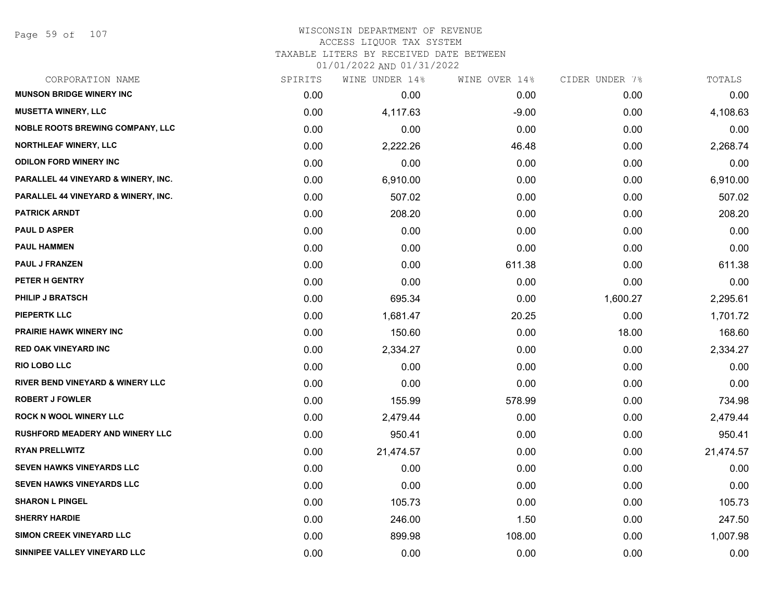### WISCONSIN DEPARTMENT OF REVENUE ACCESS LIQUOR TAX SYSTEM TAXABLE LITERS BY RECEIVED DATE BETWEEN

| CORPORATION NAME                        | SPIRITS | WINE UNDER 14% | WINE OVER 14% | CIDER UNDER 7% | TOTALS    |
|-----------------------------------------|---------|----------------|---------------|----------------|-----------|
| <b>MUNSON BRIDGE WINERY INC</b>         | 0.00    | 0.00           | 0.00          | 0.00           | 0.00      |
| <b>MUSETTA WINERY, LLC</b>              | 0.00    | 4,117.63       | $-9.00$       | 0.00           | 4,108.63  |
| <b>NOBLE ROOTS BREWING COMPANY, LLC</b> | 0.00    | 0.00           | 0.00          | 0.00           | 0.00      |
| <b>NORTHLEAF WINERY, LLC</b>            | 0.00    | 2,222.26       | 46.48         | 0.00           | 2,268.74  |
| <b>ODILON FORD WINERY INC</b>           | 0.00    | 0.00           | 0.00          | 0.00           | 0.00      |
| PARALLEL 44 VINEYARD & WINERY, INC.     | 0.00    | 6,910.00       | 0.00          | 0.00           | 6,910.00  |
| PARALLEL 44 VINEYARD & WINERY, INC.     | 0.00    | 507.02         | 0.00          | 0.00           | 507.02    |
| <b>PATRICK ARNDT</b>                    | 0.00    | 208.20         | 0.00          | 0.00           | 208.20    |
| <b>PAUL D ASPER</b>                     | 0.00    | 0.00           | 0.00          | 0.00           | 0.00      |
| <b>PAUL HAMMEN</b>                      | 0.00    | 0.00           | 0.00          | 0.00           | 0.00      |
| <b>PAUL J FRANZEN</b>                   | 0.00    | 0.00           | 611.38        | 0.00           | 611.38    |
| PETER H GENTRY                          | 0.00    | 0.00           | 0.00          | 0.00           | 0.00      |
| <b>PHILIP J BRATSCH</b>                 | 0.00    | 695.34         | 0.00          | 1,600.27       | 2,295.61  |
| <b>PIEPERTK LLC</b>                     | 0.00    | 1,681.47       | 20.25         | 0.00           | 1,701.72  |
| <b>PRAIRIE HAWK WINERY INC</b>          | 0.00    | 150.60         | 0.00          | 18.00          | 168.60    |
| <b>RED OAK VINEYARD INC</b>             | 0.00    | 2,334.27       | 0.00          | 0.00           | 2,334.27  |
| <b>RIO LOBO LLC</b>                     | 0.00    | 0.00           | 0.00          | 0.00           | 0.00      |
| RIVER BEND VINEYARD & WINERY LLC        | 0.00    | 0.00           | 0.00          | 0.00           | 0.00      |
| <b>ROBERT J FOWLER</b>                  | 0.00    | 155.99         | 578.99        | 0.00           | 734.98    |
| <b>ROCK N WOOL WINERY LLC</b>           | 0.00    | 2,479.44       | 0.00          | 0.00           | 2,479.44  |
| <b>RUSHFORD MEADERY AND WINERY LLC</b>  | 0.00    | 950.41         | 0.00          | 0.00           | 950.41    |
| <b>RYAN PRELLWITZ</b>                   | 0.00    | 21,474.57      | 0.00          | 0.00           | 21,474.57 |
| <b>SEVEN HAWKS VINEYARDS LLC</b>        | 0.00    | 0.00           | 0.00          | 0.00           | 0.00      |
| <b>SEVEN HAWKS VINEYARDS LLC</b>        | 0.00    | 0.00           | 0.00          | 0.00           | 0.00      |
| <b>SHARON L PINGEL</b>                  | 0.00    | 105.73         | 0.00          | 0.00           | 105.73    |
| <b>SHERRY HARDIE</b>                    | 0.00    | 246.00         | 1.50          | 0.00           | 247.50    |
| <b>SIMON CREEK VINEYARD LLC</b>         | 0.00    | 899.98         | 108.00        | 0.00           | 1,007.98  |
| SINNIPEE VALLEY VINEYARD LLC            | 0.00    | 0.00           | 0.00          | 0.00           | 0.00      |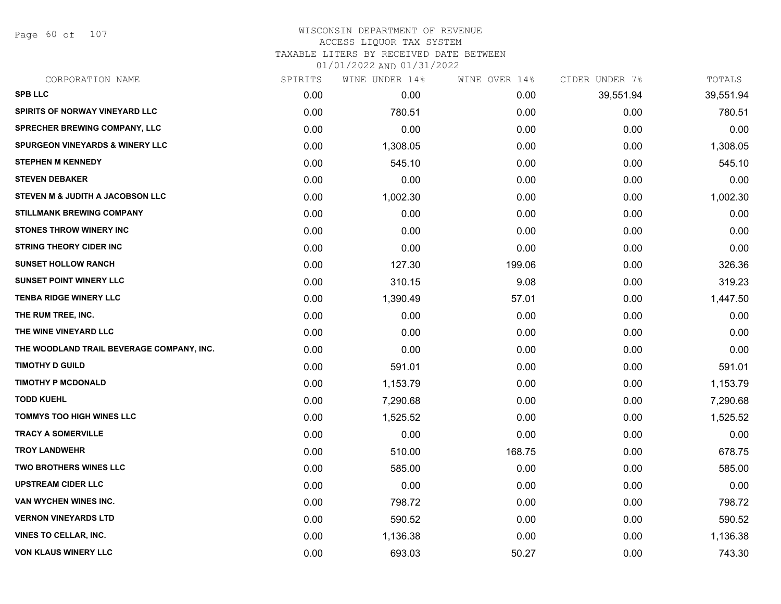Page 60 of 107

#### WISCONSIN DEPARTMENT OF REVENUE ACCESS LIQUOR TAX SYSTEM TAXABLE LITERS BY RECEIVED DATE BETWEEN

| CORPORATION NAME                          | SPIRITS | WINE UNDER 14% | WINE OVER 14% | CIDER UNDER 7% | TOTALS    |
|-------------------------------------------|---------|----------------|---------------|----------------|-----------|
| <b>SPB LLC</b>                            | 0.00    | 0.00           | 0.00          | 39,551.94      | 39,551.94 |
| SPIRITS OF NORWAY VINEYARD LLC            | 0.00    | 780.51         | 0.00          | 0.00           | 780.51    |
| SPRECHER BREWING COMPANY, LLC             | 0.00    | 0.00           | 0.00          | 0.00           | 0.00      |
| SPURGEON VINEYARDS & WINERY LLC           | 0.00    | 1,308.05       | 0.00          | 0.00           | 1,308.05  |
| <b>STEPHEN M KENNEDY</b>                  | 0.00    | 545.10         | 0.00          | 0.00           | 545.10    |
| <b>STEVEN DEBAKER</b>                     | 0.00    | 0.00           | 0.00          | 0.00           | 0.00      |
| STEVEN M & JUDITH A JACOBSON LLC          | 0.00    | 1,002.30       | 0.00          | 0.00           | 1,002.30  |
| <b>STILLMANK BREWING COMPANY</b>          | 0.00    | 0.00           | 0.00          | 0.00           | 0.00      |
| <b>STONES THROW WINERY INC</b>            | 0.00    | 0.00           | 0.00          | 0.00           | 0.00      |
| <b>STRING THEORY CIDER INC</b>            | 0.00    | 0.00           | 0.00          | 0.00           | 0.00      |
| <b>SUNSET HOLLOW RANCH</b>                | 0.00    | 127.30         | 199.06        | 0.00           | 326.36    |
| <b>SUNSET POINT WINERY LLC</b>            | 0.00    | 310.15         | 9.08          | 0.00           | 319.23    |
| <b>TENBA RIDGE WINERY LLC</b>             | 0.00    | 1,390.49       | 57.01         | 0.00           | 1,447.50  |
| THE RUM TREE, INC.                        | 0.00    | 0.00           | 0.00          | 0.00           | 0.00      |
| THE WINE VINEYARD LLC                     | 0.00    | 0.00           | 0.00          | 0.00           | 0.00      |
| THE WOODLAND TRAIL BEVERAGE COMPANY, INC. | 0.00    | 0.00           | 0.00          | 0.00           | 0.00      |
| <b>TIMOTHY D GUILD</b>                    | 0.00    | 591.01         | 0.00          | 0.00           | 591.01    |
| <b>TIMOTHY P MCDONALD</b>                 | 0.00    | 1,153.79       | 0.00          | 0.00           | 1,153.79  |
| <b>TODD KUEHL</b>                         | 0.00    | 7,290.68       | 0.00          | 0.00           | 7,290.68  |
| <b>TOMMYS TOO HIGH WINES LLC</b>          | 0.00    | 1,525.52       | 0.00          | 0.00           | 1,525.52  |
| <b>TRACY A SOMERVILLE</b>                 | 0.00    | 0.00           | 0.00          | 0.00           | 0.00      |
| <b>TROY LANDWEHR</b>                      | 0.00    | 510.00         | 168.75        | 0.00           | 678.75    |
| <b>TWO BROTHERS WINES LLC</b>             | 0.00    | 585.00         | 0.00          | 0.00           | 585.00    |
| <b>UPSTREAM CIDER LLC</b>                 | 0.00    | 0.00           | 0.00          | 0.00           | 0.00      |
| VAN WYCHEN WINES INC.                     | 0.00    | 798.72         | 0.00          | 0.00           | 798.72    |
| <b>VERNON VINEYARDS LTD</b>               | 0.00    | 590.52         | 0.00          | 0.00           | 590.52    |
| <b>VINES TO CELLAR, INC.</b>              | 0.00    | 1,136.38       | 0.00          | 0.00           | 1,136.38  |
| <b>VON KLAUS WINERY LLC</b>               | 0.00    | 693.03         | 50.27         | 0.00           | 743.30    |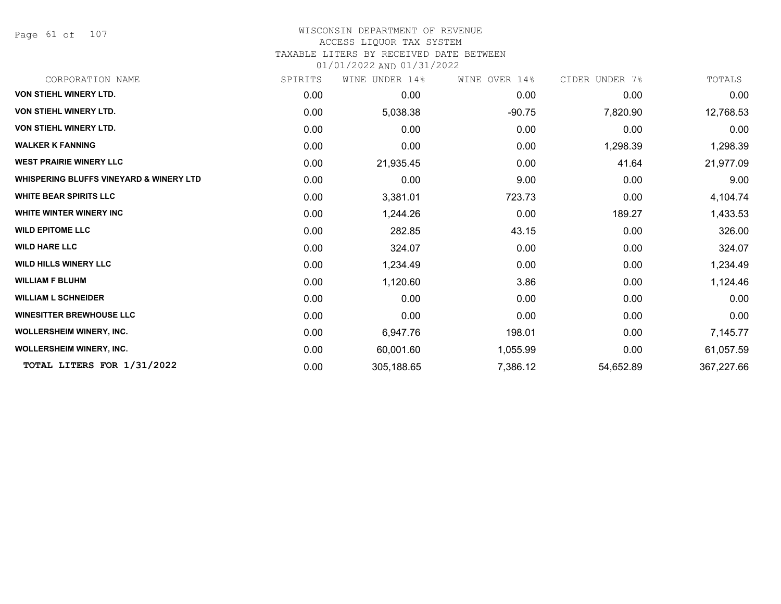Page 61 of 107

# WISCONSIN DEPARTMENT OF REVENUE

# ACCESS LIQUOR TAX SYSTEM

TAXABLE LITERS BY RECEIVED DATE BETWEEN

| CORPORATION NAME                                   | SPIRITS | UNDER 14%<br>WINE | WINE OVER 14% | CIDER UNDER 7% | TOTALS     |
|----------------------------------------------------|---------|-------------------|---------------|----------------|------------|
| <b>VON STIEHL WINERY LTD.</b>                      | 0.00    | 0.00              | 0.00          | 0.00           | 0.00       |
| <b>VON STIEHL WINERY LTD.</b>                      | 0.00    | 5,038.38          | $-90.75$      | 7,820.90       | 12,768.53  |
| <b>VON STIEHL WINERY LTD.</b>                      | 0.00    | 0.00              | 0.00          | 0.00           | 0.00       |
| <b>WALKER K FANNING</b>                            | 0.00    | 0.00              | 0.00          | 1,298.39       | 1,298.39   |
| <b>WEST PRAIRIE WINERY LLC</b>                     | 0.00    | 21,935.45         | 0.00          | 41.64          | 21,977.09  |
| <b>WHISPERING BLUFFS VINEYARD &amp; WINERY LTD</b> | 0.00    | 0.00              | 9.00          | 0.00           | 9.00       |
| <b>WHITE BEAR SPIRITS LLC</b>                      | 0.00    | 3,381.01          | 723.73        | 0.00           | 4,104.74   |
| <b>WHITE WINTER WINERY INC</b>                     | 0.00    | 1,244.26          | 0.00          | 189.27         | 1,433.53   |
| <b>WILD EPITOME LLC</b>                            | 0.00    | 282.85            | 43.15         | 0.00           | 326.00     |
| <b>WILD HARE LLC</b>                               | 0.00    | 324.07            | 0.00          | 0.00           | 324.07     |
| <b>WILD HILLS WINERY LLC</b>                       | 0.00    | 1,234.49          | 0.00          | 0.00           | 1,234.49   |
| <b>WILLIAM F BLUHM</b>                             | 0.00    | 1,120.60          | 3.86          | 0.00           | 1,124.46   |
| <b>WILLIAM L SCHNEIDER</b>                         | 0.00    | 0.00              | 0.00          | 0.00           | 0.00       |
| <b>WINESITTER BREWHOUSE LLC</b>                    | 0.00    | 0.00              | 0.00          | 0.00           | 0.00       |
| <b>WOLLERSHEIM WINERY, INC.</b>                    | 0.00    | 6,947.76          | 198.01        | 0.00           | 7,145.77   |
| <b>WOLLERSHEIM WINERY, INC.</b>                    | 0.00    | 60,001.60         | 1,055.99      | 0.00           | 61,057.59  |
| TOTAL LITERS FOR 1/31/2022                         | 0.00    | 305,188.65        | 7,386.12      | 54,652.89      | 367,227.66 |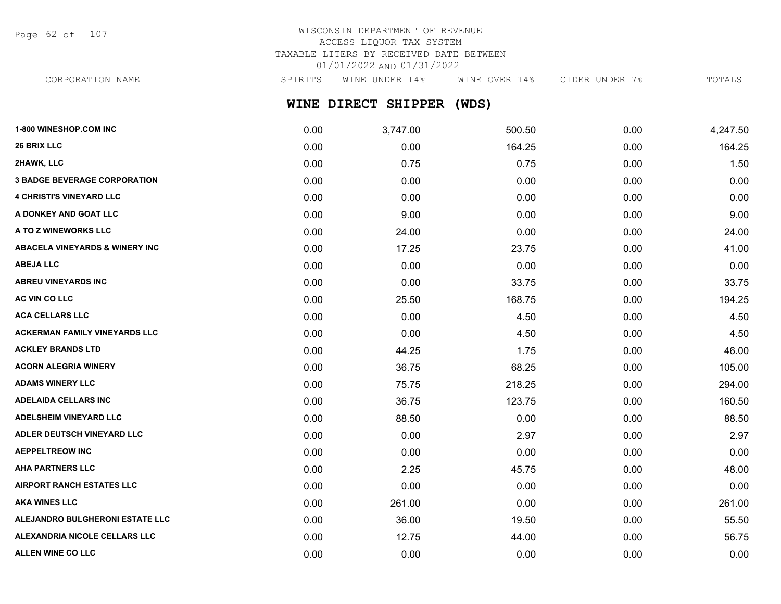Page 62 of 107

# WISCONSIN DEPARTMENT OF REVENUE ACCESS LIQUOR TAX SYSTEM TAXABLE LITERS BY RECEIVED DATE BETWEEN 01/01/2022 AND 01/31/2022

CORPORATION NAME SPIRITS WINE UNDER 14% WINE OVER 14% CIDER UNDER 7% TOTALS

# **WINE DIRECT SHIPPER (WDS)**

| 1-800 WINESHOP.COM INC                    | 0.00 | 3,747.00 | 500.50 | 0.00 | 4,247.50 |
|-------------------------------------------|------|----------|--------|------|----------|
| 26 BRIX LLC                               | 0.00 | 0.00     | 164.25 | 0.00 | 164.25   |
| 2HAWK, LLC                                | 0.00 | 0.75     | 0.75   | 0.00 | 1.50     |
| <b>3 BADGE BEVERAGE CORPORATION</b>       | 0.00 | 0.00     | 0.00   | 0.00 | 0.00     |
| <b>4 CHRISTI'S VINEYARD LLC</b>           | 0.00 | 0.00     | 0.00   | 0.00 | 0.00     |
| A DONKEY AND GOAT LLC                     | 0.00 | 9.00     | 0.00   | 0.00 | 9.00     |
| A TO Z WINEWORKS LLC                      | 0.00 | 24.00    | 0.00   | 0.00 | 24.00    |
| <b>ABACELA VINEYARDS &amp; WINERY INC</b> | 0.00 | 17.25    | 23.75  | 0.00 | 41.00    |
| <b>ABEJA LLC</b>                          | 0.00 | 0.00     | 0.00   | 0.00 | 0.00     |
| <b>ABREU VINEYARDS INC</b>                | 0.00 | 0.00     | 33.75  | 0.00 | 33.75    |
| AC VIN CO LLC                             | 0.00 | 25.50    | 168.75 | 0.00 | 194.25   |
| <b>ACA CELLARS LLC</b>                    | 0.00 | 0.00     | 4.50   | 0.00 | 4.50     |
| <b>ACKERMAN FAMILY VINEYARDS LLC</b>      | 0.00 | 0.00     | 4.50   | 0.00 | 4.50     |
| <b>ACKLEY BRANDS LTD</b>                  | 0.00 | 44.25    | 1.75   | 0.00 | 46.00    |
| <b>ACORN ALEGRIA WINERY</b>               | 0.00 | 36.75    | 68.25  | 0.00 | 105.00   |
| <b>ADAMS WINERY LLC</b>                   | 0.00 | 75.75    | 218.25 | 0.00 | 294.00   |
| <b>ADELAIDA CELLARS INC</b>               | 0.00 | 36.75    | 123.75 | 0.00 | 160.50   |
| <b>ADELSHEIM VINEYARD LLC</b>             | 0.00 | 88.50    | 0.00   | 0.00 | 88.50    |
| ADLER DEUTSCH VINEYARD LLC                | 0.00 | 0.00     | 2.97   | 0.00 | 2.97     |
| <b>AEPPELTREOW INC</b>                    | 0.00 | 0.00     | 0.00   | 0.00 | 0.00     |
| <b>AHA PARTNERS LLC</b>                   | 0.00 | 2.25     | 45.75  | 0.00 | 48.00    |
| <b>AIRPORT RANCH ESTATES LLC</b>          | 0.00 | 0.00     | 0.00   | 0.00 | 0.00     |
| <b>AKA WINES LLC</b>                      | 0.00 | 261.00   | 0.00   | 0.00 | 261.00   |
| ALEJANDRO BULGHERONI ESTATE LLC           | 0.00 | 36.00    | 19.50  | 0.00 | 55.50    |
| ALEXANDRIA NICOLE CELLARS LLC             | 0.00 | 12.75    | 44.00  | 0.00 | 56.75    |
| ALLEN WINE CO LLC                         | 0.00 | 0.00     | 0.00   | 0.00 | 0.00     |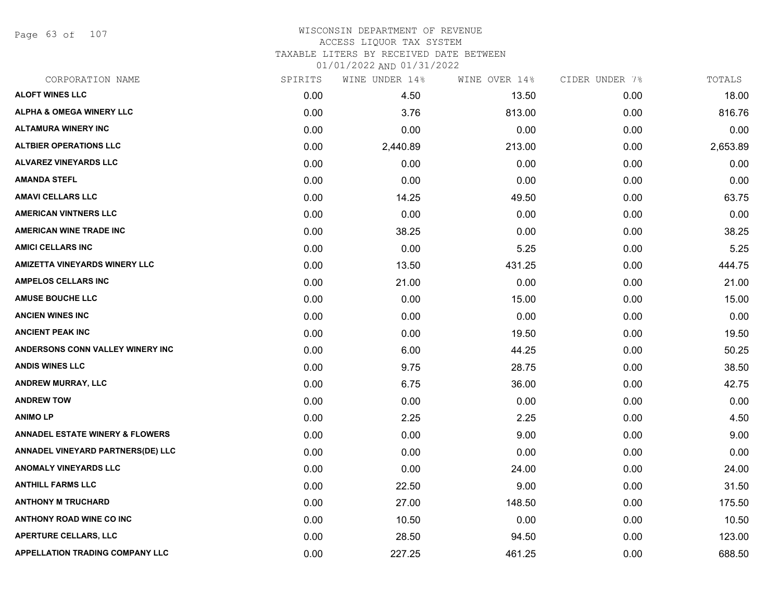Page 63 of 107

### WISCONSIN DEPARTMENT OF REVENUE ACCESS LIQUOR TAX SYSTEM TAXABLE LITERS BY RECEIVED DATE BETWEEN

| CORPORATION NAME                           | SPIRITS | WINE UNDER 14% | WINE OVER 14% | CIDER UNDER 7% | TOTALS   |
|--------------------------------------------|---------|----------------|---------------|----------------|----------|
| <b>ALOFT WINES LLC</b>                     | 0.00    | 4.50           | 13.50         | 0.00           | 18.00    |
| <b>ALPHA &amp; OMEGA WINERY LLC</b>        | 0.00    | 3.76           | 813.00        | 0.00           | 816.76   |
| <b>ALTAMURA WINERY INC</b>                 | 0.00    | 0.00           | 0.00          | 0.00           | 0.00     |
| <b>ALTBIER OPERATIONS LLC</b>              | 0.00    | 2,440.89       | 213.00        | 0.00           | 2,653.89 |
| <b>ALVAREZ VINEYARDS LLC</b>               | 0.00    | 0.00           | 0.00          | 0.00           | 0.00     |
| <b>AMANDA STEFL</b>                        | 0.00    | 0.00           | 0.00          | 0.00           | 0.00     |
| <b>AMAVI CELLARS LLC</b>                   | 0.00    | 14.25          | 49.50         | 0.00           | 63.75    |
| <b>AMERICAN VINTNERS LLC</b>               | 0.00    | 0.00           | 0.00          | 0.00           | 0.00     |
| <b>AMERICAN WINE TRADE INC</b>             | 0.00    | 38.25          | 0.00          | 0.00           | 38.25    |
| <b>AMICI CELLARS INC</b>                   | 0.00    | 0.00           | 5.25          | 0.00           | 5.25     |
| <b>AMIZETTA VINEYARDS WINERY LLC</b>       | 0.00    | 13.50          | 431.25        | 0.00           | 444.75   |
| <b>AMPELOS CELLARS INC</b>                 | 0.00    | 21.00          | 0.00          | 0.00           | 21.00    |
| <b>AMUSE BOUCHE LLC</b>                    | 0.00    | 0.00           | 15.00         | 0.00           | 15.00    |
| <b>ANCIEN WINES INC</b>                    | 0.00    | 0.00           | 0.00          | 0.00           | 0.00     |
| <b>ANCIENT PEAK INC</b>                    | 0.00    | 0.00           | 19.50         | 0.00           | 19.50    |
| ANDERSONS CONN VALLEY WINERY INC           | 0.00    | 6.00           | 44.25         | 0.00           | 50.25    |
| <b>ANDIS WINES LLC</b>                     | 0.00    | 9.75           | 28.75         | 0.00           | 38.50    |
| <b>ANDREW MURRAY, LLC</b>                  | 0.00    | 6.75           | 36.00         | 0.00           | 42.75    |
| <b>ANDREW TOW</b>                          | 0.00    | 0.00           | 0.00          | 0.00           | 0.00     |
| <b>ANIMOLP</b>                             | 0.00    | 2.25           | 2.25          | 0.00           | 4.50     |
| <b>ANNADEL ESTATE WINERY &amp; FLOWERS</b> | 0.00    | 0.00           | 9.00          | 0.00           | 9.00     |
| ANNADEL VINEYARD PARTNERS(DE) LLC          | 0.00    | 0.00           | 0.00          | 0.00           | 0.00     |
| <b>ANOMALY VINEYARDS LLC</b>               | 0.00    | 0.00           | 24.00         | 0.00           | 24.00    |
| <b>ANTHILL FARMS LLC</b>                   | 0.00    | 22.50          | 9.00          | 0.00           | 31.50    |
| <b>ANTHONY M TRUCHARD</b>                  | 0.00    | 27.00          | 148.50        | 0.00           | 175.50   |
| <b>ANTHONY ROAD WINE CO INC</b>            | 0.00    | 10.50          | 0.00          | 0.00           | 10.50    |
| <b>APERTURE CELLARS, LLC</b>               | 0.00    | 28.50          | 94.50         | 0.00           | 123.00   |
| APPELLATION TRADING COMPANY LLC            | 0.00    | 227.25         | 461.25        | 0.00           | 688.50   |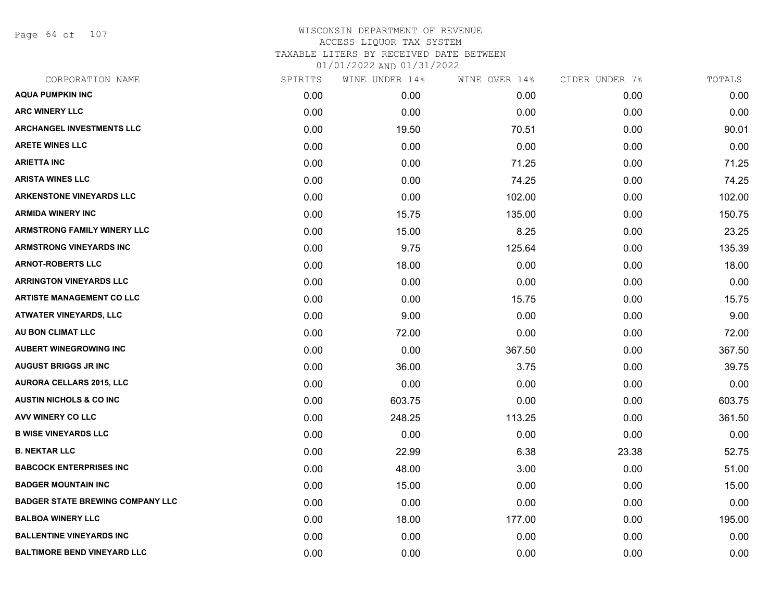Page 64 of 107

| CORPORATION NAME                        | SPIRITS | WINE UNDER 14% | WINE OVER 14% | CIDER UNDER 7% | TOTALS |
|-----------------------------------------|---------|----------------|---------------|----------------|--------|
| <b>AQUA PUMPKIN INC</b>                 | 0.00    | 0.00           | 0.00          | 0.00           | 0.00   |
| <b>ARC WINERY LLC</b>                   | 0.00    | 0.00           | 0.00          | 0.00           | 0.00   |
| <b>ARCHANGEL INVESTMENTS LLC</b>        | 0.00    | 19.50          | 70.51         | 0.00           | 90.01  |
| <b>ARETE WINES LLC</b>                  | 0.00    | 0.00           | 0.00          | 0.00           | 0.00   |
| ARIETTA INC                             | 0.00    | 0.00           | 71.25         | 0.00           | 71.25  |
| <b>ARISTA WINES LLC</b>                 | 0.00    | 0.00           | 74.25         | 0.00           | 74.25  |
| <b>ARKENSTONE VINEYARDS LLC</b>         | 0.00    | 0.00           | 102.00        | 0.00           | 102.00 |
| <b>ARMIDA WINERY INC</b>                | 0.00    | 15.75          | 135.00        | 0.00           | 150.75 |
| <b>ARMSTRONG FAMILY WINERY LLC</b>      | 0.00    | 15.00          | 8.25          | 0.00           | 23.25  |
| <b>ARMSTRONG VINEYARDS INC</b>          | 0.00    | 9.75           | 125.64        | 0.00           | 135.39 |
| <b>ARNOT-ROBERTS LLC</b>                | 0.00    | 18.00          | 0.00          | 0.00           | 18.00  |
| <b>ARRINGTON VINEYARDS LLC</b>          | 0.00    | 0.00           | 0.00          | 0.00           | 0.00   |
| <b>ARTISTE MANAGEMENT CO LLC</b>        | 0.00    | 0.00           | 15.75         | 0.00           | 15.75  |
| <b>ATWATER VINEYARDS, LLC</b>           | 0.00    | 9.00           | 0.00          | 0.00           | 9.00   |
| AU BON CLIMAT LLC                       | 0.00    | 72.00          | 0.00          | 0.00           | 72.00  |
| <b>AUBERT WINEGROWING INC</b>           | 0.00    | 0.00           | 367.50        | 0.00           | 367.50 |
| <b>AUGUST BRIGGS JR INC</b>             | 0.00    | 36.00          | 3.75          | 0.00           | 39.75  |
| <b>AURORA CELLARS 2015, LLC</b>         | 0.00    | 0.00           | 0.00          | 0.00           | 0.00   |
| <b>AUSTIN NICHOLS &amp; CO INC</b>      | 0.00    | 603.75         | 0.00          | 0.00           | 603.75 |
| <b>AVV WINERY CO LLC</b>                | 0.00    | 248.25         | 113.25        | 0.00           | 361.50 |
| <b>B WISE VINEYARDS LLC</b>             | 0.00    | 0.00           | 0.00          | 0.00           | 0.00   |
| <b>B. NEKTAR LLC</b>                    | 0.00    | 22.99          | 6.38          | 23.38          | 52.75  |
| <b>BABCOCK ENTERPRISES INC</b>          | 0.00    | 48.00          | 3.00          | 0.00           | 51.00  |
| <b>BADGER MOUNTAIN INC</b>              | 0.00    | 15.00          | 0.00          | 0.00           | 15.00  |
| <b>BADGER STATE BREWING COMPANY LLC</b> | 0.00    | 0.00           | 0.00          | 0.00           | 0.00   |
| <b>BALBOA WINERY LLC</b>                | 0.00    | 18.00          | 177.00        | 0.00           | 195.00 |
| <b>BALLENTINE VINEYARDS INC</b>         | 0.00    | 0.00           | 0.00          | 0.00           | 0.00   |
| <b>BALTIMORE BEND VINEYARD LLC</b>      | 0.00    | 0.00           | 0.00          | 0.00           | 0.00   |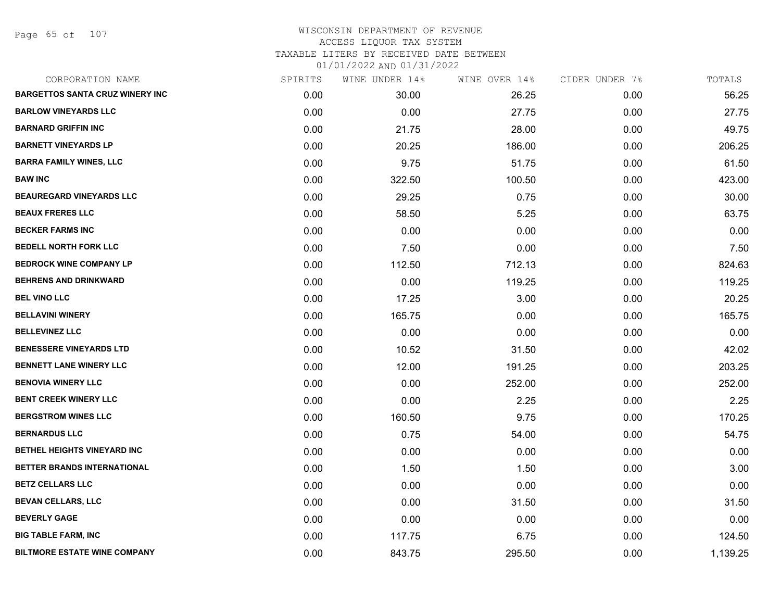Page 65 of 107

| CORPORATION NAME                       | SPIRITS | WINE UNDER 14% | WINE OVER 14% | CIDER UNDER 7% | TOTALS   |
|----------------------------------------|---------|----------------|---------------|----------------|----------|
| <b>BARGETTOS SANTA CRUZ WINERY INC</b> | 0.00    | 30.00          | 26.25         | 0.00           | 56.25    |
| <b>BARLOW VINEYARDS LLC</b>            | 0.00    | 0.00           | 27.75         | 0.00           | 27.75    |
| <b>BARNARD GRIFFIN INC</b>             | 0.00    | 21.75          | 28.00         | 0.00           | 49.75    |
| <b>BARNETT VINEYARDS LP</b>            | 0.00    | 20.25          | 186.00        | 0.00           | 206.25   |
| <b>BARRA FAMILY WINES, LLC</b>         | 0.00    | 9.75           | 51.75         | 0.00           | 61.50    |
| <b>BAW INC</b>                         | 0.00    | 322.50         | 100.50        | 0.00           | 423.00   |
| BEAUREGARD VINEYARDS LLC               | 0.00    | 29.25          | 0.75          | 0.00           | 30.00    |
| <b>BEAUX FRERES LLC</b>                | 0.00    | 58.50          | 5.25          | 0.00           | 63.75    |
| <b>BECKER FARMS INC</b>                | 0.00    | 0.00           | 0.00          | 0.00           | 0.00     |
| <b>BEDELL NORTH FORK LLC</b>           | 0.00    | 7.50           | 0.00          | 0.00           | 7.50     |
| <b>BEDROCK WINE COMPANY LP</b>         | 0.00    | 112.50         | 712.13        | 0.00           | 824.63   |
| <b>BEHRENS AND DRINKWARD</b>           | 0.00    | 0.00           | 119.25        | 0.00           | 119.25   |
| <b>BEL VINO LLC</b>                    | 0.00    | 17.25          | 3.00          | 0.00           | 20.25    |
| <b>BELLAVINI WINERY</b>                | 0.00    | 165.75         | 0.00          | 0.00           | 165.75   |
| <b>BELLEVINEZ LLC</b>                  | 0.00    | 0.00           | 0.00          | 0.00           | 0.00     |
| <b>BENESSERE VINEYARDS LTD</b>         | 0.00    | 10.52          | 31.50         | 0.00           | 42.02    |
| <b>BENNETT LANE WINERY LLC</b>         | 0.00    | 12.00          | 191.25        | 0.00           | 203.25   |
| <b>BENOVIA WINERY LLC</b>              | 0.00    | 0.00           | 252.00        | 0.00           | 252.00   |
| <b>BENT CREEK WINERY LLC</b>           | 0.00    | 0.00           | 2.25          | 0.00           | 2.25     |
| <b>BERGSTROM WINES LLC</b>             | 0.00    | 160.50         | 9.75          | 0.00           | 170.25   |
| <b>BERNARDUS LLC</b>                   | 0.00    | 0.75           | 54.00         | 0.00           | 54.75    |
| BETHEL HEIGHTS VINEYARD INC            | 0.00    | 0.00           | 0.00          | 0.00           | 0.00     |
| BETTER BRANDS INTERNATIONAL            | 0.00    | 1.50           | 1.50          | 0.00           | 3.00     |
| <b>BETZ CELLARS LLC</b>                | 0.00    | 0.00           | 0.00          | 0.00           | 0.00     |
| <b>BEVAN CELLARS, LLC</b>              | 0.00    | 0.00           | 31.50         | 0.00           | 31.50    |
| <b>BEVERLY GAGE</b>                    | 0.00    | 0.00           | 0.00          | 0.00           | 0.00     |
| <b>BIG TABLE FARM, INC</b>             | 0.00    | 117.75         | 6.75          | 0.00           | 124.50   |
| <b>BILTMORE ESTATE WINE COMPANY</b>    | 0.00    | 843.75         | 295.50        | 0.00           | 1,139.25 |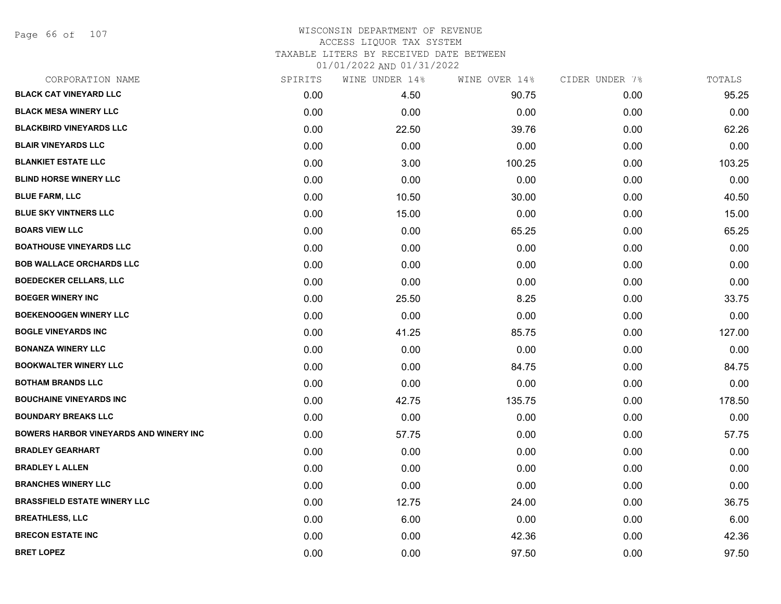Page 66 of 107

### WISCONSIN DEPARTMENT OF REVENUE ACCESS LIQUOR TAX SYSTEM TAXABLE LITERS BY RECEIVED DATE BETWEEN

| CORPORATION NAME                              | SPIRITS | WINE UNDER 14% | WINE OVER 14% | CIDER UNDER 7% | TOTALS |
|-----------------------------------------------|---------|----------------|---------------|----------------|--------|
| <b>BLACK CAT VINEYARD LLC</b>                 | 0.00    | 4.50           | 90.75         | 0.00           | 95.25  |
| <b>BLACK MESA WINERY LLC</b>                  | 0.00    | 0.00           | 0.00          | 0.00           | 0.00   |
| <b>BLACKBIRD VINEYARDS LLC</b>                | 0.00    | 22.50          | 39.76         | 0.00           | 62.26  |
| <b>BLAIR VINEYARDS LLC</b>                    | 0.00    | 0.00           | 0.00          | 0.00           | 0.00   |
| <b>BLANKIET ESTATE LLC</b>                    | 0.00    | 3.00           | 100.25        | 0.00           | 103.25 |
| <b>BLIND HORSE WINERY LLC</b>                 | 0.00    | 0.00           | 0.00          | 0.00           | 0.00   |
| <b>BLUE FARM, LLC</b>                         | 0.00    | 10.50          | 30.00         | 0.00           | 40.50  |
| <b>BLUE SKY VINTNERS LLC</b>                  | 0.00    | 15.00          | 0.00          | 0.00           | 15.00  |
| <b>BOARS VIEW LLC</b>                         | 0.00    | 0.00           | 65.25         | 0.00           | 65.25  |
| <b>BOATHOUSE VINEYARDS LLC</b>                | 0.00    | 0.00           | 0.00          | 0.00           | 0.00   |
| <b>BOB WALLACE ORCHARDS LLC</b>               | 0.00    | 0.00           | 0.00          | 0.00           | 0.00   |
| <b>BOEDECKER CELLARS, LLC</b>                 | 0.00    | 0.00           | 0.00          | 0.00           | 0.00   |
| <b>BOEGER WINERY INC</b>                      | 0.00    | 25.50          | 8.25          | 0.00           | 33.75  |
| <b>BOEKENOOGEN WINERY LLC</b>                 | 0.00    | 0.00           | 0.00          | 0.00           | 0.00   |
| <b>BOGLE VINEYARDS INC</b>                    | 0.00    | 41.25          | 85.75         | 0.00           | 127.00 |
| <b>BONANZA WINERY LLC</b>                     | 0.00    | 0.00           | 0.00          | 0.00           | 0.00   |
| <b>BOOKWALTER WINERY LLC</b>                  | 0.00    | 0.00           | 84.75         | 0.00           | 84.75  |
| <b>BOTHAM BRANDS LLC</b>                      | 0.00    | 0.00           | 0.00          | 0.00           | 0.00   |
| <b>BOUCHAINE VINEYARDS INC</b>                | 0.00    | 42.75          | 135.75        | 0.00           | 178.50 |
| <b>BOUNDARY BREAKS LLC</b>                    | 0.00    | 0.00           | 0.00          | 0.00           | 0.00   |
| <b>BOWERS HARBOR VINEYARDS AND WINERY INC</b> | 0.00    | 57.75          | 0.00          | 0.00           | 57.75  |
| <b>BRADLEY GEARHART</b>                       | 0.00    | 0.00           | 0.00          | 0.00           | 0.00   |
| <b>BRADLEY L ALLEN</b>                        | 0.00    | 0.00           | 0.00          | 0.00           | 0.00   |
| <b>BRANCHES WINERY LLC</b>                    | 0.00    | 0.00           | 0.00          | 0.00           | 0.00   |
| <b>BRASSFIELD ESTATE WINERY LLC</b>           | 0.00    | 12.75          | 24.00         | 0.00           | 36.75  |
| <b>BREATHLESS, LLC</b>                        | 0.00    | 6.00           | 0.00          | 0.00           | 6.00   |
| <b>BRECON ESTATE INC</b>                      | 0.00    | 0.00           | 42.36         | 0.00           | 42.36  |
| <b>BRET LOPEZ</b>                             | 0.00    | 0.00           | 97.50         | 0.00           | 97.50  |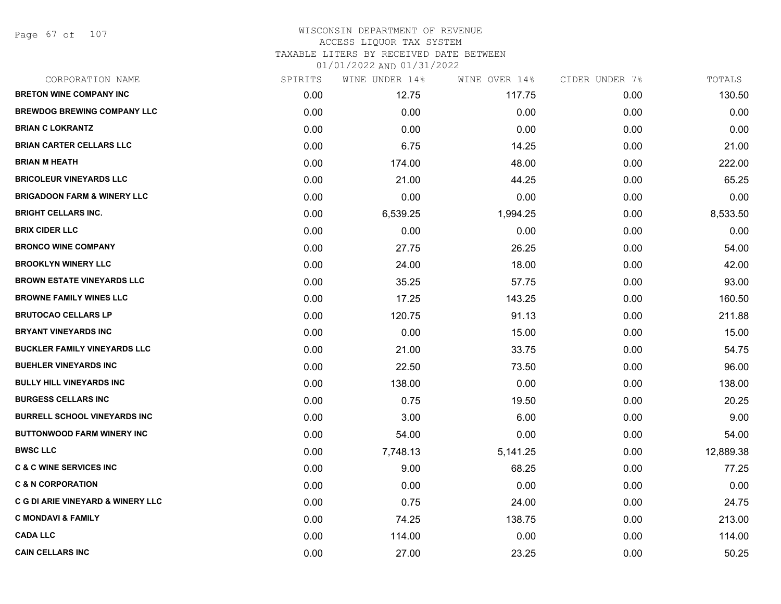Page 67 of 107

### WISCONSIN DEPARTMENT OF REVENUE ACCESS LIQUOR TAX SYSTEM TAXABLE LITERS BY RECEIVED DATE BETWEEN

| CORPORATION NAME                             | SPIRITS | WINE UNDER 14% | WINE OVER 14% | CIDER UNDER 7% | TOTALS    |
|----------------------------------------------|---------|----------------|---------------|----------------|-----------|
| <b>BRETON WINE COMPANY INC</b>               | 0.00    | 12.75          | 117.75        | 0.00           | 130.50    |
| <b>BREWDOG BREWING COMPANY LLC</b>           | 0.00    | 0.00           | 0.00          | 0.00           | 0.00      |
| <b>BRIAN C LOKRANTZ</b>                      | 0.00    | 0.00           | 0.00          | 0.00           | 0.00      |
| <b>BRIAN CARTER CELLARS LLC</b>              | 0.00    | 6.75           | 14.25         | 0.00           | 21.00     |
| <b>BRIAN M HEATH</b>                         | 0.00    | 174.00         | 48.00         | 0.00           | 222.00    |
| <b>BRICOLEUR VINEYARDS LLC</b>               | 0.00    | 21.00          | 44.25         | 0.00           | 65.25     |
| <b>BRIGADOON FARM &amp; WINERY LLC</b>       | 0.00    | 0.00           | 0.00          | 0.00           | 0.00      |
| <b>BRIGHT CELLARS INC.</b>                   | 0.00    | 6,539.25       | 1,994.25      | 0.00           | 8,533.50  |
| <b>BRIX CIDER LLC</b>                        | 0.00    | 0.00           | 0.00          | 0.00           | 0.00      |
| <b>BRONCO WINE COMPANY</b>                   | 0.00    | 27.75          | 26.25         | 0.00           | 54.00     |
| <b>BROOKLYN WINERY LLC</b>                   | 0.00    | 24.00          | 18.00         | 0.00           | 42.00     |
| <b>BROWN ESTATE VINEYARDS LLC</b>            | 0.00    | 35.25          | 57.75         | 0.00           | 93.00     |
| <b>BROWNE FAMILY WINES LLC</b>               | 0.00    | 17.25          | 143.25        | 0.00           | 160.50    |
| <b>BRUTOCAO CELLARS LP</b>                   | 0.00    | 120.75         | 91.13         | 0.00           | 211.88    |
| <b>BRYANT VINEYARDS INC</b>                  | 0.00    | 0.00           | 15.00         | 0.00           | 15.00     |
| <b>BUCKLER FAMILY VINEYARDS LLC</b>          | 0.00    | 21.00          | 33.75         | 0.00           | 54.75     |
| <b>BUEHLER VINEYARDS INC</b>                 | 0.00    | 22.50          | 73.50         | 0.00           | 96.00     |
| <b>BULLY HILL VINEYARDS INC</b>              | 0.00    | 138.00         | 0.00          | 0.00           | 138.00    |
| <b>BURGESS CELLARS INC</b>                   | 0.00    | 0.75           | 19.50         | 0.00           | 20.25     |
| <b>BURRELL SCHOOL VINEYARDS INC</b>          | 0.00    | 3.00           | 6.00          | 0.00           | 9.00      |
| <b>BUTTONWOOD FARM WINERY INC</b>            | 0.00    | 54.00          | 0.00          | 0.00           | 54.00     |
| <b>BWSC LLC</b>                              | 0.00    | 7,748.13       | 5,141.25      | 0.00           | 12,889.38 |
| <b>C &amp; C WINE SERVICES INC</b>           | 0.00    | 9.00           | 68.25         | 0.00           | 77.25     |
| <b>C &amp; N CORPORATION</b>                 | 0.00    | 0.00           | 0.00          | 0.00           | 0.00      |
| <b>C G DI ARIE VINEYARD &amp; WINERY LLC</b> | 0.00    | 0.75           | 24.00         | 0.00           | 24.75     |
| <b>C MONDAVI &amp; FAMILY</b>                | 0.00    | 74.25          | 138.75        | 0.00           | 213.00    |
| <b>CADA LLC</b>                              | 0.00    | 114.00         | 0.00          | 0.00           | 114.00    |
| <b>CAIN CELLARS INC</b>                      | 0.00    | 27.00          | 23.25         | 0.00           | 50.25     |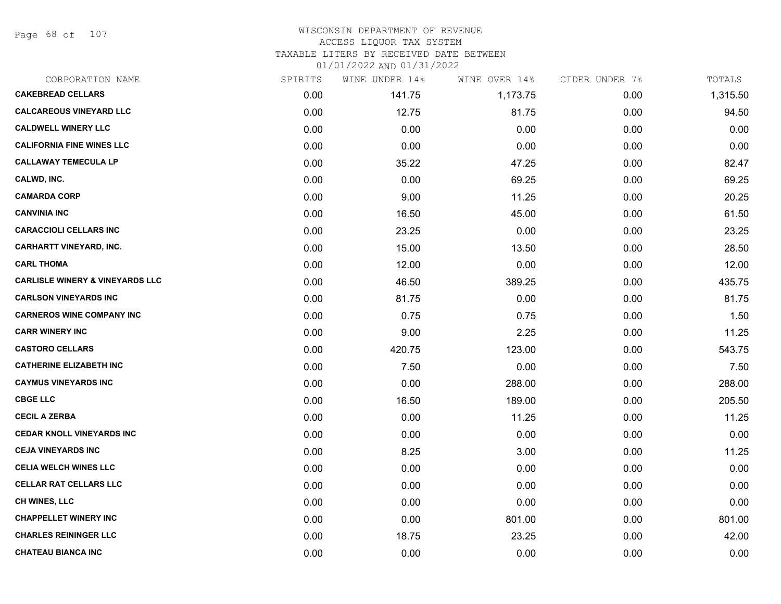Page 68 of 107

#### WISCONSIN DEPARTMENT OF REVENUE ACCESS LIQUOR TAX SYSTEM TAXABLE LITERS BY RECEIVED DATE BETWEEN

| CORPORATION NAME                           | SPIRITS | WINE UNDER 14% | WINE OVER 14% | CIDER UNDER 7% | TOTALS   |
|--------------------------------------------|---------|----------------|---------------|----------------|----------|
| <b>CAKEBREAD CELLARS</b>                   | 0.00    | 141.75         | 1,173.75      | 0.00           | 1,315.50 |
| <b>CALCAREOUS VINEYARD LLC</b>             | 0.00    | 12.75          | 81.75         | 0.00           | 94.50    |
| <b>CALDWELL WINERY LLC</b>                 | 0.00    | 0.00           | 0.00          | 0.00           | 0.00     |
| <b>CALIFORNIA FINE WINES LLC</b>           | 0.00    | 0.00           | 0.00          | 0.00           | 0.00     |
| <b>CALLAWAY TEMECULA LP</b>                | 0.00    | 35.22          | 47.25         | 0.00           | 82.47    |
| CALWD, INC.                                | 0.00    | 0.00           | 69.25         | 0.00           | 69.25    |
| <b>CAMARDA CORP</b>                        | 0.00    | 9.00           | 11.25         | 0.00           | 20.25    |
| <b>CANVINIA INC</b>                        | 0.00    | 16.50          | 45.00         | 0.00           | 61.50    |
| <b>CARACCIOLI CELLARS INC</b>              | 0.00    | 23.25          | 0.00          | 0.00           | 23.25    |
| <b>CARHARTT VINEYARD, INC.</b>             | 0.00    | 15.00          | 13.50         | 0.00           | 28.50    |
| <b>CARL THOMA</b>                          | 0.00    | 12.00          | 0.00          | 0.00           | 12.00    |
| <b>CARLISLE WINERY &amp; VINEYARDS LLC</b> | 0.00    | 46.50          | 389.25        | 0.00           | 435.75   |
| <b>CARLSON VINEYARDS INC</b>               | 0.00    | 81.75          | 0.00          | 0.00           | 81.75    |
| <b>CARNEROS WINE COMPANY INC</b>           | 0.00    | 0.75           | 0.75          | 0.00           | 1.50     |
| <b>CARR WINERY INC</b>                     | 0.00    | 9.00           | 2.25          | 0.00           | 11.25    |
| <b>CASTORO CELLARS</b>                     | 0.00    | 420.75         | 123.00        | 0.00           | 543.75   |
| <b>CATHERINE ELIZABETH INC</b>             | 0.00    | 7.50           | 0.00          | 0.00           | 7.50     |
| <b>CAYMUS VINEYARDS INC</b>                | 0.00    | 0.00           | 288.00        | 0.00           | 288.00   |
| <b>CBGE LLC</b>                            | 0.00    | 16.50          | 189.00        | 0.00           | 205.50   |
| <b>CECIL A ZERBA</b>                       | 0.00    | 0.00           | 11.25         | 0.00           | 11.25    |
| <b>CEDAR KNOLL VINEYARDS INC</b>           | 0.00    | 0.00           | 0.00          | 0.00           | 0.00     |
| <b>CEJA VINEYARDS INC</b>                  | 0.00    | 8.25           | 3.00          | 0.00           | 11.25    |
| <b>CELIA WELCH WINES LLC</b>               | 0.00    | 0.00           | 0.00          | 0.00           | 0.00     |
| <b>CELLAR RAT CELLARS LLC</b>              | 0.00    | 0.00           | 0.00          | 0.00           | 0.00     |
| CH WINES, LLC                              | 0.00    | 0.00           | 0.00          | 0.00           | 0.00     |
| <b>CHAPPELLET WINERY INC</b>               | 0.00    | 0.00           | 801.00        | 0.00           | 801.00   |
| <b>CHARLES REININGER LLC</b>               | 0.00    | 18.75          | 23.25         | 0.00           | 42.00    |
| <b>CHATEAU BIANCA INC</b>                  | 0.00    | 0.00           | 0.00          | 0.00           | 0.00     |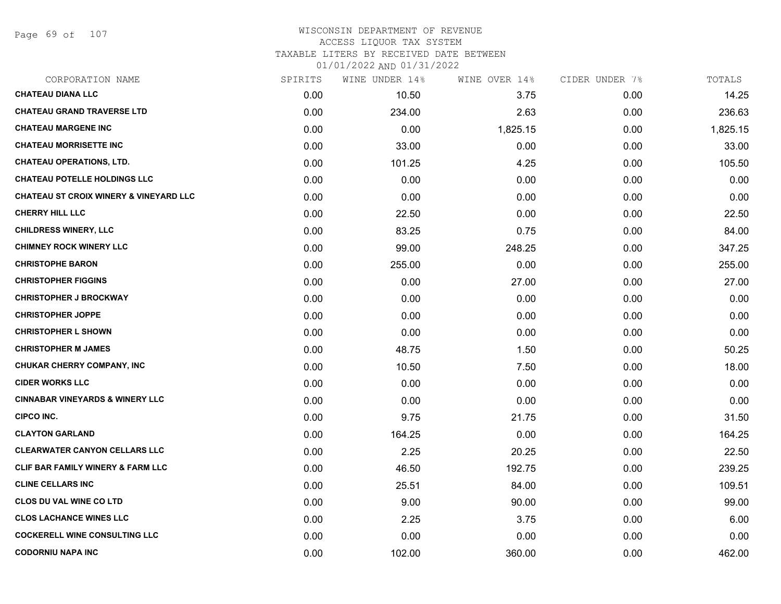Page 69 of 107

#### WISCONSIN DEPARTMENT OF REVENUE ACCESS LIQUOR TAX SYSTEM TAXABLE LITERS BY RECEIVED DATE BETWEEN

| CORPORATION NAME                                  | SPIRITS | WINE UNDER 14% | WINE OVER 14% | CIDER UNDER 7% | TOTALS   |
|---------------------------------------------------|---------|----------------|---------------|----------------|----------|
| <b>CHATEAU DIANA LLC</b>                          | 0.00    | 10.50          | 3.75          | 0.00           | 14.25    |
| <b>CHATEAU GRAND TRAVERSE LTD</b>                 | 0.00    | 234.00         | 2.63          | 0.00           | 236.63   |
| <b>CHATEAU MARGENE INC</b>                        | 0.00    | 0.00           | 1,825.15      | 0.00           | 1,825.15 |
| <b>CHATEAU MORRISETTE INC</b>                     | 0.00    | 33.00          | 0.00          | 0.00           | 33.00    |
| <b>CHATEAU OPERATIONS, LTD.</b>                   | 0.00    | 101.25         | 4.25          | 0.00           | 105.50   |
| <b>CHATEAU POTELLE HOLDINGS LLC</b>               | 0.00    | 0.00           | 0.00          | 0.00           | 0.00     |
| <b>CHATEAU ST CROIX WINERY &amp; VINEYARD LLC</b> | 0.00    | 0.00           | 0.00          | 0.00           | 0.00     |
| <b>CHERRY HILL LLC</b>                            | 0.00    | 22.50          | 0.00          | 0.00           | 22.50    |
| <b>CHILDRESS WINERY, LLC</b>                      | 0.00    | 83.25          | 0.75          | 0.00           | 84.00    |
| <b>CHIMNEY ROCK WINERY LLC</b>                    | 0.00    | 99.00          | 248.25        | 0.00           | 347.25   |
| <b>CHRISTOPHE BARON</b>                           | 0.00    | 255.00         | 0.00          | 0.00           | 255.00   |
| <b>CHRISTOPHER FIGGINS</b>                        | 0.00    | 0.00           | 27.00         | 0.00           | 27.00    |
| <b>CHRISTOPHER J BROCKWAY</b>                     | 0.00    | 0.00           | 0.00          | 0.00           | 0.00     |
| <b>CHRISTOPHER JOPPE</b>                          | 0.00    | 0.00           | 0.00          | 0.00           | 0.00     |
| <b>CHRISTOPHER L SHOWN</b>                        | 0.00    | 0.00           | 0.00          | 0.00           | 0.00     |
| <b>CHRISTOPHER M JAMES</b>                        | 0.00    | 48.75          | 1.50          | 0.00           | 50.25    |
| <b>CHUKAR CHERRY COMPANY, INC</b>                 | 0.00    | 10.50          | 7.50          | 0.00           | 18.00    |
| <b>CIDER WORKS LLC</b>                            | 0.00    | 0.00           | 0.00          | 0.00           | 0.00     |
| <b>CINNABAR VINEYARDS &amp; WINERY LLC</b>        | 0.00    | 0.00           | 0.00          | 0.00           | 0.00     |
| CIPCO INC.                                        | 0.00    | 9.75           | 21.75         | 0.00           | 31.50    |
| <b>CLAYTON GARLAND</b>                            | 0.00    | 164.25         | 0.00          | 0.00           | 164.25   |
| <b>CLEARWATER CANYON CELLARS LLC</b>              | 0.00    | 2.25           | 20.25         | 0.00           | 22.50    |
| <b>CLIF BAR FAMILY WINERY &amp; FARM LLC</b>      | 0.00    | 46.50          | 192.75        | 0.00           | 239.25   |
| <b>CLINE CELLARS INC</b>                          | 0.00    | 25.51          | 84.00         | 0.00           | 109.51   |
| <b>CLOS DU VAL WINE CO LTD</b>                    | 0.00    | 9.00           | 90.00         | 0.00           | 99.00    |
| <b>CLOS LACHANCE WINES LLC</b>                    | 0.00    | 2.25           | 3.75          | 0.00           | 6.00     |
| <b>COCKERELL WINE CONSULTING LLC</b>              | 0.00    | 0.00           | 0.00          | 0.00           | 0.00     |
| <b>CODORNIU NAPA INC</b>                          | 0.00    | 102.00         | 360.00        | 0.00           | 462.00   |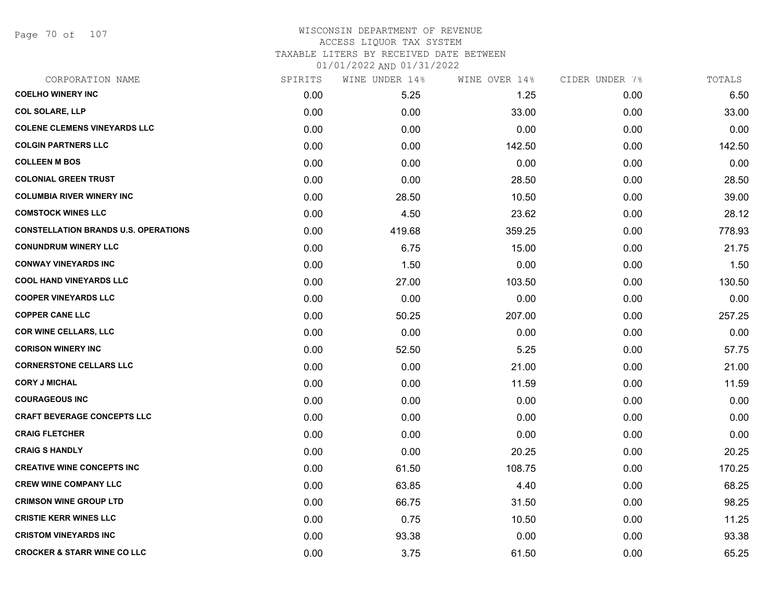Page 70 of 107

#### WISCONSIN DEPARTMENT OF REVENUE ACCESS LIQUOR TAX SYSTEM TAXABLE LITERS BY RECEIVED DATE BETWEEN

| CORPORATION NAME                            | SPIRITS | WINE UNDER 14% | WINE OVER 14% | CIDER UNDER 7% | TOTALS |
|---------------------------------------------|---------|----------------|---------------|----------------|--------|
| <b>COELHO WINERY INC</b>                    | 0.00    | 5.25           | 1.25          | 0.00           | 6.50   |
| <b>COL SOLARE, LLP</b>                      | 0.00    | 0.00           | 33.00         | 0.00           | 33.00  |
| <b>COLENE CLEMENS VINEYARDS LLC</b>         | 0.00    | 0.00           | 0.00          | 0.00           | 0.00   |
| <b>COLGIN PARTNERS LLC</b>                  | 0.00    | 0.00           | 142.50        | 0.00           | 142.50 |
| <b>COLLEEN M BOS</b>                        | 0.00    | 0.00           | 0.00          | 0.00           | 0.00   |
| <b>COLONIAL GREEN TRUST</b>                 | 0.00    | 0.00           | 28.50         | 0.00           | 28.50  |
| <b>COLUMBIA RIVER WINERY INC</b>            | 0.00    | 28.50          | 10.50         | 0.00           | 39.00  |
| <b>COMSTOCK WINES LLC</b>                   | 0.00    | 4.50           | 23.62         | 0.00           | 28.12  |
| <b>CONSTELLATION BRANDS U.S. OPERATIONS</b> | 0.00    | 419.68         | 359.25        | 0.00           | 778.93 |
| <b>CONUNDRUM WINERY LLC</b>                 | 0.00    | 6.75           | 15.00         | 0.00           | 21.75  |
| <b>CONWAY VINEYARDS INC</b>                 | 0.00    | 1.50           | 0.00          | 0.00           | 1.50   |
| <b>COOL HAND VINEYARDS LLC</b>              | 0.00    | 27.00          | 103.50        | 0.00           | 130.50 |
| <b>COOPER VINEYARDS LLC</b>                 | 0.00    | 0.00           | 0.00          | 0.00           | 0.00   |
| <b>COPPER CANE LLC</b>                      | 0.00    | 50.25          | 207.00        | 0.00           | 257.25 |
| <b>COR WINE CELLARS, LLC</b>                | 0.00    | 0.00           | 0.00          | 0.00           | 0.00   |
| <b>CORISON WINERY INC</b>                   | 0.00    | 52.50          | 5.25          | 0.00           | 57.75  |
| <b>CORNERSTONE CELLARS LLC</b>              | 0.00    | 0.00           | 21.00         | 0.00           | 21.00  |
| <b>CORY J MICHAL</b>                        | 0.00    | 0.00           | 11.59         | 0.00           | 11.59  |
| <b>COURAGEOUS INC</b>                       | 0.00    | 0.00           | 0.00          | 0.00           | 0.00   |
| <b>CRAFT BEVERAGE CONCEPTS LLC</b>          | 0.00    | 0.00           | 0.00          | 0.00           | 0.00   |
| <b>CRAIG FLETCHER</b>                       | 0.00    | 0.00           | 0.00          | 0.00           | 0.00   |
| <b>CRAIG S HANDLY</b>                       | 0.00    | 0.00           | 20.25         | 0.00           | 20.25  |
| <b>CREATIVE WINE CONCEPTS INC</b>           | 0.00    | 61.50          | 108.75        | 0.00           | 170.25 |
| <b>CREW WINE COMPANY LLC</b>                | 0.00    | 63.85          | 4.40          | 0.00           | 68.25  |
| <b>CRIMSON WINE GROUP LTD</b>               | 0.00    | 66.75          | 31.50         | 0.00           | 98.25  |
| <b>CRISTIE KERR WINES LLC</b>               | 0.00    | 0.75           | 10.50         | 0.00           | 11.25  |
| <b>CRISTOM VINEYARDS INC</b>                | 0.00    | 93.38          | 0.00          | 0.00           | 93.38  |
| <b>CROCKER &amp; STARR WINE CO LLC</b>      | 0.00    | 3.75           | 61.50         | 0.00           | 65.25  |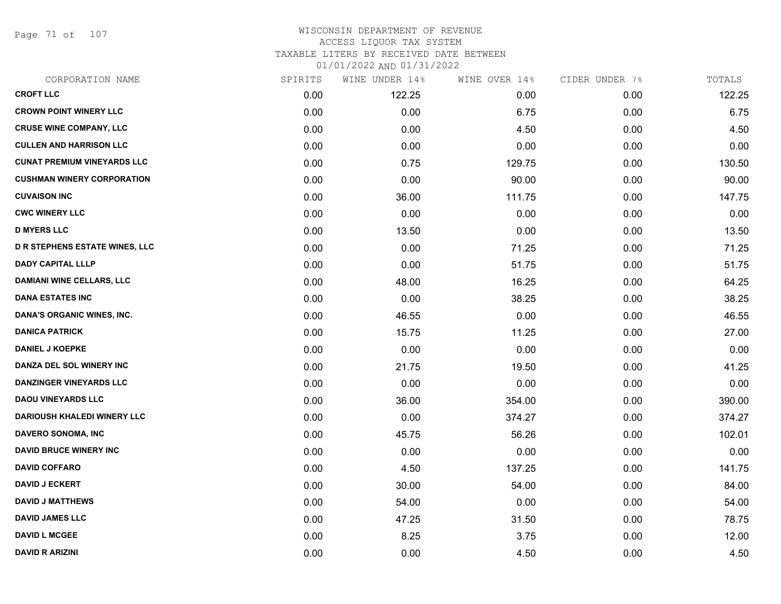Page 71 of 107

# WISCONSIN DEPARTMENT OF REVENUE ACCESS LIQUOR TAX SYSTEM

TAXABLE LITERS BY RECEIVED DATE BETWEEN

| CORPORATION NAME                      | SPIRITS | WINE UNDER 14% | WINE OVER 14% | CIDER UNDER 7% | TOTALS |
|---------------------------------------|---------|----------------|---------------|----------------|--------|
| <b>CROFT LLC</b>                      | 0.00    | 122.25         | 0.00          | 0.00           | 122.25 |
| <b>CROWN POINT WINERY LLC</b>         | 0.00    | 0.00           | 6.75          | 0.00           | 6.75   |
| <b>CRUSE WINE COMPANY, LLC</b>        | 0.00    | 0.00           | 4.50          | 0.00           | 4.50   |
| <b>CULLEN AND HARRISON LLC</b>        | 0.00    | 0.00           | 0.00          | 0.00           | 0.00   |
| <b>CUNAT PREMIUM VINEYARDS LLC</b>    | 0.00    | 0.75           | 129.75        | 0.00           | 130.50 |
| <b>CUSHMAN WINERY CORPORATION</b>     | 0.00    | 0.00           | 90.00         | 0.00           | 90.00  |
| <b>CUVAISON INC</b>                   | 0.00    | 36.00          | 111.75        | 0.00           | 147.75 |
| <b>CWC WINERY LLC</b>                 | 0.00    | 0.00           | 0.00          | 0.00           | 0.00   |
| <b>D MYERS LLC</b>                    | 0.00    | 13.50          | 0.00          | 0.00           | 13.50  |
| <b>D R STEPHENS ESTATE WINES, LLC</b> | 0.00    | 0.00           | 71.25         | 0.00           | 71.25  |
| <b>DADY CAPITAL LLLP</b>              | 0.00    | 0.00           | 51.75         | 0.00           | 51.75  |
| <b>DAMIANI WINE CELLARS, LLC</b>      | 0.00    | 48.00          | 16.25         | 0.00           | 64.25  |
| <b>DANA ESTATES INC</b>               | 0.00    | 0.00           | 38.25         | 0.00           | 38.25  |
| DANA'S ORGANIC WINES, INC.            | 0.00    | 46.55          | 0.00          | 0.00           | 46.55  |
| <b>DANICA PATRICK</b>                 | 0.00    | 15.75          | 11.25         | 0.00           | 27.00  |
| <b>DANIEL J KOEPKE</b>                | 0.00    | 0.00           | 0.00          | 0.00           | 0.00   |
| DANZA DEL SOL WINERY INC              | 0.00    | 21.75          | 19.50         | 0.00           | 41.25  |
| <b>DANZINGER VINEYARDS LLC</b>        | 0.00    | 0.00           | 0.00          | 0.00           | 0.00   |
| <b>DAOU VINEYARDS LLC</b>             | 0.00    | 36.00          | 354.00        | 0.00           | 390.00 |
| <b>DARIOUSH KHALEDI WINERY LLC</b>    | 0.00    | 0.00           | 374.27        | 0.00           | 374.27 |
| DAVERO SONOMA, INC                    | 0.00    | 45.75          | 56.26         | 0.00           | 102.01 |
| <b>DAVID BRUCE WINERY INC</b>         | 0.00    | 0.00           | 0.00          | 0.00           | 0.00   |
| <b>DAVID COFFARO</b>                  | 0.00    | 4.50           | 137.25        | 0.00           | 141.75 |
| <b>DAVID J ECKERT</b>                 | 0.00    | 30.00          | 54.00         | 0.00           | 84.00  |
| <b>DAVID J MATTHEWS</b>               | 0.00    | 54.00          | 0.00          | 0.00           | 54.00  |
| <b>DAVID JAMES LLC</b>                | 0.00    | 47.25          | 31.50         | 0.00           | 78.75  |
| <b>DAVID L MCGEE</b>                  | 0.00    | 8.25           | 3.75          | 0.00           | 12.00  |
| <b>DAVID R ARIZINI</b>                | 0.00    | 0.00           | 4.50          | 0.00           | 4.50   |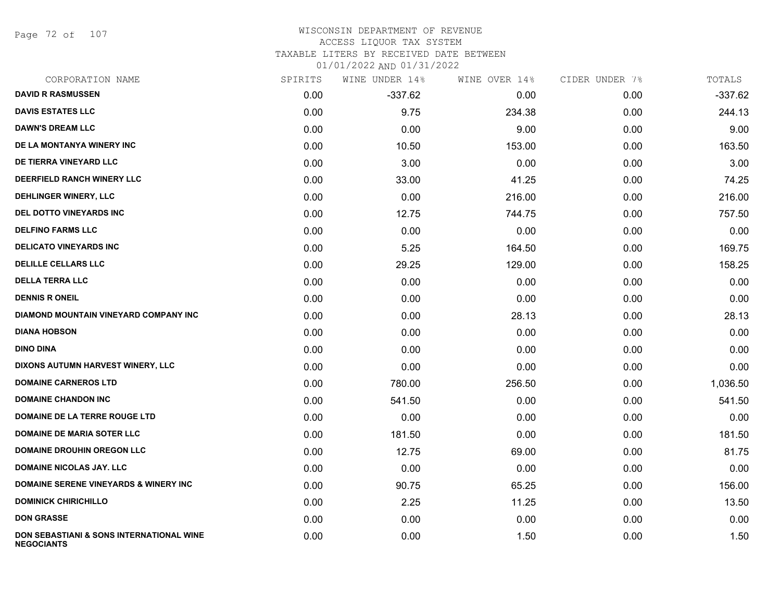Page 72 of 107

# WISCONSIN DEPARTMENT OF REVENUE ACCESS LIQUOR TAX SYSTEM

TAXABLE LITERS BY RECEIVED DATE BETWEEN

| CORPORATION NAME                                                         | SPIRITS | WINE UNDER 14% | WINE OVER 14% | CIDER UNDER 7% | TOTALS    |
|--------------------------------------------------------------------------|---------|----------------|---------------|----------------|-----------|
| <b>DAVID R RASMUSSEN</b>                                                 | 0.00    | $-337.62$      | 0.00          | 0.00           | $-337.62$ |
| <b>DAVIS ESTATES LLC</b>                                                 | 0.00    | 9.75           | 234.38        | 0.00           | 244.13    |
| <b>DAWN'S DREAM LLC</b>                                                  | 0.00    | 0.00           | 9.00          | 0.00           | 9.00      |
| DE LA MONTANYA WINERY INC                                                | 0.00    | 10.50          | 153.00        | 0.00           | 163.50    |
| DE TIERRA VINEYARD LLC                                                   | 0.00    | 3.00           | 0.00          | 0.00           | 3.00      |
| DEERFIELD RANCH WINERY LLC                                               | 0.00    | 33.00          | 41.25         | 0.00           | 74.25     |
| DEHLINGER WINERY, LLC                                                    | 0.00    | 0.00           | 216.00        | 0.00           | 216.00    |
| DEL DOTTO VINEYARDS INC                                                  | 0.00    | 12.75          | 744.75        | 0.00           | 757.50    |
| <b>DELFINO FARMS LLC</b>                                                 | 0.00    | 0.00           | 0.00          | 0.00           | 0.00      |
| <b>DELICATO VINEYARDS INC</b>                                            | 0.00    | 5.25           | 164.50        | 0.00           | 169.75    |
| <b>DELILLE CELLARS LLC</b>                                               | 0.00    | 29.25          | 129.00        | 0.00           | 158.25    |
| <b>DELLA TERRA LLC</b>                                                   | 0.00    | 0.00           | 0.00          | 0.00           | 0.00      |
| <b>DENNIS R ONEIL</b>                                                    | 0.00    | 0.00           | 0.00          | 0.00           | 0.00      |
| <b>DIAMOND MOUNTAIN VINEYARD COMPANY INC</b>                             | 0.00    | 0.00           | 28.13         | 0.00           | 28.13     |
| <b>DIANA HOBSON</b>                                                      | 0.00    | 0.00           | 0.00          | 0.00           | 0.00      |
| <b>DINO DINA</b>                                                         | 0.00    | 0.00           | 0.00          | 0.00           | 0.00      |
| DIXONS AUTUMN HARVEST WINERY, LLC                                        | 0.00    | 0.00           | 0.00          | 0.00           | 0.00      |
| <b>DOMAINE CARNEROS LTD</b>                                              | 0.00    | 780.00         | 256.50        | 0.00           | 1,036.50  |
| <b>DOMAINE CHANDON INC</b>                                               | 0.00    | 541.50         | 0.00          | 0.00           | 541.50    |
| DOMAINE DE LA TERRE ROUGE LTD                                            | 0.00    | 0.00           | 0.00          | 0.00           | 0.00      |
| <b>DOMAINE DE MARIA SOTER LLC</b>                                        | 0.00    | 181.50         | 0.00          | 0.00           | 181.50    |
| <b>DOMAINE DROUHIN OREGON LLC</b>                                        | 0.00    | 12.75          | 69.00         | 0.00           | 81.75     |
| <b>DOMAINE NICOLAS JAY. LLC</b>                                          | 0.00    | 0.00           | 0.00          | 0.00           | 0.00      |
| <b>DOMAINE SERENE VINEYARDS &amp; WINERY INC</b>                         | 0.00    | 90.75          | 65.25         | 0.00           | 156.00    |
| <b>DOMINICK CHIRICHILLO</b>                                              | 0.00    | 2.25           | 11.25         | 0.00           | 13.50     |
| <b>DON GRASSE</b>                                                        | 0.00    | 0.00           | 0.00          | 0.00           | 0.00      |
| <b>DON SEBASTIANI &amp; SONS INTERNATIONAL WINE</b><br><b>NEGOCIANTS</b> | 0.00    | 0.00           | 1.50          | 0.00           | 1.50      |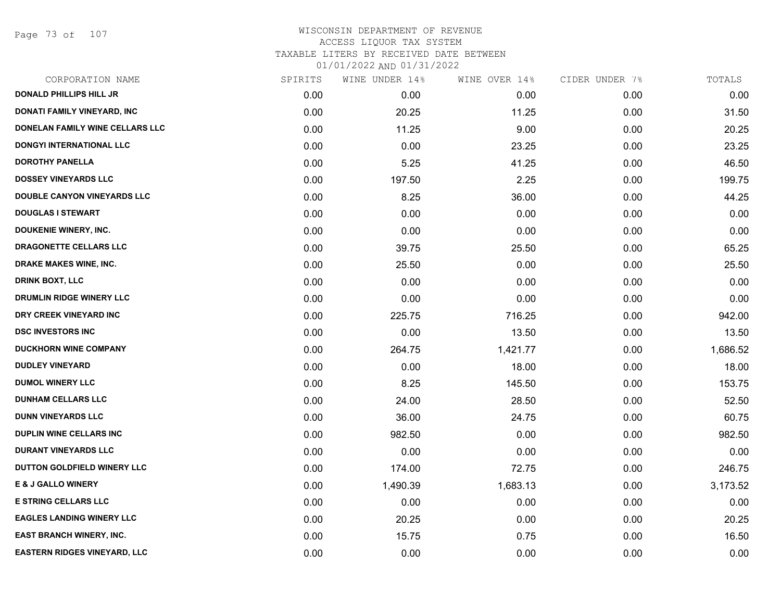Page 73 of 107

| CORPORATION NAME                    | SPIRITS | WINE UNDER 14% | WINE OVER 14% | CIDER UNDER 7% | TOTALS   |
|-------------------------------------|---------|----------------|---------------|----------------|----------|
| <b>DONALD PHILLIPS HILL JR</b>      | 0.00    | 0.00           | 0.00          | 0.00           | 0.00     |
| DONATI FAMILY VINEYARD, INC         | 0.00    | 20.25          | 11.25         | 0.00           | 31.50    |
| DONELAN FAMILY WINE CELLARS LLC     | 0.00    | 11.25          | 9.00          | 0.00           | 20.25    |
| DONGYI INTERNATIONAL LLC            | 0.00    | 0.00           | 23.25         | 0.00           | 23.25    |
| <b>DOROTHY PANELLA</b>              | 0.00    | 5.25           | 41.25         | 0.00           | 46.50    |
| <b>DOSSEY VINEYARDS LLC</b>         | 0.00    | 197.50         | 2.25          | 0.00           | 199.75   |
| DOUBLE CANYON VINEYARDS LLC         | 0.00    | 8.25           | 36.00         | 0.00           | 44.25    |
| <b>DOUGLAS I STEWART</b>            | 0.00    | 0.00           | 0.00          | 0.00           | 0.00     |
| <b>DOUKENIE WINERY, INC.</b>        | 0.00    | 0.00           | 0.00          | 0.00           | 0.00     |
| DRAGONETTE CELLARS LLC              | 0.00    | 39.75          | 25.50         | 0.00           | 65.25    |
| <b>DRAKE MAKES WINE, INC.</b>       | 0.00    | 25.50          | 0.00          | 0.00           | 25.50    |
| <b>DRINK BOXT, LLC</b>              | 0.00    | 0.00           | 0.00          | 0.00           | 0.00     |
| DRUMLIN RIDGE WINERY LLC            | 0.00    | 0.00           | 0.00          | 0.00           | 0.00     |
| DRY CREEK VINEYARD INC              | 0.00    | 225.75         | 716.25        | 0.00           | 942.00   |
| <b>DSC INVESTORS INC</b>            | 0.00    | 0.00           | 13.50         | 0.00           | 13.50    |
| <b>DUCKHORN WINE COMPANY</b>        | 0.00    | 264.75         | 1,421.77      | 0.00           | 1,686.52 |
| <b>DUDLEY VINEYARD</b>              | 0.00    | 0.00           | 18.00         | 0.00           | 18.00    |
| <b>DUMOL WINERY LLC</b>             | 0.00    | 8.25           | 145.50        | 0.00           | 153.75   |
| <b>DUNHAM CELLARS LLC</b>           | 0.00    | 24.00          | 28.50         | 0.00           | 52.50    |
| <b>DUNN VINEYARDS LLC</b>           | 0.00    | 36.00          | 24.75         | 0.00           | 60.75    |
| <b>DUPLIN WINE CELLARS INC</b>      | 0.00    | 982.50         | 0.00          | 0.00           | 982.50   |
| <b>DURANT VINEYARDS LLC</b>         | 0.00    | 0.00           | 0.00          | 0.00           | 0.00     |
| DUTTON GOLDFIELD WINERY LLC         | 0.00    | 174.00         | 72.75         | 0.00           | 246.75   |
| <b>E &amp; J GALLO WINERY</b>       | 0.00    | 1,490.39       | 1,683.13      | 0.00           | 3,173.52 |
| <b>E STRING CELLARS LLC</b>         | 0.00    | 0.00           | 0.00          | 0.00           | 0.00     |
| <b>EAGLES LANDING WINERY LLC</b>    | 0.00    | 20.25          | 0.00          | 0.00           | 20.25    |
| <b>EAST BRANCH WINERY, INC.</b>     | 0.00    | 15.75          | 0.75          | 0.00           | 16.50    |
| <b>EASTERN RIDGES VINEYARD, LLC</b> | 0.00    | 0.00           | 0.00          | 0.00           | 0.00     |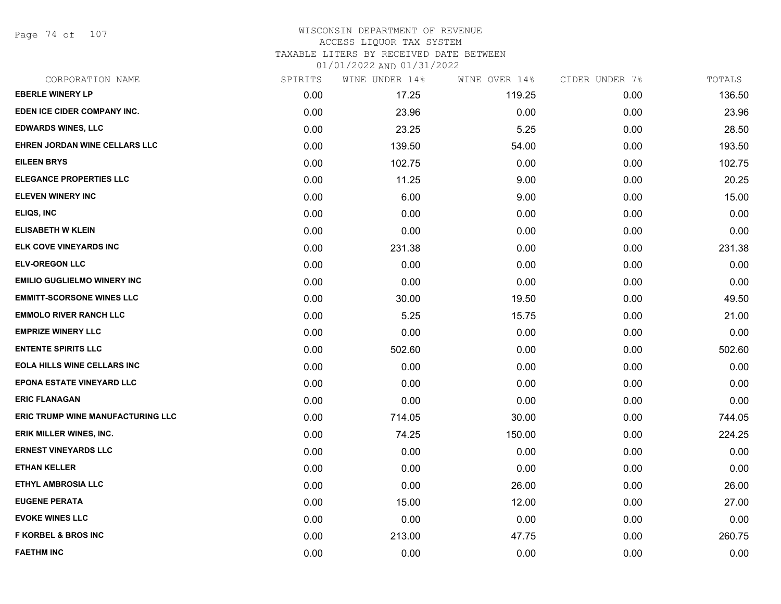Page 74 of 107

## WISCONSIN DEPARTMENT OF REVENUE ACCESS LIQUOR TAX SYSTEM TAXABLE LITERS BY RECEIVED DATE BETWEEN

| CORPORATION NAME                         | SPIRITS | WINE UNDER 14% | WINE OVER 14% | CIDER UNDER 7% | TOTALS |
|------------------------------------------|---------|----------------|---------------|----------------|--------|
| <b>EBERLE WINERY LP</b>                  | 0.00    | 17.25          | 119.25        | 0.00           | 136.50 |
| EDEN ICE CIDER COMPANY INC.              | 0.00    | 23.96          | 0.00          | 0.00           | 23.96  |
| <b>EDWARDS WINES, LLC</b>                | 0.00    | 23.25          | 5.25          | 0.00           | 28.50  |
| EHREN JORDAN WINE CELLARS LLC            | 0.00    | 139.50         | 54.00         | 0.00           | 193.50 |
| <b>EILEEN BRYS</b>                       | 0.00    | 102.75         | 0.00          | 0.00           | 102.75 |
| <b>ELEGANCE PROPERTIES LLC</b>           | 0.00    | 11.25          | 9.00          | 0.00           | 20.25  |
| <b>ELEVEN WINERY INC</b>                 | 0.00    | 6.00           | 9.00          | 0.00           | 15.00  |
| ELIQS, INC                               | 0.00    | 0.00           | 0.00          | 0.00           | 0.00   |
| <b>ELISABETH W KLEIN</b>                 | 0.00    | 0.00           | 0.00          | 0.00           | 0.00   |
| ELK COVE VINEYARDS INC                   | 0.00    | 231.38         | 0.00          | 0.00           | 231.38 |
| <b>ELV-OREGON LLC</b>                    | 0.00    | 0.00           | 0.00          | 0.00           | 0.00   |
| <b>EMILIO GUGLIELMO WINERY INC</b>       | 0.00    | 0.00           | 0.00          | 0.00           | 0.00   |
| <b>EMMITT-SCORSONE WINES LLC</b>         | 0.00    | 30.00          | 19.50         | 0.00           | 49.50  |
| <b>EMMOLO RIVER RANCH LLC</b>            | 0.00    | 5.25           | 15.75         | 0.00           | 21.00  |
| <b>EMPRIZE WINERY LLC</b>                | 0.00    | 0.00           | 0.00          | 0.00           | 0.00   |
| <b>ENTENTE SPIRITS LLC</b>               | 0.00    | 502.60         | 0.00          | 0.00           | 502.60 |
| <b>EOLA HILLS WINE CELLARS INC</b>       | 0.00    | 0.00           | 0.00          | 0.00           | 0.00   |
| <b>EPONA ESTATE VINEYARD LLC</b>         | 0.00    | 0.00           | 0.00          | 0.00           | 0.00   |
| <b>ERIC FLANAGAN</b>                     | 0.00    | 0.00           | 0.00          | 0.00           | 0.00   |
| <b>ERIC TRUMP WINE MANUFACTURING LLC</b> | 0.00    | 714.05         | 30.00         | 0.00           | 744.05 |
| <b>ERIK MILLER WINES, INC.</b>           | 0.00    | 74.25          | 150.00        | 0.00           | 224.25 |
| <b>ERNEST VINEYARDS LLC</b>              | 0.00    | 0.00           | 0.00          | 0.00           | 0.00   |
| <b>ETHAN KELLER</b>                      | 0.00    | 0.00           | 0.00          | 0.00           | 0.00   |
| ETHYL AMBROSIA LLC                       | 0.00    | 0.00           | 26.00         | 0.00           | 26.00  |
| <b>EUGENE PERATA</b>                     | 0.00    | 15.00          | 12.00         | 0.00           | 27.00  |
| <b>EVOKE WINES LLC</b>                   | 0.00    | 0.00           | 0.00          | 0.00           | 0.00   |
| <b>F KORBEL &amp; BROS INC</b>           | 0.00    | 213.00         | 47.75         | 0.00           | 260.75 |
| <b>FAETHM INC</b>                        | 0.00    | 0.00           | 0.00          | 0.00           | 0.00   |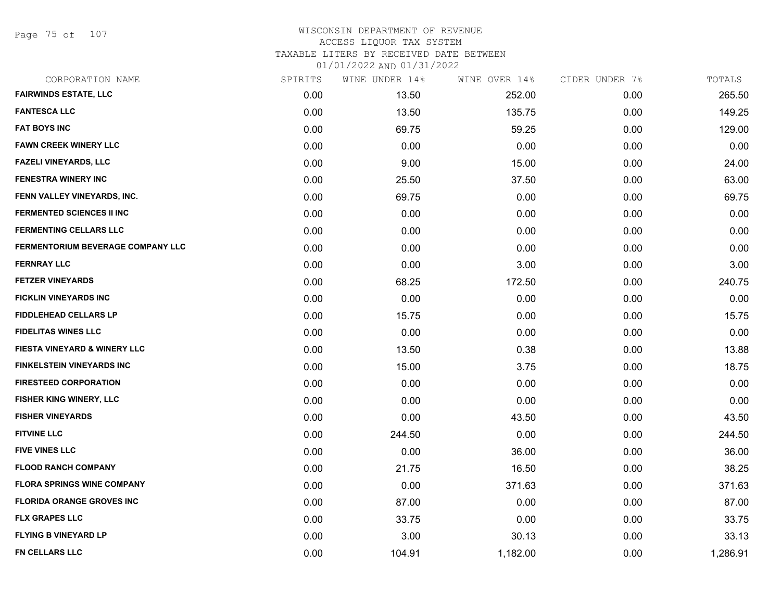Page 75 of 107

## WISCONSIN DEPARTMENT OF REVENUE ACCESS LIQUOR TAX SYSTEM TAXABLE LITERS BY RECEIVED DATE BETWEEN

| CORPORATION NAME                  | SPIRITS | WINE UNDER 14% | WINE OVER 14% | CIDER UNDER 7% | TOTALS   |
|-----------------------------------|---------|----------------|---------------|----------------|----------|
| <b>FAIRWINDS ESTATE, LLC</b>      | 0.00    | 13.50          | 252.00        | 0.00           | 265.50   |
| <b>FANTESCA LLC</b>               | 0.00    | 13.50          | 135.75        | 0.00           | 149.25   |
| <b>FAT BOYS INC</b>               | 0.00    | 69.75          | 59.25         | 0.00           | 129.00   |
| <b>FAWN CREEK WINERY LLC</b>      | 0.00    | 0.00           | 0.00          | 0.00           | 0.00     |
| <b>FAZELI VINEYARDS, LLC</b>      | 0.00    | 9.00           | 15.00         | 0.00           | 24.00    |
| <b>FENESTRA WINERY INC</b>        | 0.00    | 25.50          | 37.50         | 0.00           | 63.00    |
| FENN VALLEY VINEYARDS, INC.       | 0.00    | 69.75          | 0.00          | 0.00           | 69.75    |
| <b>FERMENTED SCIENCES II INC</b>  | 0.00    | 0.00           | 0.00          | 0.00           | 0.00     |
| <b>FERMENTING CELLARS LLC</b>     | 0.00    | 0.00           | 0.00          | 0.00           | 0.00     |
| FERMENTORIUM BEVERAGE COMPANY LLC | 0.00    | 0.00           | 0.00          | 0.00           | 0.00     |
| <b>FERNRAY LLC</b>                | 0.00    | 0.00           | 3.00          | 0.00           | 3.00     |
| <b>FETZER VINEYARDS</b>           | 0.00    | 68.25          | 172.50        | 0.00           | 240.75   |
| <b>FICKLIN VINEYARDS INC</b>      | 0.00    | 0.00           | 0.00          | 0.00           | 0.00     |
| <b>FIDDLEHEAD CELLARS LP</b>      | 0.00    | 15.75          | 0.00          | 0.00           | 15.75    |
| <b>FIDELITAS WINES LLC</b>        | 0.00    | 0.00           | 0.00          | 0.00           | 0.00     |
| FIESTA VINEYARD & WINERY LLC      | 0.00    | 13.50          | 0.38          | 0.00           | 13.88    |
| <b>FINKELSTEIN VINEYARDS INC</b>  | 0.00    | 15.00          | 3.75          | 0.00           | 18.75    |
| <b>FIRESTEED CORPORATION</b>      | 0.00    | 0.00           | 0.00          | 0.00           | 0.00     |
| FISHER KING WINERY, LLC           | 0.00    | 0.00           | 0.00          | 0.00           | 0.00     |
| <b>FISHER VINEYARDS</b>           | 0.00    | 0.00           | 43.50         | 0.00           | 43.50    |
| <b>FITVINE LLC</b>                | 0.00    | 244.50         | 0.00          | 0.00           | 244.50   |
| <b>FIVE VINES LLC</b>             | 0.00    | 0.00           | 36.00         | 0.00           | 36.00    |
| <b>FLOOD RANCH COMPANY</b>        | 0.00    | 21.75          | 16.50         | 0.00           | 38.25    |
| <b>FLORA SPRINGS WINE COMPANY</b> | 0.00    | 0.00           | 371.63        | 0.00           | 371.63   |
| <b>FLORIDA ORANGE GROVES INC</b>  | 0.00    | 87.00          | 0.00          | 0.00           | 87.00    |
| <b>FLX GRAPES LLC</b>             | 0.00    | 33.75          | 0.00          | 0.00           | 33.75    |
| <b>FLYING B VINEYARD LP</b>       | 0.00    | 3.00           | 30.13         | 0.00           | 33.13    |
| FN CELLARS LLC                    | 0.00    | 104.91         | 1,182.00      | 0.00           | 1,286.91 |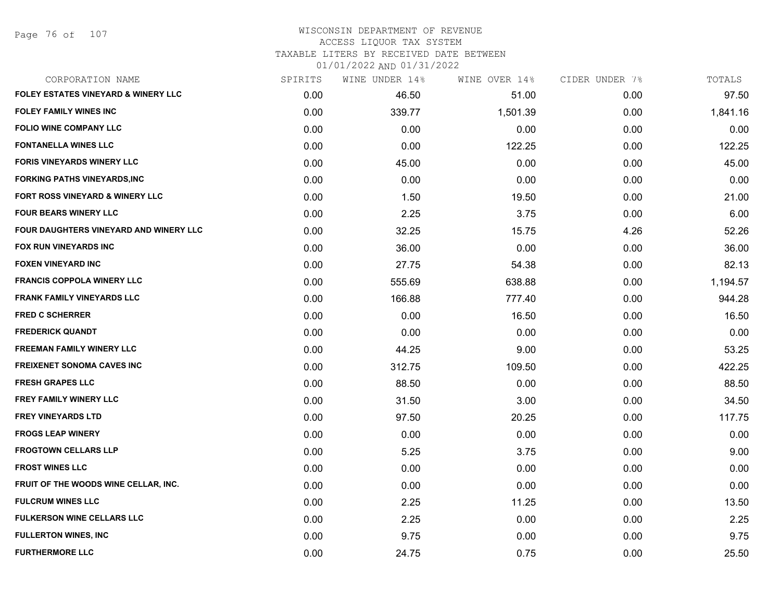Page 76 of 107

# WISCONSIN DEPARTMENT OF REVENUE ACCESS LIQUOR TAX SYSTEM TAXABLE LITERS BY RECEIVED DATE BETWEEN

| CORPORATION NAME                               | SPIRITS | WINE UNDER 14% | WINE OVER 14% | CIDER UNDER 7% | TOTALS   |
|------------------------------------------------|---------|----------------|---------------|----------------|----------|
| <b>FOLEY ESTATES VINEYARD &amp; WINERY LLC</b> | 0.00    | 46.50          | 51.00         | 0.00           | 97.50    |
| <b>FOLEY FAMILY WINES INC</b>                  | 0.00    | 339.77         | 1,501.39      | 0.00           | 1,841.16 |
| <b>FOLIO WINE COMPANY LLC</b>                  | 0.00    | 0.00           | 0.00          | 0.00           | 0.00     |
| <b>FONTANELLA WINES LLC</b>                    | 0.00    | 0.00           | 122.25        | 0.00           | 122.25   |
| <b>FORIS VINEYARDS WINERY LLC</b>              | 0.00    | 45.00          | 0.00          | 0.00           | 45.00    |
| <b>FORKING PATHS VINEYARDS, INC</b>            | 0.00    | 0.00           | 0.00          | 0.00           | 0.00     |
| FORT ROSS VINEYARD & WINERY LLC                | 0.00    | 1.50           | 19.50         | 0.00           | 21.00    |
| <b>FOUR BEARS WINERY LLC</b>                   | 0.00    | 2.25           | 3.75          | 0.00           | 6.00     |
| FOUR DAUGHTERS VINEYARD AND WINERY LLC         | 0.00    | 32.25          | 15.75         | 4.26           | 52.26    |
| <b>FOX RUN VINEYARDS INC</b>                   | 0.00    | 36.00          | 0.00          | 0.00           | 36.00    |
| <b>FOXEN VINEYARD INC</b>                      | 0.00    | 27.75          | 54.38         | 0.00           | 82.13    |
| <b>FRANCIS COPPOLA WINERY LLC</b>              | 0.00    | 555.69         | 638.88        | 0.00           | 1,194.57 |
| <b>FRANK FAMILY VINEYARDS LLC</b>              | 0.00    | 166.88         | 777.40        | 0.00           | 944.28   |
| <b>FRED C SCHERRER</b>                         | 0.00    | 0.00           | 16.50         | 0.00           | 16.50    |
| <b>FREDERICK QUANDT</b>                        | 0.00    | 0.00           | 0.00          | 0.00           | 0.00     |
| <b>FREEMAN FAMILY WINERY LLC</b>               | 0.00    | 44.25          | 9.00          | 0.00           | 53.25    |
| <b>FREIXENET SONOMA CAVES INC</b>              | 0.00    | 312.75         | 109.50        | 0.00           | 422.25   |
| <b>FRESH GRAPES LLC</b>                        | 0.00    | 88.50          | 0.00          | 0.00           | 88.50    |
| <b>FREY FAMILY WINERY LLC</b>                  | 0.00    | 31.50          | 3.00          | 0.00           | 34.50    |
| <b>FREY VINEYARDS LTD</b>                      | 0.00    | 97.50          | 20.25         | 0.00           | 117.75   |
| <b>FROGS LEAP WINERY</b>                       | 0.00    | 0.00           | 0.00          | 0.00           | 0.00     |
| <b>FROGTOWN CELLARS LLP</b>                    | 0.00    | 5.25           | 3.75          | 0.00           | 9.00     |
| <b>FROST WINES LLC</b>                         | 0.00    | 0.00           | 0.00          | 0.00           | 0.00     |
| FRUIT OF THE WOODS WINE CELLAR, INC.           | 0.00    | 0.00           | 0.00          | 0.00           | 0.00     |
| <b>FULCRUM WINES LLC</b>                       | 0.00    | 2.25           | 11.25         | 0.00           | 13.50    |
| <b>FULKERSON WINE CELLARS LLC</b>              | 0.00    | 2.25           | 0.00          | 0.00           | 2.25     |
| <b>FULLERTON WINES, INC</b>                    | 0.00    | 9.75           | 0.00          | 0.00           | 9.75     |
| <b>FURTHERMORE LLC</b>                         | 0.00    | 24.75          | 0.75          | 0.00           | 25.50    |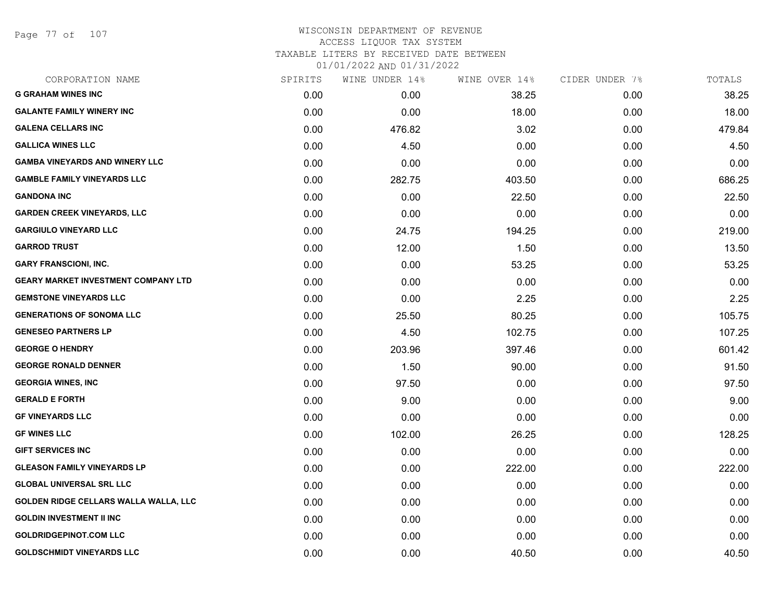Page 77 of 107

# WISCONSIN DEPARTMENT OF REVENUE ACCESS LIQUOR TAX SYSTEM TAXABLE LITERS BY RECEIVED DATE BETWEEN

| CORPORATION NAME                           | SPIRITS | WINE UNDER 14% | WINE OVER 14% | CIDER UNDER 7% | TOTALS |
|--------------------------------------------|---------|----------------|---------------|----------------|--------|
| <b>G GRAHAM WINES INC</b>                  | 0.00    | 0.00           | 38.25         | 0.00           | 38.25  |
| <b>GALANTE FAMILY WINERY INC</b>           | 0.00    | 0.00           | 18.00         | 0.00           | 18.00  |
| <b>GALENA CELLARS INC</b>                  | 0.00    | 476.82         | 3.02          | 0.00           | 479.84 |
| <b>GALLICA WINES LLC</b>                   | 0.00    | 4.50           | 0.00          | 0.00           | 4.50   |
| <b>GAMBA VINEYARDS AND WINERY LLC</b>      | 0.00    | 0.00           | 0.00          | 0.00           | 0.00   |
| <b>GAMBLE FAMILY VINEYARDS LLC</b>         | 0.00    | 282.75         | 403.50        | 0.00           | 686.25 |
| <b>GANDONA INC</b>                         | 0.00    | 0.00           | 22.50         | 0.00           | 22.50  |
| <b>GARDEN CREEK VINEYARDS, LLC</b>         | 0.00    | 0.00           | 0.00          | 0.00           | 0.00   |
| <b>GARGIULO VINEYARD LLC</b>               | 0.00    | 24.75          | 194.25        | 0.00           | 219.00 |
| <b>GARROD TRUST</b>                        | 0.00    | 12.00          | 1.50          | 0.00           | 13.50  |
| <b>GARY FRANSCIONI, INC.</b>               | 0.00    | 0.00           | 53.25         | 0.00           | 53.25  |
| <b>GEARY MARKET INVESTMENT COMPANY LTD</b> | 0.00    | 0.00           | 0.00          | 0.00           | 0.00   |
| <b>GEMSTONE VINEYARDS LLC</b>              | 0.00    | 0.00           | 2.25          | 0.00           | 2.25   |
| <b>GENERATIONS OF SONOMA LLC</b>           | 0.00    | 25.50          | 80.25         | 0.00           | 105.75 |
| <b>GENESEO PARTNERS LP</b>                 | 0.00    | 4.50           | 102.75        | 0.00           | 107.25 |
| <b>GEORGE O HENDRY</b>                     | 0.00    | 203.96         | 397.46        | 0.00           | 601.42 |
| <b>GEORGE RONALD DENNER</b>                | 0.00    | 1.50           | 90.00         | 0.00           | 91.50  |
| <b>GEORGIA WINES, INC</b>                  | 0.00    | 97.50          | 0.00          | 0.00           | 97.50  |
| <b>GERALD E FORTH</b>                      | 0.00    | 9.00           | 0.00          | 0.00           | 9.00   |
| <b>GF VINEYARDS LLC</b>                    | 0.00    | 0.00           | 0.00          | 0.00           | 0.00   |
| <b>GF WINES LLC</b>                        | 0.00    | 102.00         | 26.25         | 0.00           | 128.25 |
| <b>GIFT SERVICES INC</b>                   | 0.00    | 0.00           | 0.00          | 0.00           | 0.00   |
| <b>GLEASON FAMILY VINEYARDS LP</b>         | 0.00    | 0.00           | 222.00        | 0.00           | 222.00 |
| <b>GLOBAL UNIVERSAL SRL LLC</b>            | 0.00    | 0.00           | 0.00          | 0.00           | 0.00   |
| GOLDEN RIDGE CELLARS WALLA WALLA, LLC      | 0.00    | 0.00           | 0.00          | 0.00           | 0.00   |
| <b>GOLDIN INVESTMENT II INC</b>            | 0.00    | 0.00           | 0.00          | 0.00           | 0.00   |
| <b>GOLDRIDGEPINOT.COM LLC</b>              | 0.00    | 0.00           | 0.00          | 0.00           | 0.00   |
| <b>GOLDSCHMIDT VINEYARDS LLC</b>           | 0.00    | 0.00           | 40.50         | 0.00           | 40.50  |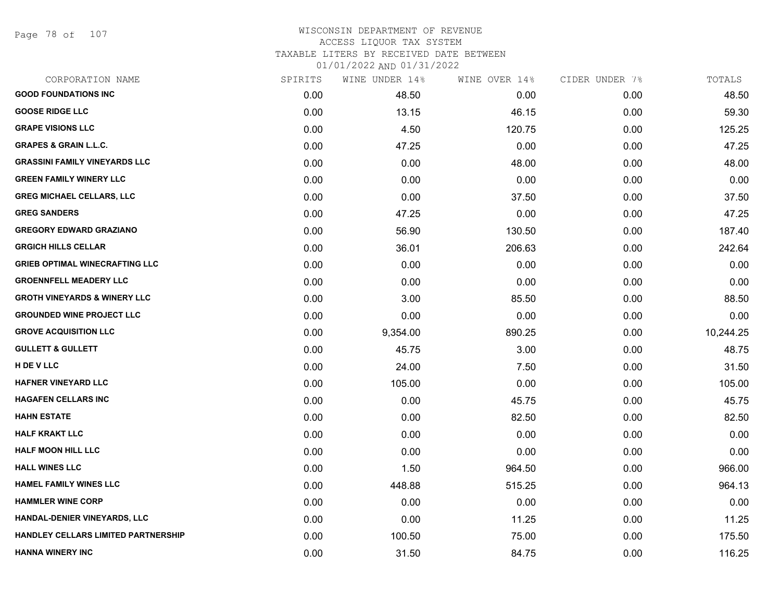Page 78 of 107

# WISCONSIN DEPARTMENT OF REVENUE ACCESS LIQUOR TAX SYSTEM TAXABLE LITERS BY RECEIVED DATE BETWEEN

| CORPORATION NAME                        | SPIRITS | WINE UNDER 14% | WINE OVER 14% | CIDER UNDER 7% | TOTALS    |
|-----------------------------------------|---------|----------------|---------------|----------------|-----------|
| <b>GOOD FOUNDATIONS INC</b>             | 0.00    | 48.50          | 0.00          | 0.00           | 48.50     |
| <b>GOOSE RIDGE LLC</b>                  | 0.00    | 13.15          | 46.15         | 0.00           | 59.30     |
| <b>GRAPE VISIONS LLC</b>                | 0.00    | 4.50           | 120.75        | 0.00           | 125.25    |
| <b>GRAPES &amp; GRAIN L.L.C.</b>        | 0.00    | 47.25          | 0.00          | 0.00           | 47.25     |
| <b>GRASSINI FAMILY VINEYARDS LLC</b>    | 0.00    | 0.00           | 48.00         | 0.00           | 48.00     |
| <b>GREEN FAMILY WINERY LLC</b>          | 0.00    | 0.00           | 0.00          | 0.00           | 0.00      |
| <b>GREG MICHAEL CELLARS, LLC</b>        | 0.00    | 0.00           | 37.50         | 0.00           | 37.50     |
| <b>GREG SANDERS</b>                     | 0.00    | 47.25          | 0.00          | 0.00           | 47.25     |
| <b>GREGORY EDWARD GRAZIANO</b>          | 0.00    | 56.90          | 130.50        | 0.00           | 187.40    |
| <b>GRGICH HILLS CELLAR</b>              | 0.00    | 36.01          | 206.63        | 0.00           | 242.64    |
| <b>GRIEB OPTIMAL WINECRAFTING LLC</b>   | 0.00    | 0.00           | 0.00          | 0.00           | 0.00      |
| <b>GROENNFELL MEADERY LLC</b>           | 0.00    | 0.00           | 0.00          | 0.00           | 0.00      |
| <b>GROTH VINEYARDS &amp; WINERY LLC</b> | 0.00    | 3.00           | 85.50         | 0.00           | 88.50     |
| <b>GROUNDED WINE PROJECT LLC</b>        | 0.00    | 0.00           | 0.00          | 0.00           | 0.00      |
| <b>GROVE ACQUISITION LLC</b>            | 0.00    | 9,354.00       | 890.25        | 0.00           | 10,244.25 |
| <b>GULLETT &amp; GULLETT</b>            | 0.00    | 45.75          | 3.00          | 0.00           | 48.75     |
| H DE V LLC                              | 0.00    | 24.00          | 7.50          | 0.00           | 31.50     |
| HAFNER VINEYARD LLC                     | 0.00    | 105.00         | 0.00          | 0.00           | 105.00    |
| <b>HAGAFEN CELLARS INC</b>              | 0.00    | 0.00           | 45.75         | 0.00           | 45.75     |
| <b>HAHN ESTATE</b>                      | 0.00    | 0.00           | 82.50         | 0.00           | 82.50     |
| HALF KRAKT LLC                          | 0.00    | 0.00           | 0.00          | 0.00           | 0.00      |
| <b>HALF MOON HILL LLC</b>               | 0.00    | 0.00           | 0.00          | 0.00           | 0.00      |
| <b>HALL WINES LLC</b>                   | 0.00    | 1.50           | 964.50        | 0.00           | 966.00    |
| <b>HAMEL FAMILY WINES LLC</b>           | 0.00    | 448.88         | 515.25        | 0.00           | 964.13    |
| <b>HAMMLER WINE CORP</b>                | 0.00    | 0.00           | 0.00          | 0.00           | 0.00      |
| HANDAL-DENIER VINEYARDS, LLC            | 0.00    | 0.00           | 11.25         | 0.00           | 11.25     |
| HANDLEY CELLARS LIMITED PARTNERSHIP     | 0.00    | 100.50         | 75.00         | 0.00           | 175.50    |
| <b>HANNA WINERY INC</b>                 | 0.00    | 31.50          | 84.75         | 0.00           | 116.25    |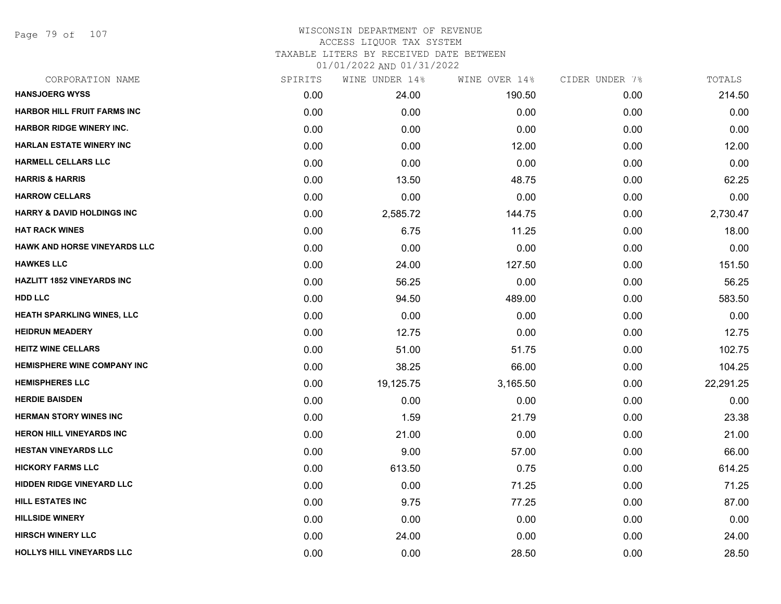Page 79 of 107

# WISCONSIN DEPARTMENT OF REVENUE ACCESS LIQUOR TAX SYSTEM TAXABLE LITERS BY RECEIVED DATE BETWEEN

| CORPORATION NAME                      | SPIRITS | WINE UNDER 14% | WINE OVER 14% | CIDER UNDER 7% | TOTALS    |
|---------------------------------------|---------|----------------|---------------|----------------|-----------|
| <b>HANSJOERG WYSS</b>                 | 0.00    | 24.00          | 190.50        | 0.00           | 214.50    |
| <b>HARBOR HILL FRUIT FARMS INC</b>    | 0.00    | 0.00           | 0.00          | 0.00           | 0.00      |
| <b>HARBOR RIDGE WINERY INC.</b>       | 0.00    | 0.00           | 0.00          | 0.00           | 0.00      |
| <b>HARLAN ESTATE WINERY INC</b>       | 0.00    | 0.00           | 12.00         | 0.00           | 12.00     |
| <b>HARMELL CELLARS LLC</b>            | 0.00    | 0.00           | 0.00          | 0.00           | 0.00      |
| <b>HARRIS &amp; HARRIS</b>            | 0.00    | 13.50          | 48.75         | 0.00           | 62.25     |
| <b>HARROW CELLARS</b>                 | 0.00    | 0.00           | 0.00          | 0.00           | 0.00      |
| <b>HARRY &amp; DAVID HOLDINGS INC</b> | 0.00    | 2,585.72       | 144.75        | 0.00           | 2,730.47  |
| <b>HAT RACK WINES</b>                 | 0.00    | 6.75           | 11.25         | 0.00           | 18.00     |
| HAWK AND HORSE VINEYARDS LLC          | 0.00    | 0.00           | 0.00          | 0.00           | 0.00      |
| <b>HAWKES LLC</b>                     | 0.00    | 24.00          | 127.50        | 0.00           | 151.50    |
| <b>HAZLITT 1852 VINEYARDS INC</b>     | 0.00    | 56.25          | 0.00          | 0.00           | 56.25     |
| <b>HDD LLC</b>                        | 0.00    | 94.50          | 489.00        | 0.00           | 583.50    |
| <b>HEATH SPARKLING WINES, LLC</b>     | 0.00    | 0.00           | 0.00          | 0.00           | 0.00      |
| <b>HEIDRUN MEADERY</b>                | 0.00    | 12.75          | 0.00          | 0.00           | 12.75     |
| <b>HEITZ WINE CELLARS</b>             | 0.00    | 51.00          | 51.75         | 0.00           | 102.75    |
| <b>HEMISPHERE WINE COMPANY INC</b>    | 0.00    | 38.25          | 66.00         | 0.00           | 104.25    |
| <b>HEMISPHERES LLC</b>                | 0.00    | 19,125.75      | 3,165.50      | 0.00           | 22,291.25 |
| <b>HERDIE BAISDEN</b>                 | 0.00    | 0.00           | 0.00          | 0.00           | 0.00      |
| <b>HERMAN STORY WINES INC</b>         | 0.00    | 1.59           | 21.79         | 0.00           | 23.38     |
| <b>HERON HILL VINEYARDS INC</b>       | 0.00    | 21.00          | 0.00          | 0.00           | 21.00     |
| <b>HESTAN VINEYARDS LLC</b>           | 0.00    | 9.00           | 57.00         | 0.00           | 66.00     |
| <b>HICKORY FARMS LLC</b>              | 0.00    | 613.50         | 0.75          | 0.00           | 614.25    |
| <b>HIDDEN RIDGE VINEYARD LLC</b>      | 0.00    | 0.00           | 71.25         | 0.00           | 71.25     |
| <b>HILL ESTATES INC</b>               | 0.00    | 9.75           | 77.25         | 0.00           | 87.00     |
| <b>HILLSIDE WINERY</b>                | 0.00    | 0.00           | 0.00          | 0.00           | 0.00      |
| <b>HIRSCH WINERY LLC</b>              | 0.00    | 24.00          | 0.00          | 0.00           | 24.00     |
| HOLLYS HILL VINEYARDS LLC             | 0.00    | 0.00           | 28.50         | 0.00           | 28.50     |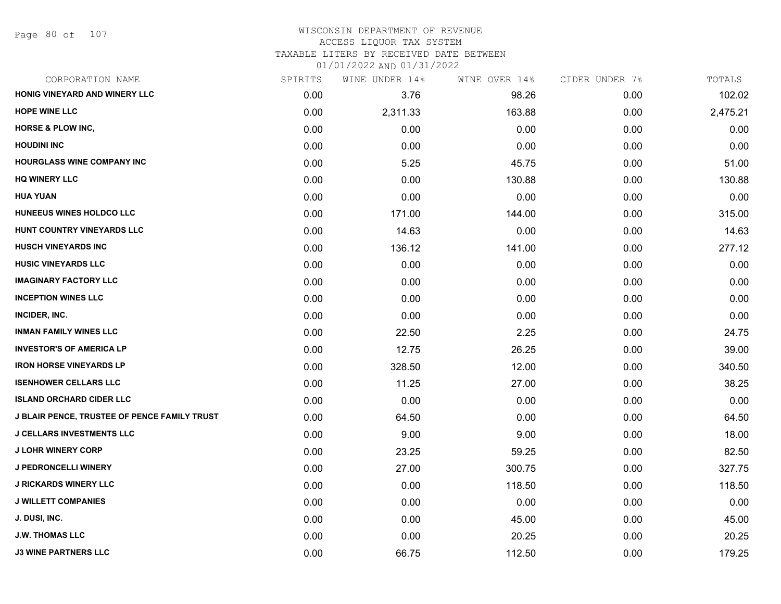## WISCONSIN DEPARTMENT OF REVENUE ACCESS LIQUOR TAX SYSTEM

TAXABLE LITERS BY RECEIVED DATE BETWEEN

| CORPORATION NAME                                    | SPIRITS | WINE UNDER 14% | WINE OVER 14% | CIDER UNDER 7% | TOTALS   |
|-----------------------------------------------------|---------|----------------|---------------|----------------|----------|
| HONIG VINEYARD AND WINERY LLC                       | 0.00    | 3.76           | 98.26         | 0.00           | 102.02   |
| <b>HOPE WINE LLC</b>                                | 0.00    | 2,311.33       | 163.88        | 0.00           | 2,475.21 |
| <b>HORSE &amp; PLOW INC,</b>                        | 0.00    | 0.00           | 0.00          | 0.00           | 0.00     |
| <b>HOUDINI INC</b>                                  | 0.00    | 0.00           | 0.00          | 0.00           | 0.00     |
| <b>HOURGLASS WINE COMPANY INC</b>                   | 0.00    | 5.25           | 45.75         | 0.00           | 51.00    |
| <b>HQ WINERY LLC</b>                                | 0.00    | 0.00           | 130.88        | 0.00           | 130.88   |
| <b>HUA YUAN</b>                                     | 0.00    | 0.00           | 0.00          | 0.00           | 0.00     |
| HUNEEUS WINES HOLDCO LLC                            | 0.00    | 171.00         | 144.00        | 0.00           | 315.00   |
| HUNT COUNTRY VINEYARDS LLC                          | 0.00    | 14.63          | 0.00          | 0.00           | 14.63    |
| <b>HUSCH VINEYARDS INC</b>                          | 0.00    | 136.12         | 141.00        | 0.00           | 277.12   |
| <b>HUSIC VINEYARDS LLC</b>                          | 0.00    | 0.00           | 0.00          | 0.00           | 0.00     |
| <b>IMAGINARY FACTORY LLC</b>                        | 0.00    | 0.00           | 0.00          | 0.00           | 0.00     |
| <b>INCEPTION WINES LLC</b>                          | 0.00    | 0.00           | 0.00          | 0.00           | 0.00     |
| INCIDER, INC.                                       | 0.00    | 0.00           | 0.00          | 0.00           | 0.00     |
| <b>INMAN FAMILY WINES LLC</b>                       | 0.00    | 22.50          | 2.25          | 0.00           | 24.75    |
| <b>INVESTOR'S OF AMERICA LP</b>                     | 0.00    | 12.75          | 26.25         | 0.00           | 39.00    |
| <b>IRON HORSE VINEYARDS LP</b>                      | 0.00    | 328.50         | 12.00         | 0.00           | 340.50   |
| <b>ISENHOWER CELLARS LLC</b>                        | 0.00    | 11.25          | 27.00         | 0.00           | 38.25    |
| <b>ISLAND ORCHARD CIDER LLC</b>                     | 0.00    | 0.00           | 0.00          | 0.00           | 0.00     |
| <b>J BLAIR PENCE, TRUSTEE OF PENCE FAMILY TRUST</b> | 0.00    | 64.50          | 0.00          | 0.00           | 64.50    |
| <b>J CELLARS INVESTMENTS LLC</b>                    | 0.00    | 9.00           | 9.00          | 0.00           | 18.00    |
| <b>J LOHR WINERY CORP</b>                           | 0.00    | 23.25          | 59.25         | 0.00           | 82.50    |
| J PEDRONCELLI WINERY                                | 0.00    | 27.00          | 300.75        | 0.00           | 327.75   |
| <b>J RICKARDS WINERY LLC</b>                        | 0.00    | 0.00           | 118.50        | 0.00           | 118.50   |
| <b>J WILLETT COMPANIES</b>                          | 0.00    | 0.00           | 0.00          | 0.00           | 0.00     |
| J. DUSI, INC.                                       | 0.00    | 0.00           | 45.00         | 0.00           | 45.00    |
| <b>J.W. THOMAS LLC</b>                              | 0.00    | 0.00           | 20.25         | 0.00           | 20.25    |
| <b>J3 WINE PARTNERS LLC</b>                         | 0.00    | 66.75          | 112.50        | 0.00           | 179.25   |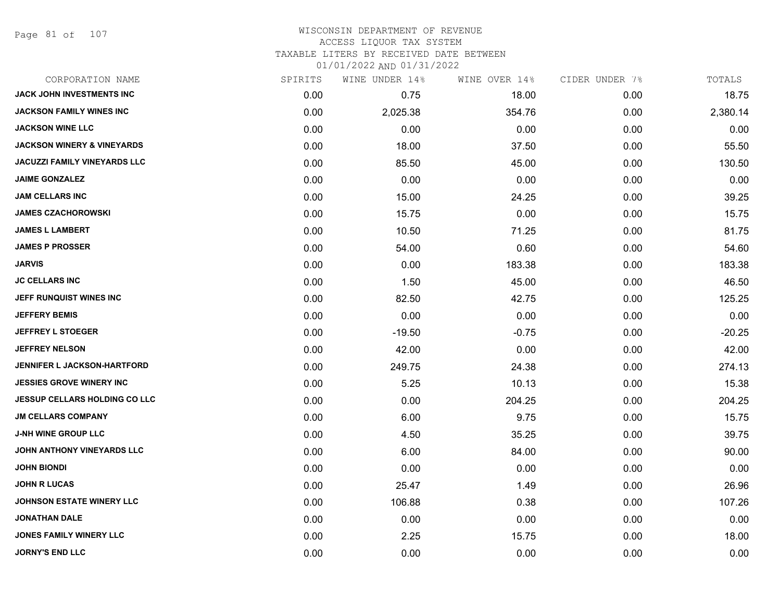Page 81 of 107

# WISCONSIN DEPARTMENT OF REVENUE ACCESS LIQUOR TAX SYSTEM

TAXABLE LITERS BY RECEIVED DATE BETWEEN

| CORPORATION NAME                      | SPIRITS | WINE UNDER 14% | WINE OVER 14% | CIDER UNDER 7% | TOTALS   |
|---------------------------------------|---------|----------------|---------------|----------------|----------|
| JACK JOHN INVESTMENTS INC             | 0.00    | 0.75           | 18.00         | 0.00           | 18.75    |
| <b>JACKSON FAMILY WINES INC</b>       | 0.00    | 2,025.38       | 354.76        | 0.00           | 2,380.14 |
| <b>JACKSON WINE LLC</b>               | 0.00    | 0.00           | 0.00          | 0.00           | 0.00     |
| <b>JACKSON WINERY &amp; VINEYARDS</b> | 0.00    | 18.00          | 37.50         | 0.00           | 55.50    |
| JACUZZI FAMILY VINEYARDS LLC          | 0.00    | 85.50          | 45.00         | 0.00           | 130.50   |
| <b>JAIME GONZALEZ</b>                 | 0.00    | 0.00           | 0.00          | 0.00           | 0.00     |
| <b>JAM CELLARS INC</b>                | 0.00    | 15.00          | 24.25         | 0.00           | 39.25    |
| <b>JAMES CZACHOROWSKI</b>             | 0.00    | 15.75          | 0.00          | 0.00           | 15.75    |
| <b>JAMES L LAMBERT</b>                | 0.00    | 10.50          | 71.25         | 0.00           | 81.75    |
| <b>JAMES P PROSSER</b>                | 0.00    | 54.00          | 0.60          | 0.00           | 54.60    |
| <b>JARVIS</b>                         | 0.00    | 0.00           | 183.38        | 0.00           | 183.38   |
| <b>JC CELLARS INC</b>                 | 0.00    | 1.50           | 45.00         | 0.00           | 46.50    |
| JEFF RUNQUIST WINES INC               | 0.00    | 82.50          | 42.75         | 0.00           | 125.25   |
| <b>JEFFERY BEMIS</b>                  | 0.00    | 0.00           | 0.00          | 0.00           | 0.00     |
| <b>JEFFREY L STOEGER</b>              | 0.00    | $-19.50$       | $-0.75$       | 0.00           | $-20.25$ |
| <b>JEFFREY NELSON</b>                 | 0.00    | 42.00          | 0.00          | 0.00           | 42.00    |
| <b>JENNIFER L JACKSON-HARTFORD</b>    | 0.00    | 249.75         | 24.38         | 0.00           | 274.13   |
| <b>JESSIES GROVE WINERY INC</b>       | 0.00    | 5.25           | 10.13         | 0.00           | 15.38    |
| <b>JESSUP CELLARS HOLDING CO LLC</b>  | 0.00    | 0.00           | 204.25        | 0.00           | 204.25   |
| <b>JM CELLARS COMPANY</b>             | 0.00    | 6.00           | 9.75          | 0.00           | 15.75    |
| <b>J-NH WINE GROUP LLC</b>            | 0.00    | 4.50           | 35.25         | 0.00           | 39.75    |
| JOHN ANTHONY VINEYARDS LLC            | 0.00    | 6.00           | 84.00         | 0.00           | 90.00    |
| <b>JOHN BIONDI</b>                    | 0.00    | 0.00           | 0.00          | 0.00           | 0.00     |
| <b>JOHN R LUCAS</b>                   | 0.00    | 25.47          | 1.49          | 0.00           | 26.96    |
| <b>JOHNSON ESTATE WINERY LLC</b>      | 0.00    | 106.88         | 0.38          | 0.00           | 107.26   |
| <b>JONATHAN DALE</b>                  | 0.00    | 0.00           | 0.00          | 0.00           | 0.00     |
| JONES FAMILY WINERY LLC               | 0.00    | 2.25           | 15.75         | 0.00           | 18.00    |
| <b>JORNY'S END LLC</b>                | 0.00    | 0.00           | 0.00          | 0.00           | 0.00     |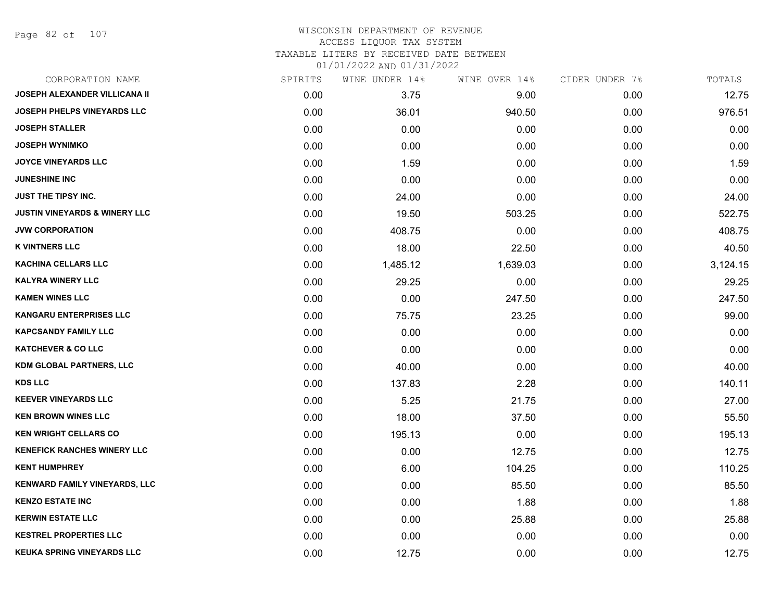Page 82 of 107

#### WISCONSIN DEPARTMENT OF REVENUE ACCESS LIQUOR TAX SYSTEM TAXABLE LITERS BY RECEIVED DATE BETWEEN

| CORPORATION NAME                         | SPIRITS | WINE UNDER 14% | WINE OVER 14% | CIDER UNDER 7% | TOTALS   |
|------------------------------------------|---------|----------------|---------------|----------------|----------|
| <b>JOSEPH ALEXANDER VILLICANA II</b>     | 0.00    | 3.75           | 9.00          | 0.00           | 12.75    |
| <b>JOSEPH PHELPS VINEYARDS LLC</b>       | 0.00    | 36.01          | 940.50        | 0.00           | 976.51   |
| <b>JOSEPH STALLER</b>                    | 0.00    | 0.00           | 0.00          | 0.00           | 0.00     |
| <b>JOSEPH WYNIMKO</b>                    | 0.00    | 0.00           | 0.00          | 0.00           | 0.00     |
| <b>JOYCE VINEYARDS LLC</b>               | 0.00    | 1.59           | 0.00          | 0.00           | 1.59     |
| <b>JUNESHINE INC</b>                     | 0.00    | 0.00           | 0.00          | 0.00           | 0.00     |
| <b>JUST THE TIPSY INC.</b>               | 0.00    | 24.00          | 0.00          | 0.00           | 24.00    |
| <b>JUSTIN VINEYARDS &amp; WINERY LLC</b> | 0.00    | 19.50          | 503.25        | 0.00           | 522.75   |
| <b>JVW CORPORATION</b>                   | 0.00    | 408.75         | 0.00          | 0.00           | 408.75   |
| <b>K VINTNERS LLC</b>                    | 0.00    | 18.00          | 22.50         | 0.00           | 40.50    |
| KACHINA CELLARS LLC                      | 0.00    | 1,485.12       | 1,639.03      | 0.00           | 3,124.15 |
| <b>KALYRA WINERY LLC</b>                 | 0.00    | 29.25          | 0.00          | 0.00           | 29.25    |
| <b>KAMEN WINES LLC</b>                   | 0.00    | 0.00           | 247.50        | 0.00           | 247.50   |
| <b>KANGARU ENTERPRISES LLC</b>           | 0.00    | 75.75          | 23.25         | 0.00           | 99.00    |
| <b>KAPCSANDY FAMILY LLC</b>              | 0.00    | 0.00           | 0.00          | 0.00           | 0.00     |
| <b>KATCHEVER &amp; CO LLC</b>            | 0.00    | 0.00           | 0.00          | 0.00           | 0.00     |
| <b>KDM GLOBAL PARTNERS, LLC</b>          | 0.00    | 40.00          | 0.00          | 0.00           | 40.00    |
| <b>KDS LLC</b>                           | 0.00    | 137.83         | 2.28          | 0.00           | 140.11   |
| <b>KEEVER VINEYARDS LLC</b>              | 0.00    | 5.25           | 21.75         | 0.00           | 27.00    |
| <b>KEN BROWN WINES LLC</b>               | 0.00    | 18.00          | 37.50         | 0.00           | 55.50    |
| <b>KEN WRIGHT CELLARS CO</b>             | 0.00    | 195.13         | 0.00          | 0.00           | 195.13   |
| <b>KENEFICK RANCHES WINERY LLC</b>       | 0.00    | 0.00           | 12.75         | 0.00           | 12.75    |
| <b>KENT HUMPHREY</b>                     | 0.00    | 6.00           | 104.25        | 0.00           | 110.25   |
| KENWARD FAMILY VINEYARDS, LLC            | 0.00    | 0.00           | 85.50         | 0.00           | 85.50    |
| <b>KENZO ESTATE INC</b>                  | 0.00    | 0.00           | 1.88          | 0.00           | 1.88     |
| <b>KERWIN ESTATE LLC</b>                 | 0.00    | 0.00           | 25.88         | 0.00           | 25.88    |
| <b>KESTREL PROPERTIES LLC</b>            | 0.00    | 0.00           | 0.00          | 0.00           | 0.00     |
| <b>KEUKA SPRING VINEYARDS LLC</b>        | 0.00    | 12.75          | 0.00          | 0.00           | 12.75    |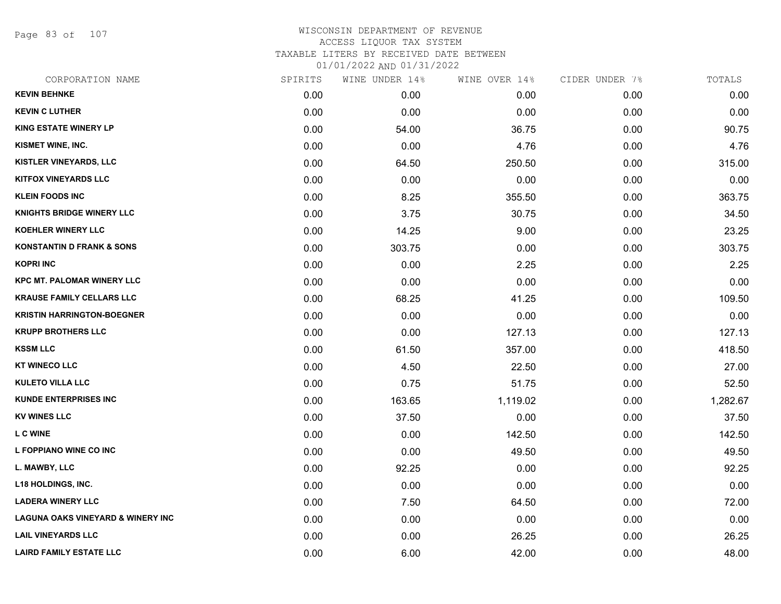Page 83 of 107

| CORPORATION NAME                             | SPIRITS | WINE UNDER 14% | WINE OVER 14% | CIDER UNDER 7% | TOTALS   |
|----------------------------------------------|---------|----------------|---------------|----------------|----------|
| <b>KEVIN BEHNKE</b>                          | 0.00    | 0.00           | 0.00          | 0.00           | 0.00     |
| <b>KEVIN C LUTHER</b>                        | 0.00    | 0.00           | 0.00          | 0.00           | 0.00     |
| <b>KING ESTATE WINERY LP</b>                 | 0.00    | 54.00          | 36.75         | 0.00           | 90.75    |
| KISMET WINE, INC.                            | 0.00    | 0.00           | 4.76          | 0.00           | 4.76     |
| KISTLER VINEYARDS, LLC                       | 0.00    | 64.50          | 250.50        | 0.00           | 315.00   |
| <b>KITFOX VINEYARDS LLC</b>                  | 0.00    | 0.00           | 0.00          | 0.00           | 0.00     |
| <b>KLEIN FOODS INC</b>                       | 0.00    | 8.25           | 355.50        | 0.00           | 363.75   |
| <b>KNIGHTS BRIDGE WINERY LLC</b>             | 0.00    | 3.75           | 30.75         | 0.00           | 34.50    |
| <b>KOEHLER WINERY LLC</b>                    | 0.00    | 14.25          | 9.00          | 0.00           | 23.25    |
| <b>KONSTANTIN D FRANK &amp; SONS</b>         | 0.00    | 303.75         | 0.00          | 0.00           | 303.75   |
| <b>KOPRI INC</b>                             | 0.00    | 0.00           | 2.25          | 0.00           | 2.25     |
| <b>KPC MT. PALOMAR WINERY LLC</b>            | 0.00    | 0.00           | 0.00          | 0.00           | 0.00     |
| <b>KRAUSE FAMILY CELLARS LLC</b>             | 0.00    | 68.25          | 41.25         | 0.00           | 109.50   |
| <b>KRISTIN HARRINGTON-BOEGNER</b>            | 0.00    | 0.00           | 0.00          | 0.00           | 0.00     |
| <b>KRUPP BROTHERS LLC</b>                    | 0.00    | 0.00           | 127.13        | 0.00           | 127.13   |
| <b>KSSM LLC</b>                              | 0.00    | 61.50          | 357.00        | 0.00           | 418.50   |
| <b>KT WINECO LLC</b>                         | 0.00    | 4.50           | 22.50         | 0.00           | 27.00    |
| <b>KULETO VILLA LLC</b>                      | 0.00    | 0.75           | 51.75         | 0.00           | 52.50    |
| <b>KUNDE ENTERPRISES INC</b>                 | 0.00    | 163.65         | 1,119.02      | 0.00           | 1,282.67 |
| <b>KV WINES LLC</b>                          | 0.00    | 37.50          | 0.00          | 0.00           | 37.50    |
| <b>L C WINE</b>                              | 0.00    | 0.00           | 142.50        | 0.00           | 142.50   |
| L FOPPIANO WINE CO INC                       | 0.00    | 0.00           | 49.50         | 0.00           | 49.50    |
| L. MAWBY, LLC                                | 0.00    | 92.25          | 0.00          | 0.00           | 92.25    |
| <b>L18 HOLDINGS, INC.</b>                    | 0.00    | 0.00           | 0.00          | 0.00           | 0.00     |
| <b>LADERA WINERY LLC</b>                     | 0.00    | 7.50           | 64.50         | 0.00           | 72.00    |
| <b>LAGUNA OAKS VINEYARD &amp; WINERY INC</b> | 0.00    | 0.00           | 0.00          | 0.00           | 0.00     |
| <b>LAIL VINEYARDS LLC</b>                    | 0.00    | 0.00           | 26.25         | 0.00           | 26.25    |
| <b>LAIRD FAMILY ESTATE LLC</b>               | 0.00    | 6.00           | 42.00         | 0.00           | 48.00    |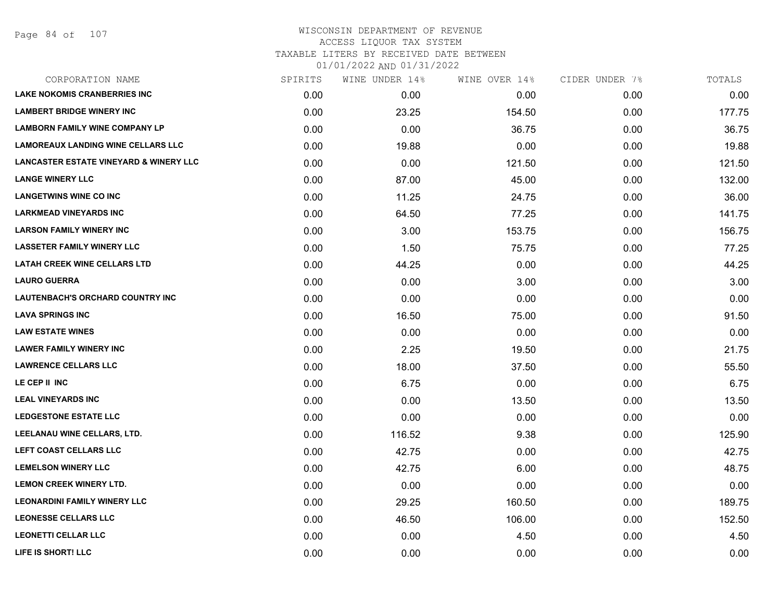| CORPORATION NAME                                  | SPIRITS | WINE UNDER 14% | WINE OVER 14% | CIDER UNDER 7% | TOTALS |
|---------------------------------------------------|---------|----------------|---------------|----------------|--------|
| <b>LAKE NOKOMIS CRANBERRIES INC</b>               | 0.00    | 0.00           | 0.00          | 0.00           | 0.00   |
| <b>LAMBERT BRIDGE WINERY INC</b>                  | 0.00    | 23.25          | 154.50        | 0.00           | 177.75 |
| <b>LAMBORN FAMILY WINE COMPANY LP</b>             | 0.00    | 0.00           | 36.75         | 0.00           | 36.75  |
| <b>LAMOREAUX LANDING WINE CELLARS LLC</b>         | 0.00    | 19.88          | 0.00          | 0.00           | 19.88  |
| <b>LANCASTER ESTATE VINEYARD &amp; WINERY LLC</b> | 0.00    | 0.00           | 121.50        | 0.00           | 121.50 |
| <b>LANGE WINERY LLC</b>                           | 0.00    | 87.00          | 45.00         | 0.00           | 132.00 |
| <b>LANGETWINS WINE CO INC</b>                     | 0.00    | 11.25          | 24.75         | 0.00           | 36.00  |
| <b>LARKMEAD VINEYARDS INC</b>                     | 0.00    | 64.50          | 77.25         | 0.00           | 141.75 |
| <b>LARSON FAMILY WINERY INC</b>                   | 0.00    | 3.00           | 153.75        | 0.00           | 156.75 |
| <b>LASSETER FAMILY WINERY LLC</b>                 | 0.00    | 1.50           | 75.75         | 0.00           | 77.25  |
| <b>LATAH CREEK WINE CELLARS LTD</b>               | 0.00    | 44.25          | 0.00          | 0.00           | 44.25  |
| <b>LAURO GUERRA</b>                               | 0.00    | 0.00           | 3.00          | 0.00           | 3.00   |
| LAUTENBACH'S ORCHARD COUNTRY INC                  | 0.00    | 0.00           | 0.00          | 0.00           | 0.00   |
| <b>LAVA SPRINGS INC</b>                           | 0.00    | 16.50          | 75.00         | 0.00           | 91.50  |
| <b>LAW ESTATE WINES</b>                           | 0.00    | 0.00           | 0.00          | 0.00           | 0.00   |
| <b>LAWER FAMILY WINERY INC</b>                    | 0.00    | 2.25           | 19.50         | 0.00           | 21.75  |
| <b>LAWRENCE CELLARS LLC</b>                       | 0.00    | 18.00          | 37.50         | 0.00           | 55.50  |
| LE CEP II INC                                     | 0.00    | 6.75           | 0.00          | 0.00           | 6.75   |
| <b>LEAL VINEYARDS INC</b>                         | 0.00    | 0.00           | 13.50         | 0.00           | 13.50  |
| <b>LEDGESTONE ESTATE LLC</b>                      | 0.00    | 0.00           | 0.00          | 0.00           | 0.00   |
| LEELANAU WINE CELLARS, LTD.                       | 0.00    | 116.52         | 9.38          | 0.00           | 125.90 |
| LEFT COAST CELLARS LLC                            | 0.00    | 42.75          | 0.00          | 0.00           | 42.75  |
| <b>LEMELSON WINERY LLC</b>                        | 0.00    | 42.75          | 6.00          | 0.00           | 48.75  |
| <b>LEMON CREEK WINERY LTD.</b>                    | 0.00    | 0.00           | 0.00          | 0.00           | 0.00   |
| <b>LEONARDINI FAMILY WINERY LLC</b>               | 0.00    | 29.25          | 160.50        | 0.00           | 189.75 |
| <b>LEONESSE CELLARS LLC</b>                       | 0.00    | 46.50          | 106.00        | 0.00           | 152.50 |
| <b>LEONETTI CELLAR LLC</b>                        | 0.00    | 0.00           | 4.50          | 0.00           | 4.50   |
| LIFE IS SHORT! LLC                                | 0.00    | 0.00           | 0.00          | 0.00           | 0.00   |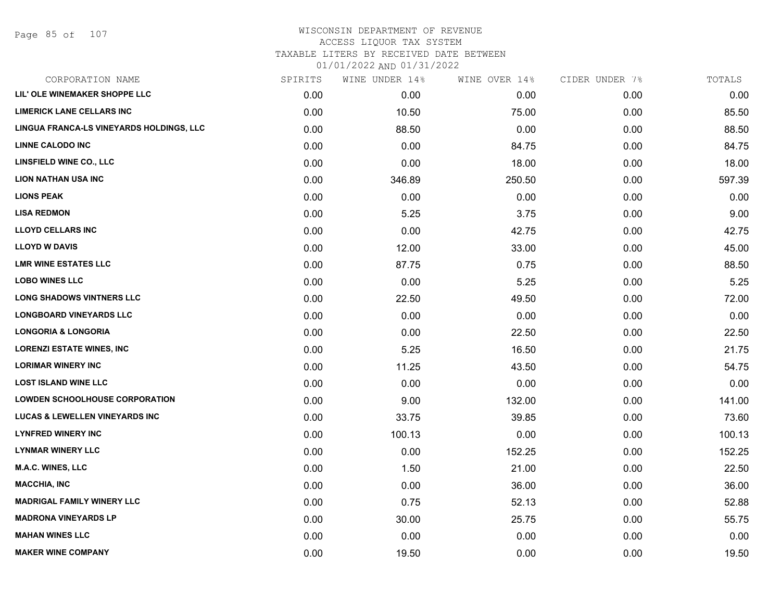#### WISCONSIN DEPARTMENT OF REVENUE ACCESS LIQUOR TAX SYSTEM

TAXABLE LITERS BY RECEIVED DATE BETWEEN

| CORPORATION NAME                         | SPIRITS | WINE UNDER 14% | WINE OVER 14% | CIDER UNDER 7% | TOTALS |
|------------------------------------------|---------|----------------|---------------|----------------|--------|
| LIL' OLE WINEMAKER SHOPPE LLC            | 0.00    | 0.00           | 0.00          | 0.00           | 0.00   |
| <b>LIMERICK LANE CELLARS INC</b>         | 0.00    | 10.50          | 75.00         | 0.00           | 85.50  |
| LINGUA FRANCA-LS VINEYARDS HOLDINGS, LLC | 0.00    | 88.50          | 0.00          | 0.00           | 88.50  |
| <b>LINNE CALODO INC</b>                  | 0.00    | 0.00           | 84.75         | 0.00           | 84.75  |
| <b>LINSFIELD WINE CO., LLC</b>           | 0.00    | 0.00           | 18.00         | 0.00           | 18.00  |
| <b>LION NATHAN USA INC</b>               | 0.00    | 346.89         | 250.50        | 0.00           | 597.39 |
| <b>LIONS PEAK</b>                        | 0.00    | 0.00           | 0.00          | 0.00           | 0.00   |
| <b>LISA REDMON</b>                       | 0.00    | 5.25           | 3.75          | 0.00           | 9.00   |
| <b>LLOYD CELLARS INC</b>                 | 0.00    | 0.00           | 42.75         | 0.00           | 42.75  |
| <b>LLOYD W DAVIS</b>                     | 0.00    | 12.00          | 33.00         | 0.00           | 45.00  |
| <b>LMR WINE ESTATES LLC</b>              | 0.00    | 87.75          | 0.75          | 0.00           | 88.50  |
| <b>LOBO WINES LLC</b>                    | 0.00    | 0.00           | 5.25          | 0.00           | 5.25   |
| <b>LONG SHADOWS VINTNERS LLC</b>         | 0.00    | 22.50          | 49.50         | 0.00           | 72.00  |
| <b>LONGBOARD VINEYARDS LLC</b>           | 0.00    | 0.00           | 0.00          | 0.00           | 0.00   |
| <b>LONGORIA &amp; LONGORIA</b>           | 0.00    | 0.00           | 22.50         | 0.00           | 22.50  |
| <b>LORENZI ESTATE WINES, INC</b>         | 0.00    | 5.25           | 16.50         | 0.00           | 21.75  |
| <b>LORIMAR WINERY INC</b>                | 0.00    | 11.25          | 43.50         | 0.00           | 54.75  |
| <b>LOST ISLAND WINE LLC</b>              | 0.00    | 0.00           | 0.00          | 0.00           | 0.00   |
| <b>LOWDEN SCHOOLHOUSE CORPORATION</b>    | 0.00    | 9.00           | 132.00        | 0.00           | 141.00 |
| LUCAS & LEWELLEN VINEYARDS INC           | 0.00    | 33.75          | 39.85         | 0.00           | 73.60  |
| <b>LYNFRED WINERY INC</b>                | 0.00    | 100.13         | 0.00          | 0.00           | 100.13 |
| <b>LYNMAR WINERY LLC</b>                 | 0.00    | 0.00           | 152.25        | 0.00           | 152.25 |
| <b>M.A.C. WINES, LLC</b>                 | 0.00    | 1.50           | 21.00         | 0.00           | 22.50  |
| <b>MACCHIA, INC</b>                      | 0.00    | 0.00           | 36.00         | 0.00           | 36.00  |
| <b>MADRIGAL FAMILY WINERY LLC</b>        | 0.00    | 0.75           | 52.13         | 0.00           | 52.88  |
| <b>MADRONA VINEYARDS LP</b>              | 0.00    | 30.00          | 25.75         | 0.00           | 55.75  |
| <b>MAHAN WINES LLC</b>                   | 0.00    | 0.00           | 0.00          | 0.00           | 0.00   |
| <b>MAKER WINE COMPANY</b>                | 0.00    | 19.50          | 0.00          | 0.00           | 19.50  |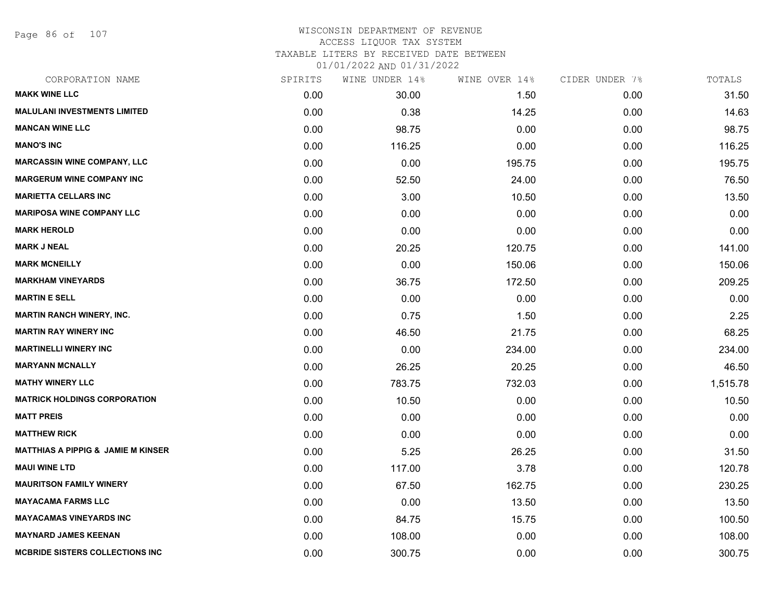Page 86 of 107

| CORPORATION NAME                              | SPIRITS | WINE UNDER 14% | WINE OVER 14% | CIDER UNDER 7% | TOTALS   |
|-----------------------------------------------|---------|----------------|---------------|----------------|----------|
| <b>MAKK WINE LLC</b>                          | 0.00    | 30.00          | 1.50          | 0.00           | 31.50    |
| <b>MALULANI INVESTMENTS LIMITED</b>           | 0.00    | 0.38           | 14.25         | 0.00           | 14.63    |
| <b>MANCAN WINE LLC</b>                        | 0.00    | 98.75          | 0.00          | 0.00           | 98.75    |
| <b>MANO'S INC</b>                             | 0.00    | 116.25         | 0.00          | 0.00           | 116.25   |
| <b>MARCASSIN WINE COMPANY, LLC</b>            | 0.00    | 0.00           | 195.75        | 0.00           | 195.75   |
| <b>MARGERUM WINE COMPANY INC</b>              | 0.00    | 52.50          | 24.00         | 0.00           | 76.50    |
| <b>MARIETTA CELLARS INC</b>                   | 0.00    | 3.00           | 10.50         | 0.00           | 13.50    |
| <b>MARIPOSA WINE COMPANY LLC</b>              | 0.00    | 0.00           | 0.00          | 0.00           | 0.00     |
| <b>MARK HEROLD</b>                            | 0.00    | 0.00           | 0.00          | 0.00           | 0.00     |
| <b>MARK J NEAL</b>                            | 0.00    | 20.25          | 120.75        | 0.00           | 141.00   |
| <b>MARK MCNEILLY</b>                          | 0.00    | 0.00           | 150.06        | 0.00           | 150.06   |
| <b>MARKHAM VINEYARDS</b>                      | 0.00    | 36.75          | 172.50        | 0.00           | 209.25   |
| <b>MARTIN E SELL</b>                          | 0.00    | 0.00           | 0.00          | 0.00           | 0.00     |
| <b>MARTIN RANCH WINERY, INC.</b>              | 0.00    | 0.75           | 1.50          | 0.00           | 2.25     |
| <b>MARTIN RAY WINERY INC</b>                  | 0.00    | 46.50          | 21.75         | 0.00           | 68.25    |
| <b>MARTINELLI WINERY INC</b>                  | 0.00    | 0.00           | 234.00        | 0.00           | 234.00   |
| <b>MARYANN MCNALLY</b>                        | 0.00    | 26.25          | 20.25         | 0.00           | 46.50    |
| <b>MATHY WINERY LLC</b>                       | 0.00    | 783.75         | 732.03        | 0.00           | 1,515.78 |
| <b>MATRICK HOLDINGS CORPORATION</b>           | 0.00    | 10.50          | 0.00          | 0.00           | 10.50    |
| <b>MATT PREIS</b>                             | 0.00    | 0.00           | 0.00          | 0.00           | 0.00     |
| <b>MATTHEW RICK</b>                           | 0.00    | 0.00           | 0.00          | 0.00           | 0.00     |
| <b>MATTHIAS A PIPPIG &amp; JAMIE M KINSER</b> | 0.00    | 5.25           | 26.25         | 0.00           | 31.50    |
| <b>MAUI WINE LTD</b>                          | 0.00    | 117.00         | 3.78          | 0.00           | 120.78   |
| <b>MAURITSON FAMILY WINERY</b>                | 0.00    | 67.50          | 162.75        | 0.00           | 230.25   |
| <b>MAYACAMA FARMS LLC</b>                     | 0.00    | 0.00           | 13.50         | 0.00           | 13.50    |
| <b>MAYACAMAS VINEYARDS INC</b>                | 0.00    | 84.75          | 15.75         | 0.00           | 100.50   |
| <b>MAYNARD JAMES KEENAN</b>                   | 0.00    | 108.00         | 0.00          | 0.00           | 108.00   |
| <b>MCBRIDE SISTERS COLLECTIONS INC</b>        | 0.00    | 300.75         | 0.00          | 0.00           | 300.75   |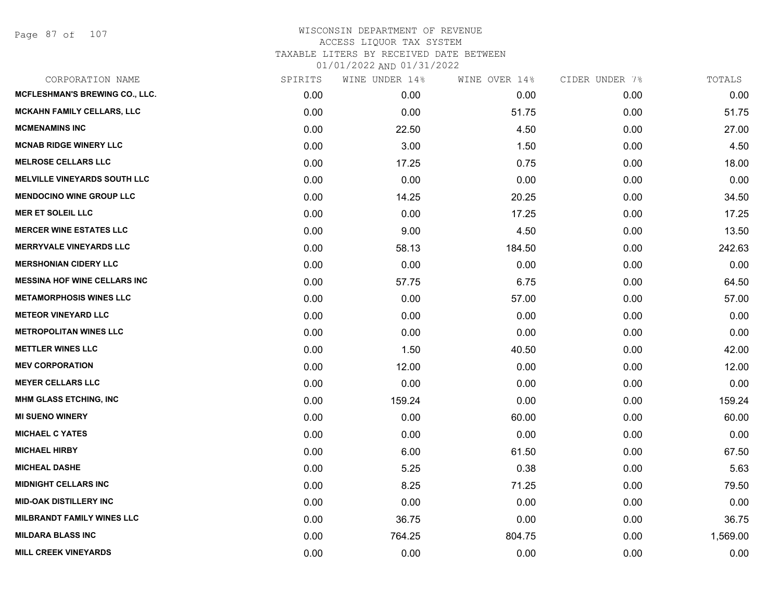Page 87 of 107

| CORPORATION NAME                    | SPIRITS | WINE UNDER 14% | WINE OVER 14% | CIDER UNDER 7% | TOTALS   |
|-------------------------------------|---------|----------------|---------------|----------------|----------|
| MCFLESHMAN'S BREWING CO., LLC.      | 0.00    | 0.00           | 0.00          | 0.00           | 0.00     |
| MCKAHN FAMILY CELLARS, LLC          | 0.00    | 0.00           | 51.75         | 0.00           | 51.75    |
| <b>MCMENAMINS INC</b>               | 0.00    | 22.50          | 4.50          | 0.00           | 27.00    |
| <b>MCNAB RIDGE WINERY LLC</b>       | 0.00    | 3.00           | 1.50          | 0.00           | 4.50     |
| <b>MELROSE CELLARS LLC</b>          | 0.00    | 17.25          | 0.75          | 0.00           | 18.00    |
| <b>MELVILLE VINEYARDS SOUTH LLC</b> | 0.00    | 0.00           | 0.00          | 0.00           | 0.00     |
| <b>MENDOCINO WINE GROUP LLC</b>     | 0.00    | 14.25          | 20.25         | 0.00           | 34.50    |
| <b>MER ET SOLEIL LLC</b>            | 0.00    | 0.00           | 17.25         | 0.00           | 17.25    |
| <b>MERCER WINE ESTATES LLC</b>      | 0.00    | 9.00           | 4.50          | 0.00           | 13.50    |
| <b>MERRYVALE VINEYARDS LLC</b>      | 0.00    | 58.13          | 184.50        | 0.00           | 242.63   |
| <b>MERSHONIAN CIDERY LLC</b>        | 0.00    | 0.00           | 0.00          | 0.00           | 0.00     |
| <b>MESSINA HOF WINE CELLARS INC</b> | 0.00    | 57.75          | 6.75          | 0.00           | 64.50    |
| <b>METAMORPHOSIS WINES LLC</b>      | 0.00    | 0.00           | 57.00         | 0.00           | 57.00    |
| <b>METEOR VINEYARD LLC</b>          | 0.00    | 0.00           | 0.00          | 0.00           | 0.00     |
| <b>METROPOLITAN WINES LLC</b>       | 0.00    | 0.00           | 0.00          | 0.00           | 0.00     |
| <b>METTLER WINES LLC</b>            | 0.00    | 1.50           | 40.50         | 0.00           | 42.00    |
| <b>MEV CORPORATION</b>              | 0.00    | 12.00          | 0.00          | 0.00           | 12.00    |
| <b>MEYER CELLARS LLC</b>            | 0.00    | 0.00           | 0.00          | 0.00           | 0.00     |
| <b>MHM GLASS ETCHING, INC</b>       | 0.00    | 159.24         | 0.00          | 0.00           | 159.24   |
| <b>MI SUENO WINERY</b>              | 0.00    | 0.00           | 60.00         | 0.00           | 60.00    |
| <b>MICHAEL C YATES</b>              | 0.00    | 0.00           | 0.00          | 0.00           | 0.00     |
| <b>MICHAEL HIRBY</b>                | 0.00    | 6.00           | 61.50         | 0.00           | 67.50    |
| <b>MICHEAL DASHE</b>                | 0.00    | 5.25           | 0.38          | 0.00           | 5.63     |
| <b>MIDNIGHT CELLARS INC</b>         | 0.00    | 8.25           | 71.25         | 0.00           | 79.50    |
| <b>MID-OAK DISTILLERY INC</b>       | 0.00    | 0.00           | 0.00          | 0.00           | 0.00     |
| <b>MILBRANDT FAMILY WINES LLC</b>   | 0.00    | 36.75          | 0.00          | 0.00           | 36.75    |
| <b>MILDARA BLASS INC</b>            | 0.00    | 764.25         | 804.75        | 0.00           | 1,569.00 |
| <b>MILL CREEK VINEYARDS</b>         | 0.00    | 0.00           | 0.00          | 0.00           | 0.00     |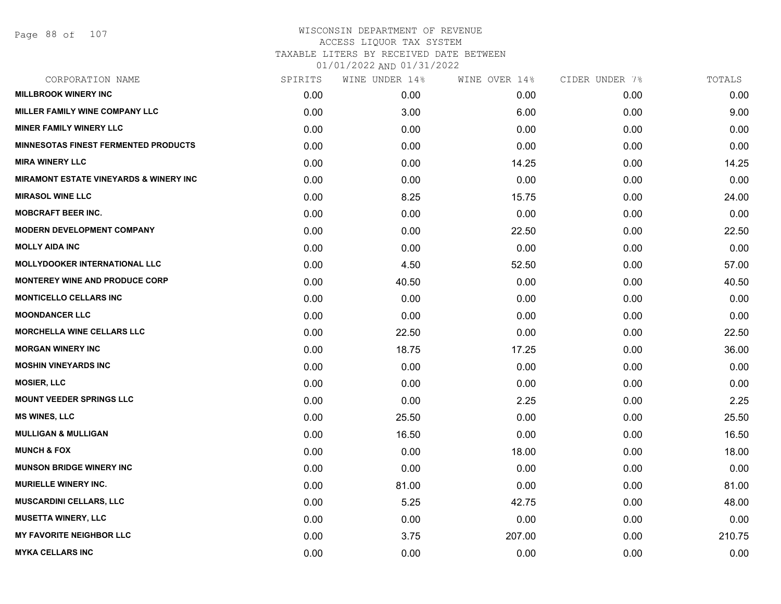Page 88 of 107

| CORPORATION NAME                                  | SPIRITS | WINE UNDER 14% | WINE OVER 14% | CIDER UNDER 7% | TOTALS |
|---------------------------------------------------|---------|----------------|---------------|----------------|--------|
| <b>MILLBROOK WINERY INC</b>                       | 0.00    | 0.00           | 0.00          | 0.00           | 0.00   |
| MILLER FAMILY WINE COMPANY LLC                    | 0.00    | 3.00           | 6.00          | 0.00           | 9.00   |
| <b>MINER FAMILY WINERY LLC</b>                    | 0.00    | 0.00           | 0.00          | 0.00           | 0.00   |
| <b>MINNESOTAS FINEST FERMENTED PRODUCTS</b>       | 0.00    | 0.00           | 0.00          | 0.00           | 0.00   |
| <b>MIRA WINERY LLC</b>                            | 0.00    | 0.00           | 14.25         | 0.00           | 14.25  |
| <b>MIRAMONT ESTATE VINEYARDS &amp; WINERY INC</b> | 0.00    | 0.00           | 0.00          | 0.00           | 0.00   |
| <b>MIRASOL WINE LLC</b>                           | 0.00    | 8.25           | 15.75         | 0.00           | 24.00  |
| <b>MOBCRAFT BEER INC.</b>                         | 0.00    | 0.00           | 0.00          | 0.00           | 0.00   |
| <b>MODERN DEVELOPMENT COMPANY</b>                 | 0.00    | 0.00           | 22.50         | 0.00           | 22.50  |
| <b>MOLLY AIDA INC</b>                             | 0.00    | 0.00           | 0.00          | 0.00           | 0.00   |
| <b>MOLLYDOOKER INTERNATIONAL LLC</b>              | 0.00    | 4.50           | 52.50         | 0.00           | 57.00  |
| <b>MONTEREY WINE AND PRODUCE CORP</b>             | 0.00    | 40.50          | 0.00          | 0.00           | 40.50  |
| <b>MONTICELLO CELLARS INC</b>                     | 0.00    | 0.00           | 0.00          | 0.00           | 0.00   |
| <b>MOONDANCER LLC</b>                             | 0.00    | 0.00           | 0.00          | 0.00           | 0.00   |
| <b>MORCHELLA WINE CELLARS LLC</b>                 | 0.00    | 22.50          | 0.00          | 0.00           | 22.50  |
| <b>MORGAN WINERY INC</b>                          | 0.00    | 18.75          | 17.25         | 0.00           | 36.00  |
| <b>MOSHIN VINEYARDS INC</b>                       | 0.00    | 0.00           | 0.00          | 0.00           | 0.00   |
| <b>MOSIER, LLC</b>                                | 0.00    | 0.00           | 0.00          | 0.00           | 0.00   |
| <b>MOUNT VEEDER SPRINGS LLC</b>                   | 0.00    | 0.00           | 2.25          | 0.00           | 2.25   |
| <b>MS WINES, LLC</b>                              | 0.00    | 25.50          | 0.00          | 0.00           | 25.50  |
| <b>MULLIGAN &amp; MULLIGAN</b>                    | 0.00    | 16.50          | 0.00          | 0.00           | 16.50  |
| <b>MUNCH &amp; FOX</b>                            | 0.00    | 0.00           | 18.00         | 0.00           | 18.00  |
| <b>MUNSON BRIDGE WINERY INC</b>                   | 0.00    | 0.00           | 0.00          | 0.00           | 0.00   |
| <b>MURIELLE WINERY INC.</b>                       | 0.00    | 81.00          | 0.00          | 0.00           | 81.00  |
| <b>MUSCARDINI CELLARS, LLC</b>                    | 0.00    | 5.25           | 42.75         | 0.00           | 48.00  |
| <b>MUSETTA WINERY, LLC</b>                        | 0.00    | 0.00           | 0.00          | 0.00           | 0.00   |
| <b>MY FAVORITE NEIGHBOR LLC</b>                   | 0.00    | 3.75           | 207.00        | 0.00           | 210.75 |
| <b>MYKA CELLARS INC</b>                           | 0.00    | 0.00           | 0.00          | 0.00           | 0.00   |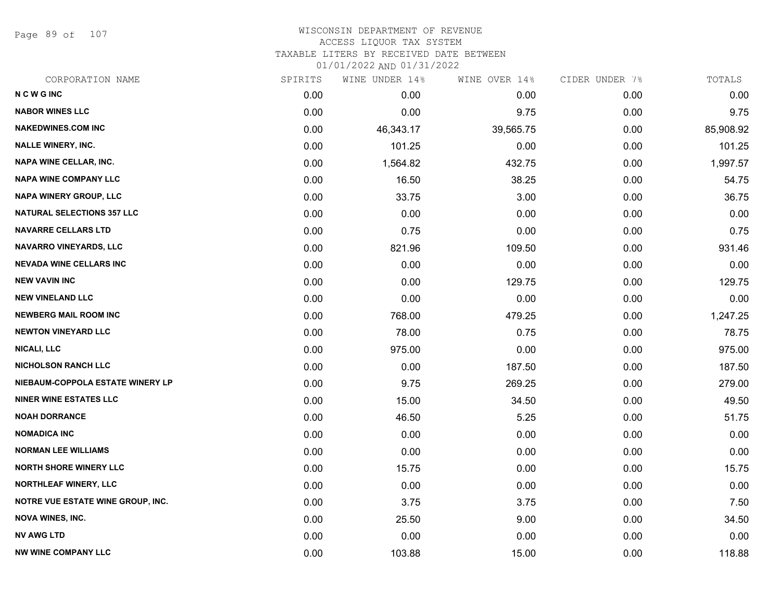Page 89 of 107

| CORPORATION NAME                         | SPIRITS | WINE UNDER 14% | WINE OVER 14% | CIDER UNDER 7% | TOTALS    |
|------------------------------------------|---------|----------------|---------------|----------------|-----------|
| <b>NCWGINC</b>                           | 0.00    | 0.00           | 0.00          | 0.00           | 0.00      |
| <b>NABOR WINES LLC</b>                   | 0.00    | 0.00           | 9.75          | 0.00           | 9.75      |
| <b>NAKEDWINES.COM INC</b>                | 0.00    | 46,343.17      | 39,565.75     | 0.00           | 85,908.92 |
| <b>NALLE WINERY, INC.</b>                | 0.00    | 101.25         | 0.00          | 0.00           | 101.25    |
| <b>NAPA WINE CELLAR, INC.</b>            | 0.00    | 1,564.82       | 432.75        | 0.00           | 1,997.57  |
| <b>NAPA WINE COMPANY LLC</b>             | 0.00    | 16.50          | 38.25         | 0.00           | 54.75     |
| <b>NAPA WINERY GROUP, LLC</b>            | 0.00    | 33.75          | 3.00          | 0.00           | 36.75     |
| <b>NATURAL SELECTIONS 357 LLC</b>        | 0.00    | 0.00           | 0.00          | 0.00           | 0.00      |
| <b>NAVARRE CELLARS LTD</b>               | 0.00    | 0.75           | 0.00          | 0.00           | 0.75      |
| <b>NAVARRO VINEYARDS, LLC</b>            | 0.00    | 821.96         | 109.50        | 0.00           | 931.46    |
| <b>NEVADA WINE CELLARS INC</b>           | 0.00    | 0.00           | 0.00          | 0.00           | 0.00      |
| <b>NEW VAVIN INC</b>                     | 0.00    | 0.00           | 129.75        | 0.00           | 129.75    |
| <b>NEW VINELAND LLC</b>                  | 0.00    | 0.00           | 0.00          | 0.00           | 0.00      |
| <b>NEWBERG MAIL ROOM INC</b>             | 0.00    | 768.00         | 479.25        | 0.00           | 1,247.25  |
| <b>NEWTON VINEYARD LLC</b>               | 0.00    | 78.00          | 0.75          | 0.00           | 78.75     |
| <b>NICALI, LLC</b>                       | 0.00    | 975.00         | 0.00          | 0.00           | 975.00    |
| <b>NICHOLSON RANCH LLC</b>               | 0.00    | 0.00           | 187.50        | 0.00           | 187.50    |
| NIEBAUM-COPPOLA ESTATE WINERY LP         | 0.00    | 9.75           | 269.25        | 0.00           | 279.00    |
| <b>NINER WINE ESTATES LLC</b>            | 0.00    | 15.00          | 34.50         | 0.00           | 49.50     |
| <b>NOAH DORRANCE</b>                     | 0.00    | 46.50          | 5.25          | 0.00           | 51.75     |
| <b>NOMADICA INC</b>                      | 0.00    | 0.00           | 0.00          | 0.00           | 0.00      |
| <b>NORMAN LEE WILLIAMS</b>               | 0.00    | 0.00           | 0.00          | 0.00           | 0.00      |
| <b>NORTH SHORE WINERY LLC</b>            | 0.00    | 15.75          | 0.00          | 0.00           | 15.75     |
| <b>NORTHLEAF WINERY, LLC</b>             | 0.00    | 0.00           | 0.00          | 0.00           | 0.00      |
| <b>NOTRE VUE ESTATE WINE GROUP, INC.</b> | 0.00    | 3.75           | 3.75          | 0.00           | 7.50      |
| <b>NOVA WINES, INC.</b>                  | 0.00    | 25.50          | 9.00          | 0.00           | 34.50     |
| <b>NV AWG LTD</b>                        | 0.00    | 0.00           | 0.00          | 0.00           | 0.00      |
| <b>NW WINE COMPANY LLC</b>               | 0.00    | 103.88         | 15.00         | 0.00           | 118.88    |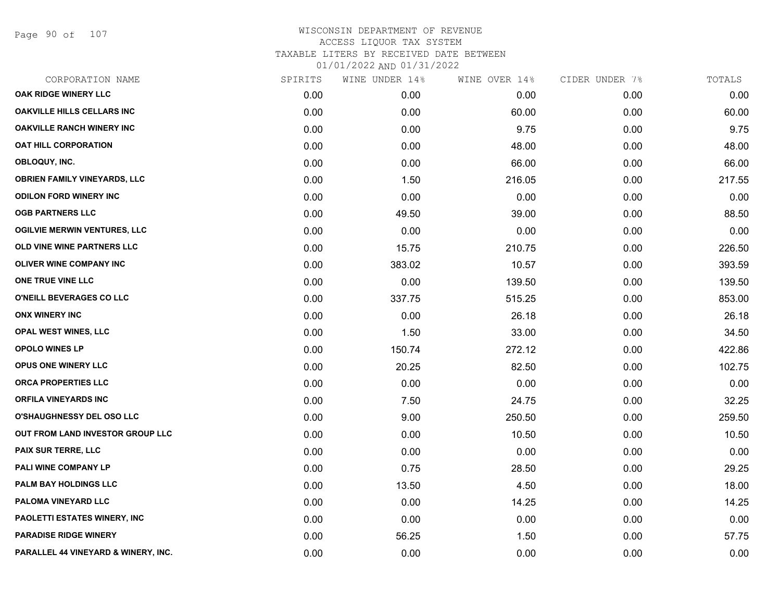Page 90 of 107

| CORPORATION NAME                    | SPIRITS | WINE UNDER 14% | WINE OVER 14% | CIDER UNDER 7% | TOTALS |
|-------------------------------------|---------|----------------|---------------|----------------|--------|
| OAK RIDGE WINERY LLC                | 0.00    | 0.00           | 0.00          | 0.00           | 0.00   |
| <b>OAKVILLE HILLS CELLARS INC</b>   | 0.00    | 0.00           | 60.00         | 0.00           | 60.00  |
| <b>OAKVILLE RANCH WINERY INC</b>    | 0.00    | 0.00           | 9.75          | 0.00           | 9.75   |
| <b>OAT HILL CORPORATION</b>         | 0.00    | 0.00           | 48.00         | 0.00           | 48.00  |
| OBLOQUY, INC.                       | 0.00    | 0.00           | 66.00         | 0.00           | 66.00  |
| <b>OBRIEN FAMILY VINEYARDS, LLC</b> | 0.00    | 1.50           | 216.05        | 0.00           | 217.55 |
| <b>ODILON FORD WINERY INC</b>       | 0.00    | 0.00           | 0.00          | 0.00           | 0.00   |
| <b>OGB PARTNERS LLC</b>             | 0.00    | 49.50          | 39.00         | 0.00           | 88.50  |
| <b>OGILVIE MERWIN VENTURES, LLC</b> | 0.00    | 0.00           | 0.00          | 0.00           | 0.00   |
| OLD VINE WINE PARTNERS LLC          | 0.00    | 15.75          | 210.75        | 0.00           | 226.50 |
| <b>OLIVER WINE COMPANY INC</b>      | 0.00    | 383.02         | 10.57         | 0.00           | 393.59 |
| ONE TRUE VINE LLC                   | 0.00    | 0.00           | 139.50        | 0.00           | 139.50 |
| O'NEILL BEVERAGES CO LLC            | 0.00    | 337.75         | 515.25        | 0.00           | 853.00 |
| <b>ONX WINERY INC</b>               | 0.00    | 0.00           | 26.18         | 0.00           | 26.18  |
| <b>OPAL WEST WINES, LLC</b>         | 0.00    | 1.50           | 33.00         | 0.00           | 34.50  |
| <b>OPOLO WINES LP</b>               | 0.00    | 150.74         | 272.12        | 0.00           | 422.86 |
| OPUS ONE WINERY LLC                 | 0.00    | 20.25          | 82.50         | 0.00           | 102.75 |
| ORCA PROPERTIES LLC                 | 0.00    | 0.00           | 0.00          | 0.00           | 0.00   |
| <b>ORFILA VINEYARDS INC</b>         | 0.00    | 7.50           | 24.75         | 0.00           | 32.25  |
| <b>O'SHAUGHNESSY DEL OSO LLC</b>    | 0.00    | 9.00           | 250.50        | 0.00           | 259.50 |
| OUT FROM LAND INVESTOR GROUP LLC    | 0.00    | 0.00           | 10.50         | 0.00           | 10.50  |
| PAIX SUR TERRE, LLC                 | 0.00    | 0.00           | 0.00          | 0.00           | 0.00   |
| PALI WINE COMPANY LP                | 0.00    | 0.75           | 28.50         | 0.00           | 29.25  |
| PALM BAY HOLDINGS LLC               | 0.00    | 13.50          | 4.50          | 0.00           | 18.00  |
| PALOMA VINEYARD LLC                 | 0.00    | 0.00           | 14.25         | 0.00           | 14.25  |
| PAOLETTI ESTATES WINERY, INC        | 0.00    | 0.00           | 0.00          | 0.00           | 0.00   |
| <b>PARADISE RIDGE WINERY</b>        | 0.00    | 56.25          | 1.50          | 0.00           | 57.75  |
| PARALLEL 44 VINEYARD & WINERY, INC. | 0.00    | 0.00           | 0.00          | 0.00           | 0.00   |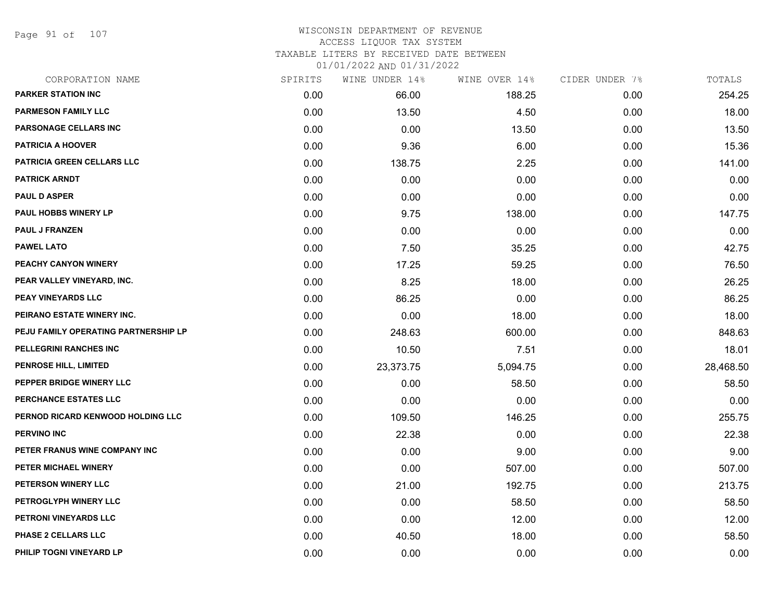Page 91 of 107

## WISCONSIN DEPARTMENT OF REVENUE ACCESS LIQUOR TAX SYSTEM

TAXABLE LITERS BY RECEIVED DATE BETWEEN

| CORPORATION NAME                     | SPIRITS | WINE UNDER 14% | WINE OVER 14% | CIDER UNDER 7% | TOTALS    |
|--------------------------------------|---------|----------------|---------------|----------------|-----------|
| <b>PARKER STATION INC</b>            | 0.00    | 66.00          | 188.25        | 0.00           | 254.25    |
| <b>PARMESON FAMILY LLC</b>           | 0.00    | 13.50          | 4.50          | 0.00           | 18.00     |
| <b>PARSONAGE CELLARS INC</b>         | 0.00    | 0.00           | 13.50         | 0.00           | 13.50     |
| <b>PATRICIA A HOOVER</b>             | 0.00    | 9.36           | 6.00          | 0.00           | 15.36     |
| PATRICIA GREEN CELLARS LLC           | 0.00    | 138.75         | 2.25          | 0.00           | 141.00    |
| <b>PATRICK ARNDT</b>                 | 0.00    | 0.00           | 0.00          | 0.00           | 0.00      |
| <b>PAUL D ASPER</b>                  | 0.00    | 0.00           | 0.00          | 0.00           | 0.00      |
| <b>PAUL HOBBS WINERY LP</b>          | 0.00    | 9.75           | 138.00        | 0.00           | 147.75    |
| <b>PAUL J FRANZEN</b>                | 0.00    | 0.00           | 0.00          | 0.00           | 0.00      |
| <b>PAWEL LATO</b>                    | 0.00    | 7.50           | 35.25         | 0.00           | 42.75     |
| PEACHY CANYON WINERY                 | 0.00    | 17.25          | 59.25         | 0.00           | 76.50     |
| PEAR VALLEY VINEYARD, INC.           | 0.00    | 8.25           | 18.00         | 0.00           | 26.25     |
| PEAY VINEYARDS LLC                   | 0.00    | 86.25          | 0.00          | 0.00           | 86.25     |
| PEIRANO ESTATE WINERY INC.           | 0.00    | 0.00           | 18.00         | 0.00           | 18.00     |
| PEJU FAMILY OPERATING PARTNERSHIP LP | 0.00    | 248.63         | 600.00        | 0.00           | 848.63    |
| PELLEGRINI RANCHES INC               | 0.00    | 10.50          | 7.51          | 0.00           | 18.01     |
| <b>PENROSE HILL, LIMITED</b>         | 0.00    | 23,373.75      | 5,094.75      | 0.00           | 28,468.50 |
| PEPPER BRIDGE WINERY LLC             | 0.00    | 0.00           | 58.50         | 0.00           | 58.50     |
| PERCHANCE ESTATES LLC                | 0.00    | 0.00           | 0.00          | 0.00           | 0.00      |
| PERNOD RICARD KENWOOD HOLDING LLC    | 0.00    | 109.50         | 146.25        | 0.00           | 255.75    |
| <b>PERVINO INC</b>                   | 0.00    | 22.38          | 0.00          | 0.00           | 22.38     |
| PETER FRANUS WINE COMPANY INC        | 0.00    | 0.00           | 9.00          | 0.00           | 9.00      |
| PETER MICHAEL WINERY                 | 0.00    | 0.00           | 507.00        | 0.00           | 507.00    |
| PETERSON WINERY LLC                  | 0.00    | 21.00          | 192.75        | 0.00           | 213.75    |
| PETROGLYPH WINERY LLC                | 0.00    | 0.00           | 58.50         | 0.00           | 58.50     |
| PETRONI VINEYARDS LLC                | 0.00    | 0.00           | 12.00         | 0.00           | 12.00     |
| PHASE 2 CELLARS LLC                  | 0.00    | 40.50          | 18.00         | 0.00           | 58.50     |
| PHILIP TOGNI VINEYARD LP             | 0.00    | 0.00           | 0.00          | 0.00           | 0.00      |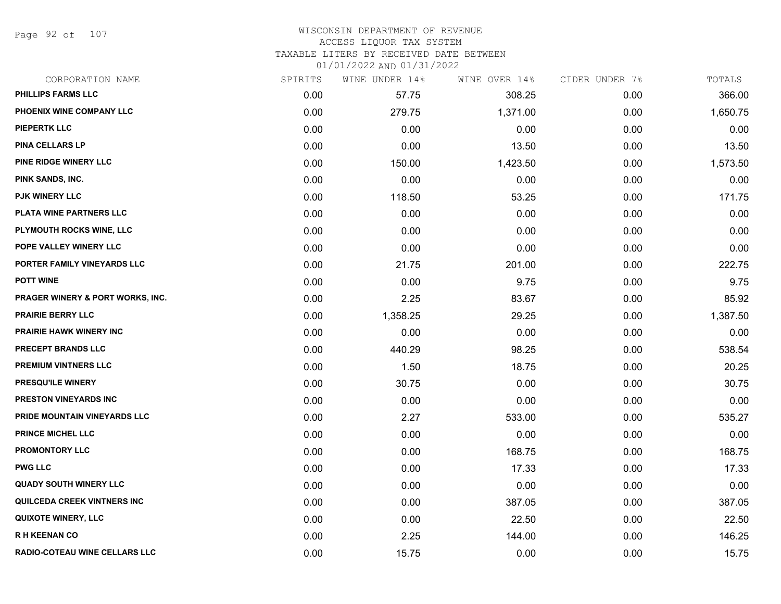Page 92 of 107

#### WISCONSIN DEPARTMENT OF REVENUE ACCESS LIQUOR TAX SYSTEM

TAXABLE LITERS BY RECEIVED DATE BETWEEN

| CORPORATION NAME                            | SPIRITS | WINE UNDER 14% | WINE OVER 14% | CIDER UNDER 7% | TOTALS   |
|---------------------------------------------|---------|----------------|---------------|----------------|----------|
| PHILLIPS FARMS LLC                          | 0.00    | 57.75          | 308.25        | 0.00           | 366.00   |
| PHOENIX WINE COMPANY LLC                    | 0.00    | 279.75         | 1,371.00      | 0.00           | 1,650.75 |
| PIEPERTK LLC                                | 0.00    | 0.00           | 0.00          | 0.00           | 0.00     |
| <b>PINA CELLARS LP</b>                      | 0.00    | 0.00           | 13.50         | 0.00           | 13.50    |
| PINE RIDGE WINERY LLC                       | 0.00    | 150.00         | 1,423.50      | 0.00           | 1,573.50 |
| PINK SANDS, INC.                            | 0.00    | 0.00           | 0.00          | 0.00           | 0.00     |
| <b>PJK WINERY LLC</b>                       | 0.00    | 118.50         | 53.25         | 0.00           | 171.75   |
| PLATA WINE PARTNERS LLC                     | 0.00    | 0.00           | 0.00          | 0.00           | 0.00     |
| PLYMOUTH ROCKS WINE, LLC                    | 0.00    | 0.00           | 0.00          | 0.00           | 0.00     |
| POPE VALLEY WINERY LLC                      | 0.00    | 0.00           | 0.00          | 0.00           | 0.00     |
| PORTER FAMILY VINEYARDS LLC                 | 0.00    | 21.75          | 201.00        | 0.00           | 222.75   |
| <b>POTT WINE</b>                            | 0.00    | 0.00           | 9.75          | 0.00           | 9.75     |
| <b>PRAGER WINERY &amp; PORT WORKS, INC.</b> | 0.00    | 2.25           | 83.67         | 0.00           | 85.92    |
| <b>PRAIRIE BERRY LLC</b>                    | 0.00    | 1,358.25       | 29.25         | 0.00           | 1,387.50 |
| <b>PRAIRIE HAWK WINERY INC</b>              | 0.00    | 0.00           | 0.00          | 0.00           | 0.00     |
| PRECEPT BRANDS LLC                          | 0.00    | 440.29         | 98.25         | 0.00           | 538.54   |
| PREMIUM VINTNERS LLC                        | 0.00    | 1.50           | 18.75         | 0.00           | 20.25    |
| PRESQU'ILE WINERY                           | 0.00    | 30.75          | 0.00          | 0.00           | 30.75    |
| <b>PRESTON VINEYARDS INC</b>                | 0.00    | 0.00           | 0.00          | 0.00           | 0.00     |
| PRIDE MOUNTAIN VINEYARDS LLC                | 0.00    | 2.27           | 533.00        | 0.00           | 535.27   |
| <b>PRINCE MICHEL LLC</b>                    | 0.00    | 0.00           | 0.00          | 0.00           | 0.00     |
| <b>PROMONTORY LLC</b>                       | 0.00    | 0.00           | 168.75        | 0.00           | 168.75   |
| <b>PWG LLC</b>                              | 0.00    | 0.00           | 17.33         | 0.00           | 17.33    |
| <b>QUADY SOUTH WINERY LLC</b>               | 0.00    | 0.00           | 0.00          | 0.00           | 0.00     |
| <b>QUILCEDA CREEK VINTNERS INC</b>          | 0.00    | 0.00           | 387.05        | 0.00           | 387.05   |
| <b>QUIXOTE WINERY, LLC</b>                  | 0.00    | 0.00           | 22.50         | 0.00           | 22.50    |
| <b>RH KEENAN CO</b>                         | 0.00    | 2.25           | 144.00        | 0.00           | 146.25   |
| RADIO-COTEAU WINE CELLARS LLC               | 0.00    | 15.75          | 0.00          | 0.00           | 15.75    |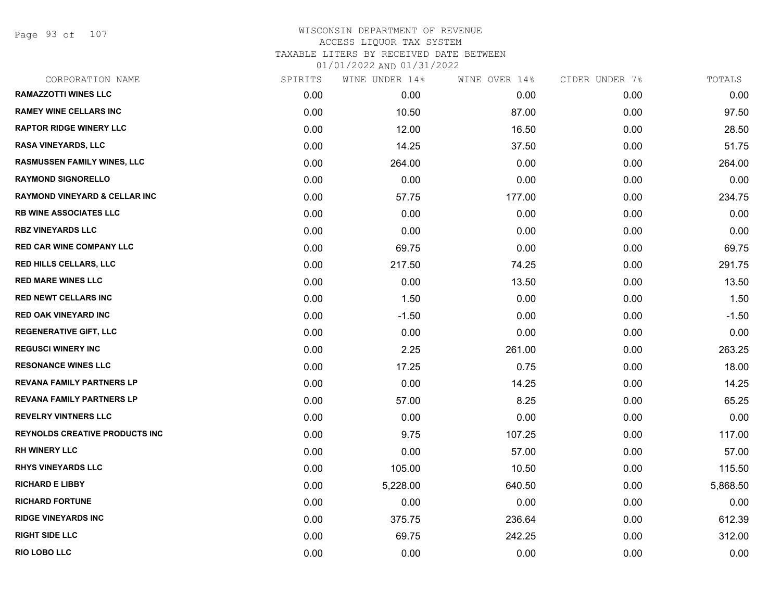Page 93 of 107

|      |          |                | CIDER UNDER 7% | TOTALS   |
|------|----------|----------------|----------------|----------|
| 0.00 | 0.00     | 0.00           | 0.00           | 0.00     |
| 0.00 | 10.50    | 87.00          | 0.00           | 97.50    |
| 0.00 | 12.00    | 16.50          | 0.00           | 28.50    |
| 0.00 | 14.25    | 37.50          | 0.00           | 51.75    |
| 0.00 | 264.00   | 0.00           | 0.00           | 264.00   |
| 0.00 | 0.00     | 0.00           | 0.00           | 0.00     |
| 0.00 | 57.75    | 177.00         | 0.00           | 234.75   |
| 0.00 | 0.00     | 0.00           | 0.00           | 0.00     |
| 0.00 | 0.00     | 0.00           | 0.00           | 0.00     |
| 0.00 | 69.75    | 0.00           | 0.00           | 69.75    |
| 0.00 | 217.50   | 74.25          | 0.00           | 291.75   |
| 0.00 | 0.00     | 13.50          | 0.00           | 13.50    |
| 0.00 | 1.50     | 0.00           | 0.00           | 1.50     |
| 0.00 | $-1.50$  | 0.00           | 0.00           | $-1.50$  |
| 0.00 | 0.00     | 0.00           | 0.00           | 0.00     |
| 0.00 | 2.25     | 261.00         | 0.00           | 263.25   |
| 0.00 | 17.25    | 0.75           | 0.00           | 18.00    |
| 0.00 | 0.00     | 14.25          | 0.00           | 14.25    |
| 0.00 | 57.00    | 8.25           | 0.00           | 65.25    |
| 0.00 | 0.00     | 0.00           | 0.00           | 0.00     |
| 0.00 | 9.75     | 107.25         | 0.00           | 117.00   |
| 0.00 | 0.00     | 57.00          | 0.00           | 57.00    |
| 0.00 | 105.00   | 10.50          | 0.00           | 115.50   |
| 0.00 | 5,228.00 | 640.50         | 0.00           | 5,868.50 |
| 0.00 | 0.00     | 0.00           | 0.00           | 0.00     |
| 0.00 | 375.75   | 236.64         | 0.00           | 612.39   |
| 0.00 | 69.75    | 242.25         | 0.00           | 312.00   |
| 0.00 | 0.00     | 0.00           | 0.00           | 0.00     |
|      | SPIRITS  | WINE UNDER 14% | WINE OVER 14%  |          |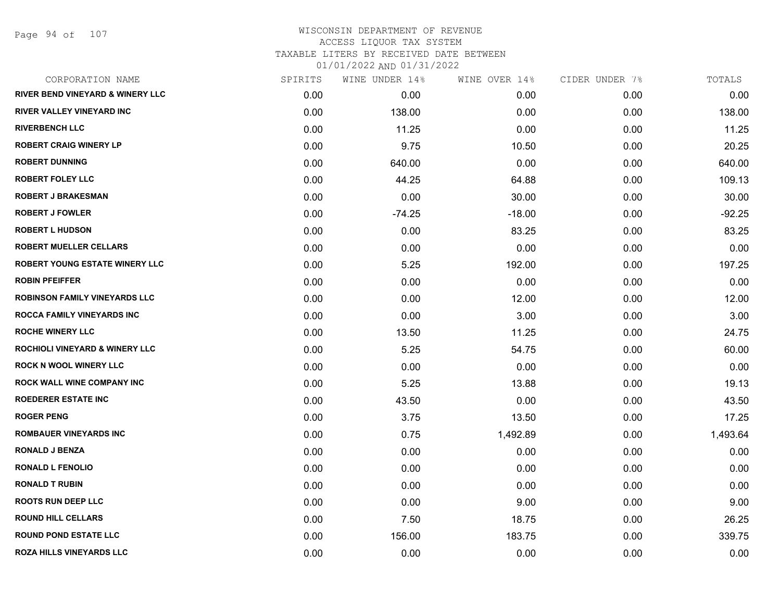Page 94 of 107

| CORPORATION NAME                     | SPIRITS | WINE UNDER 14% | WINE OVER 14% | CIDER UNDER 7% | TOTALS   |
|--------------------------------------|---------|----------------|---------------|----------------|----------|
| RIVER BEND VINEYARD & WINERY LLC     | 0.00    | 0.00           | 0.00          | 0.00           | 0.00     |
| RIVER VALLEY VINEYARD INC            | 0.00    | 138.00         | 0.00          | 0.00           | 138.00   |
| <b>RIVERBENCH LLC</b>                | 0.00    | 11.25          | 0.00          | 0.00           | 11.25    |
| <b>ROBERT CRAIG WINERY LP</b>        | 0.00    | 9.75           | 10.50         | 0.00           | 20.25    |
| <b>ROBERT DUNNING</b>                | 0.00    | 640.00         | 0.00          | 0.00           | 640.00   |
| <b>ROBERT FOLEY LLC</b>              | 0.00    | 44.25          | 64.88         | 0.00           | 109.13   |
| <b>ROBERT J BRAKESMAN</b>            | 0.00    | 0.00           | 30.00         | 0.00           | 30.00    |
| <b>ROBERT J FOWLER</b>               | 0.00    | $-74.25$       | $-18.00$      | 0.00           | $-92.25$ |
| <b>ROBERT L HUDSON</b>               | 0.00    | 0.00           | 83.25         | 0.00           | 83.25    |
| <b>ROBERT MUELLER CELLARS</b>        | 0.00    | 0.00           | 0.00          | 0.00           | 0.00     |
| ROBERT YOUNG ESTATE WINERY LLC       | 0.00    | 5.25           | 192.00        | 0.00           | 197.25   |
| <b>ROBIN PFEIFFER</b>                | 0.00    | 0.00           | 0.00          | 0.00           | 0.00     |
| <b>ROBINSON FAMILY VINEYARDS LLC</b> | 0.00    | 0.00           | 12.00         | 0.00           | 12.00    |
| <b>ROCCA FAMILY VINEYARDS INC</b>    | 0.00    | 0.00           | 3.00          | 0.00           | 3.00     |
| <b>ROCHE WINERY LLC</b>              | 0.00    | 13.50          | 11.25         | 0.00           | 24.75    |
| ROCHIOLI VINEYARD & WINERY LLC       | 0.00    | 5.25           | 54.75         | 0.00           | 60.00    |
| ROCK N WOOL WINERY LLC               | 0.00    | 0.00           | 0.00          | 0.00           | 0.00     |
| ROCK WALL WINE COMPANY INC           | 0.00    | 5.25           | 13.88         | 0.00           | 19.13    |
| <b>ROEDERER ESTATE INC</b>           | 0.00    | 43.50          | 0.00          | 0.00           | 43.50    |
| <b>ROGER PENG</b>                    | 0.00    | 3.75           | 13.50         | 0.00           | 17.25    |
| <b>ROMBAUER VINEYARDS INC</b>        | 0.00    | 0.75           | 1,492.89      | 0.00           | 1,493.64 |
| <b>RONALD J BENZA</b>                | 0.00    | 0.00           | 0.00          | 0.00           | 0.00     |
| <b>RONALD L FENOLIO</b>              | 0.00    | 0.00           | 0.00          | 0.00           | 0.00     |
| <b>RONALD T RUBIN</b>                | 0.00    | 0.00           | 0.00          | 0.00           | 0.00     |
| <b>ROOTS RUN DEEP LLC</b>            | 0.00    | 0.00           | 9.00          | 0.00           | 9.00     |
| <b>ROUND HILL CELLARS</b>            | 0.00    | 7.50           | 18.75         | 0.00           | 26.25    |
| <b>ROUND POND ESTATE LLC</b>         | 0.00    | 156.00         | 183.75        | 0.00           | 339.75   |
| <b>ROZA HILLS VINEYARDS LLC</b>      | 0.00    | 0.00           | 0.00          | 0.00           | 0.00     |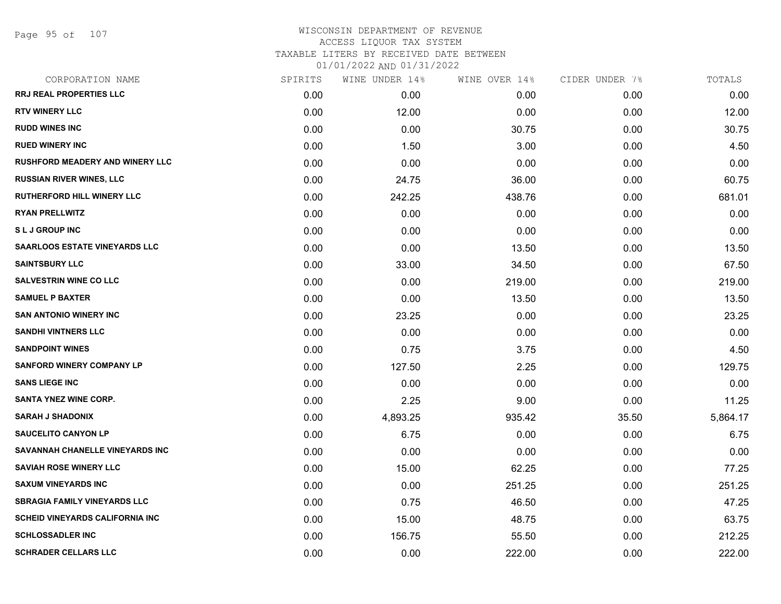| CORPORATION NAME                       | SPIRITS | WINE UNDER 14% | WINE OVER 14% | CIDER UNDER 7% | TOTALS   |
|----------------------------------------|---------|----------------|---------------|----------------|----------|
| <b>RRJ REAL PROPERTIES LLC</b>         | 0.00    | 0.00           | 0.00          | 0.00           | 0.00     |
| <b>RTV WINERY LLC</b>                  | 0.00    | 12.00          | 0.00          | 0.00           | 12.00    |
| <b>RUDD WINES INC</b>                  | 0.00    | 0.00           | 30.75         | 0.00           | 30.75    |
| <b>RUED WINERY INC</b>                 | 0.00    | 1.50           | 3.00          | 0.00           | 4.50     |
| <b>RUSHFORD MEADERY AND WINERY LLC</b> | 0.00    | 0.00           | 0.00          | 0.00           | 0.00     |
| <b>RUSSIAN RIVER WINES, LLC</b>        | 0.00    | 24.75          | 36.00         | 0.00           | 60.75    |
| <b>RUTHERFORD HILL WINERY LLC</b>      | 0.00    | 242.25         | 438.76        | 0.00           | 681.01   |
| <b>RYAN PRELLWITZ</b>                  | 0.00    | 0.00           | 0.00          | 0.00           | 0.00     |
| <b>SLJ GROUP INC</b>                   | 0.00    | 0.00           | 0.00          | 0.00           | 0.00     |
| <b>SAARLOOS ESTATE VINEYARDS LLC</b>   | 0.00    | 0.00           | 13.50         | 0.00           | 13.50    |
| <b>SAINTSBURY LLC</b>                  | 0.00    | 33.00          | 34.50         | 0.00           | 67.50    |
| <b>SALVESTRIN WINE CO LLC</b>          | 0.00    | 0.00           | 219.00        | 0.00           | 219.00   |
| <b>SAMUEL P BAXTER</b>                 | 0.00    | 0.00           | 13.50         | 0.00           | 13.50    |
| <b>SAN ANTONIO WINERY INC</b>          | 0.00    | 23.25          | 0.00          | 0.00           | 23.25    |
| <b>SANDHI VINTNERS LLC</b>             | 0.00    | 0.00           | 0.00          | 0.00           | 0.00     |
| <b>SANDPOINT WINES</b>                 | 0.00    | 0.75           | 3.75          | 0.00           | 4.50     |
| <b>SANFORD WINERY COMPANY LP</b>       | 0.00    | 127.50         | 2.25          | 0.00           | 129.75   |
| <b>SANS LIEGE INC</b>                  | 0.00    | 0.00           | 0.00          | 0.00           | 0.00     |
| <b>SANTA YNEZ WINE CORP.</b>           | 0.00    | 2.25           | 9.00          | 0.00           | 11.25    |
| <b>SARAH J SHADONIX</b>                | 0.00    | 4,893.25       | 935.42        | 35.50          | 5,864.17 |
| <b>SAUCELITO CANYON LP</b>             | 0.00    | 6.75           | 0.00          | 0.00           | 6.75     |
| SAVANNAH CHANELLE VINEYARDS INC        | 0.00    | 0.00           | 0.00          | 0.00           | 0.00     |
| <b>SAVIAH ROSE WINERY LLC</b>          | 0.00    | 15.00          | 62.25         | 0.00           | 77.25    |
| <b>SAXUM VINEYARDS INC</b>             | 0.00    | 0.00           | 251.25        | 0.00           | 251.25   |
| <b>SBRAGIA FAMILY VINEYARDS LLC</b>    | 0.00    | 0.75           | 46.50         | 0.00           | 47.25    |
| <b>SCHEID VINEYARDS CALIFORNIA INC</b> | 0.00    | 15.00          | 48.75         | 0.00           | 63.75    |
| <b>SCHLOSSADLER INC</b>                | 0.00    | 156.75         | 55.50         | 0.00           | 212.25   |
| <b>SCHRADER CELLARS LLC</b>            | 0.00    | 0.00           | 222.00        | 0.00           | 222.00   |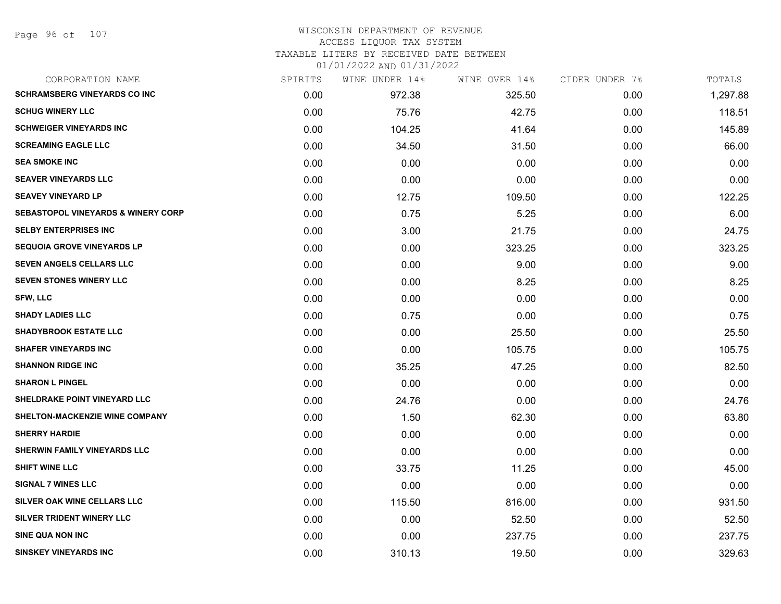#### WISCONSIN DEPARTMENT OF REVENUE ACCESS LIQUOR TAX SYSTEM

TAXABLE LITERS BY RECEIVED DATE BETWEEN

| CORPORATION NAME                              | SPIRITS | WINE UNDER 14% | WINE OVER 14% | CIDER UNDER 7% | TOTALS   |
|-----------------------------------------------|---------|----------------|---------------|----------------|----------|
| <b>SCHRAMSBERG VINEYARDS CO INC</b>           | 0.00    | 972.38         | 325.50        | 0.00           | 1,297.88 |
| <b>SCHUG WINERY LLC</b>                       | 0.00    | 75.76          | 42.75         | 0.00           | 118.51   |
| <b>SCHWEIGER VINEYARDS INC</b>                | 0.00    | 104.25         | 41.64         | 0.00           | 145.89   |
| <b>SCREAMING EAGLE LLC</b>                    | 0.00    | 34.50          | 31.50         | 0.00           | 66.00    |
| <b>SEA SMOKE INC</b>                          | 0.00    | 0.00           | 0.00          | 0.00           | 0.00     |
| <b>SEAVER VINEYARDS LLC</b>                   | 0.00    | 0.00           | 0.00          | 0.00           | 0.00     |
| <b>SEAVEY VINEYARD LP</b>                     | 0.00    | 12.75          | 109.50        | 0.00           | 122.25   |
| <b>SEBASTOPOL VINEYARDS &amp; WINERY CORP</b> | 0.00    | 0.75           | 5.25          | 0.00           | 6.00     |
| <b>SELBY ENTERPRISES INC</b>                  | 0.00    | 3.00           | 21.75         | 0.00           | 24.75    |
| <b>SEQUOIA GROVE VINEYARDS LP</b>             | 0.00    | 0.00           | 323.25        | 0.00           | 323.25   |
| SEVEN ANGELS CELLARS LLC                      | 0.00    | 0.00           | 9.00          | 0.00           | 9.00     |
| <b>SEVEN STONES WINERY LLC</b>                | 0.00    | 0.00           | 8.25          | 0.00           | 8.25     |
| <b>SFW, LLC</b>                               | 0.00    | 0.00           | 0.00          | 0.00           | 0.00     |
| <b>SHADY LADIES LLC</b>                       | 0.00    | 0.75           | 0.00          | 0.00           | 0.75     |
| <b>SHADYBROOK ESTATE LLC</b>                  | 0.00    | 0.00           | 25.50         | 0.00           | 25.50    |
| <b>SHAFER VINEYARDS INC</b>                   | 0.00    | 0.00           | 105.75        | 0.00           | 105.75   |
| <b>SHANNON RIDGE INC</b>                      | 0.00    | 35.25          | 47.25         | 0.00           | 82.50    |
| <b>SHARON L PINGEL</b>                        | 0.00    | 0.00           | 0.00          | 0.00           | 0.00     |
| SHELDRAKE POINT VINEYARD LLC                  | 0.00    | 24.76          | 0.00          | 0.00           | 24.76    |
| SHELTON-MACKENZIE WINE COMPANY                | 0.00    | 1.50           | 62.30         | 0.00           | 63.80    |
| <b>SHERRY HARDIE</b>                          | 0.00    | 0.00           | 0.00          | 0.00           | 0.00     |
| <b>SHERWIN FAMILY VINEYARDS LLC</b>           | 0.00    | 0.00           | 0.00          | 0.00           | 0.00     |
| <b>SHIFT WINE LLC</b>                         | 0.00    | 33.75          | 11.25         | 0.00           | 45.00    |
| <b>SIGNAL 7 WINES LLC</b>                     | 0.00    | 0.00           | 0.00          | 0.00           | 0.00     |
| SILVER OAK WINE CELLARS LLC                   | 0.00    | 115.50         | 816.00        | 0.00           | 931.50   |
| SILVER TRIDENT WINERY LLC                     | 0.00    | 0.00           | 52.50         | 0.00           | 52.50    |
| SINE QUA NON INC                              | 0.00    | 0.00           | 237.75        | 0.00           | 237.75   |
| <b>SINSKEY VINEYARDS INC</b>                  | 0.00    | 310.13         | 19.50         | 0.00           | 329.63   |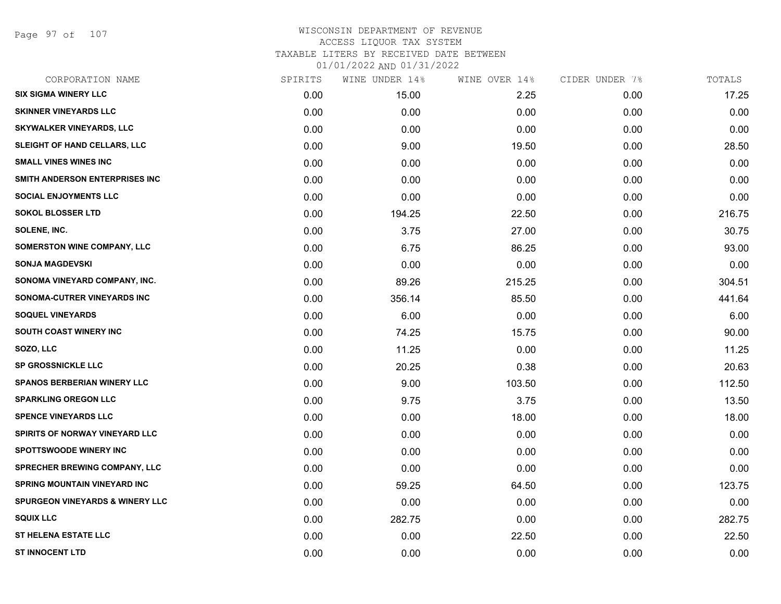Page 97 of 107

| CORPORATION NAME                           | SPIRITS | WINE UNDER 14% | WINE OVER 14% | CIDER UNDER 7% | TOTALS |
|--------------------------------------------|---------|----------------|---------------|----------------|--------|
| <b>SIX SIGMA WINERY LLC</b>                | 0.00    | 15.00          | 2.25          | 0.00           | 17.25  |
| <b>SKINNER VINEYARDS LLC</b>               | 0.00    | 0.00           | 0.00          | 0.00           | 0.00   |
| <b>SKYWALKER VINEYARDS, LLC</b>            | 0.00    | 0.00           | 0.00          | 0.00           | 0.00   |
| <b>SLEIGHT OF HAND CELLARS, LLC</b>        | 0.00    | 9.00           | 19.50         | 0.00           | 28.50  |
| <b>SMALL VINES WINES INC</b>               | 0.00    | 0.00           | 0.00          | 0.00           | 0.00   |
| SMITH ANDERSON ENTERPRISES INC             | 0.00    | 0.00           | 0.00          | 0.00           | 0.00   |
| <b>SOCIAL ENJOYMENTS LLC</b>               | 0.00    | 0.00           | 0.00          | 0.00           | 0.00   |
| <b>SOKOL BLOSSER LTD</b>                   | 0.00    | 194.25         | 22.50         | 0.00           | 216.75 |
| SOLENE, INC.                               | 0.00    | 3.75           | 27.00         | 0.00           | 30.75  |
| SOMERSTON WINE COMPANY, LLC                | 0.00    | 6.75           | 86.25         | 0.00           | 93.00  |
| <b>SONJA MAGDEVSKI</b>                     | 0.00    | 0.00           | 0.00          | 0.00           | 0.00   |
| SONOMA VINEYARD COMPANY, INC.              | 0.00    | 89.26          | 215.25        | 0.00           | 304.51 |
| SONOMA-CUTRER VINEYARDS INC                | 0.00    | 356.14         | 85.50         | 0.00           | 441.64 |
| <b>SOQUEL VINEYARDS</b>                    | 0.00    | 6.00           | 0.00          | 0.00           | 6.00   |
| SOUTH COAST WINERY INC                     | 0.00    | 74.25          | 15.75         | 0.00           | 90.00  |
| SOZO, LLC                                  | 0.00    | 11.25          | 0.00          | 0.00           | 11.25  |
| <b>SP GROSSNICKLE LLC</b>                  | 0.00    | 20.25          | 0.38          | 0.00           | 20.63  |
| <b>SPANOS BERBERIAN WINERY LLC</b>         | 0.00    | 9.00           | 103.50        | 0.00           | 112.50 |
| <b>SPARKLING OREGON LLC</b>                | 0.00    | 9.75           | 3.75          | 0.00           | 13.50  |
| <b>SPENCE VINEYARDS LLC</b>                | 0.00    | 0.00           | 18.00         | 0.00           | 18.00  |
| SPIRITS OF NORWAY VINEYARD LLC             | 0.00    | 0.00           | 0.00          | 0.00           | 0.00   |
| <b>SPOTTSWOODE WINERY INC</b>              | 0.00    | 0.00           | 0.00          | 0.00           | 0.00   |
| <b>SPRECHER BREWING COMPANY, LLC</b>       | 0.00    | 0.00           | 0.00          | 0.00           | 0.00   |
| <b>SPRING MOUNTAIN VINEYARD INC</b>        | 0.00    | 59.25          | 64.50         | 0.00           | 123.75 |
| <b>SPURGEON VINEYARDS &amp; WINERY LLC</b> | 0.00    | 0.00           | 0.00          | 0.00           | 0.00   |
| <b>SQUIX LLC</b>                           | 0.00    | 282.75         | 0.00          | 0.00           | 282.75 |
| <b>ST HELENA ESTATE LLC</b>                | 0.00    | 0.00           | 22.50         | 0.00           | 22.50  |
| <b>ST INNOCENT LTD</b>                     | 0.00    | 0.00           | 0.00          | 0.00           | 0.00   |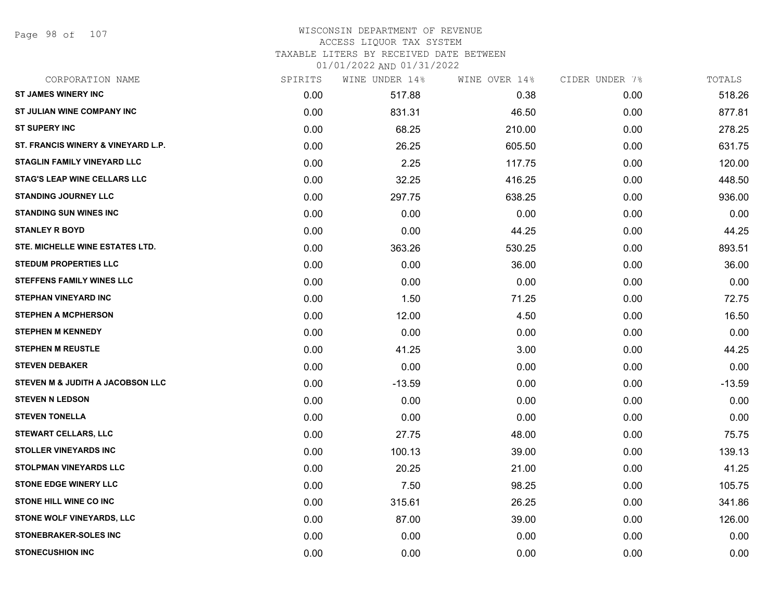Page 98 of 107

#### WISCONSIN DEPARTMENT OF REVENUE ACCESS LIQUOR TAX SYSTEM TAXABLE LITERS BY RECEIVED DATE BETWEEN

| CORPORATION NAME                    | SPIRITS | WINE UNDER 14% | WINE OVER 14% | CIDER UNDER 7% | TOTALS   |
|-------------------------------------|---------|----------------|---------------|----------------|----------|
| <b>ST JAMES WINERY INC</b>          | 0.00    | 517.88         | 0.38          | 0.00           | 518.26   |
| ST JULIAN WINE COMPANY INC          | 0.00    | 831.31         | 46.50         | 0.00           | 877.81   |
| <b>ST SUPERY INC</b>                | 0.00    | 68.25          | 210.00        | 0.00           | 278.25   |
| ST. FRANCIS WINERY & VINEYARD L.P.  | 0.00    | 26.25          | 605.50        | 0.00           | 631.75   |
| <b>STAGLIN FAMILY VINEYARD LLC</b>  | 0.00    | 2.25           | 117.75        | 0.00           | 120.00   |
| <b>STAG'S LEAP WINE CELLARS LLC</b> | 0.00    | 32.25          | 416.25        | 0.00           | 448.50   |
| <b>STANDING JOURNEY LLC</b>         | 0.00    | 297.75         | 638.25        | 0.00           | 936.00   |
| <b>STANDING SUN WINES INC</b>       | 0.00    | 0.00           | 0.00          | 0.00           | 0.00     |
| <b>STANLEY R BOYD</b>               | 0.00    | 0.00           | 44.25         | 0.00           | 44.25    |
| STE. MICHELLE WINE ESTATES LTD.     | 0.00    | 363.26         | 530.25        | 0.00           | 893.51   |
| <b>STEDUM PROPERTIES LLC</b>        | 0.00    | 0.00           | 36.00         | 0.00           | 36.00    |
| <b>STEFFENS FAMILY WINES LLC</b>    | 0.00    | 0.00           | 0.00          | 0.00           | 0.00     |
| <b>STEPHAN VINEYARD INC</b>         | 0.00    | 1.50           | 71.25         | 0.00           | 72.75    |
| <b>STEPHEN A MCPHERSON</b>          | 0.00    | 12.00          | 4.50          | 0.00           | 16.50    |
| <b>STEPHEN M KENNEDY</b>            | 0.00    | 0.00           | 0.00          | 0.00           | 0.00     |
| <b>STEPHEN M REUSTLE</b>            | 0.00    | 41.25          | 3.00          | 0.00           | 44.25    |
| <b>STEVEN DEBAKER</b>               | 0.00    | 0.00           | 0.00          | 0.00           | 0.00     |
| STEVEN M & JUDITH A JACOBSON LLC    | 0.00    | $-13.59$       | 0.00          | 0.00           | $-13.59$ |
| <b>STEVEN N LEDSON</b>              | 0.00    | 0.00           | 0.00          | 0.00           | 0.00     |
| <b>STEVEN TONELLA</b>               | 0.00    | 0.00           | 0.00          | 0.00           | 0.00     |
| <b>STEWART CELLARS, LLC</b>         | 0.00    | 27.75          | 48.00         | 0.00           | 75.75    |
| <b>STOLLER VINEYARDS INC</b>        | 0.00    | 100.13         | 39.00         | 0.00           | 139.13   |
| <b>STOLPMAN VINEYARDS LLC</b>       | 0.00    | 20.25          | 21.00         | 0.00           | 41.25    |
| <b>STONE EDGE WINERY LLC</b>        | 0.00    | 7.50           | 98.25         | 0.00           | 105.75   |
| <b>STONE HILL WINE CO INC</b>       | 0.00    | 315.61         | 26.25         | 0.00           | 341.86   |
| STONE WOLF VINEYARDS, LLC           | 0.00    | 87.00          | 39.00         | 0.00           | 126.00   |
| STONEBRAKER-SOLES INC               | 0.00    | 0.00           | 0.00          | 0.00           | 0.00     |
| <b>STONECUSHION INC</b>             | 0.00    | 0.00           | 0.00          | 0.00           | 0.00     |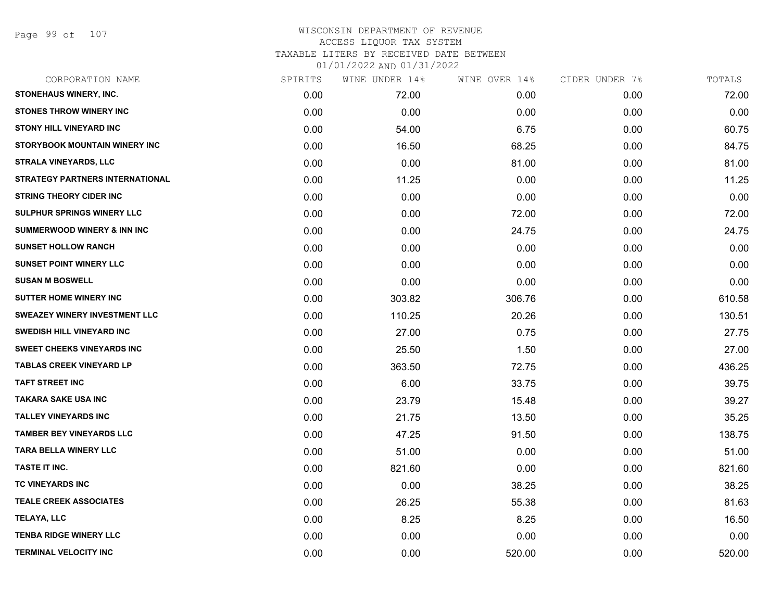Page 99 of 107

| CORPORATION NAME                       | SPIRITS | WINE UNDER 14% | WINE OVER 14% | CIDER UNDER 7% | TOTALS |
|----------------------------------------|---------|----------------|---------------|----------------|--------|
| STONEHAUS WINERY, INC.                 | 0.00    | 72.00          | 0.00          | 0.00           | 72.00  |
| <b>STONES THROW WINERY INC</b>         | 0.00    | 0.00           | 0.00          | 0.00           | 0.00   |
| <b>STONY HILL VINEYARD INC</b>         | 0.00    | 54.00          | 6.75          | 0.00           | 60.75  |
| STORYBOOK MOUNTAIN WINERY INC          | 0.00    | 16.50          | 68.25         | 0.00           | 84.75  |
| <b>STRALA VINEYARDS, LLC</b>           | 0.00    | 0.00           | 81.00         | 0.00           | 81.00  |
| <b>STRATEGY PARTNERS INTERNATIONAL</b> | 0.00    | 11.25          | 0.00          | 0.00           | 11.25  |
| <b>STRING THEORY CIDER INC</b>         | 0.00    | 0.00           | 0.00          | 0.00           | 0.00   |
| SULPHUR SPRINGS WINERY LLC             | 0.00    | 0.00           | 72.00         | 0.00           | 72.00  |
| <b>SUMMERWOOD WINERY &amp; INN INC</b> | 0.00    | 0.00           | 24.75         | 0.00           | 24.75  |
| <b>SUNSET HOLLOW RANCH</b>             | 0.00    | 0.00           | 0.00          | 0.00           | 0.00   |
| <b>SUNSET POINT WINERY LLC</b>         | 0.00    | 0.00           | 0.00          | 0.00           | 0.00   |
| <b>SUSAN M BOSWELL</b>                 | 0.00    | 0.00           | 0.00          | 0.00           | 0.00   |
| <b>SUTTER HOME WINERY INC</b>          | 0.00    | 303.82         | 306.76        | 0.00           | 610.58 |
| <b>SWEAZEY WINERY INVESTMENT LLC</b>   | 0.00    | 110.25         | 20.26         | 0.00           | 130.51 |
| <b>SWEDISH HILL VINEYARD INC</b>       | 0.00    | 27.00          | 0.75          | 0.00           | 27.75  |
| <b>SWEET CHEEKS VINEYARDS INC</b>      | 0.00    | 25.50          | 1.50          | 0.00           | 27.00  |
| <b>TABLAS CREEK VINEYARD LP</b>        | 0.00    | 363.50         | 72.75         | 0.00           | 436.25 |
| <b>TAFT STREET INC</b>                 | 0.00    | 6.00           | 33.75         | 0.00           | 39.75  |
| TAKARA SAKE USA INC                    | 0.00    | 23.79          | 15.48         | 0.00           | 39.27  |
| <b>TALLEY VINEYARDS INC</b>            | 0.00    | 21.75          | 13.50         | 0.00           | 35.25  |
| <b>TAMBER BEY VINEYARDS LLC</b>        | 0.00    | 47.25          | 91.50         | 0.00           | 138.75 |
| <b>TARA BELLA WINERY LLC</b>           | 0.00    | 51.00          | 0.00          | 0.00           | 51.00  |
| TASTE IT INC.                          | 0.00    | 821.60         | 0.00          | 0.00           | 821.60 |
| TC VINEYARDS INC                       | 0.00    | 0.00           | 38.25         | 0.00           | 38.25  |
| <b>TEALE CREEK ASSOCIATES</b>          | 0.00    | 26.25          | 55.38         | 0.00           | 81.63  |
| TELAYA, LLC                            | 0.00    | 8.25           | 8.25          | 0.00           | 16.50  |
| <b>TENBA RIDGE WINERY LLC</b>          | 0.00    | 0.00           | 0.00          | 0.00           | 0.00   |
| <b>TERMINAL VELOCITY INC</b>           | 0.00    | 0.00           | 520.00        | 0.00           | 520.00 |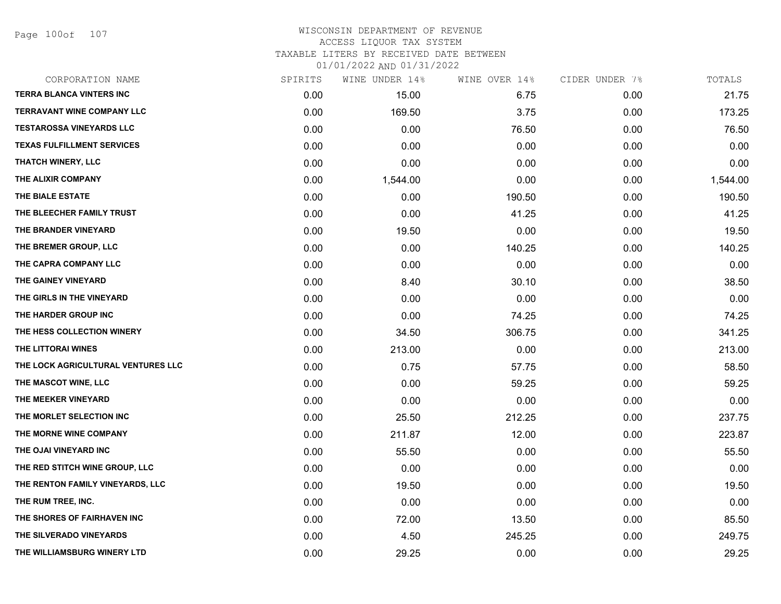Page 100of 107

# WISCONSIN DEPARTMENT OF REVENUE ACCESS LIQUOR TAX SYSTEM TAXABLE LITERS BY RECEIVED DATE BETWEEN

| CORPORATION NAME                   | SPIRITS | WINE UNDER 14% | WINE OVER 14% | CIDER UNDER 7% | TOTALS   |
|------------------------------------|---------|----------------|---------------|----------------|----------|
| <b>TERRA BLANCA VINTERS INC</b>    | 0.00    | 15.00          | 6.75          | 0.00           | 21.75    |
| <b>TERRAVANT WINE COMPANY LLC</b>  | 0.00    | 169.50         | 3.75          | 0.00           | 173.25   |
| <b>TESTAROSSA VINEYARDS LLC</b>    | 0.00    | 0.00           | 76.50         | 0.00           | 76.50    |
| <b>TEXAS FULFILLMENT SERVICES</b>  | 0.00    | 0.00           | 0.00          | 0.00           | 0.00     |
| <b>THATCH WINERY, LLC</b>          | 0.00    | 0.00           | 0.00          | 0.00           | 0.00     |
| THE ALIXIR COMPANY                 | 0.00    | 1,544.00       | 0.00          | 0.00           | 1,544.00 |
| THE BIALE ESTATE                   | 0.00    | 0.00           | 190.50        | 0.00           | 190.50   |
| THE BLEECHER FAMILY TRUST          | 0.00    | 0.00           | 41.25         | 0.00           | 41.25    |
| THE BRANDER VINEYARD               | 0.00    | 19.50          | 0.00          | 0.00           | 19.50    |
| THE BREMER GROUP, LLC              | 0.00    | 0.00           | 140.25        | 0.00           | 140.25   |
| THE CAPRA COMPANY LLC              | 0.00    | 0.00           | 0.00          | 0.00           | 0.00     |
| THE GAINEY VINEYARD                | 0.00    | 8.40           | 30.10         | 0.00           | 38.50    |
| THE GIRLS IN THE VINEYARD          | 0.00    | 0.00           | 0.00          | 0.00           | 0.00     |
| THE HARDER GROUP INC               | 0.00    | 0.00           | 74.25         | 0.00           | 74.25    |
| THE HESS COLLECTION WINERY         | 0.00    | 34.50          | 306.75        | 0.00           | 341.25   |
| THE LITTORAI WINES                 | 0.00    | 213.00         | 0.00          | 0.00           | 213.00   |
| THE LOCK AGRICULTURAL VENTURES LLC | 0.00    | 0.75           | 57.75         | 0.00           | 58.50    |
| THE MASCOT WINE, LLC               | 0.00    | 0.00           | 59.25         | 0.00           | 59.25    |
| THE MEEKER VINEYARD                | 0.00    | 0.00           | 0.00          | 0.00           | 0.00     |
| THE MORLET SELECTION INC           | 0.00    | 25.50          | 212.25        | 0.00           | 237.75   |
| THE MORNE WINE COMPANY             | 0.00    | 211.87         | 12.00         | 0.00           | 223.87   |
| THE OJAI VINEYARD INC              | 0.00    | 55.50          | 0.00          | 0.00           | 55.50    |
| THE RED STITCH WINE GROUP, LLC     | 0.00    | 0.00           | 0.00          | 0.00           | 0.00     |
| THE RENTON FAMILY VINEYARDS, LLC   | 0.00    | 19.50          | 0.00          | 0.00           | 19.50    |
| THE RUM TREE, INC.                 | 0.00    | 0.00           | 0.00          | 0.00           | 0.00     |
| THE SHORES OF FAIRHAVEN INC        | 0.00    | 72.00          | 13.50         | 0.00           | 85.50    |
| THE SILVERADO VINEYARDS            | 0.00    | 4.50           | 245.25        | 0.00           | 249.75   |
| THE WILLIAMSBURG WINERY LTD        | 0.00    | 29.25          | 0.00          | 0.00           | 29.25    |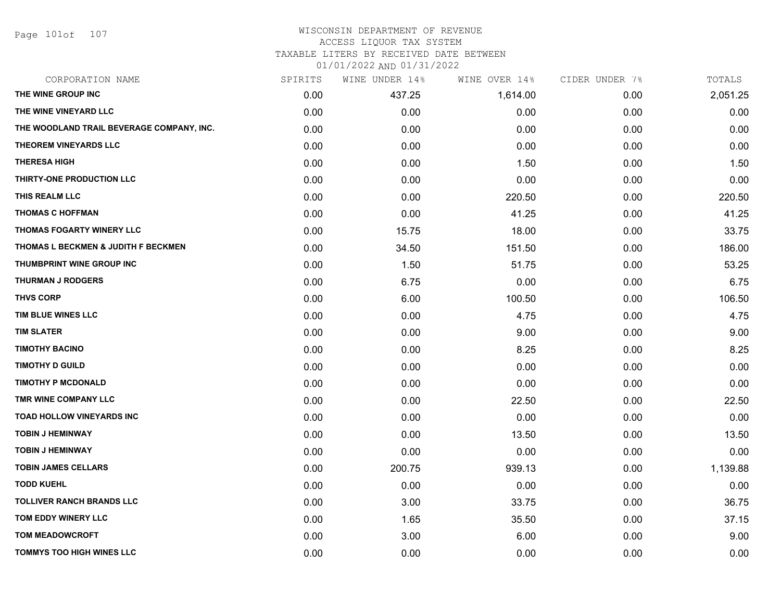Page 101of 107

#### WISCONSIN DEPARTMENT OF REVENUE ACCESS LIQUOR TAX SYSTEM

# TAXABLE LITERS BY RECEIVED DATE BETWEEN

| CORPORATION NAME                          | SPIRITS | WINE UNDER 14% | WINE OVER 14% | CIDER UNDER 7% | TOTALS   |
|-------------------------------------------|---------|----------------|---------------|----------------|----------|
| THE WINE GROUP INC                        | 0.00    | 437.25         | 1,614.00      | 0.00           | 2,051.25 |
| THE WINE VINEYARD LLC                     | 0.00    | 0.00           | 0.00          | 0.00           | 0.00     |
| THE WOODLAND TRAIL BEVERAGE COMPANY, INC. | 0.00    | 0.00           | 0.00          | 0.00           | 0.00     |
| THEOREM VINEYARDS LLC                     | 0.00    | 0.00           | 0.00          | 0.00           | 0.00     |
| <b>THERESA HIGH</b>                       | 0.00    | 0.00           | 1.50          | 0.00           | 1.50     |
| THIRTY-ONE PRODUCTION LLC                 | 0.00    | 0.00           | 0.00          | 0.00           | 0.00     |
| THIS REALM LLC                            | 0.00    | 0.00           | 220.50        | 0.00           | 220.50   |
| <b>THOMAS C HOFFMAN</b>                   | 0.00    | 0.00           | 41.25         | 0.00           | 41.25    |
| THOMAS FOGARTY WINERY LLC                 | 0.00    | 15.75          | 18.00         | 0.00           | 33.75    |
| THOMAS L BECKMEN & JUDITH F BECKMEN       | 0.00    | 34.50          | 151.50        | 0.00           | 186.00   |
| <b>THUMBPRINT WINE GROUP INC</b>          | 0.00    | 1.50           | 51.75         | 0.00           | 53.25    |
| <b>THURMAN J RODGERS</b>                  | 0.00    | 6.75           | 0.00          | 0.00           | 6.75     |
| <b>THVS CORP</b>                          | 0.00    | 6.00           | 100.50        | 0.00           | 106.50   |
| TIM BLUE WINES LLC                        | 0.00    | 0.00           | 4.75          | 0.00           | 4.75     |
| <b>TIM SLATER</b>                         | 0.00    | 0.00           | 9.00          | 0.00           | 9.00     |
| <b>TIMOTHY BACINO</b>                     | 0.00    | 0.00           | 8.25          | 0.00           | 8.25     |
| <b>TIMOTHY D GUILD</b>                    | 0.00    | 0.00           | 0.00          | 0.00           | 0.00     |
| <b>TIMOTHY P MCDONALD</b>                 | 0.00    | 0.00           | 0.00          | 0.00           | 0.00     |
| TMR WINE COMPANY LLC                      | 0.00    | 0.00           | 22.50         | 0.00           | 22.50    |
| <b>TOAD HOLLOW VINEYARDS INC</b>          | 0.00    | 0.00           | 0.00          | 0.00           | 0.00     |
| <b>TOBIN J HEMINWAY</b>                   | 0.00    | 0.00           | 13.50         | 0.00           | 13.50    |
| <b>TOBIN J HEMINWAY</b>                   | 0.00    | 0.00           | 0.00          | 0.00           | 0.00     |
| <b>TOBIN JAMES CELLARS</b>                | 0.00    | 200.75         | 939.13        | 0.00           | 1,139.88 |
| <b>TODD KUEHL</b>                         | 0.00    | 0.00           | 0.00          | 0.00           | 0.00     |
| <b>TOLLIVER RANCH BRANDS LLC</b>          | 0.00    | 3.00           | 33.75         | 0.00           | 36.75    |
| TOM EDDY WINERY LLC                       | 0.00    | 1.65           | 35.50         | 0.00           | 37.15    |
| <b>TOM MEADOWCROFT</b>                    | 0.00    | 3.00           | 6.00          | 0.00           | 9.00     |
| <b>TOMMYS TOO HIGH WINES LLC</b>          | 0.00    | 0.00           | 0.00          | 0.00           | 0.00     |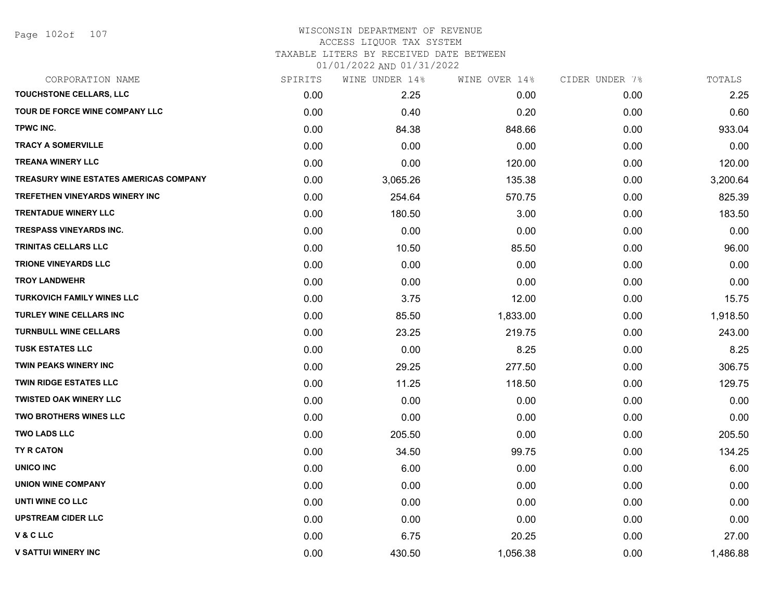Page 102of 107

#### WISCONSIN DEPARTMENT OF REVENUE ACCESS LIQUOR TAX SYSTEM

TAXABLE LITERS BY RECEIVED DATE BETWEEN

| CORPORATION NAME                              | SPIRITS | WINE UNDER 14% | WINE OVER 14% | CIDER UNDER 7% | TOTALS   |
|-----------------------------------------------|---------|----------------|---------------|----------------|----------|
| TOUCHSTONE CELLARS, LLC                       | 0.00    | 2.25           | 0.00          | 0.00           | 2.25     |
| TOUR DE FORCE WINE COMPANY LLC                | 0.00    | 0.40           | 0.20          | 0.00           | 0.60     |
| TPWC INC.                                     | 0.00    | 84.38          | 848.66        | 0.00           | 933.04   |
| <b>TRACY A SOMERVILLE</b>                     | 0.00    | 0.00           | 0.00          | 0.00           | 0.00     |
| <b>TREANA WINERY LLC</b>                      | 0.00    | 0.00           | 120.00        | 0.00           | 120.00   |
| <b>TREASURY WINE ESTATES AMERICAS COMPANY</b> | 0.00    | 3,065.26       | 135.38        | 0.00           | 3,200.64 |
| TREFETHEN VINEYARDS WINERY INC                | 0.00    | 254.64         | 570.75        | 0.00           | 825.39   |
| <b>TRENTADUE WINERY LLC</b>                   | 0.00    | 180.50         | 3.00          | 0.00           | 183.50   |
| <b>TRESPASS VINEYARDS INC.</b>                | 0.00    | 0.00           | 0.00          | 0.00           | 0.00     |
| <b>TRINITAS CELLARS LLC</b>                   | 0.00    | 10.50          | 85.50         | 0.00           | 96.00    |
| <b>TRIONE VINEYARDS LLC</b>                   | 0.00    | 0.00           | 0.00          | 0.00           | 0.00     |
| <b>TROY LANDWEHR</b>                          | 0.00    | 0.00           | 0.00          | 0.00           | 0.00     |
| <b>TURKOVICH FAMILY WINES LLC</b>             | 0.00    | 3.75           | 12.00         | 0.00           | 15.75    |
| <b>TURLEY WINE CELLARS INC</b>                | 0.00    | 85.50          | 1,833.00      | 0.00           | 1,918.50 |
| <b>TURNBULL WINE CELLARS</b>                  | 0.00    | 23.25          | 219.75        | 0.00           | 243.00   |
| <b>TUSK ESTATES LLC</b>                       | 0.00    | 0.00           | 8.25          | 0.00           | 8.25     |
| <b>TWIN PEAKS WINERY INC</b>                  | 0.00    | 29.25          | 277.50        | 0.00           | 306.75   |
| <b>TWIN RIDGE ESTATES LLC</b>                 | 0.00    | 11.25          | 118.50        | 0.00           | 129.75   |
| <b>TWISTED OAK WINERY LLC</b>                 | 0.00    | 0.00           | 0.00          | 0.00           | 0.00     |
| <b>TWO BROTHERS WINES LLC</b>                 | 0.00    | 0.00           | 0.00          | 0.00           | 0.00     |
| <b>TWO LADS LLC</b>                           | 0.00    | 205.50         | 0.00          | 0.00           | 205.50   |
| <b>TY R CATON</b>                             | 0.00    | 34.50          | 99.75         | 0.00           | 134.25   |
| <b>UNICO INC</b>                              | 0.00    | 6.00           | 0.00          | 0.00           | 6.00     |
| <b>UNION WINE COMPANY</b>                     | 0.00    | 0.00           | 0.00          | 0.00           | 0.00     |
| UNTI WINE CO LLC                              | 0.00    | 0.00           | 0.00          | 0.00           | 0.00     |
| <b>UPSTREAM CIDER LLC</b>                     | 0.00    | 0.00           | 0.00          | 0.00           | 0.00     |
| V & C LLC                                     | 0.00    | 6.75           | 20.25         | 0.00           | 27.00    |
| <b>V SATTUI WINERY INC</b>                    | 0.00    | 430.50         | 1,056.38      | 0.00           | 1,486.88 |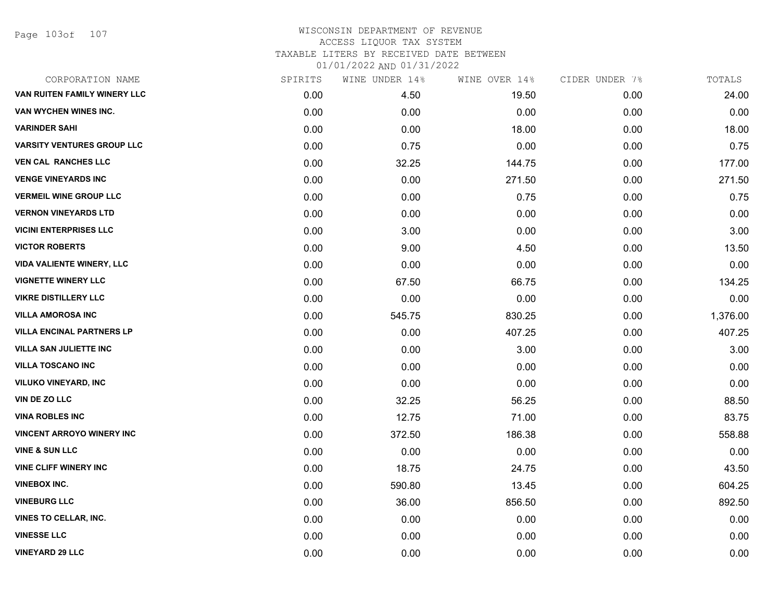Page 103of 107

| CORPORATION NAME                  | SPIRITS | WINE UNDER 14% | WINE OVER 14% | CIDER UNDER 7% | TOTALS   |
|-----------------------------------|---------|----------------|---------------|----------------|----------|
| VAN RUITEN FAMILY WINERY LLC      | 0.00    | 4.50           | 19.50         | 0.00           | 24.00    |
| VAN WYCHEN WINES INC.             | 0.00    | 0.00           | 0.00          | 0.00           | 0.00     |
| <b>VARINDER SAHI</b>              | 0.00    | 0.00           | 18.00         | 0.00           | 18.00    |
| <b>VARSITY VENTURES GROUP LLC</b> | 0.00    | 0.75           | 0.00          | 0.00           | 0.75     |
| <b>VEN CAL RANCHES LLC</b>        | 0.00    | 32.25          | 144.75        | 0.00           | 177.00   |
| <b>VENGE VINEYARDS INC</b>        | 0.00    | 0.00           | 271.50        | 0.00           | 271.50   |
| <b>VERMEIL WINE GROUP LLC</b>     | 0.00    | 0.00           | 0.75          | 0.00           | 0.75     |
| <b>VERNON VINEYARDS LTD</b>       | 0.00    | 0.00           | 0.00          | 0.00           | 0.00     |
| <b>VICINI ENTERPRISES LLC</b>     | 0.00    | 3.00           | 0.00          | 0.00           | 3.00     |
| <b>VICTOR ROBERTS</b>             | 0.00    | 9.00           | 4.50          | 0.00           | 13.50    |
| <b>VIDA VALIENTE WINERY, LLC</b>  | 0.00    | 0.00           | 0.00          | 0.00           | 0.00     |
| <b>VIGNETTE WINERY LLC</b>        | 0.00    | 67.50          | 66.75         | 0.00           | 134.25   |
| <b>VIKRE DISTILLERY LLC</b>       | 0.00    | 0.00           | 0.00          | 0.00           | 0.00     |
| <b>VILLA AMOROSA INC</b>          | 0.00    | 545.75         | 830.25        | 0.00           | 1,376.00 |
| <b>VILLA ENCINAL PARTNERS LP</b>  | 0.00    | 0.00           | 407.25        | 0.00           | 407.25   |
| <b>VILLA SAN JULIETTE INC</b>     | 0.00    | 0.00           | 3.00          | 0.00           | 3.00     |
| <b>VILLA TOSCANO INC</b>          | 0.00    | 0.00           | 0.00          | 0.00           | 0.00     |
| <b>VILUKO VINEYARD, INC</b>       | 0.00    | 0.00           | 0.00          | 0.00           | 0.00     |
| VIN DE ZO LLC                     | 0.00    | 32.25          | 56.25         | 0.00           | 88.50    |
| <b>VINA ROBLES INC</b>            | 0.00    | 12.75          | 71.00         | 0.00           | 83.75    |
| <b>VINCENT ARROYO WINERY INC</b>  | 0.00    | 372.50         | 186.38        | 0.00           | 558.88   |
| <b>VINE &amp; SUN LLC</b>         | 0.00    | 0.00           | 0.00          | 0.00           | 0.00     |
| <b>VINE CLIFF WINERY INC</b>      | 0.00    | 18.75          | 24.75         | 0.00           | 43.50    |
| <b>VINEBOX INC.</b>               | 0.00    | 590.80         | 13.45         | 0.00           | 604.25   |
| <b>VINEBURG LLC</b>               | 0.00    | 36.00          | 856.50        | 0.00           | 892.50   |
| VINES TO CELLAR, INC.             | 0.00    | 0.00           | 0.00          | 0.00           | 0.00     |
| <b>VINESSE LLC</b>                | 0.00    | 0.00           | 0.00          | 0.00           | 0.00     |
| <b>VINEYARD 29 LLC</b>            | 0.00    | 0.00           | 0.00          | 0.00           | 0.00     |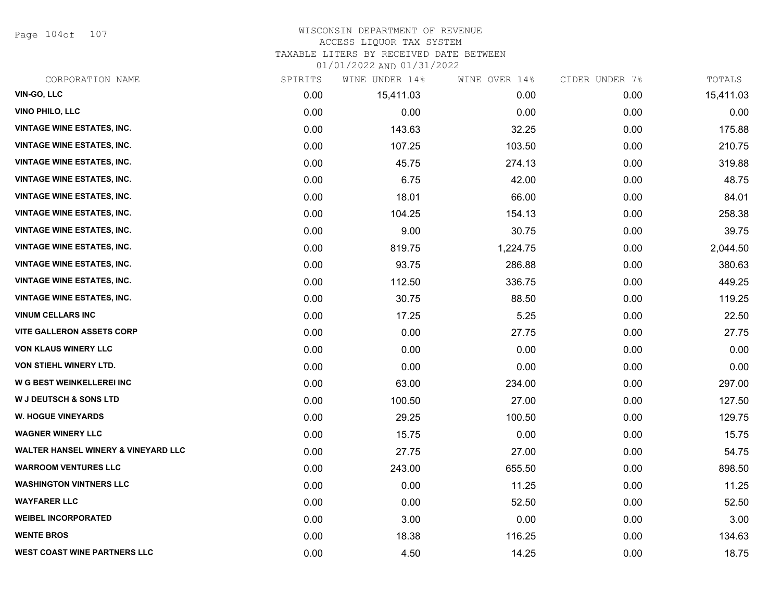Page 104of 107

### WISCONSIN DEPARTMENT OF REVENUE ACCESS LIQUOR TAX SYSTEM

TAXABLE LITERS BY RECEIVED DATE BETWEEN

| CORPORATION NAME                               | SPIRITS | WINE UNDER 14% | WINE OVER 14% | CIDER UNDER 7% | TOTALS    |
|------------------------------------------------|---------|----------------|---------------|----------------|-----------|
| VIN-GO, LLC                                    | 0.00    | 15,411.03      | 0.00          | 0.00           | 15,411.03 |
| <b>VINO PHILO, LLC</b>                         | 0.00    | 0.00           | 0.00          | 0.00           | 0.00      |
| <b>VINTAGE WINE ESTATES, INC.</b>              | 0.00    | 143.63         | 32.25         | 0.00           | 175.88    |
| <b>VINTAGE WINE ESTATES, INC.</b>              | 0.00    | 107.25         | 103.50        | 0.00           | 210.75    |
| <b>VINTAGE WINE ESTATES, INC.</b>              | 0.00    | 45.75          | 274.13        | 0.00           | 319.88    |
| <b>VINTAGE WINE ESTATES, INC.</b>              | 0.00    | 6.75           | 42.00         | 0.00           | 48.75     |
| <b>VINTAGE WINE ESTATES, INC.</b>              | 0.00    | 18.01          | 66.00         | 0.00           | 84.01     |
| <b>VINTAGE WINE ESTATES, INC.</b>              | 0.00    | 104.25         | 154.13        | 0.00           | 258.38    |
| <b>VINTAGE WINE ESTATES, INC.</b>              | 0.00    | 9.00           | 30.75         | 0.00           | 39.75     |
| <b>VINTAGE WINE ESTATES, INC.</b>              | 0.00    | 819.75         | 1,224.75      | 0.00           | 2,044.50  |
| <b>VINTAGE WINE ESTATES, INC.</b>              | 0.00    | 93.75          | 286.88        | 0.00           | 380.63    |
| <b>VINTAGE WINE ESTATES, INC.</b>              | 0.00    | 112.50         | 336.75        | 0.00           | 449.25    |
| <b>VINTAGE WINE ESTATES, INC.</b>              | 0.00    | 30.75          | 88.50         | 0.00           | 119.25    |
| <b>VINUM CELLARS INC</b>                       | 0.00    | 17.25          | 5.25          | 0.00           | 22.50     |
| <b>VITE GALLERON ASSETS CORP</b>               | 0.00    | 0.00           | 27.75         | 0.00           | 27.75     |
| <b>VON KLAUS WINERY LLC</b>                    | 0.00    | 0.00           | 0.00          | 0.00           | 0.00      |
| VON STIEHL WINERY LTD.                         | 0.00    | 0.00           | 0.00          | 0.00           | 0.00      |
| W G BEST WEINKELLEREI INC                      | 0.00    | 63.00          | 234.00        | 0.00           | 297.00    |
| W J DEUTSCH & SONS LTD                         | 0.00    | 100.50         | 27.00         | 0.00           | 127.50    |
| <b>W. HOGUE VINEYARDS</b>                      | 0.00    | 29.25          | 100.50        | 0.00           | 129.75    |
| <b>WAGNER WINERY LLC</b>                       | 0.00    | 15.75          | 0.00          | 0.00           | 15.75     |
| <b>WALTER HANSEL WINERY &amp; VINEYARD LLC</b> | 0.00    | 27.75          | 27.00         | 0.00           | 54.75     |
| <b>WARROOM VENTURES LLC</b>                    | 0.00    | 243.00         | 655.50        | 0.00           | 898.50    |
| <b>WASHINGTON VINTNERS LLC</b>                 | 0.00    | 0.00           | 11.25         | 0.00           | 11.25     |
| <b>WAYFARER LLC</b>                            | 0.00    | 0.00           | 52.50         | 0.00           | 52.50     |
| <b>WEIBEL INCORPORATED</b>                     | 0.00    | 3.00           | 0.00          | 0.00           | 3.00      |
| <b>WENTE BROS</b>                              | 0.00    | 18.38          | 116.25        | 0.00           | 134.63    |
| <b>WEST COAST WINE PARTNERS LLC</b>            | 0.00    | 4.50           | 14.25         | 0.00           | 18.75     |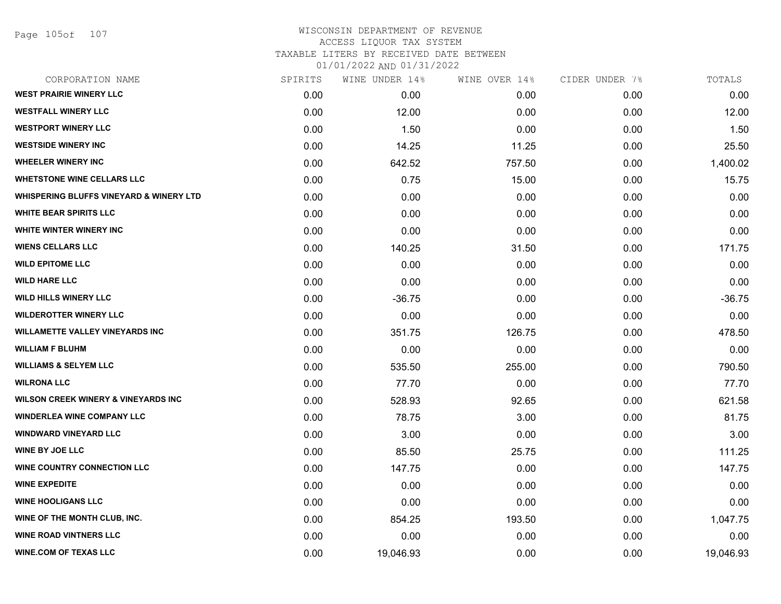Page 105of 107

#### WISCONSIN DEPARTMENT OF REVENUE ACCESS LIQUOR TAX SYSTEM TAXABLE LITERS BY RECEIVED DATE BETWEEN

| CORPORATION NAME                                   | SPIRITS | WINE UNDER 14% | WINE OVER 14% | CIDER UNDER 7% | TOTALS    |
|----------------------------------------------------|---------|----------------|---------------|----------------|-----------|
| <b>WEST PRAIRIE WINERY LLC</b>                     | 0.00    | 0.00           | 0.00          | 0.00           | 0.00      |
| <b>WESTFALL WINERY LLC</b>                         | 0.00    | 12.00          | 0.00          | 0.00           | 12.00     |
| <b>WESTPORT WINERY LLC</b>                         | 0.00    | 1.50           | 0.00          | 0.00           | 1.50      |
| <b>WESTSIDE WINERY INC</b>                         | 0.00    | 14.25          | 11.25         | 0.00           | 25.50     |
| <b>WHEELER WINERY INC</b>                          | 0.00    | 642.52         | 757.50        | 0.00           | 1,400.02  |
| <b>WHETSTONE WINE CELLARS LLC</b>                  | 0.00    | 0.75           | 15.00         | 0.00           | 15.75     |
| <b>WHISPERING BLUFFS VINEYARD &amp; WINERY LTD</b> | 0.00    | 0.00           | 0.00          | 0.00           | 0.00      |
| <b>WHITE BEAR SPIRITS LLC</b>                      | 0.00    | 0.00           | 0.00          | 0.00           | 0.00      |
| WHITE WINTER WINERY INC                            | 0.00    | 0.00           | 0.00          | 0.00           | 0.00      |
| <b>WIENS CELLARS LLC</b>                           | 0.00    | 140.25         | 31.50         | 0.00           | 171.75    |
| <b>WILD EPITOME LLC</b>                            | 0.00    | 0.00           | 0.00          | 0.00           | 0.00      |
| <b>WILD HARE LLC</b>                               | 0.00    | 0.00           | 0.00          | 0.00           | 0.00      |
| <b>WILD HILLS WINERY LLC</b>                       | 0.00    | $-36.75$       | 0.00          | 0.00           | $-36.75$  |
| <b>WILDEROTTER WINERY LLC</b>                      | 0.00    | 0.00           | 0.00          | 0.00           | 0.00      |
| <b>WILLAMETTE VALLEY VINEYARDS INC</b>             | 0.00    | 351.75         | 126.75        | 0.00           | 478.50    |
| <b>WILLIAM F BLUHM</b>                             | 0.00    | 0.00           | 0.00          | 0.00           | 0.00      |
| <b>WILLIAMS &amp; SELYEM LLC</b>                   | 0.00    | 535.50         | 255.00        | 0.00           | 790.50    |
| <b>WILRONA LLC</b>                                 | 0.00    | 77.70          | 0.00          | 0.00           | 77.70     |
| <b>WILSON CREEK WINERY &amp; VINEYARDS INC</b>     | 0.00    | 528.93         | 92.65         | 0.00           | 621.58    |
| <b>WINDERLEA WINE COMPANY LLC</b>                  | 0.00    | 78.75          | 3.00          | 0.00           | 81.75     |
| <b>WINDWARD VINEYARD LLC</b>                       | 0.00    | 3.00           | 0.00          | 0.00           | 3.00      |
| <b>WINE BY JOE LLC</b>                             | 0.00    | 85.50          | 25.75         | 0.00           | 111.25    |
| <b>WINE COUNTRY CONNECTION LLC</b>                 | 0.00    | 147.75         | 0.00          | 0.00           | 147.75    |
| <b>WINE EXPEDITE</b>                               | 0.00    | 0.00           | 0.00          | 0.00           | 0.00      |
| <b>WINE HOOLIGANS LLC</b>                          | 0.00    | 0.00           | 0.00          | 0.00           | 0.00      |
| WINE OF THE MONTH CLUB, INC.                       | 0.00    | 854.25         | 193.50        | 0.00           | 1,047.75  |
| <b>WINE ROAD VINTNERS LLC</b>                      | 0.00    | 0.00           | 0.00          | 0.00           | 0.00      |
| <b>WINE.COM OF TEXAS LLC</b>                       | 0.00    | 19,046.93      | 0.00          | 0.00           | 19,046.93 |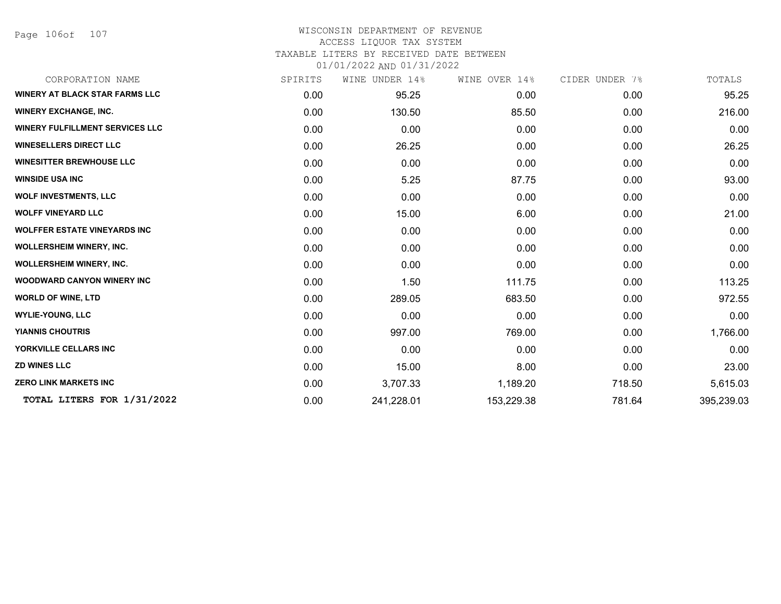Page 106of 107

#### WISCONSIN DEPARTMENT OF REVENUE ACCESS LIQUOR TAX SYSTEM TAXABLE LITERS BY RECEIVED DATE BETWEEN

| CORPORATION NAME                       | SPIRITS | WINE UNDER 14% | WINE OVER 14% | CIDER UNDER 7% | TOTALS     |
|----------------------------------------|---------|----------------|---------------|----------------|------------|
| <b>WINERY AT BLACK STAR FARMS LLC</b>  | 0.00    | 95.25          | 0.00          | 0.00           | 95.25      |
| <b>WINERY EXCHANGE, INC.</b>           | 0.00    | 130.50         | 85.50         | 0.00           | 216.00     |
| <b>WINERY FULFILLMENT SERVICES LLC</b> | 0.00    | 0.00           | 0.00          | 0.00           | 0.00       |
| <b>WINESELLERS DIRECT LLC</b>          | 0.00    | 26.25          | 0.00          | 0.00           | 26.25      |
| <b>WINESITTER BREWHOUSE LLC</b>        | 0.00    | 0.00           | 0.00          | 0.00           | 0.00       |
| <b>WINSIDE USA INC</b>                 | 0.00    | 5.25           | 87.75         | 0.00           | 93.00      |
| <b>WOLF INVESTMENTS, LLC</b>           | 0.00    | 0.00           | 0.00          | 0.00           | 0.00       |
| <b>WOLFF VINEYARD LLC</b>              | 0.00    | 15.00          | 6.00          | 0.00           | 21.00      |
| <b>WOLFFER ESTATE VINEYARDS INC</b>    | 0.00    | 0.00           | 0.00          | 0.00           | 0.00       |
| <b>WOLLERSHEIM WINERY, INC.</b>        | 0.00    | 0.00           | 0.00          | 0.00           | 0.00       |
| <b>WOLLERSHEIM WINERY, INC.</b>        | 0.00    | 0.00           | 0.00          | 0.00           | 0.00       |
| <b>WOODWARD CANYON WINERY INC</b>      | 0.00    | 1.50           | 111.75        | 0.00           | 113.25     |
| <b>WORLD OF WINE, LTD</b>              | 0.00    | 289.05         | 683.50        | 0.00           | 972.55     |
| <b>WYLIE-YOUNG, LLC</b>                | 0.00    | 0.00           | 0.00          | 0.00           | 0.00       |
| <b>YIANNIS CHOUTRIS</b>                | 0.00    | 997.00         | 769.00        | 0.00           | 1,766.00   |
| YORKVILLE CELLARS INC                  | 0.00    | 0.00           | 0.00          | 0.00           | 0.00       |
| <b>ZD WINES LLC</b>                    | 0.00    | 15.00          | 8.00          | 0.00           | 23.00      |
| <b>ZERO LINK MARKETS INC</b>           | 0.00    | 3,707.33       | 1,189.20      | 718.50         | 5,615.03   |
| TOTAL LITERS FOR 1/31/2022             | 0.00    | 241,228.01     | 153,229.38    | 781.64         | 395,239.03 |